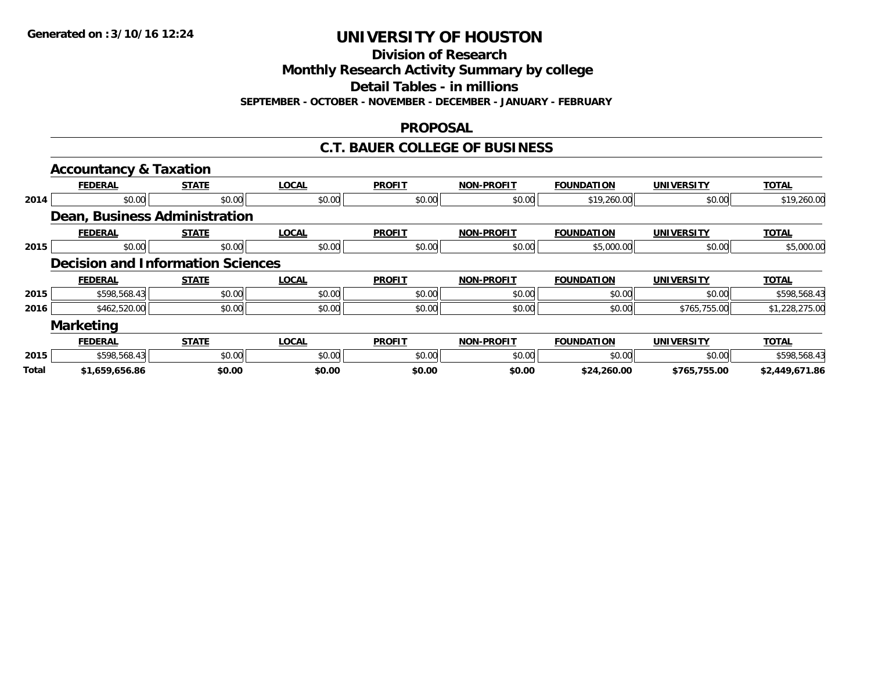**Division of Research**

**Monthly Research Activity Summary by college**

**Detail Tables - in millions**

**SEPTEMBER - OCTOBER - NOVEMBER - DECEMBER - JANUARY - FEBRUARY**

### **PROPOSAL**

### **C.T. BAUER COLLEGE OF BUSINESS**

|              | <b>Accountancy &amp; Taxation</b>        |              |              |               |                   |                   |                   |                |
|--------------|------------------------------------------|--------------|--------------|---------------|-------------------|-------------------|-------------------|----------------|
|              | <b>FEDERAL</b>                           | <b>STATE</b> | <b>LOCAL</b> | <b>PROFIT</b> | <b>NON-PROFIT</b> | <b>FOUNDATION</b> | <b>UNIVERSITY</b> | <b>TOTAL</b>   |
| 2014         | \$0.00                                   | \$0.00       | \$0.00       | \$0.00        | \$0.00            | \$19,260.00       | \$0.00            | \$19,260.00    |
|              | Dean, Business Administration            |              |              |               |                   |                   |                   |                |
|              | <b>FEDERAL</b>                           | <b>STATE</b> | <b>LOCAL</b> | <b>PROFIT</b> | <b>NON-PROFIT</b> | <b>FOUNDATION</b> | <b>UNIVERSITY</b> | <b>TOTAL</b>   |
| 2015         | \$0.00                                   | \$0.00       | \$0.00       | \$0.00        | \$0.00            | \$5,000.00        | \$0.00            | \$5,000.00     |
|              | <b>Decision and Information Sciences</b> |              |              |               |                   |                   |                   |                |
|              | <b>FEDERAL</b>                           | <b>STATE</b> | <b>LOCAL</b> | <b>PROFIT</b> | <b>NON-PROFIT</b> | <b>FOUNDATION</b> | <b>UNIVERSITY</b> | <b>TOTAL</b>   |
| 2015         | \$598,568.43                             | \$0.00       | \$0.00       | \$0.00        | \$0.00            | \$0.00            | \$0.00            | \$598,568.43   |
| 2016         | \$462,520.00                             | \$0.00       | \$0.00       | \$0.00        | \$0.00            | \$0.00            | \$765,755.00      | \$1,228,275.00 |
|              | <b>Marketing</b>                         |              |              |               |                   |                   |                   |                |
|              | <b>FEDERAL</b>                           | <b>STATE</b> | <b>LOCAL</b> | <b>PROFIT</b> | <b>NON-PROFIT</b> | <b>FOUNDATION</b> | <b>UNIVERSITY</b> | <b>TOTAL</b>   |
| 2015         | \$598,568.43                             | \$0.00       | \$0.00       | \$0.00        | \$0.00            | \$0.00            | \$0.00            | \$598,568.43   |
| <b>Total</b> | \$1,659,656.86                           | \$0.00       | \$0.00       | \$0.00        | \$0.00            | \$24,260.00       | \$765,755.00      | \$2,449,671.86 |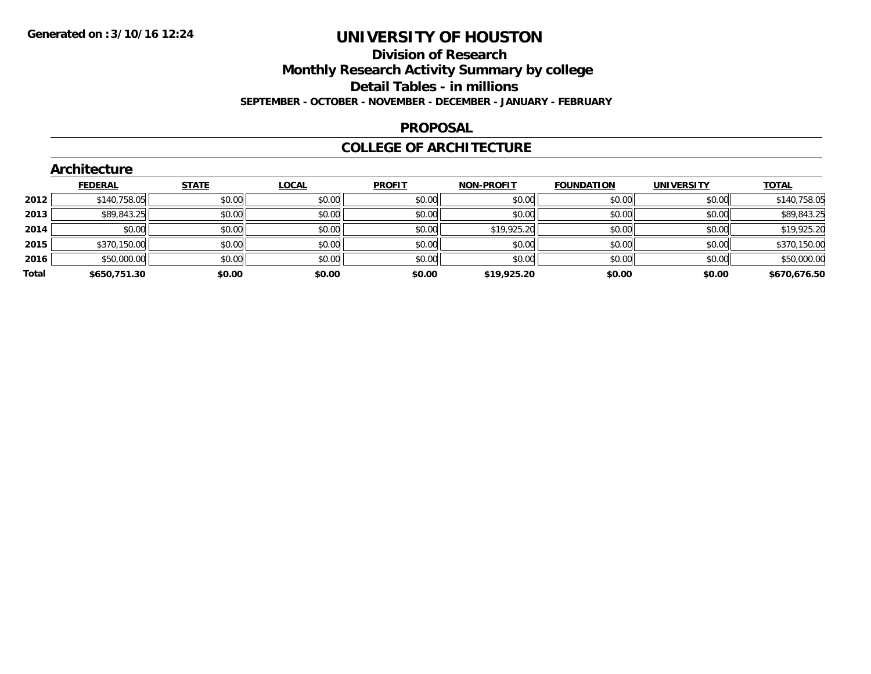#### **Division of Research**

**Monthly Research Activity Summary by college**

**Detail Tables - in millions**

**SEPTEMBER - OCTOBER - NOVEMBER - DECEMBER - JANUARY - FEBRUARY**

#### **PROPOSAL**

### **COLLEGE OF ARCHITECTURE**

| <b>STATE</b><br><b>UNIVERSITY</b><br><b>FEDERAL</b><br><b>LOCAL</b><br><b>PROFIT</b><br><b>NON-PROFIT</b><br><b>FOUNDATION</b><br>\$0.00<br>\$140,758.05<br>\$0.00<br>\$0.00<br>\$0.00<br>\$0.00<br>\$0.00<br>2012<br>\$89,843.25<br>\$0.00<br>\$0.00<br>\$0.00<br>\$0.00<br>\$0.00<br>2013<br>\$0.00<br>\$19,925.20<br>\$0.00<br>\$0.00<br>\$0.00<br>\$0.00<br>\$0.00<br>\$0.00<br>2014<br>\$0.00<br>\$0.00<br>\$0.00<br>\$0.00<br>\$370,150.00<br>\$0.00<br>\$0.00<br>2015<br>\$0.00<br>2016<br>\$0.00<br>\$0.00<br>\$0.00<br>\$50,000.00<br>\$0.00<br>\$0.00<br>Total<br>\$0.00<br>\$0.00<br>\$0.00<br>\$0.00<br>\$0.00<br>\$19,925.20<br>\$650,751.30 | <b>Architecture</b> |  |  |  |              |
|-----------------------------------------------------------------------------------------------------------------------------------------------------------------------------------------------------------------------------------------------------------------------------------------------------------------------------------------------------------------------------------------------------------------------------------------------------------------------------------------------------------------------------------------------------------------------------------------------------------------------------------------------------------|---------------------|--|--|--|--------------|
|                                                                                                                                                                                                                                                                                                                                                                                                                                                                                                                                                                                                                                                           |                     |  |  |  | <b>TOTAL</b> |
|                                                                                                                                                                                                                                                                                                                                                                                                                                                                                                                                                                                                                                                           |                     |  |  |  | \$140,758.05 |
|                                                                                                                                                                                                                                                                                                                                                                                                                                                                                                                                                                                                                                                           |                     |  |  |  | \$89,843.25  |
|                                                                                                                                                                                                                                                                                                                                                                                                                                                                                                                                                                                                                                                           |                     |  |  |  | \$19,925.20  |
|                                                                                                                                                                                                                                                                                                                                                                                                                                                                                                                                                                                                                                                           |                     |  |  |  | \$370,150.00 |
|                                                                                                                                                                                                                                                                                                                                                                                                                                                                                                                                                                                                                                                           |                     |  |  |  | \$50,000.00  |
|                                                                                                                                                                                                                                                                                                                                                                                                                                                                                                                                                                                                                                                           |                     |  |  |  | \$670,676.50 |

## **Architecture**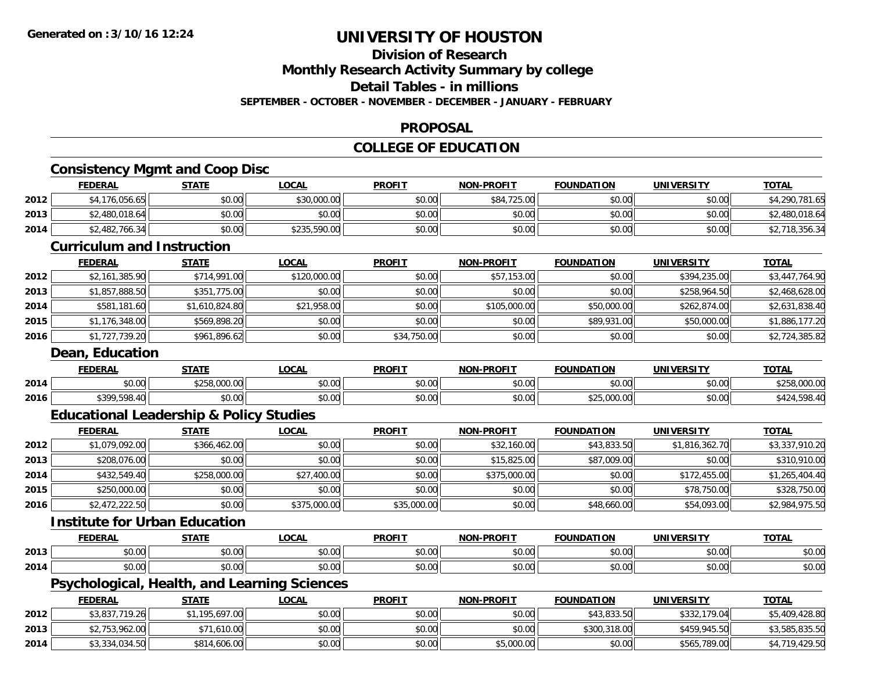## **Division of Research**

**Monthly Research Activity Summary by college**

**Detail Tables - in millions**

**SEPTEMBER - OCTOBER - NOVEMBER - DECEMBER - JANUARY - FEBRUARY**

### **PROPOSAL**

### **COLLEGE OF EDUCATION**

## **Consistency Mgmt and Coop Disc**

|                                   | <b>FEDERAL</b> | <b>STATE</b> | <u>LOCAL</u> | <b>PROFIT</b> | <b>NON-PROFIT</b> | <b>FOUNDATION</b> | UNIVERSITY | <b>TOTAL</b>   |  |
|-----------------------------------|----------------|--------------|--------------|---------------|-------------------|-------------------|------------|----------------|--|
| 2012                              | \$4,176,056.65 | \$0.00       | \$30,000.00  | \$0.00        | \$84,725.00       | \$0.00            | \$0.00     | \$4,290,781.65 |  |
| 2013                              | \$2,480,018.64 | \$0.00       | \$0.00       | \$0.00        | \$0.00            | \$0.00            | \$0.00     | \$2,480,018.64 |  |
| 2014                              | \$2,482,766.34 | \$0.00       | \$235,590.00 | \$0.00        | \$0.00            | \$0.00            | \$0.00     | \$2,718,356.34 |  |
| <b>Curriculum and Instruction</b> |                |              |              |               |                   |                   |            |                |  |
|                                   | <b>FEDERAL</b> | <b>STATE</b> | <b>LOCAL</b> | <b>PROFIT</b> | <b>NON-PROFIT</b> | <b>FOUNDATION</b> | UNIVERSITY | <b>TOTAL</b>   |  |

| 2012 | \$2,161,385.90 | \$714,991.00   | \$120,000.00 | \$0.00      | \$57,153.00  | \$0.00      | \$394,235.00 | \$3,447,764.90 |
|------|----------------|----------------|--------------|-------------|--------------|-------------|--------------|----------------|
| 2013 | \$1,857,888.50 | \$351,775.00   | \$0.00       | \$0.00      | \$0.00       | \$0.00      | \$258,964.50 | \$2,468,628.00 |
| 2014 | \$581,181.60   | \$1,610,824.80 | \$21,958.00  | \$0.00      | \$105,000.00 | \$50,000.00 | \$262,874.00 | \$2,631,838.40 |
| 2015 | \$1,176,348.00 | \$569,898.20   | \$0.00       | \$0.00      | \$0.00       | \$89,931.00 | \$50,000.00  | \$1,886,177.20 |
| 2016 | \$1,727,739.20 | \$961,896.62   | \$0.00       | \$34,750.00 | \$0.00       | \$0.00      | \$0.00       | \$2,724,385.82 |

#### **Dean, Education**

|      | <b>FEDERAI</b>        | STATI                           | _OCAI              | <b>PROFIT</b>        | <b>PROFIT</b><br><b>NON</b> | <b>FOUNDATION</b>      | UNIVERSITY | $T^{\sim}$<br>OIA |
|------|-----------------------|---------------------------------|--------------------|----------------------|-----------------------------|------------------------|------------|-------------------|
| 2014 | 0000<br>DU.UU         | $\sim$<br>$\sum_{n=1}^{n}$<br>. | $\sim$ 00<br>vv.vv | 0.00<br><b>JU.UU</b> | 0000<br>PO.OO               | $n \cap \neg$<br>,u.uu | \$0.00     |                   |
| 2016 | <b>¢300 508</b><br>ΛC | <b>ሰሳ</b><br>$\sim$<br>JU.UU    | 0.00<br>PO.OO      | 0.00<br>JU.UU        | 0000<br>\$U.UU              | $A \cap F$             | \$0.00     |                   |

## **Educational Leadership & Policy Studies**

|      | <b>FEDERAL</b> | <u>STATE</u> | <u>LOCAL</u> | <b>PROFIT</b> | <b>NON-PROFIT</b> | <b>FOUNDATION</b> | <b>UNIVERSITY</b> | <b>TOTAL</b>   |
|------|----------------|--------------|--------------|---------------|-------------------|-------------------|-------------------|----------------|
| 2012 | \$1,079,092.00 | \$366,462.00 | \$0.00       | \$0.00        | \$32,160.00       | \$43,833.50       | \$1,816,362.70    | \$3,337,910.20 |
| 2013 | \$208,076.00   | \$0.00       | \$0.00       | \$0.00        | \$15,825.00       | \$87,009.00       | \$0.00            | \$310,910.00   |
| 2014 | \$432,549.40   | \$258,000.00 | \$27,400.00  | \$0.00        | \$375,000.00      | \$0.00            | \$172,455,00      | \$1,265,404.40 |
| 2015 | \$250,000.00   | \$0.00       | \$0.00       | \$0.00        | \$0.00            | \$0.00            | \$78,750.00       | \$328,750.00   |
| 2016 | \$2,472,222.50 | \$0.00       | \$375,000.00 | \$35,000.00   | \$0.00            | \$48,660.00       | \$54,093,00       | \$2,984,975.50 |

### **Institute for Urban Education**

|      | <b>FFBFB81</b>                   | <b>CTATE</b> | $\sim$ $\sim$ $\sim$  | <b>DDOEIT</b>                                       | ------<br><b>NIOF</b>                    | .               | 1111110001711          | $-2 - 1$           |
|------|----------------------------------|--------------|-----------------------|-----------------------------------------------------|------------------------------------------|-----------------|------------------------|--------------------|
| 2013 | $\cdots$                         | $\sim$ 00    | $\sim$ $\sim$<br>י טי | $\uparrow$ $\uparrow$ $\uparrow$ $\uparrow$<br>,,,, | $\triangle$ $\triangle$ $\triangle$<br>ັ | $\cdots$        | 0.00<br>$\sim$         | $\sim$ 00<br>DU.UU |
| 2014 | $\sim$ $\sim$<br>$\sim$<br>pu.uu | 70.U         | $\cdots$<br>J∪.∪u     | $\mathbf{A} \cap \mathbf{C}$<br>vv.v                | $\sim$ 00<br>J∪.∪u                       | $\sim$<br>70.UU | $\sim$ $\sim$<br>40.00 | \$0.00             |

### **Psychological, Health, and Learning Sciences**

|      | <u>FEDERAL</u>           | <b>STATE</b> | <u>LOCAL</u> | <b>PROFIT</b> | <b>NON-PROFIT</b> | <b>FOUNDATION</b> | UNIVERSITY   | <b>TOTAL</b>   |
|------|--------------------------|--------------|--------------|---------------|-------------------|-------------------|--------------|----------------|
| 2012 | \$3,837,719.26           | .195.697.00  | \$0.00       | \$0.00        | \$0.00            | \$43,833.50       | \$332,179.04 | \$5,409,428.80 |
| 2013 | <sup>*2,753,962.00</sup> | \$71,610.00  | \$0.00       | \$0.00        | \$0.00            | \$300,318.00      | \$459,945.50 | \$3,585,835.50 |
| 2014 | \$3,334,034.50           | \$814,606.00 | \$0.00       | \$0.00        | \$5,000.00        | \$0.00            | \$565,789.00 | \$4,719,429.50 |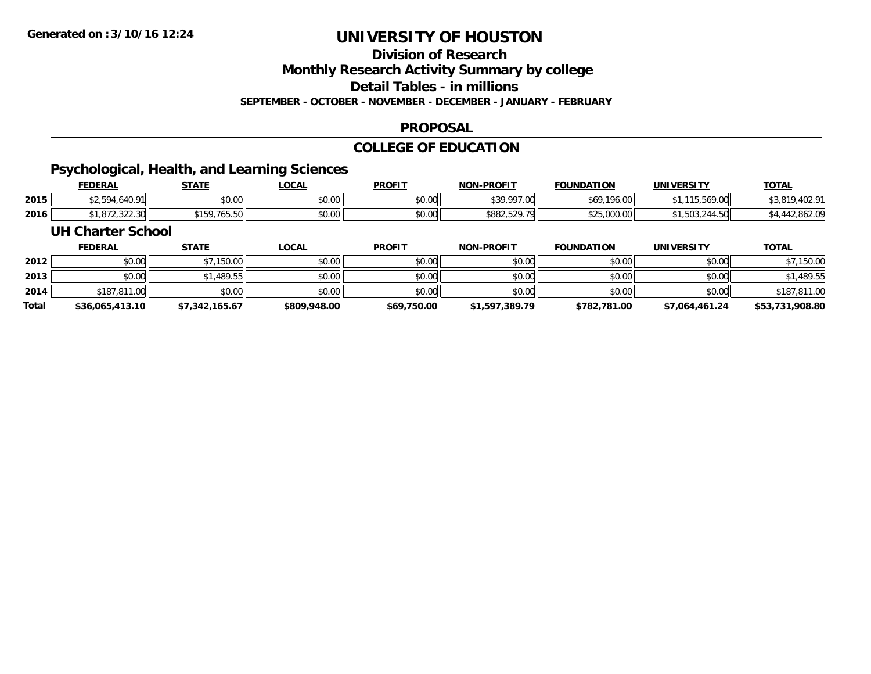## **Division of Research**

**Monthly Research Activity Summary by college**

**Detail Tables - in millions**

**SEPTEMBER - OCTOBER - NOVEMBER - DECEMBER - JANUARY - FEBRUARY**

### **PROPOSAL**

### **COLLEGE OF EDUCATION**

### **Psychological, Health, and Learning Sciences**

|      | <b>FEDERAL</b>       | <b>STATE</b><br>. п                                                             | <b>OCAL</b>    | <b>PROFIT</b>    | <b>I-PROFIT</b><br>NON | <b>FOUNDATION</b>     | UNIVERSITY           | <b>TOTAL</b>            |
|------|----------------------|---------------------------------------------------------------------------------|----------------|------------------|------------------------|-----------------------|----------------------|-------------------------|
| 2015 | 1001<br>40. 7 H      | \$0.00                                                                          | ልስ ስስ<br>JU.UU | ልስ ስስ<br>JU.UUL. | \$39,997.00            | \$69,196.00           | .569.00              | n1<br>ሶግ በ1             |
| 2016 | 22222<br>,072,322.30 | $\sim$ $\sim$ $\sim$ $\sim$ $\sim$ $\sim$ $\sim$<br>7 L C<br>, , , , , , ,<br>. | ტი იი<br>vu.uu | \$0.00           | ,,,,,,,,               | $\phi$ 25 000 00<br>. | 1.50<br>.bu.<br>7.JU | .802.UY<br>$\sqrt{111}$ |

#### **UH Charter School**

|       | <b>FEDERAL</b>  | <u>STATE</u>   | <u>LOCAL</u> | <b>PROFIT</b> | <b>NON-PROFIT</b> | <b>FOUNDATION</b> | <b>UNIVERSITY</b> | <b>TOTAL</b>    |
|-------|-----------------|----------------|--------------|---------------|-------------------|-------------------|-------------------|-----------------|
| 2012  | \$0.00          | \$7,150.00     | \$0.00       | \$0.00        | \$0.00            | \$0.00            | \$0.00            | \$7,150.00      |
| 2013  | \$0.00          | \$1,489.55     | \$0.00       | \$0.00        | \$0.00            | \$0.00            | \$0.00            | \$1,489.55      |
| 2014  | \$187,811,00    | \$0.00         | \$0.00       | \$0.00        | \$0.00            | \$0.00            | \$0.00            | \$187,811.00    |
| Total | \$36,065,413.10 | \$7,342,165.67 | \$809,948.00 | \$69,750.00   | \$1,597,389.79    | \$782,781.00      | \$7,064,461.24    | \$53,731,908.80 |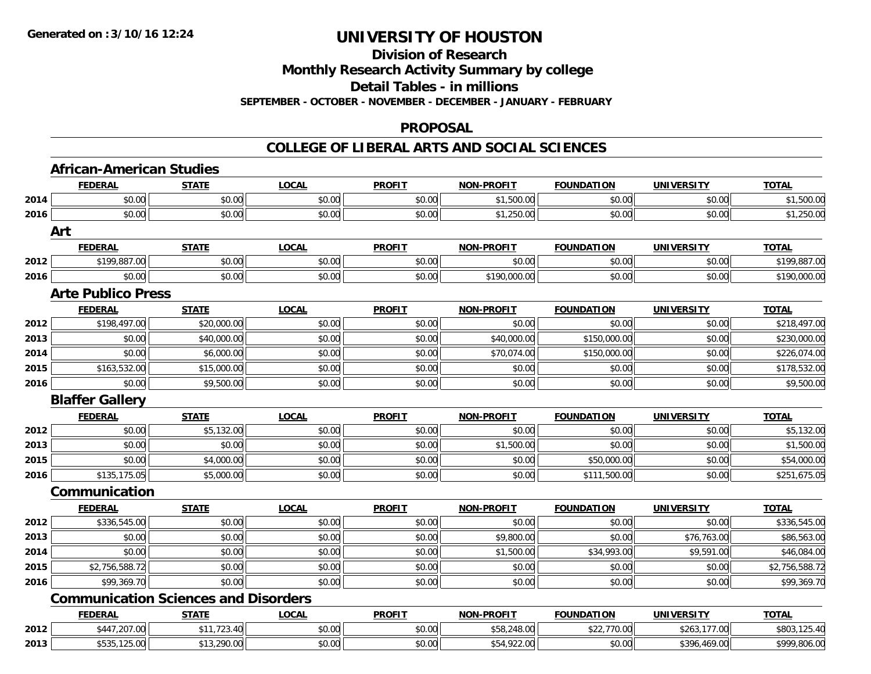### **Division of Research**

**Monthly Research Activity Summary by college**

**Detail Tables - in millions**

**SEPTEMBER - OCTOBER - NOVEMBER - DECEMBER - JANUARY - FEBRUARY**

#### **PROPOSAL**

#### **COLLEGE OF LIBERAL ARTS AND SOCIAL SCIENCES**

|      | <b>African-American Studies</b>             |              |              |               |                   |                   |                   |                |
|------|---------------------------------------------|--------------|--------------|---------------|-------------------|-------------------|-------------------|----------------|
|      | <b>FEDERAL</b>                              | <b>STATE</b> | <b>LOCAL</b> | <b>PROFIT</b> | NON-PROFIT        | <b>FOUNDATION</b> | <b>UNIVERSITY</b> | <b>TOTAL</b>   |
| 2014 | \$0.00                                      | \$0.00       | \$0.00       | \$0.00        | \$1,500.00        | \$0.00            | \$0.00            | \$1,500.00     |
| 2016 | \$0.00                                      | \$0.00       | \$0.00       | \$0.00        | \$1,250.00        | \$0.00            | \$0.00            | \$1,250.00     |
|      | Art                                         |              |              |               |                   |                   |                   |                |
|      | <b>FEDERAL</b>                              | <b>STATE</b> | <b>LOCAL</b> | <b>PROFIT</b> | <b>NON-PROFIT</b> | <b>FOUNDATION</b> | <b>UNIVERSITY</b> | <b>TOTAL</b>   |
| 2012 | \$199,887.00                                | \$0.00       | \$0.00       | \$0.00        | \$0.00            | \$0.00            | \$0.00            | \$199,887.00   |
| 2016 | \$0.00                                      | \$0.00       | \$0.00       | \$0.00        | \$190,000.00      | \$0.00            | \$0.00            | \$190,000.00   |
|      | <b>Arte Publico Press</b>                   |              |              |               |                   |                   |                   |                |
|      | <b>FEDERAL</b>                              | <b>STATE</b> | <b>LOCAL</b> | <b>PROFIT</b> | <b>NON-PROFIT</b> | <b>FOUNDATION</b> | <b>UNIVERSITY</b> | <b>TOTAL</b>   |
| 2012 | \$198,497.00                                | \$20,000.00  | \$0.00       | \$0.00        | \$0.00            | \$0.00            | \$0.00            | \$218,497.00   |
| 2013 | \$0.00                                      | \$40,000.00  | \$0.00       | \$0.00        | \$40,000.00       | \$150,000.00      | \$0.00            | \$230,000.00   |
| 2014 | \$0.00                                      | \$6,000.00   | \$0.00       | \$0.00        | \$70,074.00       | \$150,000.00      | \$0.00            | \$226,074.00   |
| 2015 | \$163,532.00                                | \$15,000.00  | \$0.00       | \$0.00        | \$0.00            | \$0.00            | \$0.00            | \$178,532.00   |
| 2016 | \$0.00                                      | \$9,500.00   | \$0.00       | \$0.00        | \$0.00            | \$0.00            | \$0.00            | \$9,500.00     |
|      | <b>Blaffer Gallery</b>                      |              |              |               |                   |                   |                   |                |
|      | <b>FEDERAL</b>                              | <b>STATE</b> | <b>LOCAL</b> | <b>PROFIT</b> | <b>NON-PROFIT</b> | <b>FOUNDATION</b> | <b>UNIVERSITY</b> | <b>TOTAL</b>   |
| 2012 | \$0.00                                      | \$5,132.00   | \$0.00       | \$0.00        | \$0.00            | \$0.00            | \$0.00            | \$5,132.00     |
| 2013 | \$0.00                                      | \$0.00       | \$0.00       | \$0.00        | \$1,500.00        | \$0.00            | \$0.00            | \$1,500.00     |
| 2015 | \$0.00                                      | \$4,000.00   | \$0.00       | \$0.00        | \$0.00            | \$50,000.00       | \$0.00            | \$54,000.00    |
| 2016 | \$135,175.05                                | \$5,000.00   | \$0.00       | \$0.00        | \$0.00            | \$111,500.00      | \$0.00            | \$251,675.05   |
|      | Communication                               |              |              |               |                   |                   |                   |                |
|      | <b>FEDERAL</b>                              | <b>STATE</b> | <b>LOCAL</b> | <b>PROFIT</b> | <b>NON-PROFIT</b> | <b>FOUNDATION</b> | <b>UNIVERSITY</b> | <b>TOTAL</b>   |
| 2012 | \$336,545.00                                | \$0.00       | \$0.00       | \$0.00        | \$0.00            | \$0.00            | \$0.00            | \$336,545.00   |
| 2013 | \$0.00                                      | \$0.00       | \$0.00       | \$0.00        | \$9,800.00        | \$0.00            | \$76,763.00       | \$86,563.00    |
| 2014 | \$0.00                                      | \$0.00       | \$0.00       | \$0.00        | \$1,500.00        | \$34,993.00       | \$9,591.00        | \$46,084.00    |
| 2015 | \$2,756,588.72                              | \$0.00       | \$0.00       | \$0.00        | \$0.00            | \$0.00            | \$0.00            | \$2,756,588.72 |
| 2016 | \$99,369.70                                 | \$0.00       | \$0.00       | \$0.00        | \$0.00            | \$0.00            | \$0.00            | \$99,369.70    |
|      | <b>Communication Sciences and Disorders</b> |              |              |               |                   |                   |                   |                |
|      | <b>FEDERAL</b>                              | <b>STATE</b> | <b>LOCAL</b> | <b>PROFIT</b> | <b>NON-PROFIT</b> | <b>FOUNDATION</b> | <b>UNIVERSITY</b> | <b>TOTAL</b>   |
| 2012 | \$447,207.00                                | \$11,723.40  | \$0.00       | \$0.00        | \$58,248.00       | \$22,770.00       | \$263,177.00      | \$803,125.40   |
| 2013 | \$535,125.00                                | \$13,290.00  | \$0.00       | \$0.00        | \$54,922.00       | \$0.00            | \$396,469.00      | \$999,806.00   |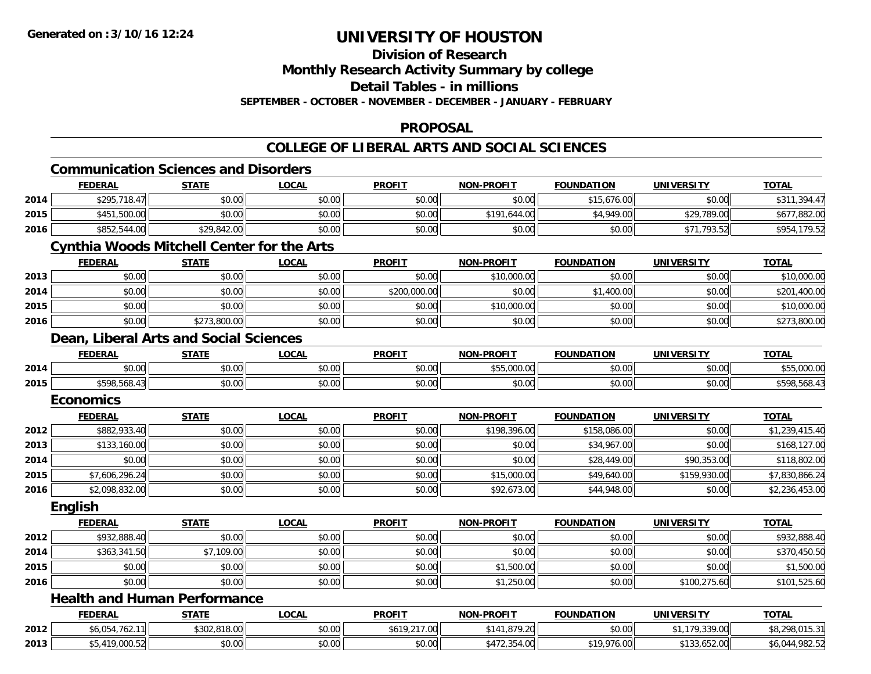## **Division of Research**

**Monthly Research Activity Summary by college**

**Detail Tables - in millions**

**SEPTEMBER - OCTOBER - NOVEMBER - DECEMBER - JANUARY - FEBRUARY**

#### **PROPOSAL**

#### **COLLEGE OF LIBERAL ARTS AND SOCIAL SCIENCES**

## **Communication Sciences and Disorders**

|      | <b>FEDERAL</b>                                    | <b>STATE</b> | <b>LOCAL</b> | <b>PROFIT</b> | <b>NON-PROFIT</b> | <b>FOUNDATION</b> | <b>UNIVERSITY</b> | <b>TOTAL</b>   |
|------|---------------------------------------------------|--------------|--------------|---------------|-------------------|-------------------|-------------------|----------------|
| 2014 | \$295,718.47                                      | \$0.00       | \$0.00       | \$0.00        | \$0.00            | \$15,676.00       | \$0.00            | \$311,394.47   |
| 2015 | \$451,500.00                                      | \$0.00       | \$0.00       | \$0.00        | \$191,644.00      | \$4,949.00        | \$29,789.00       | \$677,882.00   |
| 2016 | \$852,544.00                                      | \$29,842.00  | \$0.00       | \$0.00        | \$0.00            | \$0.00            | \$71,793.52       | \$954,179.52   |
|      | <b>Cynthia Woods Mitchell Center for the Arts</b> |              |              |               |                   |                   |                   |                |
|      | <b>FEDERAL</b>                                    | <b>STATE</b> | <b>LOCAL</b> | <b>PROFIT</b> | <b>NON-PROFIT</b> | <b>FOUNDATION</b> | <b>UNIVERSITY</b> | <b>TOTAL</b>   |
| 2013 | \$0.00                                            | \$0.00       | \$0.00       | \$0.00        | \$10,000.00       | \$0.00            | \$0.00            | \$10,000.00    |
| 2014 | \$0.00                                            | \$0.00       | \$0.00       | \$200,000.00  | \$0.00            | \$1,400.00        | \$0.00            | \$201,400.00   |
| 2015 | \$0.00                                            | \$0.00       | \$0.00       | \$0.00        | \$10,000.00       | \$0.00            | \$0.00            | \$10,000.00    |
| 2016 | \$0.00                                            | \$273,800.00 | \$0.00       | \$0.00        | \$0.00            | \$0.00            | \$0.00            | \$273,800.00   |
|      | Dean, Liberal Arts and Social Sciences            |              |              |               |                   |                   |                   |                |
|      | <b>FEDERAL</b>                                    | <b>STATE</b> | <b>LOCAL</b> | <b>PROFIT</b> | <b>NON-PROFIT</b> | <b>FOUNDATION</b> | <b>UNIVERSITY</b> | <b>TOTAL</b>   |
| 2014 | \$0.00                                            | \$0.00       | \$0.00       | \$0.00        | \$55,000.00       | \$0.00            | \$0.00            | \$55,000.00    |
| 2015 | \$598,568.43                                      | \$0.00       | \$0.00       | \$0.00        | \$0.00            | \$0.00            | \$0.00            | \$598,568.43   |
|      | <b>Economics</b>                                  |              |              |               |                   |                   |                   |                |
|      | <b>FEDERAL</b>                                    | <b>STATE</b> | <b>LOCAL</b> | <b>PROFIT</b> | <b>NON-PROFIT</b> | <b>FOUNDATION</b> | <b>UNIVERSITY</b> | <b>TOTAL</b>   |
| 2012 | \$882,933.40                                      | \$0.00       | \$0.00       | \$0.00        | \$198,396.00      | \$158,086.00      | \$0.00            | \$1,239,415.40 |
| 2013 | \$133,160.00                                      | \$0.00       | \$0.00       | \$0.00        | \$0.00            | \$34,967.00       | \$0.00            | \$168,127.00   |
| 2014 | \$0.00                                            | \$0.00       | \$0.00       | \$0.00        | \$0.00            | \$28,449.00       | \$90,353.00       | \$118,802.00   |
| 2015 | \$7,606,296.24                                    | \$0.00       | \$0.00       | \$0.00        | \$15,000.00       | \$49,640.00       | \$159,930.00      | \$7,830,866.24 |
| 2016 | \$2,098,832.00                                    | \$0.00       | \$0.00       | \$0.00        | \$92,673.00       | \$44,948.00       | \$0.00            | \$2,236,453.00 |
|      | <b>English</b>                                    |              |              |               |                   |                   |                   |                |
|      | <b>FEDERAL</b>                                    | <b>STATE</b> | <b>LOCAL</b> | <b>PROFIT</b> | NON-PROFIT        | <b>FOUNDATION</b> | <b>UNIVERSITY</b> | <b>TOTAL</b>   |
| 2012 | \$932,888.40                                      | \$0.00       | \$0.00       | \$0.00        | \$0.00            | \$0.00            | \$0.00            | \$932,888.40   |
| 2014 | \$363,341.50                                      | \$7,109.00   | \$0.00       | \$0.00        | \$0.00            | \$0.00            | \$0.00            | \$370,450.50   |
| 2015 | \$0.00                                            | \$0.00       | \$0.00       | \$0.00        | \$1,500.00        | \$0.00            | \$0.00            | \$1,500.00     |
| 2016 | \$0.00                                            | \$0.00       | \$0.00       | \$0.00        | \$1,250.00        | \$0.00            | \$100,275.60      | \$101,525.60   |
|      | <b>Health and Human Performance</b>               |              |              |               |                   |                   |                   |                |
|      | <b>FEDERAL</b>                                    | <b>STATE</b> | <b>LOCAL</b> | <b>PROFIT</b> | <b>NON-PROFIT</b> | <b>FOUNDATION</b> | <b>UNIVERSITY</b> | <b>TOTAL</b>   |
| 2012 | \$6,054,762.11                                    | \$302,818.00 | \$0.00       | \$619,217.00  | \$141,879.20      | \$0.00            | \$1,179,339.00    | \$8,298,015.31 |
| 2013 | \$5,419,000.52                                    | \$0.00       | \$0.00       | \$0.00        | \$472,354.00      | \$19,976.00       | \$133,652.00      | \$6,044,982.52 |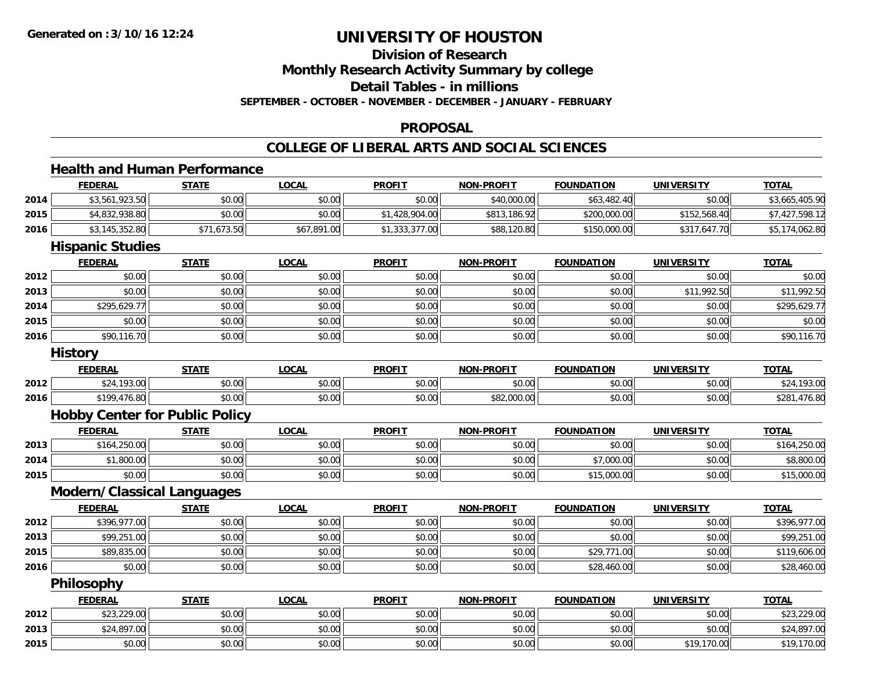## **Division of Research**

**Monthly Research Activity Summary by college**

**Detail Tables - in millions**

**SEPTEMBER - OCTOBER - NOVEMBER - DECEMBER - JANUARY - FEBRUARY**

#### **PROPOSAL**

### **COLLEGE OF LIBERAL ARTS AND SOCIAL SCIENCES**

### **Health and Human Performance**

|      | <b>FEDERAL</b>                        | <b>STATE</b> | <b>LOCAL</b> | <b>PROFIT</b>  | <b>NON-PROFIT</b> | <b>FOUNDATION</b> | <b>UNIVERSITY</b> | <b>TOTAL</b>   |  |  |  |
|------|---------------------------------------|--------------|--------------|----------------|-------------------|-------------------|-------------------|----------------|--|--|--|
| 2014 | \$3,561,923.50                        | \$0.00       | \$0.00       | \$0.00         | \$40,000.00       | \$63,482.40       | \$0.00            | \$3,665,405.90 |  |  |  |
| 2015 | \$4,832,938.80                        | \$0.00       | \$0.00       | \$1,428,904.00 | \$813,186.92      | \$200,000.00      | \$152,568.40      | \$7,427,598.12 |  |  |  |
| 2016 | \$3,145,352.80                        | \$71,673.50  | \$67,891.00  | \$1,333,377.00 | \$88,120.80       | \$150,000.00      | \$317,647.70      | \$5,174,062.80 |  |  |  |
|      | <b>Hispanic Studies</b>               |              |              |                |                   |                   |                   |                |  |  |  |
|      | <b>FEDERAL</b>                        | <b>STATE</b> | <b>LOCAL</b> | <b>PROFIT</b>  | <b>NON-PROFIT</b> | <b>FOUNDATION</b> | <b>UNIVERSITY</b> | <b>TOTAL</b>   |  |  |  |
| 2012 | \$0.00                                | \$0.00       | \$0.00       | \$0.00         | \$0.00            | \$0.00            | \$0.00            | \$0.00         |  |  |  |
| 2013 | \$0.00                                | \$0.00       | \$0.00       | \$0.00         | \$0.00            | \$0.00            | \$11,992.50       | \$11,992.50    |  |  |  |
| 2014 | \$295,629.77                          | \$0.00       | \$0.00       | \$0.00         | \$0.00            | \$0.00            | \$0.00            | \$295,629.77   |  |  |  |
| 2015 | \$0.00                                | \$0.00       | \$0.00       | \$0.00         | \$0.00            | \$0.00            | \$0.00            | \$0.00         |  |  |  |
| 2016 | \$90,116.70                           | \$0.00       | \$0.00       | \$0.00         | \$0.00            | \$0.00            | \$0.00            | \$90,116.70    |  |  |  |
|      | <b>History</b>                        |              |              |                |                   |                   |                   |                |  |  |  |
|      | <b>FEDERAL</b>                        | <b>STATE</b> | <b>LOCAL</b> | <b>PROFIT</b>  | <b>NON-PROFIT</b> | <b>FOUNDATION</b> | <b>UNIVERSITY</b> | <b>TOTAL</b>   |  |  |  |
| 2012 | \$24,193.00                           | \$0.00       | \$0.00       | \$0.00         | \$0.00            | \$0.00            | \$0.00            | \$24,193.00    |  |  |  |
| 2016 | \$199,476.80                          | \$0.00       | \$0.00       | \$0.00         | \$82,000.00       | \$0.00            | \$0.00            | \$281,476.80   |  |  |  |
|      | <b>Hobby Center for Public Policy</b> |              |              |                |                   |                   |                   |                |  |  |  |
|      | <b>FEDERAL</b>                        | <b>STATE</b> | <b>LOCAL</b> | <b>PROFIT</b>  | <b>NON-PROFIT</b> | <b>FOUNDATION</b> | <b>UNIVERSITY</b> | <b>TOTAL</b>   |  |  |  |
| 2013 | \$164,250.00                          | \$0.00       | \$0.00       | \$0.00         | \$0.00            | \$0.00            | \$0.00            | \$164,250.00   |  |  |  |
| 2014 | \$1,800.00                            | \$0.00       | \$0.00       | \$0.00         | \$0.00            | \$7,000.00        | \$0.00            | \$8,800.00     |  |  |  |
| 2015 | \$0.00                                | \$0.00       | \$0.00       | \$0.00         | \$0.00            | \$15,000.00       | \$0.00            | \$15,000.00    |  |  |  |
|      | <b>Modern/Classical Languages</b>     |              |              |                |                   |                   |                   |                |  |  |  |
|      | <b>FEDERAL</b>                        | <b>STATE</b> | <b>LOCAL</b> | <b>PROFIT</b>  | <b>NON-PROFIT</b> | <b>FOUNDATION</b> | <b>UNIVERSITY</b> | <b>TOTAL</b>   |  |  |  |
| 2012 | \$396,977.00                          | \$0.00       | \$0.00       | \$0.00         | \$0.00            | \$0.00            | \$0.00            | \$396,977.00   |  |  |  |
| 2013 | \$99,251.00                           | \$0.00       | \$0.00       | \$0.00         | \$0.00            | \$0.00            | \$0.00            | \$99,251.00    |  |  |  |
| 2015 | \$89,835.00                           | \$0.00       | \$0.00       | \$0.00         | \$0.00            | \$29,771.00       | \$0.00            | \$119,606.00   |  |  |  |
| 2016 | \$0.00                                | \$0.00       | \$0.00       | \$0.00         | \$0.00            | \$28,460.00       | \$0.00            | \$28,460.00    |  |  |  |
|      | Philosophy                            |              |              |                |                   |                   |                   |                |  |  |  |
|      | <b>FEDERAL</b>                        | <b>STATE</b> | <b>LOCAL</b> | <b>PROFIT</b>  | <b>NON-PROFIT</b> | <b>FOUNDATION</b> | <b>UNIVERSITY</b> | <b>TOTAL</b>   |  |  |  |
| 2012 | \$23,229.00                           | \$0.00       | \$0.00       | \$0.00         | \$0.00            | \$0.00            | \$0.00            | \$23,229.00    |  |  |  |
| 2013 | \$24,897.00                           | \$0.00       | \$0.00       | \$0.00         | \$0.00            | \$0.00            | \$0.00            | \$24,897.00    |  |  |  |
| 2015 | \$0.00                                | \$0.00       | \$0.00       | \$0.00         | \$0.00            | \$0.00            | \$19,170.00       | \$19,170.00    |  |  |  |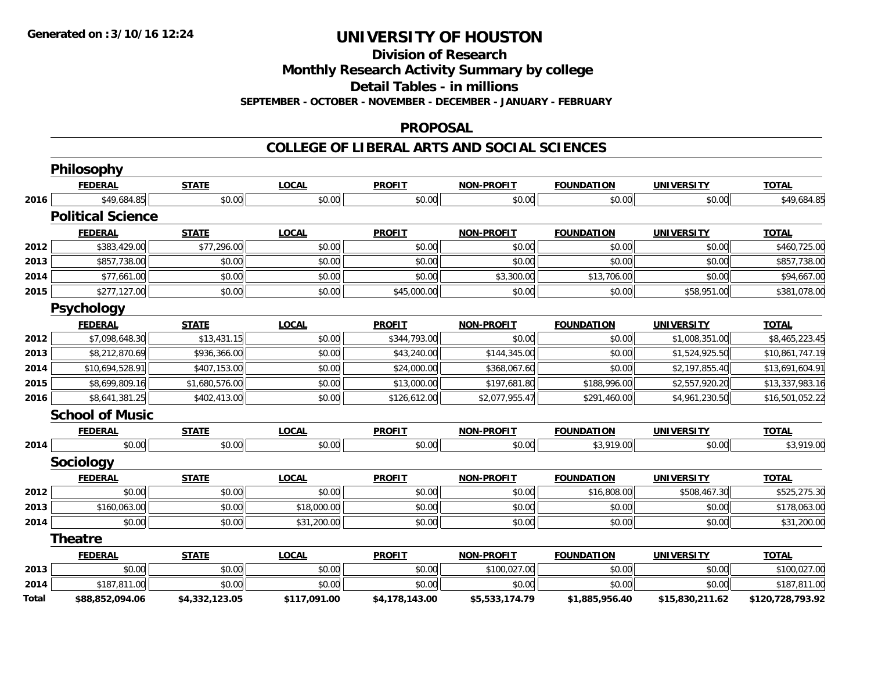**Division of Research**

**Monthly Research Activity Summary by college**

**Detail Tables - in millions**

**SEPTEMBER - OCTOBER - NOVEMBER - DECEMBER - JANUARY - FEBRUARY**

#### **PROPOSAL**

**COLLEGE OF LIBERAL ARTS AND SOCIAL SCIENCES**

|              | <b>Philosophy</b>        |                |              |                |                   |                   |                   |                  |
|--------------|--------------------------|----------------|--------------|----------------|-------------------|-------------------|-------------------|------------------|
|              | <b>FEDERAL</b>           | <b>STATE</b>   | <b>LOCAL</b> | <b>PROFIT</b>  | <b>NON-PROFIT</b> | <b>FOUNDATION</b> | <b>UNIVERSITY</b> | <b>TOTAL</b>     |
| 2016         | \$49,684.85              | \$0.00         | \$0.00       | \$0.00         | \$0.00            | \$0.00            | \$0.00            | \$49,684.85      |
|              | <b>Political Science</b> |                |              |                |                   |                   |                   |                  |
|              | <b>FEDERAL</b>           | <b>STATE</b>   | <b>LOCAL</b> | <b>PROFIT</b>  | <b>NON-PROFIT</b> | <b>FOUNDATION</b> | <b>UNIVERSITY</b> | <b>TOTAL</b>     |
| 2012         | \$383,429.00             | \$77,296.00    | \$0.00       | \$0.00         | \$0.00            | \$0.00            | \$0.00            | \$460,725.00     |
| 2013         | \$857,738.00             | \$0.00         | \$0.00       | \$0.00         | \$0.00            | \$0.00            | \$0.00            | \$857,738.00     |
| 2014         | \$77,661.00              | \$0.00         | \$0.00       | \$0.00         | \$3,300.00        | \$13,706.00       | \$0.00            | \$94,667.00      |
| 2015         | \$277,127.00             | \$0.00         | \$0.00       | \$45,000.00    | \$0.00            | \$0.00            | \$58,951.00       | \$381,078.00     |
|              | <b>Psychology</b>        |                |              |                |                   |                   |                   |                  |
|              | <b>FEDERAL</b>           | <b>STATE</b>   | <b>LOCAL</b> | <b>PROFIT</b>  | <b>NON-PROFIT</b> | <b>FOUNDATION</b> | <b>UNIVERSITY</b> | <b>TOTAL</b>     |
| 2012         | \$7,098,648.30           | \$13,431.15    | \$0.00       | \$344,793.00   | \$0.00            | \$0.00            | \$1,008,351.00    | \$8,465,223.45   |
| 2013         | \$8,212,870.69           | \$936,366.00   | \$0.00       | \$43,240.00    | \$144,345.00      | \$0.00            | \$1,524,925.50    | \$10,861,747.19  |
| 2014         | \$10,694,528.91          | \$407,153.00   | \$0.00       | \$24,000.00    | \$368,067.60      | \$0.00            | \$2,197,855.40    | \$13,691,604.91  |
| 2015         | \$8,699,809.16           | \$1,680,576.00 | \$0.00       | \$13,000.00    | \$197,681.80      | \$188,996.00      | \$2,557,920.20    | \$13,337,983.16  |
| 2016         | \$8,641,381.25           | \$402,413.00   | \$0.00       | \$126,612.00   | \$2,077,955.47    | \$291,460.00      | \$4,961,230.50    | \$16,501,052.22  |
|              | <b>School of Music</b>   |                |              |                |                   |                   |                   |                  |
|              | <b>FEDERAL</b>           | <b>STATE</b>   | <b>LOCAL</b> | <b>PROFIT</b>  | <b>NON-PROFIT</b> | <b>FOUNDATION</b> | <b>UNIVERSITY</b> | <b>TOTAL</b>     |
| 2014         | \$0.00                   | \$0.00         | \$0.00       | \$0.00         | \$0.00            | \$3,919.00        | \$0.00            | \$3,919.00       |
|              | Sociology                |                |              |                |                   |                   |                   |                  |
|              | <b>FEDERAL</b>           | <b>STATE</b>   | <b>LOCAL</b> | <b>PROFIT</b>  | <b>NON-PROFIT</b> | <b>FOUNDATION</b> | <b>UNIVERSITY</b> | <b>TOTAL</b>     |
| 2012         | \$0.00                   | \$0.00         | \$0.00       | \$0.00         | \$0.00            | \$16,808.00       | \$508,467.30      | \$525,275.30     |
| 2013         | \$160,063.00             | \$0.00         | \$18,000.00  | \$0.00         | \$0.00            | \$0.00            | \$0.00            | \$178,063.00     |
| 2014         | \$0.00                   | \$0.00         | \$31,200.00  | \$0.00         | \$0.00            | \$0.00            | \$0.00            | \$31,200.00      |
|              | <b>Theatre</b>           |                |              |                |                   |                   |                   |                  |
|              | <b>FEDERAL</b>           | <b>STATE</b>   | <b>LOCAL</b> | <b>PROFIT</b>  | <b>NON-PROFIT</b> | <b>FOUNDATION</b> | <b>UNIVERSITY</b> | <b>TOTAL</b>     |
| 2013         | \$0.00                   | \$0.00         | \$0.00       | \$0.00         | \$100,027.00      | \$0.00            | \$0.00            | \$100,027.00     |
| 2014         | \$187,811.00             | \$0.00         | \$0.00       | \$0.00         | \$0.00            | \$0.00            | \$0.00            | \$187,811.00     |
| <b>Total</b> | \$88,852,094.06          | \$4,332,123.05 | \$117,091.00 | \$4,178,143.00 | \$5,533,174.79    | \$1,885,956.40    | \$15,830,211.62   | \$120,728,793.92 |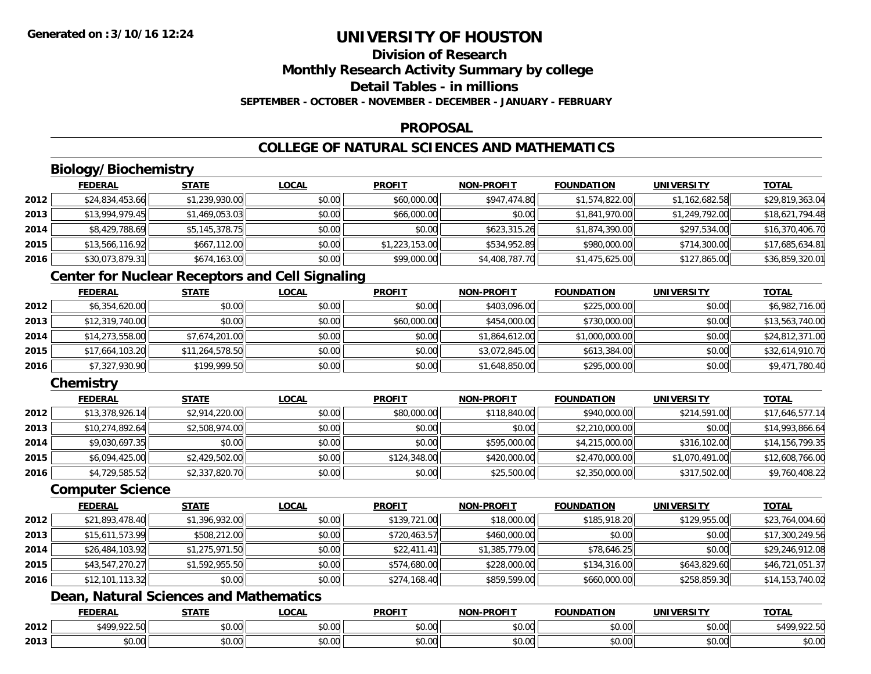## **Division of Research**

**Monthly Research Activity Summary by college**

**Detail Tables - in millions**

**SEPTEMBER - OCTOBER - NOVEMBER - DECEMBER - JANUARY - FEBRUARY**

#### **PROPOSAL**

### **COLLEGE OF NATURAL SCIENCES AND MATHEMATICS**

### **Biology/Biochemistry**

|      | <b>FEDERAL</b>  | <b>STATE</b>   | <u>LOCAL</u> | <b>PROFIT</b>  | <b>NON-PROFIT</b> | <b>FOUNDATION</b> | <b>UNIVERSITY</b> | <b>TOTAL</b>    |
|------|-----------------|----------------|--------------|----------------|-------------------|-------------------|-------------------|-----------------|
| 2012 | \$24,834,453.66 | \$1,239,930.00 | \$0.00       | \$60,000.00    | \$947,474.80      | \$1,574,822.00    | \$1,162,682.58    | \$29,819,363.04 |
| 2013 | \$13,994,979.45 | \$1,469,053.03 | \$0.00       | \$66,000.00    | \$0.00            | \$1,841,970.00    | \$1,249,792.00    | \$18,621,794.48 |
| 2014 | \$8,429,788.69  | \$5,145,378.75 | \$0.00       | \$0.00         | \$623,315.26      | \$1,874,390.00    | \$297,534.00      | \$16,370,406.70 |
| 2015 | \$13,566,116.92 | \$667,112.00   | \$0.00       | \$1,223,153.00 | \$534,952.89      | \$980,000.00      | \$714,300.00      | \$17,685,634.81 |
| 2016 | \$30,073,879.31 | \$674,163.00   | \$0.00       | \$99,000.00    | \$4,408,787.70    | \$1,475,625.00    | \$127,865.00      | \$36,859,320.01 |

### **Center for Nuclear Receptors and Cell Signaling**

|      | <b>FEDERAL</b>  | <b>STATE</b>    | <b>LOCAL</b> | <b>PROFIT</b> | <b>NON-PROFIT</b> | <b>FOUNDATION</b> | <b>UNIVERSITY</b> | <b>TOTAL</b>    |
|------|-----------------|-----------------|--------------|---------------|-------------------|-------------------|-------------------|-----------------|
| 2012 | \$6,354,620.00  | \$0.00          | \$0.00       | \$0.00        | \$403,096.00      | \$225,000.00      | \$0.00            | \$6,982,716.00  |
| 2013 | \$12,319,740.00 | \$0.00          | \$0.00       | \$60,000.00   | \$454,000.00      | \$730,000.00      | \$0.00            | \$13,563,740.00 |
| 2014 | \$14,273,558.00 | \$7,674,201.00  | \$0.00       | \$0.00        | \$1,864,612.00    | \$1,000,000.00    | \$0.00            | \$24,812,371.00 |
| 2015 | \$17,664,103.20 | \$11,264,578.50 | \$0.00       | \$0.00        | \$3,072,845.00    | \$613,384.00      | \$0.00            | \$32,614,910.70 |
| 2016 | \$7,327,930.90  | \$199,999.50    | \$0.00       | \$0.00        | \$1,648,850.00    | \$295,000.00      | \$0.00            | \$9,471,780.40  |

### **Chemistry**

|      | <b>FEDERAL</b>  | <b>STATE</b>   | <b>LOCAL</b> | <b>PROFIT</b> | <b>NON-PROFIT</b> | <b>FOUNDATION</b> | <b>UNIVERSITY</b> | <b>TOTAL</b>    |
|------|-----------------|----------------|--------------|---------------|-------------------|-------------------|-------------------|-----------------|
| 2012 | \$13,378,926.14 | \$2,914,220.00 | \$0.00       | \$80,000.00   | \$118,840.00      | \$940,000.00      | \$214,591,00      | \$17,646,577.14 |
| 2013 | \$10,274,892.64 | \$2,508,974.00 | \$0.00       | \$0.00        | \$0.00            | \$2,210,000.00    | \$0.00            | \$14,993,866.64 |
| 2014 | \$9,030,697.35  | \$0.00         | \$0.00       | \$0.00        | \$595,000.00      | \$4,215,000.00    | \$316,102.00      | \$14,156,799.35 |
| 2015 | \$6,094,425.00  | \$2,429,502.00 | \$0.00       | \$124,348.00  | \$420,000.00      | \$2,470,000.00    | \$1,070,491.00    | \$12,608,766.00 |
| 2016 | \$4,729,585.52  | \$2,337,820.70 | \$0.00       | \$0.00        | \$25,500.00       | \$2,350,000.00    | \$317,502.00      | \$9,760,408.22  |

#### **Computer Science**

|      | <b>FEDERAL</b>  | <b>STATE</b>   | <b>LOCAL</b> | <b>PROFIT</b> | <b>NON-PROFIT</b> | <b>FOUNDATION</b> | UNIVERSITY   | <b>TOTAL</b>    |
|------|-----------------|----------------|--------------|---------------|-------------------|-------------------|--------------|-----------------|
| 2012 | \$21,893,478.40 | \$1,396,932.00 | \$0.00       | \$139,721.00  | \$18,000.00       | \$185,918.20      | \$129,955.00 | \$23,764,004.60 |
| 2013 | \$15,611,573.99 | \$508,212.00   | \$0.00       | \$720,463.57  | \$460,000.00      | \$0.00            | \$0.00       | \$17,300,249.56 |
| 2014 | \$26,484,103.92 | \$1,275,971.50 | \$0.00       | \$22,411.41   | \$1,385,779.00    | \$78,646.25       | \$0.00       | \$29,246,912.08 |
| 2015 | \$43,547,270.27 | \$1,592,955.50 | \$0.00       | \$574,680.00  | \$228,000.00      | \$134,316.00      | \$643,829.60 | \$46,721,051.37 |
| 2016 | \$12,101,113.32 | \$0.00         | \$0.00       | \$274,168.40  | \$859,599.00      | \$660,000.00      | \$258,859.30 | \$14,153,740.02 |

### **Dean, Natural Sciences and Mathematics**

|      | <b>FEDERAL</b>                        | <b>STATE</b><br>JIAI | LOCAI              | <b>PROFIT</b> | <b>NON-PROFIT</b> | <b>FOUNDATION</b>                        | <b>UNIVERSIT</b>   | <b>TOTAL</b>                             |
|------|---------------------------------------|----------------------|--------------------|---------------|-------------------|------------------------------------------|--------------------|------------------------------------------|
| 2012 | 0.225<br>5.00<br>. /I W<br>,,,,,,,,,, | ሖ ∩<br>JU.UU         | $\sim$ 00<br>DU.UU | 0000<br>JU.UU | 0.00<br>pu.uu     | $\uparrow$ $\uparrow$<br>$\sim$<br>JU.UU | $\sim$ 00<br>JU.UU | ¢ 100<br>$\sim$ $\sim$ $\sim$<br>.922.5U |
| 2013 | $\sim$ 00<br>vv.vv                    | 0000<br>PO.OO        | $\sim$ 00<br>PU.UU | 0000<br>PO.OO | 0.00<br>JU.UU     | 0000<br>JU.UU                            | 0.00<br>PO.OO      | \$0.00                                   |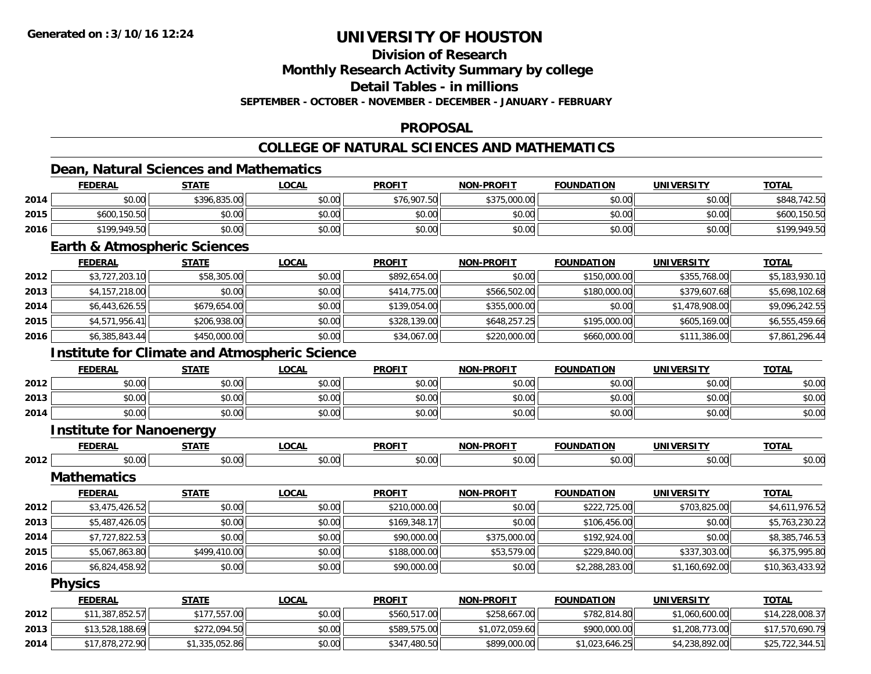### **Division of Research**

**Monthly Research Activity Summary by college**

**Detail Tables - in millions**

**SEPTEMBER - OCTOBER - NOVEMBER - DECEMBER - JANUARY - FEBRUARY**

### **PROPOSAL**

### **COLLEGE OF NATURAL SCIENCES AND MATHEMATICS**

### **Dean, Natural Sciences and Mathematics**

|      | <b>FEDERAL</b> | <b>STATE</b> | <b>LOCAL</b> | <b>PROFIT</b> | <b>NON-PROFIT</b> | <b>FOUNDATION</b> | <b>UNIVERSITY</b> | <b>TOTAL</b>     |
|------|----------------|--------------|--------------|---------------|-------------------|-------------------|-------------------|------------------|
| 2014 | \$0.00         | \$396,835.00 | \$0.00       | \$76,907.50   | \$375,000.00      | \$0.00            | \$0.00            | 742.50<br>\$848. |
| 2015 | \$600,150.50   | \$0.00       | \$0.00       | \$0.00        | \$0.00            | \$0.00            | \$0.00            | \$600,150.50     |
| 2016 | \$199,949.50   | \$0.00       | \$0.00       | \$0.00        | \$0.00            | \$0.00            | \$0.00            | \$199,949.50     |

### **Earth & Atmospheric Sciences**

|      | <b>FEDERAL</b> | <b>STATE</b> | <b>LOCAL</b> | <b>PROFIT</b> | <b>NON-PROFIT</b> | <b>FOUNDATION</b> | UNIVERSITY     | <b>TOTAL</b>   |
|------|----------------|--------------|--------------|---------------|-------------------|-------------------|----------------|----------------|
| 2012 | \$3,727,203.10 | \$58,305.00  | \$0.00       | \$892,654.00  | \$0.00            | \$150,000.00      | \$355,768.00   | \$5,183,930.10 |
| 2013 | \$4,157,218.00 | \$0.00       | \$0.00       | \$414,775.00  | \$566,502.00      | \$180,000.00      | \$379,607.68   | \$5,698,102.68 |
| 2014 | \$6,443,626.55 | \$679,654.00 | \$0.00       | \$139,054.00  | \$355,000.00      | \$0.00            | \$1,478,908.00 | \$9,096,242.55 |
| 2015 | \$4,571,956.41 | \$206,938,00 | \$0.00       | \$328,139,00  | \$648,257.25      | \$195,000.00      | \$605,169.00   | \$6,555,459.66 |
| 2016 | \$6,385,843.44 | \$450,000.00 | \$0.00       | \$34,067.00   | \$220,000.00      | \$660,000.00      | \$111,386.00   | \$7,861,296.44 |

### **Institute for Climate and Atmospheric Science**

|      | <b>FEDERAL</b> | <b>STATE</b>   | <b>_OCAL</b> | <b>PROFIT</b> | <b>NON-PROFIT</b> | <b>FOUNDATION</b> | <b>UNIVERSITY</b> | <b>TOTAL</b> |
|------|----------------|----------------|--------------|---------------|-------------------|-------------------|-------------------|--------------|
| 2012 | \$0.00         | ሶስ ሰስ<br>JU.UU | \$0.00       | \$0.00        | \$0.00            | \$0.00            | \$0.00            | \$0.00       |
| 2013 | \$0.00         | \$0.00         | \$0.00       | \$0.00        | \$0.00            | \$0.00            | \$0.00            | \$0.00       |
| 2014 | \$0.00         | \$0.00         | \$0.00       | \$0.00        | \$0.00            | \$0.00            | \$0.00            | \$0.00       |

#### **Institute for Nanoenergy**

|      | ---<br>ווסא<br>,crm | $- - - - -$             | $\sim$<br>.uunl   | <b>DDOEIT</b><br>'NV.                              | <b>-PROFIT</b><br>NOM. | .<br>A ( II<br>LOF | <b>IINIIVEDCIT</b> | <b>TA1</b>             |
|------|---------------------|-------------------------|-------------------|----------------------------------------------------|------------------------|--------------------|--------------------|------------------------|
| 2012 | 0.00                | $\sim$ $\sim$<br>,,,,,, | $\sim$ 00<br>ט.טי | $\uparrow$ $\uparrow$ $\uparrow$ $\uparrow$<br>ww. | 0 <sup>n</sup><br>՝    | ,,,                | 00 م÷              | $\sim$ $\sim$<br>DU.UL |

**Mathematics**

|      | <b>FEDERAL</b> | <b>STATE</b> | <b>LOCAL</b> | <b>PROFIT</b> | <b>NON-PROFIT</b> | <b>FOUNDATION</b> | <b>UNIVERSITY</b> | <b>TOTAL</b>    |
|------|----------------|--------------|--------------|---------------|-------------------|-------------------|-------------------|-----------------|
| 2012 | \$3,475,426.52 | \$0.00       | \$0.00       | \$210,000.00  | \$0.00            | \$222,725,00      | \$703,825.00      | \$4,611,976.52  |
| 2013 | \$5,487,426.05 | \$0.00       | \$0.00       | \$169,348.17  | \$0.00            | \$106,456.00      | \$0.00            | \$5,763,230.22  |
| 2014 | \$7,727,822.53 | \$0.00       | \$0.00       | \$90,000.00   | \$375,000.00      | \$192,924.00      | \$0.00            | \$8,385,746.53  |
| 2015 | \$5,067,863.80 | \$499,410.00 | \$0.00       | \$188,000.00  | \$53,579.00       | \$229,840.00      | \$337,303.00      | \$6,375,995.80  |
| 2016 | \$6,824,458.92 | \$0.00       | \$0.00       | \$90,000.00   | \$0.00            | \$2,288,283.00    | \$1,160,692.00    | \$10,363,433.92 |

#### **Physics**

|      | <b>FEDERAL</b>  | <b>STATE</b>   | <u>LOCAL</u> | <b>PROFIT</b> | <b>NON-PROFIT</b> | <b>FOUNDATION</b> | <b>UNIVERSITY</b> | <b>TOTAL</b>    |
|------|-----------------|----------------|--------------|---------------|-------------------|-------------------|-------------------|-----------------|
| 2012 | \$11,387,852.57 | \$177,557,00   | \$0.00       | \$560,517.00  | \$258,667.00      | \$782,814.80      | \$1,060,600.00    | \$14,228,008.37 |
| 2013 | \$13,528,188.69 | \$272,094.50   | \$0.00       | \$589,575.00  | 1.072.059.60      | \$900,000.00      | 1,208,773.00      | \$17,570,690.79 |
| 2014 | \$17,878,272.90 | \$1,335,052.86 | \$0.00       | \$347,480.50  | \$899,000.00      | \$1,023,646.25    | \$4,238,892.00    | \$25,722,344.51 |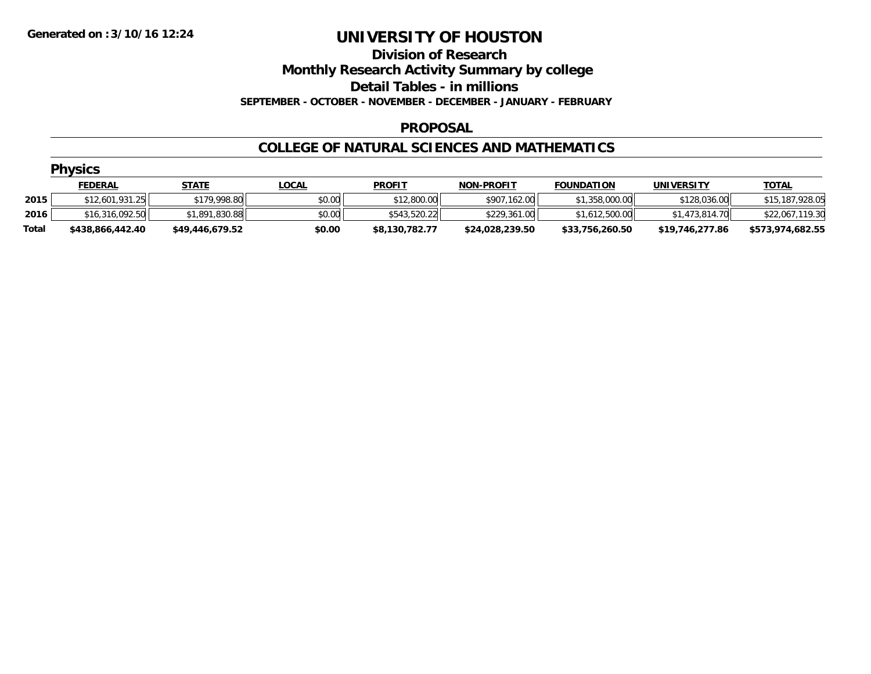#### **Division of Research**

**Monthly Research Activity Summary by college**

**Detail Tables - in millions**

**SEPTEMBER - OCTOBER - NOVEMBER - DECEMBER - JANUARY - FEBRUARY**

#### **PROPOSAL**

#### **COLLEGE OF NATURAL SCIENCES AND MATHEMATICS**

|       | <b>Physics</b>   |                 |              |                |                   |                   |                   |                  |
|-------|------------------|-----------------|--------------|----------------|-------------------|-------------------|-------------------|------------------|
|       | <u>FEDERAL</u>   | <u>STATE</u>    | <b>LOCAL</b> | <b>PROFIT</b>  | <b>NON-PROFIT</b> | <b>FOUNDATION</b> | <b>UNIVERSITY</b> | <b>TOTAL</b>     |
| 2015  | \$12,601,931.25  | \$179,998.80    | \$0.00       | \$12,800.00    | \$907,162.00      | \$1,358,000.00    | \$128,036.00      | \$15,187,928.05  |
| 2016  | \$16,316,092.50  | \$1,891,830.88  | \$0.00       | \$543,520.22   | \$229,361.00      | \$1,612,500.00    | \$1,473,814.70    | \$22,067,119.30  |
| Total | \$438,866,442.40 | \$49,446,679.52 | \$0.00       | \$8,130,782.77 | \$24.028.239.50   | \$33.756.260.50   | \$19.746.277.86   | \$573,974,682.55 |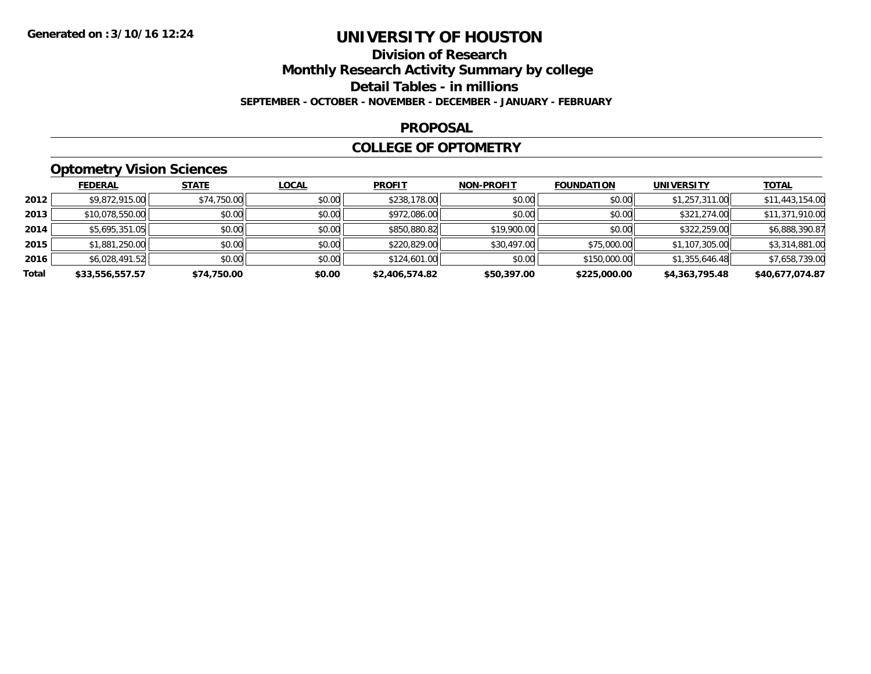# **Division of Research**

**Monthly Research Activity Summary by college**

**Detail Tables - in millions**

**SEPTEMBER - OCTOBER - NOVEMBER - DECEMBER - JANUARY - FEBRUARY**

#### **PROPOSAL**

#### **COLLEGE OF OPTOMETRY**

### **Optometry Vision Sciences**

|       | <b>FEDERAL</b>  | <b>STATE</b> | <b>LOCAL</b> | <b>PROFIT</b>  | <b>NON-PROFIT</b> | <b>FOUNDATION</b> | <b>UNIVERSITY</b> | <b>TOTAL</b>    |
|-------|-----------------|--------------|--------------|----------------|-------------------|-------------------|-------------------|-----------------|
| 2012  | \$9,872,915.00  | \$74,750.00  | \$0.00       | \$238,178.00   | \$0.00            | \$0.00            | \$1,257,311.00    | \$11,443,154.00 |
| 2013  | \$10,078,550.00 | \$0.00       | \$0.00       | \$972,086.00   | \$0.00            | \$0.00            | \$321,274.00      | \$11,371,910.00 |
| 2014  | \$5,695,351.05  | \$0.00       | \$0.00       | \$850,880.82   | \$19,900.00       | \$0.00            | \$322,259.00      | \$6,888,390.87  |
| 2015  | \$1,881,250.00  | \$0.00       | \$0.00       | \$220,829.00   | \$30,497.00       | \$75,000.00       | \$1,107,305.00    | \$3,314,881.00  |
| 2016  | \$6,028,491.52  | \$0.00       | \$0.00       | \$124,601.00   | \$0.00            | \$150,000.00      | \$1,355,646.48    | \$7,658,739.00  |
| Total | \$33,556,557.57 | \$74,750.00  | \$0.00       | \$2,406,574.82 | \$50,397.00       | \$225,000.00      | \$4,363,795.48    | \$40,677,074.87 |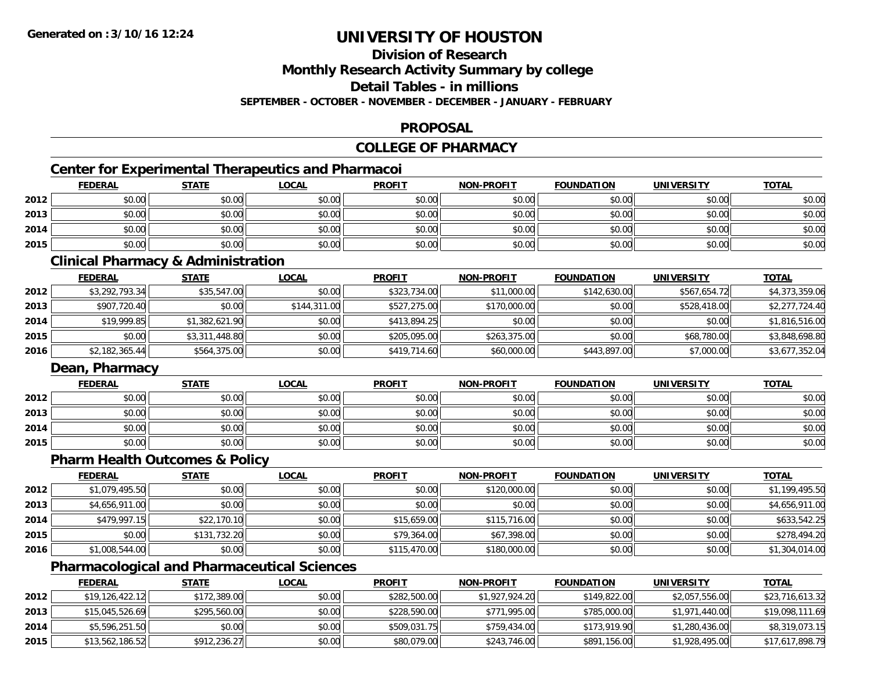### **Division of Research**

**Monthly Research Activity Summary by college**

**Detail Tables - in millions**

**SEPTEMBER - OCTOBER - NOVEMBER - DECEMBER - JANUARY - FEBRUARY**

### **PROPOSAL**

### **COLLEGE OF PHARMACY**

### **Center for Experimental Therapeutics and Pharmacoi**

|      | <b>FEDERAL</b> | <b>STATE</b> | <b>LOCAL</b> | <b>PROFIT</b> | <b>NON-PROFIT</b> | <b>FOUNDATION</b> | <b>UNIVERSITY</b> | <b>TOTAL</b> |
|------|----------------|--------------|--------------|---------------|-------------------|-------------------|-------------------|--------------|
| 2012 | \$0.00         | \$0.00       | \$0.00       | \$0.00        | \$0.00            | \$0.00            | \$0.00            | \$0.00       |
| 2013 | \$0.00         | \$0.00       | \$0.00       | \$0.00        | \$0.00            | \$0.00            | \$0.00            | \$0.00       |
| 2014 | \$0.00         | \$0.00       | \$0.00       | \$0.00        | \$0.00            | \$0.00            | \$0.00            | \$0.00       |
| 2015 | \$0.00         | \$0.00       | \$0.00       | \$0.00        | \$0.00            | \$0.00            | \$0.00            | \$0.00       |

### **Clinical Pharmacy & Administration**

|      | <b>FEDERAL</b> | <b>STATE</b>   | <u>LOCAL</u> | <b>PROFIT</b> | <b>NON-PROFIT</b> | <b>FOUNDATION</b> | UNIVERSITY   | <b>TOTAL</b>   |
|------|----------------|----------------|--------------|---------------|-------------------|-------------------|--------------|----------------|
| 2012 | \$3,292,793.34 | \$35,547.00    | \$0.00       | \$323,734.00  | \$11,000.00       | \$142,630.00      | \$567,654.72 | \$4,373,359.06 |
| 2013 | \$907,720.40   | \$0.00         | \$144,311,00 | \$527,275.00  | \$170,000.00      | \$0.00            | \$528,418.00 | \$2,277,724.40 |
| 2014 | \$19,999.85    | \$1,382,621.90 | \$0.00       | \$413,894.25  | \$0.00            | \$0.00            | \$0.00       | \$1,816,516.00 |
| 2015 | \$0.00         | \$3,311,448.80 | \$0.00       | \$205,095,00  | \$263,375,00      | \$0.00            | \$68,780.00  | \$3,848,698.80 |
| 2016 | \$2,182,365.44 | \$564,375.00   | \$0.00       | \$419,714.60  | \$60,000.00       | \$443,897.00      | \$7,000.00   | \$3,677,352.04 |

### **Dean, Pharmacy**

|      | <u>FEDERAL</u> | <b>STATE</b> | <u>LOCAL</u> | <b>PROFIT</b> | <b>NON-PROFIT</b> | <b>FOUNDATION</b> | <b>UNIVERSITY</b> | <u>TOTAL</u> |
|------|----------------|--------------|--------------|---------------|-------------------|-------------------|-------------------|--------------|
| 2012 | \$0.00         | \$0.00       | \$0.00       | \$0.00        | \$0.00            | \$0.00            | \$0.00            | \$0.00       |
| 2013 | \$0.00         | \$0.00       | \$0.00       | \$0.00        | \$0.00            | \$0.00            | \$0.00            | \$0.00       |
| 2014 | \$0.00         | \$0.00       | \$0.00       | \$0.00        | \$0.00            | \$0.00            | \$0.00            | \$0.00       |
| 2015 | \$0.00         | \$0.00       | \$0.00       | \$0.00        | \$0.00            | \$0.00            | \$0.00            | \$0.00       |

### **Pharm Health Outcomes & Policy**

|      | <b>FEDERAL</b> | <u>STATE</u> | <u>LOCAL</u> | <b>PROFIT</b> | <b>NON-PROFIT</b> | <b>FOUNDATION</b> | <b>UNIVERSITY</b> | <b>TOTAL</b>   |
|------|----------------|--------------|--------------|---------------|-------------------|-------------------|-------------------|----------------|
| 2012 | \$1,079,495.50 | \$0.00       | \$0.00       | \$0.00        | \$120,000.00      | \$0.00            | \$0.00            | \$1,199,495.50 |
| 2013 | \$4,656,911.00 | \$0.00       | \$0.00       | \$0.00        | \$0.00            | \$0.00            | \$0.00            | \$4,656,911.00 |
| 2014 | \$479,997.15   | \$22,170.10  | \$0.00       | \$15,659.00   | \$115,716.00      | \$0.00            | \$0.00            | \$633,542.25   |
| 2015 | \$0.00         | \$131,732.20 | \$0.00       | \$79,364.00   | \$67,398.00       | \$0.00            | \$0.00            | \$278,494.20   |
| 2016 | \$1,008,544.00 | \$0.00       | \$0.00       | \$115,470.00  | \$180,000.00      | \$0.00            | \$0.00            | \$1,304,014.00 |

### **Pharmacological and Pharmaceutical Sciences**

|      | <b>FEDERAL</b>  | <b>STATE</b> | <u>LOCAL</u> | <b>PROFIT</b> | <b>NON-PROFIT</b> | <b>FOUNDATION</b> | UNIVERSITY     | <b>TOTAL</b>    |
|------|-----------------|--------------|--------------|---------------|-------------------|-------------------|----------------|-----------------|
| 2012 | \$19,126,422.12 | \$172,389.00 | \$0.00       | \$282,500.00  | \$1,927,924.20    | \$149,822.00      | \$2,057,556.00 | \$23,716,613.32 |
| 2013 | \$15,045,526.69 | \$295,560.00 | \$0.00       | \$228,590.00  | \$771,995.00      | \$785,000.00      | \$1,971,440.00 | \$19,098,111.69 |
| 2014 | \$5,596,251.50  | \$0.00       | \$0.00       | \$509,031.75  | \$759,434.00      | \$173,919.90      | \$1,280,436.00 | \$8,319,073.15  |
| 2015 | \$13,562,186.52 | \$912,236.27 | \$0.00       | \$80,079.00   | \$243,746.00      | \$891,156.00      | \$1,928,495.00 | \$17,617,898.79 |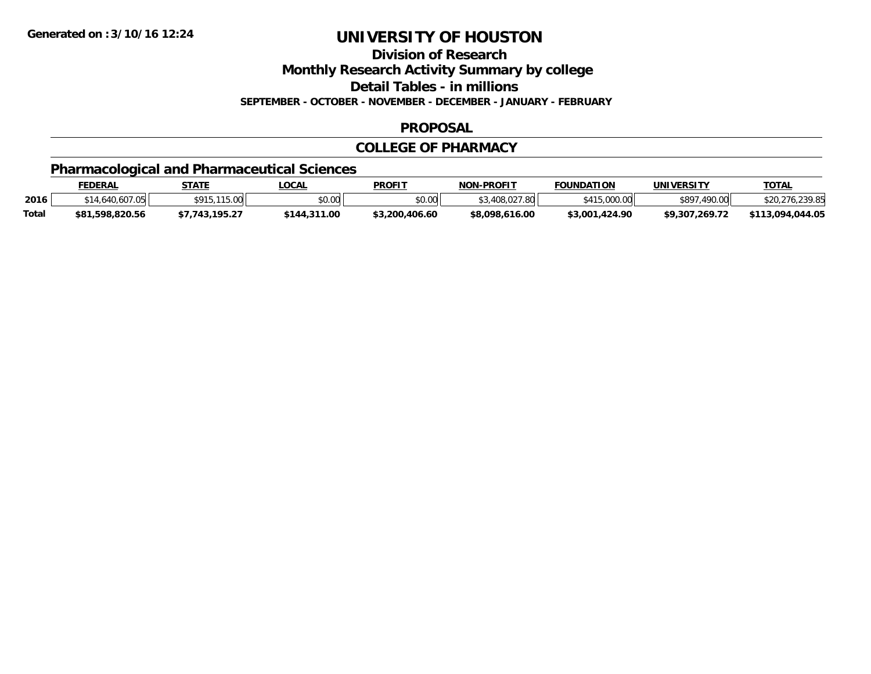**Division of Research**

**Monthly Research Activity Summary by college**

**Detail Tables - in millions**

**SEPTEMBER - OCTOBER - NOVEMBER - DECEMBER - JANUARY - FEBRUARY**

### **PROPOSAL**

### **COLLEGE OF PHARMACY**

### **Pharmacological and Pharmaceutical Sciences**

|              | <b>FEDERAL</b>  | STATE         | _OCAL        | <b>PROFIT</b>  | <b>NON-PROFIT</b> | <b>FOUNDATION</b>   | <b>UNIVERSITY</b> | <b>TOTAL</b>                     |
|--------------|-----------------|---------------|--------------|----------------|-------------------|---------------------|-------------------|----------------------------------|
| 2016         | 640             | ¢01           | \$0.00       | \$0.00         | 3.408.027<br>7.80 | 0.000, 00           | \$89<br>.490.00   | <b>230 BL</b><br>\$20,276,239.85 |
| <b>Total</b> | \$81,598,820.56 | <b>105.27</b> | \$144,311.00 | \$3,200,406.60 | \$8,098,616.00    | 1.424.90<br>\$3,001 | \$9.307.269.72    | \$113,094,044.05                 |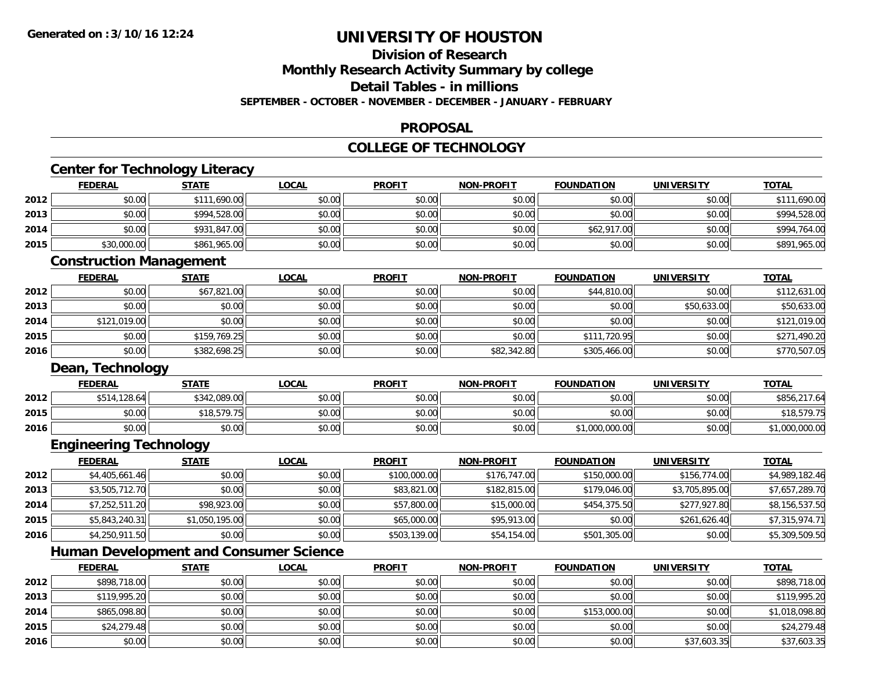**2014**

**2015**

**2016**

# **UNIVERSITY OF HOUSTON**

## **Division of Research**

**Monthly Research Activity Summary by college**

**Detail Tables - in millions**

**SEPTEMBER - OCTOBER - NOVEMBER - DECEMBER - JANUARY - FEBRUARY**

### **PROPOSAL**

### **COLLEGE OF TECHNOLOGY**

|                                              | <b>Center for Technology Literacy</b><br><b>FEDERAL</b> | <b>STATE</b>   | <b>LOCAL</b> | <b>PROFIT</b> | <b>NON-PROFIT</b> | <b>FOUNDATION</b> | <b>UNIVERSITY</b> | <b>TOTAL</b>                                                                                                             |
|----------------------------------------------|---------------------------------------------------------|----------------|--------------|---------------|-------------------|-------------------|-------------------|--------------------------------------------------------------------------------------------------------------------------|
| 2012                                         | \$0.00                                                  | \$111,690.00   | \$0.00       | \$0.00        | \$0.00            | \$0.00            | \$0.00            | \$111,690.00                                                                                                             |
| 2013                                         | \$0.00                                                  | \$994,528.00   | \$0.00       | \$0.00        | \$0.00            | \$0.00            | \$0.00            | \$994,528.00                                                                                                             |
| 2014                                         | \$0.00                                                  | \$931,847.00   | \$0.00       | \$0.00        | \$0.00            | \$62,917.00       | \$0.00            | \$994,764.00                                                                                                             |
| 2015                                         | \$30,000.00                                             | \$861,965.00   | \$0.00       | \$0.00        | \$0.00            | \$0.00            | \$0.00            | \$891,965.00                                                                                                             |
|                                              | <b>Construction Management</b>                          |                |              |               |                   |                   |                   |                                                                                                                          |
|                                              | <b>FEDERAL</b>                                          | <b>STATE</b>   | <b>LOCAL</b> | <b>PROFIT</b> | <b>NON-PROFIT</b> | <b>FOUNDATION</b> | <b>UNIVERSITY</b> | <b>TOTAL</b>                                                                                                             |
| 2012                                         | \$0.00                                                  | \$67,821.00    | \$0.00       | \$0.00        | \$0.00            | \$44,810.00       | \$0.00            | \$112,631.00                                                                                                             |
| 2013                                         | \$0.00                                                  | \$0.00         | \$0.00       | \$0.00        | \$0.00            | \$0.00            | \$50,633.00       | \$50,633.00                                                                                                              |
| 2014                                         | \$121,019.00                                            | \$0.00         | \$0.00       | \$0.00        | \$0.00            | \$0.00            | \$0.00            | \$121,019.00                                                                                                             |
| 2015                                         | \$0.00                                                  | \$159,769.25   | \$0.00       | \$0.00        | \$0.00            | \$111,720.95      | \$0.00            | \$271,490.20                                                                                                             |
| 2016                                         | \$0.00                                                  | \$382,698.25   | \$0.00       | \$0.00        | \$82,342.80       | \$305,466.00      | \$0.00            | \$770,507.05                                                                                                             |
|                                              | Dean, Technology                                        |                |              |               |                   |                   |                   |                                                                                                                          |
|                                              | <b>FEDERAL</b>                                          | <b>STATE</b>   | <b>LOCAL</b> | <b>PROFIT</b> | <b>NON-PROFIT</b> | <b>FOUNDATION</b> | <b>UNIVERSITY</b> | <b>TOTAL</b>                                                                                                             |
| 2012                                         | \$514,128.64                                            | \$342,089.00   | \$0.00       | \$0.00        | \$0.00            | \$0.00            | \$0.00            | \$856,217.64                                                                                                             |
| 2015                                         | \$0.00                                                  | \$18,579.75    | \$0.00       | \$0.00        | \$0.00            | \$0.00            | \$0.00            | \$18,579.75                                                                                                              |
| 2016                                         |                                                         |                |              |               |                   |                   |                   |                                                                                                                          |
|                                              | \$0.00                                                  | \$0.00         | \$0.00       | \$0.00        | \$0.00            | \$1,000,000.00    | \$0.00            |                                                                                                                          |
|                                              | <b>Engineering Technology</b>                           |                |              |               |                   |                   |                   |                                                                                                                          |
|                                              | <b>FEDERAL</b>                                          | <b>STATE</b>   | <b>LOCAL</b> | <b>PROFIT</b> | <b>NON-PROFIT</b> | <b>FOUNDATION</b> | <b>UNIVERSITY</b> | <b>TOTAL</b>                                                                                                             |
|                                              | \$4,405,661.46                                          | \$0.00         | \$0.00       | \$100,000.00  | \$176,747.00      | \$150,000.00      | \$156,774.00      |                                                                                                                          |
|                                              | \$3,505,712.70                                          | \$0.00         | \$0.00       | \$83,821.00   | \$182,815.00      | \$179,046.00      | \$3,705,895.00    |                                                                                                                          |
|                                              | \$7,252,511.20                                          | \$98,923.00    | \$0.00       | \$57,800.00   | \$15,000.00       | \$454,375.50      | \$277,927.80      |                                                                                                                          |
|                                              | \$5,843,240.31                                          | \$1,050,195.00 | \$0.00       | \$65,000.00   | \$95,913.00       | \$0.00            | \$261,626.40      |                                                                                                                          |
|                                              | \$4,250,911.50                                          | \$0.00         | \$0.00       | \$503,139.00  | \$54,154.00       | \$501,305.00      | \$0.00            |                                                                                                                          |
|                                              | <b>Human Development and Consumer Science</b>           |                |              |               |                   |                   |                   |                                                                                                                          |
|                                              | <b>FEDERAL</b>                                          | <b>STATE</b>   | <b>LOCAL</b> | <b>PROFIT</b> | <b>NON-PROFIT</b> | <b>FOUNDATION</b> | <b>UNIVERSITY</b> | <b>TOTAL</b>                                                                                                             |
| 2012<br>2013<br>2014<br>2015<br>2016<br>2012 | \$898,718.00                                            | \$0.00         | \$0.00       | \$0.00        | \$0.00            | \$0.00            | \$0.00            | \$1,000,000.00<br>\$4,989,182.46<br>\$7,657,289.70<br>\$8,156,537.50<br>\$7,315,974.71<br>\$5,309,509.50<br>\$898,718.00 |

4 \$865,098.80 \$0.00 \$0.00 \$0.00 \$0.00 \$0.00 \$0.00 \$0.00 \$0.00 \$153,000.00 \$153,000.00 \$0.00 \$1,018,098.80

\$24,279.48 \$0.00 \$0.00 \$0.00 \$0.00 \$0.00 \$0.00 \$24,279.48

 $\bf{6}$   $\bf{80.00}$   $\bf{50.00}$   $\bf{50.00}$   $\bf{50.00}$   $\bf{50.00}$   $\bf{50.00}$   $\bf{50.00}$   $\bf{50.00}$   $\bf{51.603.35}$   $\bf{537.603.35}$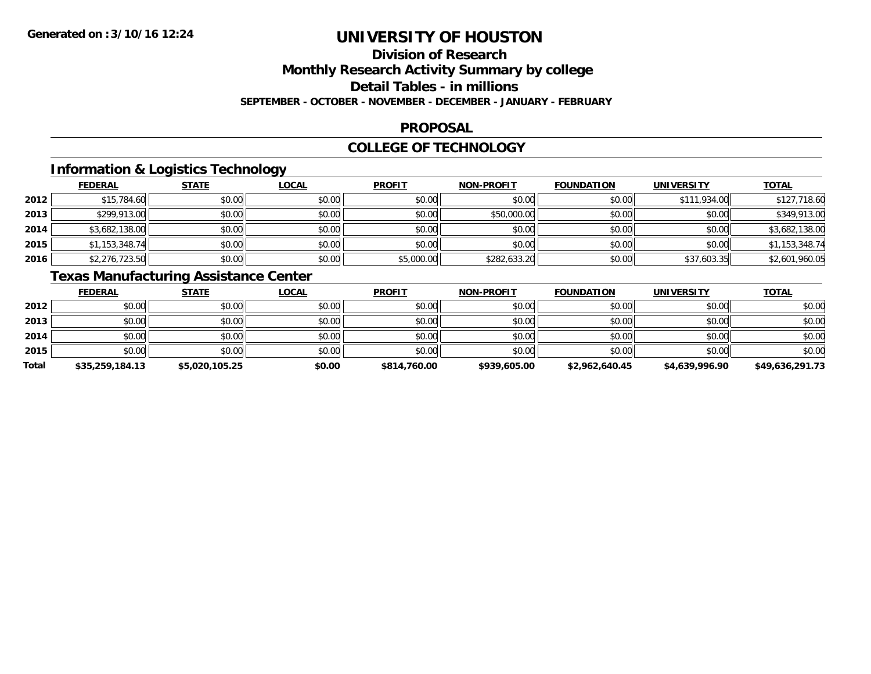## **Division of Research**

**Monthly Research Activity Summary by college**

**Detail Tables - in millions**

**SEPTEMBER - OCTOBER - NOVEMBER - DECEMBER - JANUARY - FEBRUARY**

### **PROPOSAL**

### **COLLEGE OF TECHNOLOGY**

### **Information & Logistics Technology**

|      | <b>FEDERAL</b> | <b>STATE</b> | <u>LOCAL</u> | <b>PROFIT</b> | <b>NON-PROFIT</b> | <b>FOUNDATION</b> | <b>UNIVERSITY</b> | <b>TOTAL</b>   |
|------|----------------|--------------|--------------|---------------|-------------------|-------------------|-------------------|----------------|
| 2012 | \$15,784.60    | \$0.00       | \$0.00       | \$0.00        | \$0.00            | \$0.00            | \$111,934.00      | \$127,718.60   |
| 2013 | \$299,913.00   | \$0.00       | \$0.00       | \$0.00        | \$50,000.00       | \$0.00            | \$0.00            | \$349,913.00   |
| 2014 | \$3,682,138.00 | \$0.00       | \$0.00       | \$0.00        | \$0.00            | \$0.00            | \$0.00            | \$3,682,138.00 |
| 2015 | \$1,153,348.74 | \$0.00       | \$0.00       | \$0.00        | \$0.00            | \$0.00            | \$0.00            | \$1,153,348.74 |
| 2016 | \$2,276,723.50 | \$0.00       | \$0.00       | \$5,000.00    | \$282,633.20      | \$0.00            | \$37,603.35       | \$2,601,960.05 |

### **Texas Manufacturing Assistance Center**

|       | <b>FEDERAL</b>  | <b>STATE</b>   | <b>LOCAL</b> | <b>PROFIT</b> | <b>NON-PROFIT</b> | <b>FOUNDATION</b> | <b>UNIVERSITY</b> | <u>TOTAL</u>    |
|-------|-----------------|----------------|--------------|---------------|-------------------|-------------------|-------------------|-----------------|
| 2012  | \$0.00          | \$0.00         | \$0.00       | \$0.00        | \$0.00            | \$0.00            | \$0.00            | \$0.00          |
| 2013  | \$0.00          | \$0.00         | \$0.00       | \$0.00        | \$0.00            | \$0.00            | \$0.00            | \$0.00          |
| 2014  | \$0.00          | \$0.00         | \$0.00       | \$0.00        | \$0.00            | \$0.00            | \$0.00            | \$0.00          |
| 2015  | \$0.00          | \$0.00         | \$0.00       | \$0.00        | \$0.00            | \$0.00            | \$0.00            | \$0.00          |
| Total | \$35,259,184.13 | \$5,020,105.25 | \$0.00       | \$814,760.00  | \$939,605.00      | \$2,962,640.45    | \$4,639,996.90    | \$49,636,291.73 |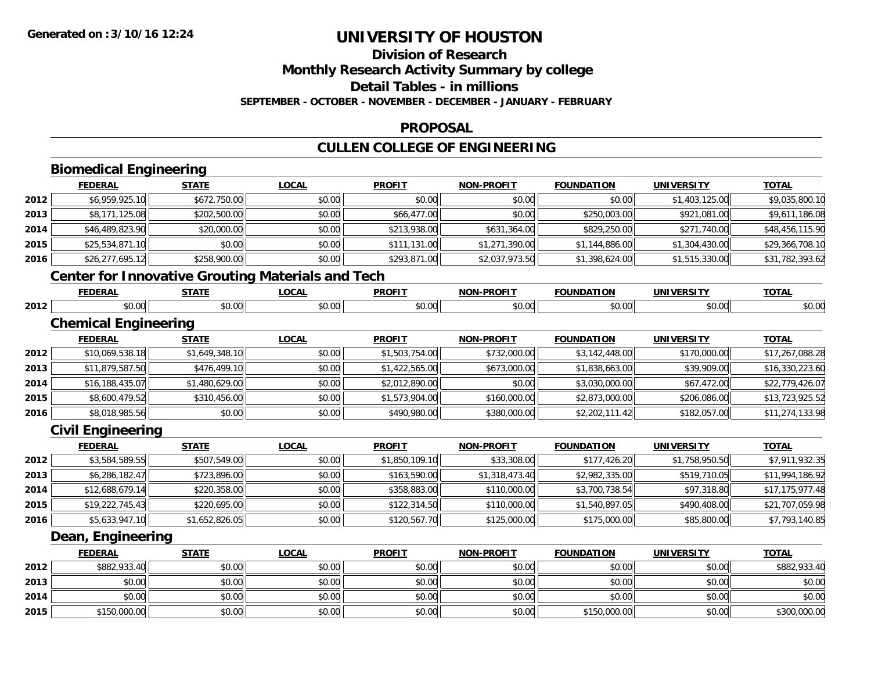## **Division of Research**

**Monthly Research Activity Summary by college**

**Detail Tables - in millions**

**SEPTEMBER - OCTOBER - NOVEMBER - DECEMBER - JANUARY - FEBRUARY**

#### **PROPOSAL**

### **CULLEN COLLEGE OF ENGINEERING**

|      | <b>Biomedical Engineering</b>                            |                |              |                |                   |                   |                   |                 |
|------|----------------------------------------------------------|----------------|--------------|----------------|-------------------|-------------------|-------------------|-----------------|
|      | <b>FEDERAL</b>                                           | <b>STATE</b>   | <b>LOCAL</b> | <b>PROFIT</b>  | <b>NON-PROFIT</b> | <b>FOUNDATION</b> | <b>UNIVERSITY</b> | <b>TOTAL</b>    |
| 2012 | \$6,959,925.10                                           | \$672,750.00   | \$0.00       | \$0.00         | \$0.00            | \$0.00            | \$1,403,125.00    | \$9,035,800.10  |
| 2013 | \$8,171,125.08                                           | \$202,500.00   | \$0.00       | \$66,477.00    | \$0.00            | \$250,003.00      | \$921,081.00      | \$9,611,186.08  |
| 2014 | \$46,489,823.90                                          | \$20,000.00    | \$0.00       | \$213,938.00   | \$631,364.00      | \$829,250.00      | \$271,740.00      | \$48,456,115.90 |
| 2015 | \$25,534,871.10                                          | \$0.00         | \$0.00       | \$111,131.00   | \$1,271,390.00    | \$1,144,886.00    | \$1,304,430.00    | \$29,366,708.10 |
| 2016 | \$26,277,695.12                                          | \$258,900.00   | \$0.00       | \$293,871.00   | \$2,037,973.50    | \$1,398,624.00    | \$1,515,330.00    | \$31,782,393.62 |
|      | <b>Center for Innovative Grouting Materials and Tech</b> |                |              |                |                   |                   |                   |                 |
|      | <b>FEDERAL</b>                                           | <b>STATE</b>   | <b>LOCAL</b> | <b>PROFIT</b>  | <b>NON-PROFIT</b> | <b>FOUNDATION</b> | <b>UNIVERSITY</b> | <b>TOTAL</b>    |
| 2012 | \$0.00                                                   | \$0.00         | \$0.00       | \$0.00         | \$0.00            | \$0.00            | \$0.00            | \$0.00          |
|      | <b>Chemical Engineering</b>                              |                |              |                |                   |                   |                   |                 |
|      | <b>FEDERAL</b>                                           | <b>STATE</b>   | <b>LOCAL</b> | <b>PROFIT</b>  | <b>NON-PROFIT</b> | <b>FOUNDATION</b> | <b>UNIVERSITY</b> | <b>TOTAL</b>    |
| 2012 | \$10,069,538.18                                          | \$1,649,348.10 | \$0.00       | \$1,503,754.00 | \$732,000.00      | \$3,142,448.00    | \$170,000.00      | \$17,267,088.28 |
| 2013 | \$11,879,587.50                                          | \$476,499.10   | \$0.00       | \$1,422,565.00 | \$673,000.00      | \$1,838,663.00    | \$39,909.00       | \$16,330,223.60 |
| 2014 | \$16,188,435.07                                          | \$1,480,629.00 | \$0.00       | \$2,012,890.00 | \$0.00            | \$3,030,000.00    | \$67,472.00       | \$22,779,426.07 |
| 2015 | \$8,600,479.52                                           | \$310,456.00   | \$0.00       | \$1,573,904.00 | \$160,000.00      | \$2,873,000.00    | \$206,086.00      | \$13,723,925.52 |
| 2016 | \$8,018,985.56                                           | \$0.00         | \$0.00       | \$490,980.00   | \$380,000.00      | \$2,202,111.42    | \$182,057.00      | \$11,274,133.98 |
|      | <b>Civil Engineering</b>                                 |                |              |                |                   |                   |                   |                 |
|      | <b>FEDERAL</b>                                           | <b>STATE</b>   | <b>LOCAL</b> | <b>PROFIT</b>  | <b>NON-PROFIT</b> | <b>FOUNDATION</b> | <b>UNIVERSITY</b> | <b>TOTAL</b>    |
| 2012 | \$3,584,589.55                                           | \$507,549.00   | \$0.00       | \$1,850,109.10 | \$33,308.00       | \$177,426.20      | \$1,758,950.50    | \$7,911,932.35  |
| 2013 | \$6,286,182.47                                           | \$723,896.00   | \$0.00       | \$163,590.00   | \$1,318,473.40    | \$2,982,335.00    | \$519,710.05      | \$11,994,186.92 |
| 2014 | \$12,688,679.14                                          | \$220,358.00   | \$0.00       | \$358,883.00   | \$110,000.00      | \$3,700,738.54    | \$97,318.80       | \$17,175,977.48 |
| 2015 | \$19,222,745.43                                          | \$220,695.00   | \$0.00       | \$122,314.50   | \$110,000.00      | \$1,540,897.05    | \$490,408.00      | \$21,707,059.98 |
| 2016 | \$5,633,947.10                                           | \$1,652,826.05 | \$0.00       | \$120,567.70   | \$125,000.00      | \$175,000.00      | \$85,800.00       | \$7,793,140.85  |
|      | Dean, Engineering                                        |                |              |                |                   |                   |                   |                 |
|      | <b>FEDERAL</b>                                           | <b>STATE</b>   | <b>LOCAL</b> | <b>PROFIT</b>  | <b>NON-PROFIT</b> | <b>FOUNDATION</b> | <b>UNIVERSITY</b> | <b>TOTAL</b>    |
| 2012 | \$882,933.40                                             | \$0.00         | \$0.00       | \$0.00         | \$0.00            | \$0.00            | \$0.00            | \$882,933.40    |
| 2013 | \$0.00                                                   | \$0.00         | \$0.00       | \$0.00         | \$0.00            | \$0.00            | \$0.00            | \$0.00          |
| 2014 | \$0.00                                                   | \$0.00         | \$0.00       | \$0.00         | \$0.00            | \$0.00            | \$0.00            | \$0.00          |
| 2015 | \$150,000.00                                             | \$0.00         | \$0.00       | \$0.00         | \$0.00            | \$150,000.00      | \$0.00            | \$300,000.00    |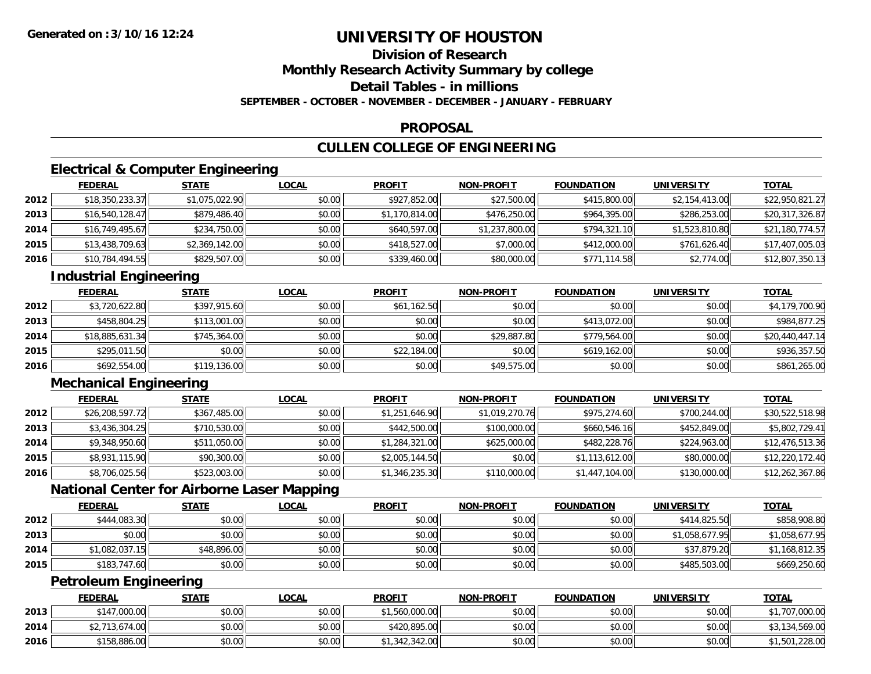## **Division of Research**

**Monthly Research Activity Summary by college**

**Detail Tables - in millions**

**SEPTEMBER - OCTOBER - NOVEMBER - DECEMBER - JANUARY - FEBRUARY**

#### **PROPOSAL**

### **CULLEN COLLEGE OF ENGINEERING**

### **Electrical & Computer Engineering**

|      | <b>FEDERAL</b>  | <b>STATE</b>   | <b>LOCAL</b> | <b>PROFIT</b>  | <b>NON-PROFIT</b> | <b>FOUNDATION</b> | <b>UNIVERSITY</b> | <u>TOTAL</u>    |
|------|-----------------|----------------|--------------|----------------|-------------------|-------------------|-------------------|-----------------|
| 2012 | \$18,350,233.37 | \$1,075,022.90 | \$0.00       | \$927,852.00   | \$27,500.00       | \$415,800.00      | \$2,154,413.00    | \$22,950,821.27 |
| 2013 | \$16,540,128.47 | \$879,486.40   | \$0.00       | \$1,170,814.00 | \$476,250.00      | \$964,395.00      | \$286,253.00      | \$20,317,326.87 |
| 2014 | \$16,749,495.67 | \$234,750.00   | \$0.00       | \$640,597.00   | \$1,237,800.00    | \$794,321.10      | \$1,523,810.80    | \$21,180,774.57 |
| 2015 | \$13,438,709.63 | \$2,369,142.00 | \$0.00       | \$418,527.00   | \$7,000.00        | \$412,000.00      | \$761,626.40      | \$17,407,005.03 |
| 2016 | \$10,784,494.55 | \$829,507.00   | \$0.00       | \$339,460.00   | \$80,000.00       | \$771,114.58      | \$2,774.00        | \$12,807,350.13 |

### **Industrial Engineering**

|      | <b>FEDERAL</b>  | <b>STATE</b> | <u>LOCAL</u> | <b>PROFIT</b> | <b>NON-PROFIT</b> | <b>FOUNDATION</b> | <b>UNIVERSITY</b> | <b>TOTAL</b>    |
|------|-----------------|--------------|--------------|---------------|-------------------|-------------------|-------------------|-----------------|
| 2012 | \$3,720,622.80  | \$397,915.60 | \$0.00       | \$61,162.50   | \$0.00            | \$0.00            | \$0.00            | \$4,179,700.90  |
| 2013 | \$458,804.25    | \$113,001.00 | \$0.00       | \$0.00        | \$0.00            | \$413,072,00      | \$0.00            | \$984,877.25    |
| 2014 | \$18,885,631.34 | \$745,364.00 | \$0.00       | \$0.00        | \$29,887.80       | \$779,564,00      | \$0.00            | \$20,440,447.14 |
| 2015 | \$295,011.50    | \$0.00       | \$0.00       | \$22,184.00   | \$0.00            | \$619,162.00      | \$0.00            | \$936,357.50    |
| 2016 | \$692,554.00    | \$119,136.00 | \$0.00       | \$0.00        | \$49,575.00       | \$0.00            | \$0.00            | \$861,265.00    |

### **Mechanical Engineering**

|      | <b>FEDERAL</b>  | <b>STATE</b> | <b>LOCAL</b> | <b>PROFIT</b>  | <b>NON-PROFIT</b> | <b>FOUNDATION</b> | <b>UNIVERSITY</b> | <b>TOTAL</b>    |
|------|-----------------|--------------|--------------|----------------|-------------------|-------------------|-------------------|-----------------|
| 2012 | \$26,208,597.72 | \$367,485.00 | \$0.00       | \$1,251,646.90 | \$1,019,270.76    | \$975,274.60      | \$700,244.00      | \$30,522,518.98 |
| 2013 | \$3,436,304.25  | \$710,530.00 | \$0.00       | \$442,500.00   | \$100,000.00      | \$660,546.16      | \$452,849.00      | \$5,802,729.41  |
| 2014 | \$9,348,950.60  | \$511,050.00 | \$0.00       | \$1,284,321.00 | \$625,000.00      | \$482,228.76      | \$224,963.00      | \$12,476,513.36 |
| 2015 | \$8,931,115.90  | \$90,300.00  | \$0.00       | \$2,005,144.50 | \$0.00            | \$1,113,612.00    | \$80,000.00       | \$12,220,172.40 |
| 2016 | \$8,706,025.56  | \$523,003.00 | \$0.00       | \$1,346,235.30 | \$110,000.00      | \$1,447,104.00    | \$130,000.00      | \$12,262,367.86 |

### **National Center for Airborne Laser Mapping**

|      | <b>FEDERAL</b> | <u>STATE</u> | <u>LOCAL</u> | <b>PROFIT</b> | <b>NON-PROFIT</b> | <b>FOUNDATION</b> | <b>UNIVERSITY</b> | <b>TOTAL</b>   |
|------|----------------|--------------|--------------|---------------|-------------------|-------------------|-------------------|----------------|
| 2012 | \$444,083.30   | \$0.00       | \$0.00       | \$0.00        | \$0.00            | \$0.00            | \$414,825.50      | \$858,908.80   |
| 2013 | \$0.00         | \$0.00       | \$0.00       | \$0.00        | \$0.00            | \$0.00            | \$1,058,677.95    | \$1,058,677.95 |
| 2014 | \$1,082,037.15 | \$48,896.00  | \$0.00       | \$0.00        | \$0.00            | \$0.00            | \$37,879.20       | \$1,168,812.35 |
| 2015 | \$183,747.60   | \$0.00       | \$0.00       | \$0.00        | \$0.00            | \$0.00            | \$485,503.00      | \$669,250.60   |

### **Petroleum Engineering**

|      | <b>FEDERAL</b> | <u>STATE</u> | <u>LOCAL</u> | <b>PROFIT</b>  | <b>NON-PROFIT</b> | <b>FOUNDATION</b> | <b>UNIVERSITY</b> | <b>TOTAL</b>   |
|------|----------------|--------------|--------------|----------------|-------------------|-------------------|-------------------|----------------|
| 2013 | \$147,000.00   | \$0.00       | \$0.00       | \$1,560,000.00 | \$0.00            | \$0.00            | \$0.00            | 707,000.00     |
| 2014 | \$2,713,674.00 | \$0.00       | \$0.00       | \$420,895,00   | \$0.00            | \$0.00            | \$0.00            | \$3,134,569.00 |
| 2016 | \$158,886.00   | \$0.00       | \$0.00       | .342.342.00    | \$0.00            | \$0.00            | \$0.00            | ,501,228.00    |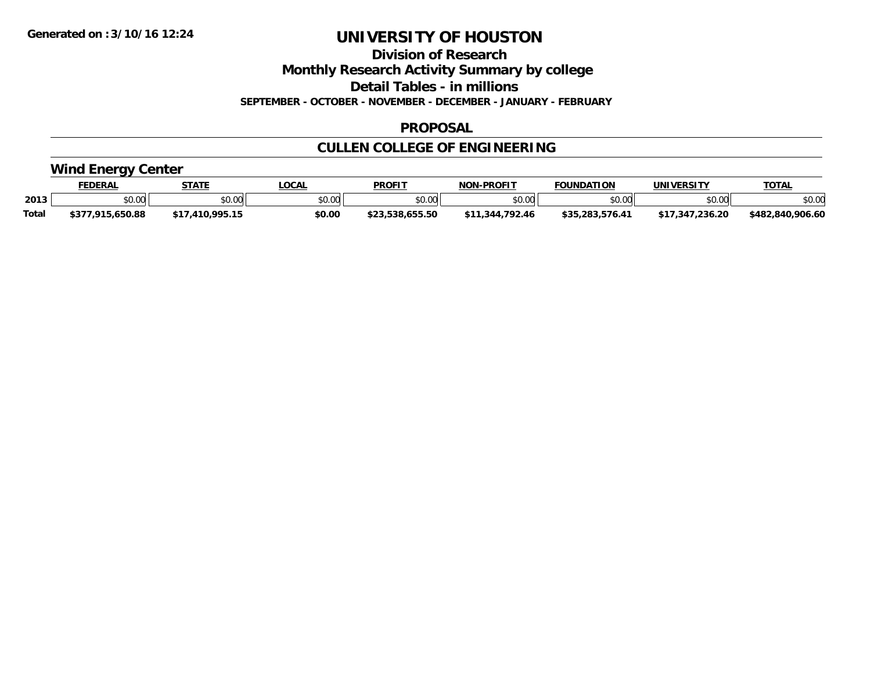**Division of Research**

**Monthly Research Activity Summary by college**

**Detail Tables - in millions**

**SEPTEMBER - OCTOBER - NOVEMBER - DECEMBER - JANUARY - FEBRUARY**

#### **PROPOSAL**

## **CULLEN COLLEGE OF ENGINEERING**

### **Wind Energy Center**

|       | <b>FEDERAL</b>   | <b>STATE</b>           | <b>LOCA</b>    | <b>PROFIT</b> | -PROFIT<br><b>NON</b> | <b>FOUNDATION</b>                | UNIVERSITY     | <b>TOTAL</b>          |
|-------|------------------|------------------------|----------------|---------------|-----------------------|----------------------------------|----------------|-----------------------|
| 2013  | \$0.00           | 40.00<br>JU.UU         | ልስ ሀህ<br>pv.uu | \$0.00        | \$0.00                | $^{\circ}$ n $^{\circ}$<br>טט.טע | 0000<br>JU.UU" | \$0.00                |
| Total | 04 E<br>5.650.88 | <b>LOOK 1F</b><br>,,,, | \$0.00         |               | 792.46<br>-34.        | 十つに                              | 236.20<br>.34  | .906.60<br>\$482.840. |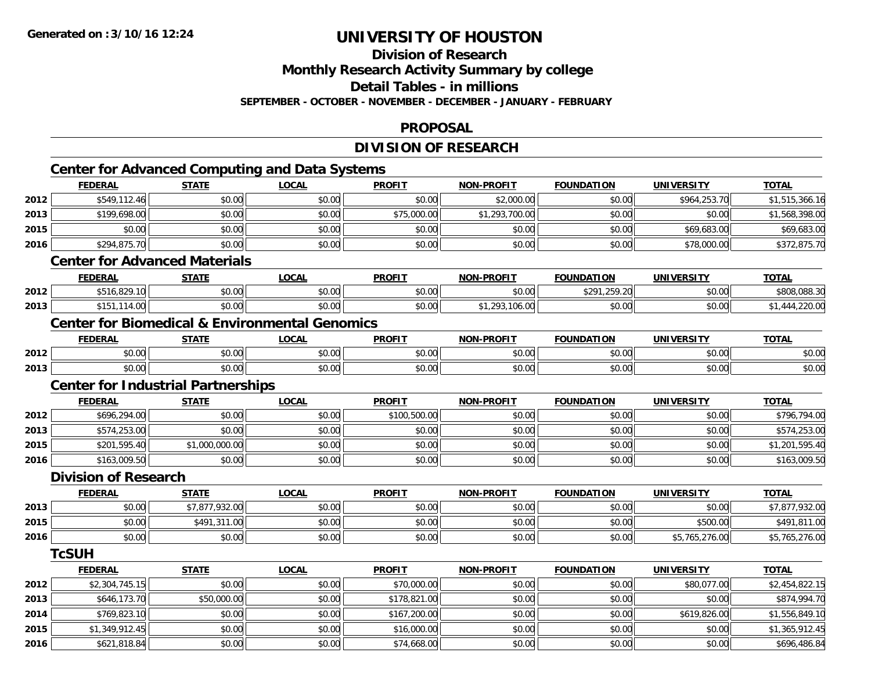**2016**

# **UNIVERSITY OF HOUSTON**

**Division of Research**

**Monthly Research Activity Summary by college**

**Detail Tables - in millions**

**SEPTEMBER - OCTOBER - NOVEMBER - DECEMBER - JANUARY - FEBRUARY**

#### **PROPOSAL**

## **DIVISION OF RESEARCH**

|      |                                           |                | <b>Center for Advanced Computing and Data Systems</b>     |               |                   |                   |                   |                |
|------|-------------------------------------------|----------------|-----------------------------------------------------------|---------------|-------------------|-------------------|-------------------|----------------|
|      | <b>FEDERAL</b>                            | <b>STATE</b>   | <b>LOCAL</b>                                              | <b>PROFIT</b> | <b>NON-PROFIT</b> | <b>FOUNDATION</b> | <b>UNIVERSITY</b> | <b>TOTAL</b>   |
| 2012 | \$549,112.46                              | \$0.00         | \$0.00                                                    | \$0.00        | \$2,000.00        | \$0.00            | \$964,253.70      | \$1,515,366.16 |
| 2013 | \$199,698.00                              | \$0.00         | \$0.00                                                    | \$75,000.00   | \$1,293,700.00    | \$0.00            | \$0.00            | \$1,568,398.00 |
| 2015 | \$0.00                                    | \$0.00         | \$0.00                                                    | \$0.00        | \$0.00            | \$0.00            | \$69,683.00       | \$69,683.00    |
| 2016 | \$294,875.70                              | \$0.00         | \$0.00                                                    | \$0.00        | \$0.00            | \$0.00            | \$78,000.00       | \$372,875.70   |
|      | <b>Center for Advanced Materials</b>      |                |                                                           |               |                   |                   |                   |                |
|      | <b>FEDERAL</b>                            | <b>STATE</b>   | <b>LOCAL</b>                                              | <b>PROFIT</b> | <b>NON-PROFIT</b> | <b>FOUNDATION</b> | <b>UNIVERSITY</b> | <b>TOTAL</b>   |
| 2012 | \$516,829.10                              | \$0.00         | \$0.00                                                    | \$0.00        | \$0.00            | \$291,259.20      | \$0.00            | \$808,088.30   |
| 2013 | \$151,114.00                              | \$0.00         | \$0.00                                                    | \$0.00        | \$1,293,106.00    | \$0.00            | \$0.00            | \$1,444,220.00 |
|      |                                           |                | <b>Center for Biomedical &amp; Environmental Genomics</b> |               |                   |                   |                   |                |
|      | <b>FEDERAL</b>                            | <b>STATE</b>   | <b>LOCAL</b>                                              | <b>PROFIT</b> | <b>NON-PROFIT</b> | <b>FOUNDATION</b> | <b>UNIVERSITY</b> | <b>TOTAL</b>   |
| 2012 | \$0.00                                    | \$0.00         | \$0.00                                                    | \$0.00        | \$0.00            | \$0.00            | \$0.00            | \$0.00         |
| 2013 | \$0.00                                    | \$0.00         | \$0.00                                                    | \$0.00        | \$0.00            | \$0.00            | \$0.00            | \$0.00         |
|      | <b>Center for Industrial Partnerships</b> |                |                                                           |               |                   |                   |                   |                |
|      | <b>FEDERAL</b>                            | <b>STATE</b>   | <b>LOCAL</b>                                              | <b>PROFIT</b> | <b>NON-PROFIT</b> | <b>FOUNDATION</b> | <b>UNIVERSITY</b> | <b>TOTAL</b>   |
| 2012 | \$696,294.00                              | \$0.00         | \$0.00                                                    | \$100,500.00  | \$0.00            | \$0.00            | \$0.00            | \$796,794.00   |
| 2013 | \$574,253.00                              | \$0.00         | \$0.00                                                    | \$0.00        | \$0.00            | \$0.00            | \$0.00            | \$574,253.00   |
| 2015 | \$201,595.40                              | \$1,000,000.00 | \$0.00                                                    | \$0.00        | \$0.00            | \$0.00            | \$0.00            | \$1,201,595.40 |
| 2016 | \$163,009.50                              | \$0.00         | \$0.00                                                    | \$0.00        | \$0.00            | \$0.00            | \$0.00            | \$163,009.50   |
|      | <b>Division of Research</b>               |                |                                                           |               |                   |                   |                   |                |
|      | <b>FEDERAL</b>                            | <b>STATE</b>   | <b>LOCAL</b>                                              | <b>PROFIT</b> | <b>NON-PROFIT</b> | <b>FOUNDATION</b> | <b>UNIVERSITY</b> | <b>TOTAL</b>   |
| 2013 | \$0.00                                    | \$7,877,932.00 | \$0.00                                                    | \$0.00        | \$0.00            | \$0.00            | \$0.00            | \$7,877,932.00 |
| 2015 | \$0.00                                    | \$491,311.00   | \$0.00                                                    | \$0.00        | \$0.00            | \$0.00            | \$500.00          | \$491,811.00   |
| 2016 | \$0.00                                    | \$0.00         | \$0.00                                                    | \$0.00        | \$0.00            | \$0.00            | \$5,765,276.00    | \$5,765,276.00 |
|      | <b>TcSUH</b>                              |                |                                                           |               |                   |                   |                   |                |
|      | <b>FEDERAL</b>                            | <b>STATE</b>   | <b>LOCAL</b>                                              | <b>PROFIT</b> | <b>NON-PROFIT</b> | <b>FOUNDATION</b> | <b>UNIVERSITY</b> | <b>TOTAL</b>   |
| 2012 | \$2,304,745.15                            | \$0.00         | \$0.00                                                    | \$70,000.00   | \$0.00            | \$0.00            | \$80,077.00       | \$2,454,822.15 |
| 2013 | \$646,173.70                              | \$50,000.00    | \$0.00                                                    | \$178,821.00  | \$0.00            | \$0.00            | \$0.00            | \$874,994.70   |
| 2014 | \$769,823.10                              | \$0.00         | \$0.00                                                    | \$167,200.00  | \$0.00            | \$0.00            | \$619,826.00      | \$1,556,849.10 |
| 2015 | \$1,349,912.45                            | \$0.00         | \$0.00                                                    | \$16,000.00   | \$0.00            | \$0.00            | \$0.00            | \$1,365,912.45 |

6 \$621,818.84|| \$0.00|| \$0.00|| \$74,668.00|| \$0.00|| \$0.00|| \$0.00|| \$0.00|| \$696,486.84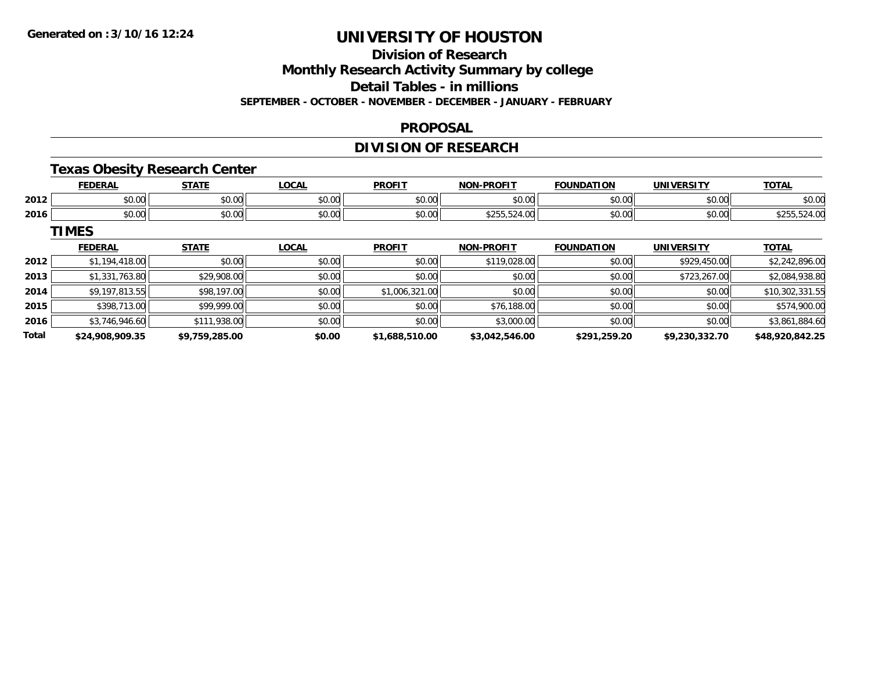## **Division of Research**

**Monthly Research Activity Summary by college**

**Detail Tables - in millions**

**SEPTEMBER - OCTOBER - NOVEMBER - DECEMBER - JANUARY - FEBRUARY**

#### **PROPOSAL**

### **DIVISION OF RESEARCH**

### **Texas Obesity Research Center**

|      | -WF                   | 278                    | <b>OCAL</b>   | <b>DDOEIT</b> | <b>DRAFIT</b><br><b>NICH</b>                | $\sim$<br>NDA<br>1 O F | <b>INITY</b>       | $\tau$ oj              |
|------|-----------------------|------------------------|---------------|---------------|---------------------------------------------|------------------------|--------------------|------------------------|
| 2012 | $\sim$ $\sim$<br>ט. ט | $\sim$ $\sim$<br>JU.UU | 0000<br>וטטיט | 0000<br>JU.U  | $\triangle$ $\triangle$ $\triangle$<br>ט.טי | $\sim$ $\sim$          | ሐሴ ሰሰ<br>DU.UU     | $\sim$ $\sim$<br>DU.UG |
| 2016 | JU.UU                 | $\sim$ 00<br>vv.vv     | \$0.00        | \$0.00        | ふといい しんせいいい                                 | $\sim$ $\sim$<br>JU.U  | $\sim$ 00<br>PO.OO |                        |

**TIMES**

|              | <b>FEDERAL</b>  | <b>STATE</b>   | <b>LOCAL</b> | <b>PROFIT</b>  | <b>NON-PROFIT</b> | <b>FOUNDATION</b> | <b>UNIVERSITY</b> | <b>TOTAL</b>    |
|--------------|-----------------|----------------|--------------|----------------|-------------------|-------------------|-------------------|-----------------|
| 2012         | \$1,194,418.00  | \$0.00         | \$0.00       | \$0.00         | \$119,028.00      | \$0.00            | \$929,450.00      | \$2,242,896.00  |
| 2013         | \$1,331,763.80  | \$29,908.00    | \$0.00       | \$0.00         | \$0.00            | \$0.00            | \$723,267.00      | \$2,084,938.80  |
| 2014         | \$9,197,813.55  | \$98,197.00    | \$0.00       | \$1,006,321.00 | \$0.00            | \$0.00            | \$0.00            | \$10,302,331.55 |
| 2015         | \$398,713,00    | \$99,999.00    | \$0.00       | \$0.00         | \$76,188.00       | \$0.00            | \$0.00            | \$574,900.00    |
| 2016         | \$3,746,946.60  | \$111,938.00   | \$0.00       | \$0.00         | \$3,000.00        | \$0.00            | \$0.00            | \$3,861,884.60  |
| <b>Total</b> | \$24,908,909.35 | \$9,759,285.00 | \$0.00       | \$1,688,510.00 | \$3,042,546.00    | \$291,259.20      | \$9,230,332.70    | \$48,920,842.25 |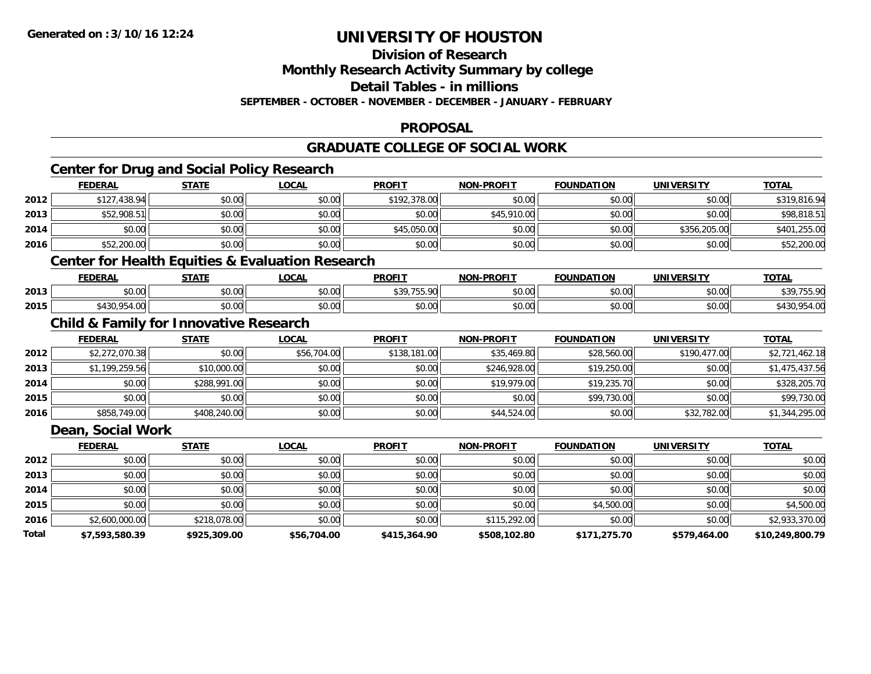**Division of Research**

**Monthly Research Activity Summary by college**

**Detail Tables - in millions**

**SEPTEMBER - OCTOBER - NOVEMBER - DECEMBER - JANUARY - FEBRUARY**

### **PROPOSAL**

### **GRADUATE COLLEGE OF SOCIAL WORK**

### **Center for Drug and Social Policy Research**

|      | <b>FEDERAL</b> | <b>STATE</b> | <u>LOCAL</u> | <b>PROFIT</b> | <b>NON-PROFIT</b> | <b>FOUNDATION</b> | <b>UNIVERSITY</b> | <b>TOTAL</b> |
|------|----------------|--------------|--------------|---------------|-------------------|-------------------|-------------------|--------------|
| 2012 | \$127,438.94   | \$0.00       | \$0.00       | \$192,378.00  | \$0.00            | \$0.00            | \$0.00            | \$319,816.94 |
| 2013 | \$52,908.51    | \$0.00       | \$0.00       | \$0.00        | \$45,910.00       | \$0.00            | \$0.00            | \$98,818.51  |
| 2014 | \$0.00         | \$0.00       | \$0.00       | \$45,050.00   | \$0.00            | \$0.00            | \$356,205.00      | \$401,255.00 |
| 2016 | \$52,200.00    | \$0.00       | \$0.00       | \$0.00        | \$0.00            | \$0.00            | \$0.00            | \$52,200.00  |

### **Center for Health Equities & Evaluation Research**

|      | <b>FEDERAI</b>                                 | <b>STATE</b>   | LOCAL                                 | <b>PROFIT</b>                                                                                        | -PROFIT<br>NON | <b>FOUNDATION</b> | UNIVERSITY | <b>TOTAL</b>                                 |
|------|------------------------------------------------|----------------|---------------------------------------|------------------------------------------------------------------------------------------------------|----------------|-------------------|------------|----------------------------------------------|
| 2013 | $\sim$ 00<br>JU.UU                             | ቀስ ስስ<br>DU.UU | $\mathsf{A} \cap \mathsf{A}$<br>JU.UU | $\begin{array}{c} \n \text{A} & \text{A} & \text{B} & \text{B} & \text{B} \\ \end{array}$<br>$\cdot$ | 0000<br>וטטוע  | \$0.00            | \$0.00     | $\uparrow$ 20 $\uparrow$ 755.00<br>, , , , , |
| 2015 | I OE<br><b>t</b> 1 2 0<br>$\sim$<br>−……<br>᠇.տ | nn nn<br>JU.UU | 0.00<br>JU.UU.                        | \$0.00                                                                                               | 0000<br>וטטוע  | \$0.00            | \$0.00     |                                              |

### **Child & Family for Innovative Research**

|      | <b>FEDERAL</b> | <b>STATE</b> | <b>LOCAL</b> | <b>PROFIT</b> | <b>NON-PROFIT</b> | <b>FOUNDATION</b> | <b>UNIVERSITY</b> | <b>TOTAL</b>   |
|------|----------------|--------------|--------------|---------------|-------------------|-------------------|-------------------|----------------|
| 2012 | \$2,272,070.38 | \$0.00       | \$56,704.00  | \$138,181.00  | \$35,469.80       | \$28,560.00       | \$190,477.00      | \$2,721,462.18 |
| 2013 | \$1,199,259.56 | \$10,000.00  | \$0.00       | \$0.00        | \$246,928,00      | \$19,250.00       | \$0.00            | \$1,475,437.56 |
| 2014 | \$0.00         | \$288,991.00 | \$0.00       | \$0.00        | \$19,979.00       | \$19,235.70       | \$0.00            | \$328,205.70   |
| 2015 | \$0.00         | \$0.00       | \$0.00       | \$0.00        | \$0.00            | \$99,730.00       | \$0.00            | \$99,730.00    |
| 2016 | \$858,749.00   | \$408,240.00 | \$0.00       | \$0.00        | \$44,524.00       | \$0.00            | \$32,782.00       | \$1,344,295.00 |

### **Dean, Social Work**

|       | <b>FEDERAL</b> | <b>STATE</b> | <b>LOCAL</b> | <b>PROFIT</b> | <b>NON-PROFIT</b> | <b>FOUNDATION</b> | UNIVERSITY   | <u>TOTAL</u>    |
|-------|----------------|--------------|--------------|---------------|-------------------|-------------------|--------------|-----------------|
| 2012  | \$0.00         | \$0.00       | \$0.00       | \$0.00        | \$0.00            | \$0.00            | \$0.00       | \$0.00          |
| 2013  | \$0.00         | \$0.00       | \$0.00       | \$0.00        | \$0.00            | \$0.00            | \$0.00       | \$0.00          |
| 2014  | \$0.00         | \$0.00       | \$0.00       | \$0.00        | \$0.00            | \$0.00            | \$0.00       | \$0.00          |
| 2015  | \$0.00         | \$0.00       | \$0.00       | \$0.00        | \$0.00            | \$4,500.00        | \$0.00       | \$4,500.00      |
| 2016  | \$2,600,000.00 | \$218,078.00 | \$0.00       | \$0.00        | \$115,292.00      | \$0.00            | \$0.00       | \$2,933,370.00  |
| Total | \$7,593,580.39 | \$925,309.00 | \$56,704.00  | \$415,364.90  | \$508,102.80      | \$171,275.70      | \$579,464.00 | \$10,249,800.79 |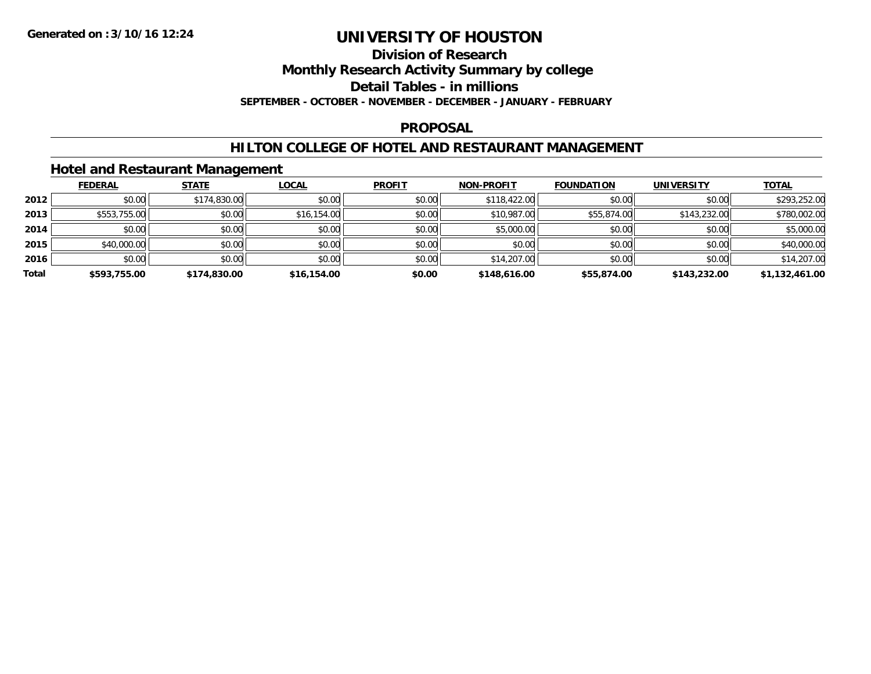#### **Division of Research**

**Monthly Research Activity Summary by college**

**Detail Tables - in millions**

**SEPTEMBER - OCTOBER - NOVEMBER - DECEMBER - JANUARY - FEBRUARY**

#### **PROPOSAL**

### **HILTON COLLEGE OF HOTEL AND RESTAURANT MANAGEMENT**

### **Hotel and Restaurant Management**

|       | <b>FEDERAL</b> | <b>STATE</b> | <b>LOCAL</b> | <b>PROFIT</b> | <b>NON-PROFIT</b> | <b>FOUNDATION</b> | <b>UNIVERSITY</b> | <b>TOTAL</b>   |
|-------|----------------|--------------|--------------|---------------|-------------------|-------------------|-------------------|----------------|
| 2012  | \$0.00         | \$174,830.00 | \$0.00       | \$0.00        | \$118,422.00      | \$0.00            | \$0.00            | \$293,252.00   |
| 2013  | \$553,755.00   | \$0.00       | \$16,154.00  | \$0.00        | \$10,987.00       | \$55,874.00       | \$143,232.00      | \$780,002.00   |
| 2014  | \$0.00         | \$0.00       | \$0.00       | \$0.00        | \$5,000.00        | \$0.00            | \$0.00            | \$5,000.00     |
| 2015  | \$40,000.00    | \$0.00       | \$0.00       | \$0.00        | \$0.00            | \$0.00            | \$0.00            | \$40,000.00    |
| 2016  | \$0.00         | \$0.00       | \$0.00       | \$0.00        | \$14,207.00       | \$0.00            | \$0.00            | \$14,207.00    |
| Total | \$593,755.00   | \$174,830.00 | \$16,154.00  | \$0.00        | \$148,616.00      | \$55,874.00       | \$143,232.00      | \$1,132,461.00 |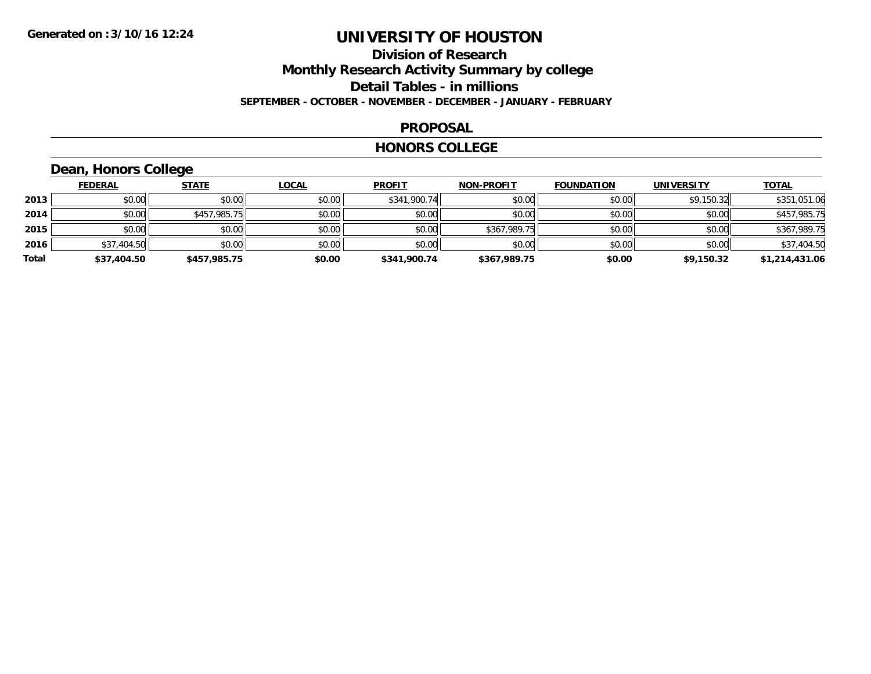### **Division of Research Monthly Research Activity Summary by college Detail Tables - in millions SEPTEMBER - OCTOBER - NOVEMBER - DECEMBER - JANUARY - FEBRUARY**

#### **PROPOSAL**

#### **HONORS COLLEGE**

## **Dean, Honors College**

|       | <b>FEDERAL</b> | <b>STATE</b> | <u>LOCAL</u> | <b>PROFIT</b> | <b>NON-PROFIT</b> | <b>FOUNDATION</b> | <b>UNIVERSITY</b> | <b>TOTAL</b>   |
|-------|----------------|--------------|--------------|---------------|-------------------|-------------------|-------------------|----------------|
| 2013  | \$0.00         | \$0.00       | \$0.00       | \$341,900.74  | \$0.00            | \$0.00            | \$9,150.32        | \$351,051.06   |
| 2014  | \$0.00         | \$457,985.75 | \$0.00       | \$0.00        | \$0.00            | \$0.00            | \$0.00            | \$457,985.75   |
| 2015  | \$0.00         | \$0.00       | \$0.00       | \$0.00        | \$367,989.75      | \$0.00            | \$0.00            | \$367,989.75   |
| 2016  | \$37,404.50    | \$0.00       | \$0.00       | \$0.00        | \$0.00            | \$0.00            | \$0.00            | \$37,404.50    |
| Total | \$37,404.50    | \$457,985.75 | \$0.00       | \$341,900.74  | \$367,989.75      | \$0.00            | \$9,150.32        | \$1,214,431.06 |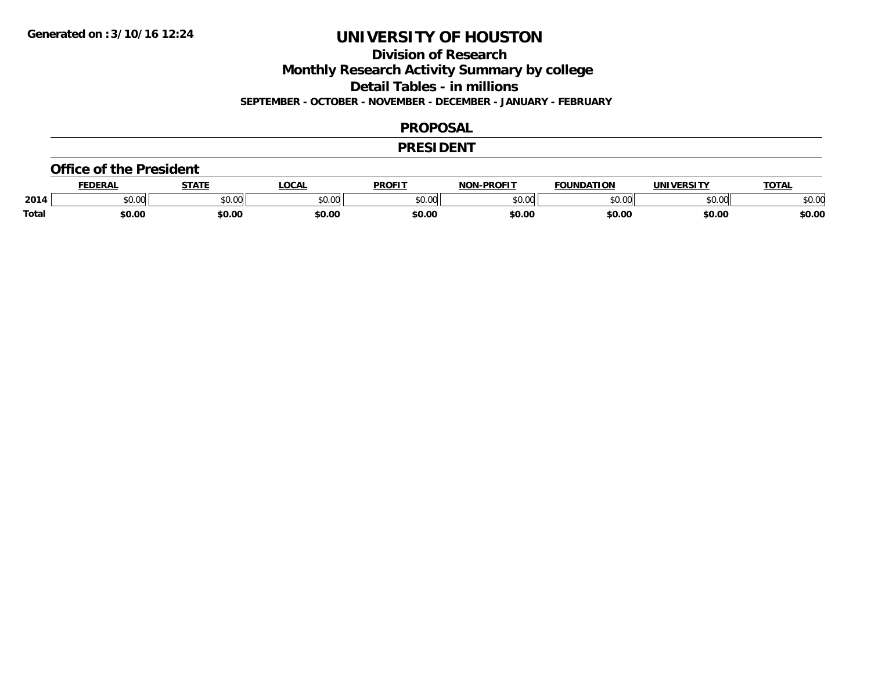**Division of Research**

**Monthly Research Activity Summary by college**

**Detail Tables - in millions**

**SEPTEMBER - OCTOBER - NOVEMBER - DECEMBER - JANUARY - FEBRUARY**

#### **PROPOSAL**

#### **PRESIDENT**

#### **Office of the President**

|              | <b>EDERAI</b> | <b>CTATE</b>    | <b>OCAL</b> | <b>PROFIT</b> | <b>-PROFIT</b><br>81 A B | <b>FOUNDATION</b> | UNIVERSITY | TOTA.  |
|--------------|---------------|-----------------|-------------|---------------|--------------------------|-------------------|------------|--------|
| 2014         | 0.00<br>JU.UU | 0000<br>ູນບ.ບພ. | \$0.00      | 0000<br>JU.UU | $\sim$ 00<br>ט.טע        | 0000<br>u.uu      | \$0.00     | \$0.00 |
| <b>Total</b> | \$0.00        | \$0.00          | \$0.00      | \$0.00        | \$0.00                   | \$0.00            | \$0.00     | \$0.00 |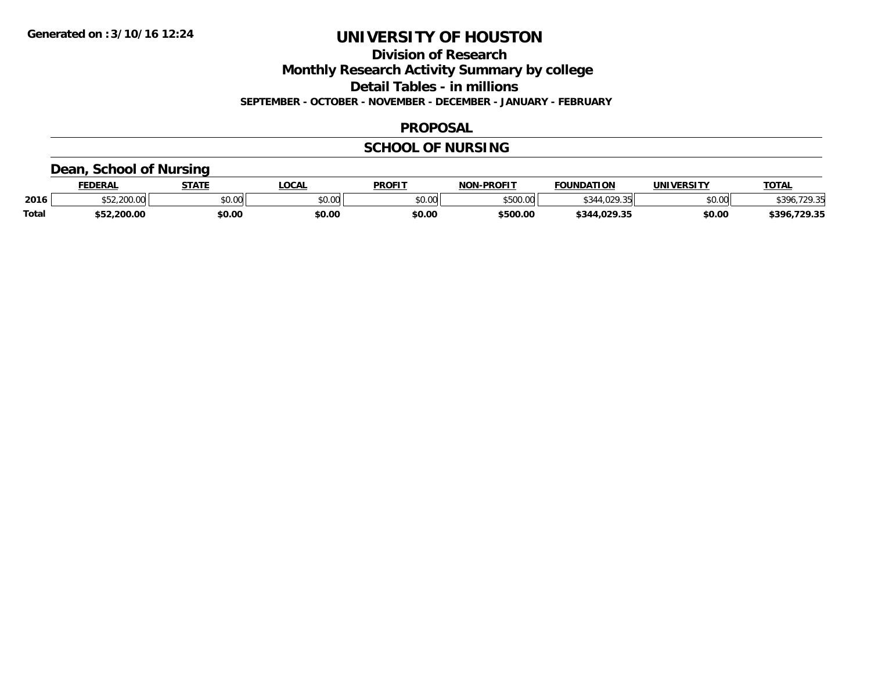**Division of Research**

**Monthly Research Activity Summary by college**

**Detail Tables - in millions**

**SEPTEMBER - OCTOBER - NOVEMBER - DECEMBER - JANUARY - FEBRUARY**

#### **PROPOSAL**

### **SCHOOL OF NURSING**

### **Dean, School of Nursing**

|              | <b>FEDERAL</b> | <b>STATE</b> | <b>OCAL</b>            | <b>PROFIT</b> | <b>NON-PROFIT</b>     | <b>FOUNDATION</b>                             | <b>UNIVERSITY</b> | <b>TOTAL</b>      |
|--------------|----------------|--------------|------------------------|---------------|-----------------------|-----------------------------------------------|-------------------|-------------------|
| 2016         | 200.00         | \$0.00       | $\sim$ $\sim$<br>vu.vu | \$0.00        | $ECOO$ $OQ$<br>UU.UUC | 5.2400000<br>۰۷۷.<br>$\overline{\phantom{a}}$ | \$0.00            | $*396.$<br>'ገ0 25 |
| <b>Total</b> | \$52,200.00    | \$0.00       | \$0.00                 | \$0.00        | \$500.00              | 1.029.35<br>$\star$ 344.                      | \$0.00            | 396.<br>.729.35   |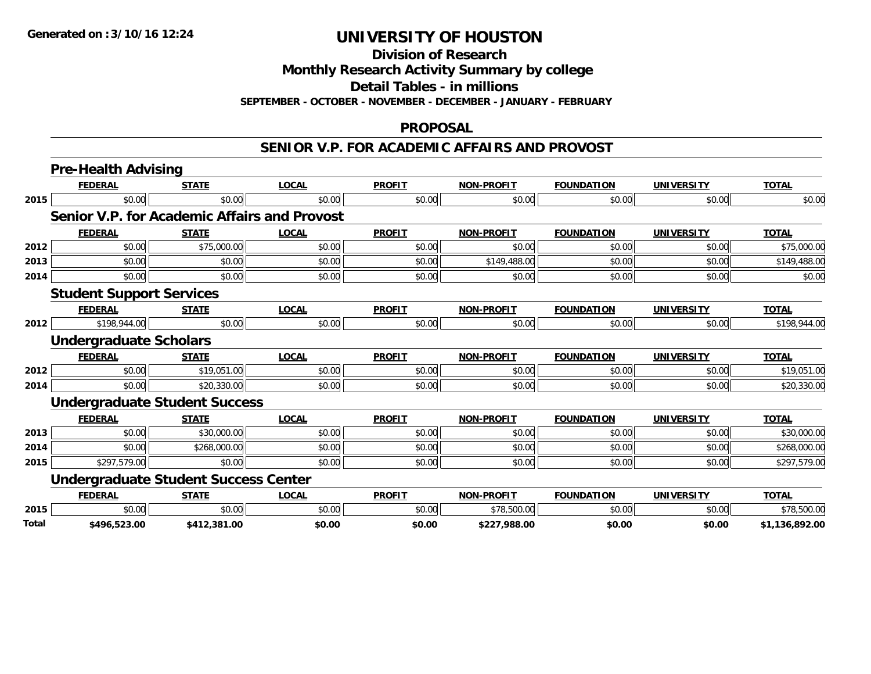**Division of Research**

**Monthly Research Activity Summary by college**

**Detail Tables - in millions**

**SEPTEMBER - OCTOBER - NOVEMBER - DECEMBER - JANUARY - FEBRUARY**

### **PROPOSAL**

#### **SENIOR V.P. FOR ACADEMIC AFFAIRS AND PROVOST**

|       | <b>Pre-Health Advising</b>                   |              |              |               |                   |                   |                   |                |
|-------|----------------------------------------------|--------------|--------------|---------------|-------------------|-------------------|-------------------|----------------|
|       | <b>FEDERAL</b>                               | <b>STATE</b> | <b>LOCAL</b> | <b>PROFIT</b> | <b>NON-PROFIT</b> | <b>FOUNDATION</b> | <b>UNIVERSITY</b> | <b>TOTAL</b>   |
| 2015  | \$0.00                                       | \$0.00       | \$0.00       | \$0.00        | \$0.00            | \$0.00            | \$0.00            | \$0.00         |
|       | Senior V.P. for Academic Affairs and Provost |              |              |               |                   |                   |                   |                |
|       | <b>FEDERAL</b>                               | <b>STATE</b> | <b>LOCAL</b> | <b>PROFIT</b> | <b>NON-PROFIT</b> | <b>FOUNDATION</b> | <b>UNIVERSITY</b> | <b>TOTAL</b>   |
| 2012  | \$0.00                                       | \$75,000.00  | \$0.00       | \$0.00        | \$0.00            | \$0.00            | \$0.00            | \$75,000.00    |
| 2013  | \$0.00                                       | \$0.00       | \$0.00       | \$0.00        | \$149,488.00      | \$0.00            | \$0.00            | \$149,488.00   |
| 2014  | \$0.00                                       | \$0.00       | \$0.00       | \$0.00        | \$0.00            | \$0.00            | \$0.00            | \$0.00         |
|       | <b>Student Support Services</b>              |              |              |               |                   |                   |                   |                |
|       | <b>FEDERAL</b>                               | <b>STATE</b> | <b>LOCAL</b> | <b>PROFIT</b> | <b>NON-PROFIT</b> | <b>FOUNDATION</b> | <b>UNIVERSITY</b> | <b>TOTAL</b>   |
| 2012  | \$198,944.00                                 | \$0.00       | \$0.00       | \$0.00        | \$0.00            | \$0.00            | \$0.00            | \$198,944.00   |
|       | <b>Undergraduate Scholars</b>                |              |              |               |                   |                   |                   |                |
|       | <b>FEDERAL</b>                               | <b>STATE</b> | <b>LOCAL</b> | <b>PROFIT</b> | <b>NON-PROFIT</b> | <b>FOUNDATION</b> | <b>UNIVERSITY</b> | <b>TOTAL</b>   |
| 2012  | \$0.00                                       | \$19,051.00  | \$0.00       | \$0.00        | \$0.00            | \$0.00            | \$0.00            | \$19,051.00    |
| 2014  | \$0.00                                       | \$20,330.00  | \$0.00       | \$0.00        | \$0.00            | \$0.00            | \$0.00            | \$20,330.00    |
|       | <b>Undergraduate Student Success</b>         |              |              |               |                   |                   |                   |                |
|       | <b>FEDERAL</b>                               | <b>STATE</b> | <b>LOCAL</b> | <b>PROFIT</b> | <b>NON-PROFIT</b> | <b>FOUNDATION</b> | <b>UNIVERSITY</b> | <b>TOTAL</b>   |
| 2013  | \$0.00                                       | \$30,000.00  | \$0.00       | \$0.00        | \$0.00            | \$0.00            | \$0.00            | \$30,000.00    |
| 2014  | \$0.00                                       | \$268,000.00 | \$0.00       | \$0.00        | \$0.00            | \$0.00            | \$0.00            | \$268,000.00   |
| 2015  | \$297,579.00                                 | \$0.00       | \$0.00       | \$0.00        | \$0.00            | \$0.00            | \$0.00            | \$297,579.00   |
|       | <b>Undergraduate Student Success Center</b>  |              |              |               |                   |                   |                   |                |
|       | <b>FEDERAL</b>                               | <b>STATE</b> | <b>LOCAL</b> | <b>PROFIT</b> | <b>NON-PROFIT</b> | <b>FOUNDATION</b> | <b>UNIVERSITY</b> | <b>TOTAL</b>   |
| 2015  | \$0.00                                       | \$0.00       | \$0.00       | \$0.00        | \$78,500.00       | \$0.00            | \$0.00            | \$78,500.00    |
| Total | \$496,523.00                                 | \$412,381.00 | \$0.00       | \$0.00        | \$227,988.00      | \$0.00            | \$0.00            | \$1,136,892.00 |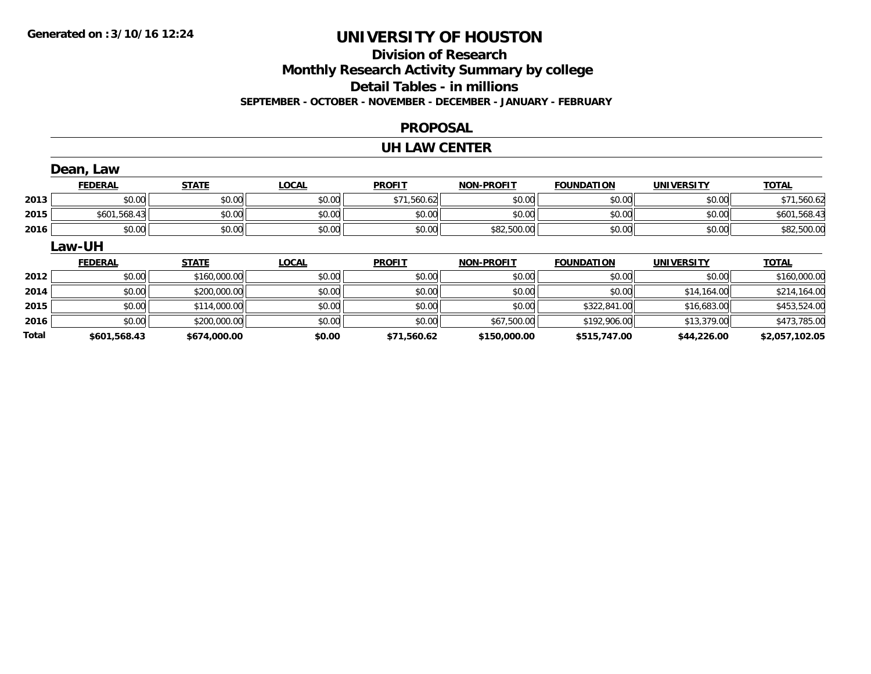### **Division of Research Monthly Research Activity Summary by college Detail Tables - in millions SEPTEMBER - OCTOBER - NOVEMBER - DECEMBER - JANUARY - FEBRUARY**

#### **PROPOSAL**

#### **UH LAW CENTER**

|       | Dean, Law      |              |              |               |                   |                   |                   |                |
|-------|----------------|--------------|--------------|---------------|-------------------|-------------------|-------------------|----------------|
|       | <b>FEDERAL</b> | <b>STATE</b> | <b>LOCAL</b> | <b>PROFIT</b> | <b>NON-PROFIT</b> | <b>FOUNDATION</b> | UNIVERSITY        | <b>TOTAL</b>   |
| 2013  | \$0.00         | \$0.00       | \$0.00       | \$71,560.62   | \$0.00            | \$0.00            | \$0.00            | \$71,560.62    |
| 2015  | \$601,568.43   | \$0.00       | \$0.00       | \$0.00        | \$0.00            | \$0.00            | \$0.00            | \$601,568.43   |
| 2016  | \$0.00         | \$0.00       | \$0.00       | \$0.00        | \$82,500.00       | \$0.00            | \$0.00            | \$82,500.00    |
|       | <b>Law-UH</b>  |              |              |               |                   |                   |                   |                |
|       | <b>FEDERAL</b> | <b>STATE</b> | <b>LOCAL</b> | <b>PROFIT</b> | <b>NON-PROFIT</b> | <b>FOUNDATION</b> | <b>UNIVERSITY</b> | <b>TOTAL</b>   |
| 2012  | \$0.00         | \$160,000.00 | \$0.00       | \$0.00        | \$0.00            | \$0.00            | \$0.00            | \$160,000.00   |
| 2014  | \$0.00         | \$200,000.00 | \$0.00       | \$0.00        | \$0.00            | \$0.00            | \$14,164.00       | \$214,164.00   |
| 2015  | \$0.00         | \$114,000.00 | \$0.00       | \$0.00        | \$0.00            | \$322,841.00      | \$16,683.00       | \$453,524.00   |
| 2016  | \$0.00         | \$200,000.00 | \$0.00       | \$0.00        | \$67,500.00       | \$192,906.00      | \$13,379.00       | \$473,785.00   |
| Total | \$601.568.43   | \$674,000.00 | \$0.00       | \$71,560.62   | \$150,000.00      | \$515,747.00      | \$44,226.00       | \$2,057,102.05 |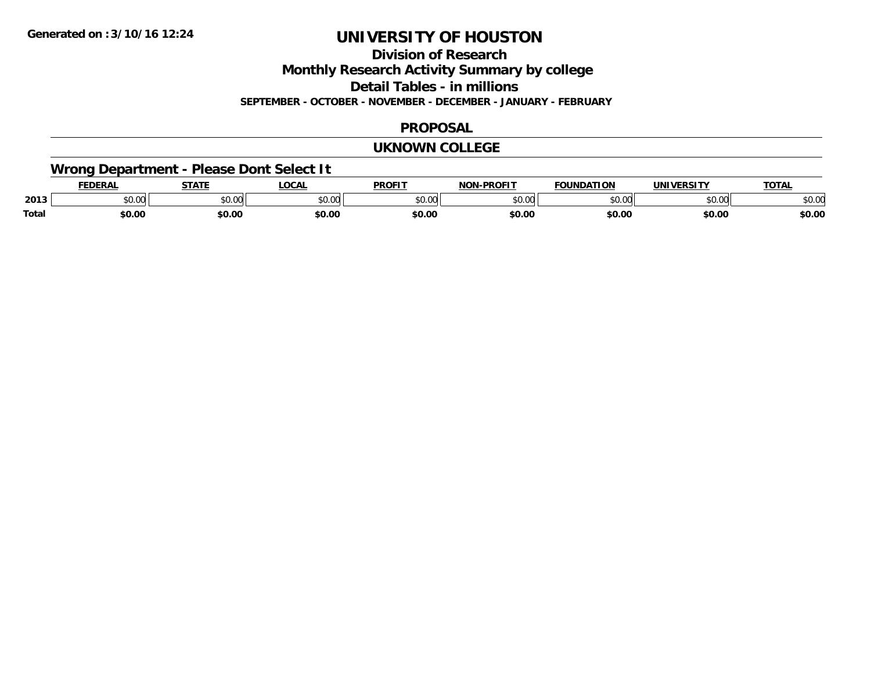**Division of Research**

**Monthly Research Activity Summary by college**

**Detail Tables - in millions**

**SEPTEMBER - OCTOBER - NOVEMBER - DECEMBER - JANUARY - FEBRUARY**

#### **PROPOSAL**

#### **UKNOWN COLLEGE**

## **Wrong Department - Please Dont Select It**

|              | EENEDA<br>PLIAN | 27.77        | LOCAI              | <b>PROFIT</b> | <b>DDALIT</b><br>ימות | <b>EQUINDATION</b> | <b>IINIIVEDCITV</b> | <b>TATA</b> |
|--------------|-----------------|--------------|--------------------|---------------|-----------------------|--------------------|---------------------|-------------|
| 2013         | JU.UU           | 0000<br>ט.טע | $\sim$ 00<br>JU.UU | ט.טע          | $\sim$ 00<br>DU.UU    |                    | $\sim$ 00<br>JU.UU  | งบ.บบ       |
| <b>Total</b> | \$0.00          | \$0.00       | \$0.00             | \$0.00        | \$0.00                | \$0.00             | \$0.00              | \$0.00      |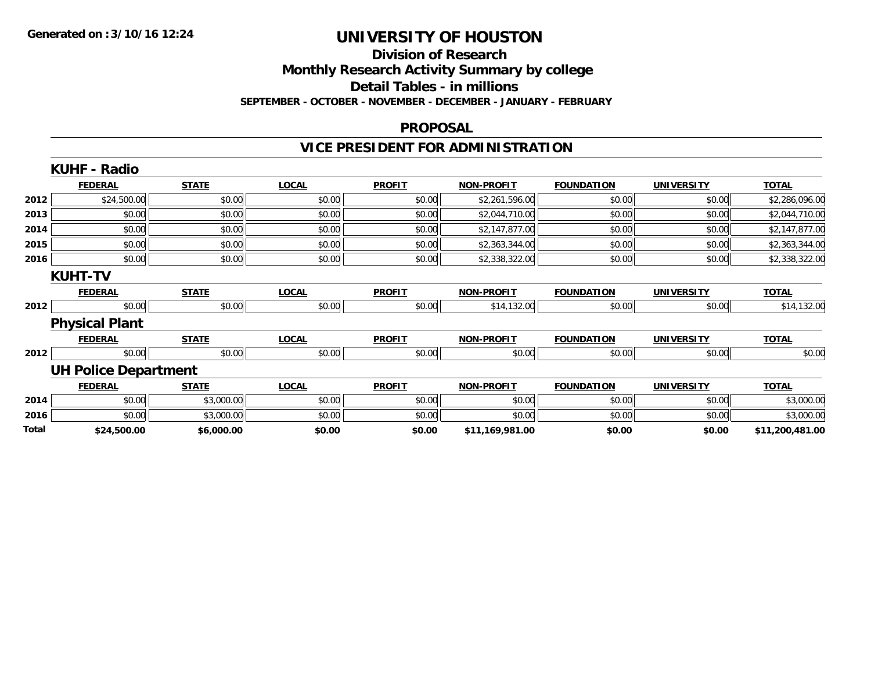## **Division of Research**

**Monthly Research Activity Summary by college**

**Detail Tables - in millions**

**SEPTEMBER - OCTOBER - NOVEMBER - DECEMBER - JANUARY - FEBRUARY**

#### **PROPOSAL**

## **VICE PRESIDENT FOR ADMINISTRATION**

|       | <b>KUHF - Radio</b>         |              |              |               |                   |                   |                   |                 |
|-------|-----------------------------|--------------|--------------|---------------|-------------------|-------------------|-------------------|-----------------|
|       | <b>FEDERAL</b>              | <b>STATE</b> | <b>LOCAL</b> | <b>PROFIT</b> | <b>NON-PROFIT</b> | <b>FOUNDATION</b> | <b>UNIVERSITY</b> | <b>TOTAL</b>    |
| 2012  | \$24,500.00                 | \$0.00       | \$0.00       | \$0.00        | \$2,261,596.00    | \$0.00            | \$0.00            | \$2,286,096.00  |
| 2013  | \$0.00                      | \$0.00       | \$0.00       | \$0.00        | \$2,044,710.00    | \$0.00            | \$0.00            | \$2,044,710.00  |
| 2014  | \$0.00                      | \$0.00       | \$0.00       | \$0.00        | \$2,147,877.00    | \$0.00            | \$0.00            | \$2,147,877.00  |
| 2015  | \$0.00                      | \$0.00       | \$0.00       | \$0.00        | \$2,363,344.00    | \$0.00            | \$0.00            | \$2,363,344.00  |
| 2016  | \$0.00                      | \$0.00       | \$0.00       | \$0.00        | \$2,338,322.00    | \$0.00            | \$0.00            | \$2,338,322.00  |
|       | <b>KUHT-TV</b>              |              |              |               |                   |                   |                   |                 |
|       | <b>FEDERAL</b>              | <b>STATE</b> | <b>LOCAL</b> | <b>PROFIT</b> | <b>NON-PROFIT</b> | <b>FOUNDATION</b> | <b>UNIVERSITY</b> | <b>TOTAL</b>    |
| 2012  | \$0.00                      | \$0.00       | \$0.00       | \$0.00        | \$14,132.00       | \$0.00            | \$0.00            | \$14,132.00     |
|       | <b>Physical Plant</b>       |              |              |               |                   |                   |                   |                 |
|       | <b>FEDERAL</b>              | <b>STATE</b> | <b>LOCAL</b> | <b>PROFIT</b> | <b>NON-PROFIT</b> | <b>FOUNDATION</b> | <b>UNIVERSITY</b> | <b>TOTAL</b>    |
| 2012  | \$0.00                      | \$0.00       | \$0.00       | \$0.00        | \$0.00            | \$0.00            | \$0.00            | \$0.00          |
|       | <b>UH Police Department</b> |              |              |               |                   |                   |                   |                 |
|       | <b>FEDERAL</b>              | <b>STATE</b> | <b>LOCAL</b> | <b>PROFIT</b> | <b>NON-PROFIT</b> | <b>FOUNDATION</b> | <b>UNIVERSITY</b> | <b>TOTAL</b>    |
| 2014  | \$0.00                      | \$3,000.00   | \$0.00       | \$0.00        | \$0.00            | \$0.00            | \$0.00            | \$3,000.00      |
| 2016  | \$0.00                      | \$3,000.00   | \$0.00       | \$0.00        | \$0.00            | \$0.00            | \$0.00            | \$3,000.00      |
| Total | \$24,500.00                 | \$6,000.00   | \$0.00       | \$0.00        | \$11,169,981.00   | \$0.00            | \$0.00            | \$11,200,481.00 |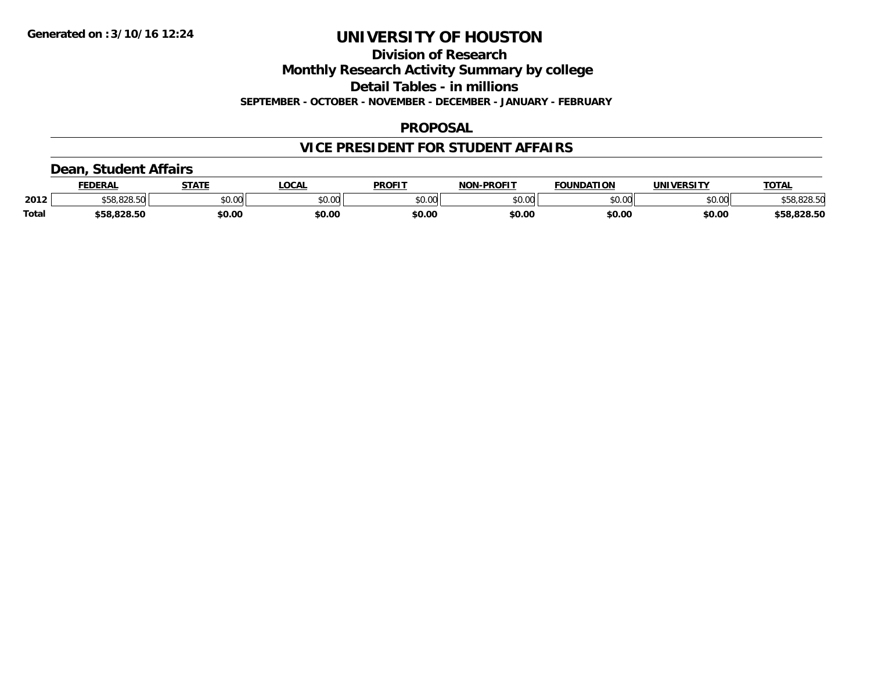**Division of Research**

**Monthly Research Activity Summary by college**

**Detail Tables - in millions**

**SEPTEMBER - OCTOBER - NOVEMBER - DECEMBER - JANUARY - FEBRUARY**

### **PROPOSAL**

### **VICE PRESIDENT FOR STUDENT AFFAIRS**

### **Dean, Student Affairs**

|              | <b>FEDERAL</b> | <b>STATE</b> | <b>OCAL</b> | <b>PROFIT</b> | <b>NON-PROFIT</b> | <b>FOUNDATION</b> | UNIVERSITY     | TOTA.       |
|--------------|----------------|--------------|-------------|---------------|-------------------|-------------------|----------------|-------------|
| 2012         | 0.0000         | \$0.00       | vv.vv       | \$0.00        | 0000<br>JU.UU     | \$0.00            | mn n¢<br>pu.uu | \$58,828.50 |
| <b>Total</b> | \$58.828.50    | \$0.00       | \$0.00      | \$0.00        | \$0.00            | \$0.00            | \$0.00         | \$58,828.50 |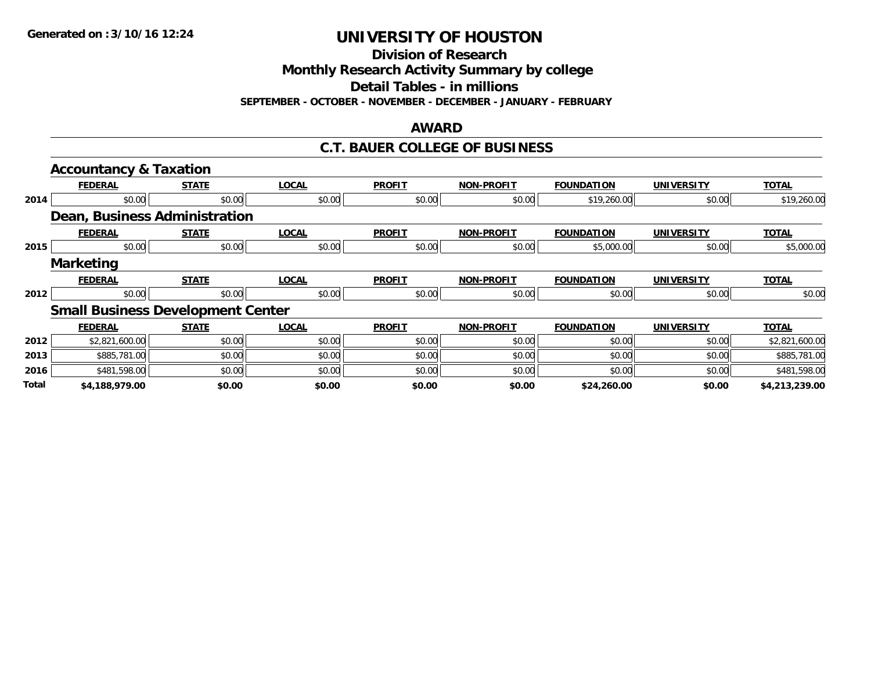**Division of Research**

**Monthly Research Activity Summary by college**

**Detail Tables - in millions**

**SEPTEMBER - OCTOBER - NOVEMBER - DECEMBER - JANUARY - FEBRUARY**

#### **AWARD**

### **C.T. BAUER COLLEGE OF BUSINESS**

|              | <b>Accountancy &amp; Taxation</b>        |              |              |               |                   |                   |                   |                |
|--------------|------------------------------------------|--------------|--------------|---------------|-------------------|-------------------|-------------------|----------------|
|              | <b>FEDERAL</b>                           | <u>STATE</u> | <b>LOCAL</b> | <b>PROFIT</b> | <b>NON-PROFIT</b> | FOUNDATION        | <b>UNIVERSITY</b> | <b>TOTAL</b>   |
| 2014         | \$0.00                                   | \$0.00       | \$0.00       | \$0.00        | \$0.00            | \$19,260.00       | \$0.00            | \$19,260.00    |
|              | Dean, Business Administration            |              |              |               |                   |                   |                   |                |
|              | <b>FEDERAL</b>                           | <b>STATE</b> | <b>LOCAL</b> | <b>PROFIT</b> | <b>NON-PROFIT</b> | <b>FOUNDATION</b> | <b>UNIVERSITY</b> | <b>TOTAL</b>   |
| 2015         | \$0.00                                   | \$0.00       | \$0.00       | \$0.00        | \$0.00            | \$5,000.00        | \$0.00            | \$5,000.00     |
|              | <b>Marketing</b>                         |              |              |               |                   |                   |                   |                |
|              | <b>FEDERAL</b>                           | <b>STATE</b> | <b>LOCAL</b> | <b>PROFIT</b> | <b>NON-PROFIT</b> | <b>FOUNDATION</b> | <b>UNIVERSITY</b> | <b>TOTAL</b>   |
| 2012         | \$0.00                                   | \$0.00       | \$0.00       | \$0.00        | \$0.00            | \$0.00            | \$0.00            | \$0.00         |
|              | <b>Small Business Development Center</b> |              |              |               |                   |                   |                   |                |
|              | <b>FEDERAL</b>                           | <b>STATE</b> | <b>LOCAL</b> | <b>PROFIT</b> | <b>NON-PROFIT</b> | <b>FOUNDATION</b> | <b>UNIVERSITY</b> | <b>TOTAL</b>   |
| 2012         | \$2,821,600.00                           | \$0.00       | \$0.00       | \$0.00        | \$0.00            | \$0.00            | \$0.00            | \$2,821,600.00 |
| 2013         | \$885,781.00                             | \$0.00       | \$0.00       | \$0.00        | \$0.00            | \$0.00            | \$0.00            | \$885,781.00   |
| 2016         | \$481,598.00                             | \$0.00       | \$0.00       | \$0.00        | \$0.00            | \$0.00            | \$0.00            | \$481,598.00   |
| <b>Total</b> | \$4,188,979.00                           | \$0.00       | \$0.00       | \$0.00        | \$0.00            | \$24,260.00       | \$0.00            | \$4,213,239.00 |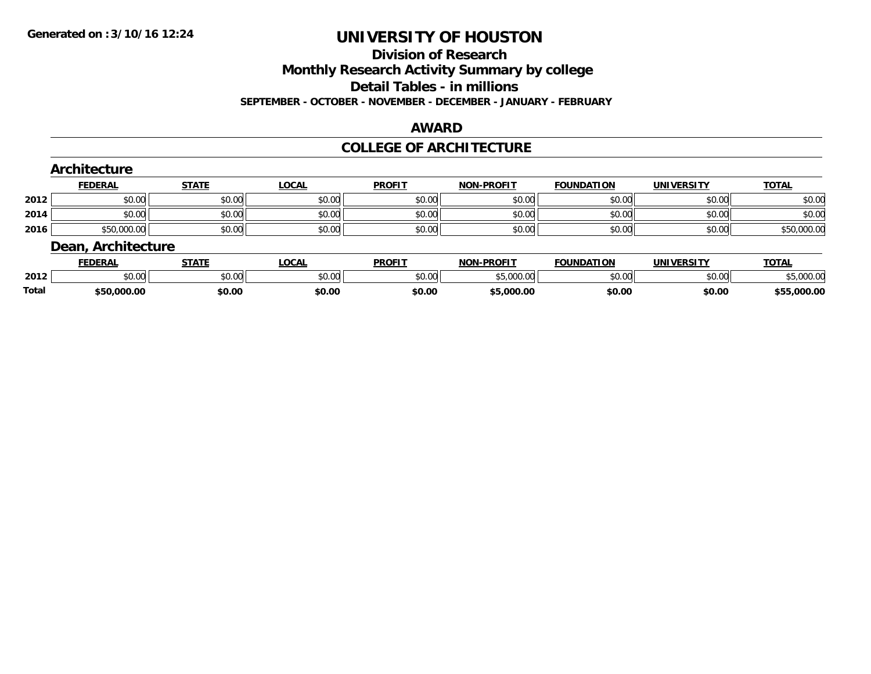#### **Division of Research**

**Monthly Research Activity Summary by college**

**Detail Tables - in millions**

**SEPTEMBER - OCTOBER - NOVEMBER - DECEMBER - JANUARY - FEBRUARY**

#### **AWARD**

### **COLLEGE OF ARCHITECTURE**

|      | Architecture       |              |              |               |                   |                   |                   |              |
|------|--------------------|--------------|--------------|---------------|-------------------|-------------------|-------------------|--------------|
|      | <b>FEDERAL</b>     | <b>STATE</b> | <u>LOCAL</u> | <b>PROFIT</b> | <b>NON-PROFIT</b> | <b>FOUNDATION</b> | <b>UNIVERSITY</b> | <b>TOTAL</b> |
| 2012 | \$0.00             | \$0.00       | \$0.00       | \$0.00        | \$0.00            | \$0.00            | \$0.00            | \$0.00       |
| 2014 | \$0.00             | \$0.00       | \$0.00       | \$0.00        | \$0.00            | \$0.00            | \$0.00            | \$0.00       |
| 2016 | \$50,000.00        | \$0.00       | \$0.00       | \$0.00        | \$0.00            | \$0.00            | \$0.00            | \$50,000.00  |
|      | Dean, Architecture |              |              |               |                   |                   |                   |              |
|      | <b>FEDERAL</b>     | <b>STATE</b> | LOCAL        | <b>PROFIT</b> | <b>NON-PROFIT</b> | <b>FOUNDATION</b> | <b>UNIVERSITY</b> | <b>TOTAL</b> |

|       | レレレいハレ             | 3 I A I I | ๛๛                     | г I Чина II на 1990 година II на 1990 година <u>пр</u> | <br>FN VIII                            | <b>UUIVUATIUN</b> | <u>UNIVERJII</u> | $\sim$          |
|-------|--------------------|-----------|------------------------|--------------------------------------------------------|----------------------------------------|-------------------|------------------|-----------------|
| 2012  | $\sim$ 00<br>DU.UU | \$0.00    | $\sim$ $\sim$<br>vu.vu | \$0.00                                                 | $E_{C}$ 000.00<br>$\cdot$ u<br>טטס, טע | \$0.00            | \$0.00           | 000.00          |
| Total | \$50,000.00        | \$0.00    | \$0.00                 | \$0.00                                                 | 5,000.00                               | \$0.00            | \$0.00           | 000.00, ر<br>45 |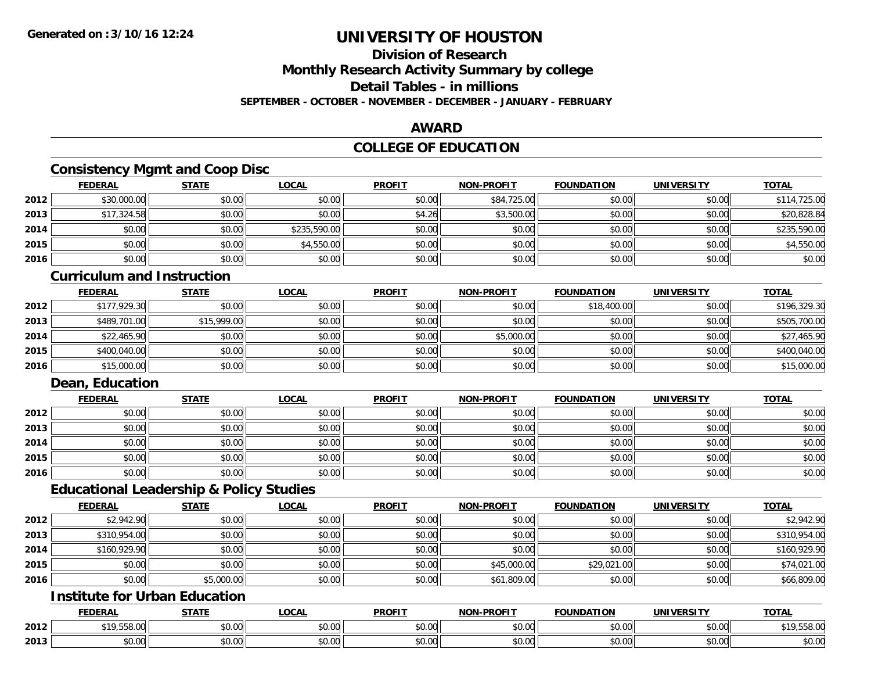### **Division of Research**

**Monthly Research Activity Summary by college**

**Detail Tables - in millions**

**SEPTEMBER - OCTOBER - NOVEMBER - DECEMBER - JANUARY - FEBRUARY**

### **AWARD**

### **COLLEGE OF EDUCATION**

### **Consistency Mgmt and Coop Disc**

|      | <b>FEDERAL</b> | <b>STATE</b> | <b>LOCAL</b> | <b>PROFIT</b> | <b>NON-PROFIT</b> | <b>FOUNDATION</b> | <b>UNIVERSITY</b> | <b>TOTAL</b> |
|------|----------------|--------------|--------------|---------------|-------------------|-------------------|-------------------|--------------|
| 2012 | \$30,000.00    | \$0.00       | \$0.00       | \$0.00        | \$84,725.00       | \$0.00            | \$0.00            | \$114,725.00 |
| 2013 | \$17,324.58    | \$0.00       | \$0.00       | \$4.26        | \$3,500.00        | \$0.00            | \$0.00            | \$20,828.84  |
| 2014 | \$0.00         | \$0.00       | \$235,590.00 | \$0.00        | \$0.00            | \$0.00            | \$0.00            | \$235,590.00 |
| 2015 | \$0.00         | \$0.00       | \$4,550.00   | \$0.00        | \$0.00            | \$0.00            | \$0.00            | \$4,550.00   |
| 2016 | \$0.00         | \$0.00       | \$0.00       | \$0.00        | \$0.00            | \$0.00            | \$0.00            | \$0.00       |

### **Curriculum and Instruction**

|      | <b>FEDERAL</b> | <u>STATE</u> | <u>LOCAL</u> | <b>PROFIT</b> | <b>NON-PROFIT</b> | <b>FOUNDATION</b> | <b>UNIVERSITY</b> | <b>TOTAL</b> |
|------|----------------|--------------|--------------|---------------|-------------------|-------------------|-------------------|--------------|
| 2012 | \$177,929.30   | \$0.00       | \$0.00       | \$0.00        | \$0.00            | \$18,400.00       | \$0.00            | \$196,329.30 |
| 2013 | \$489,701.00   | \$15,999.00  | \$0.00       | \$0.00        | \$0.00            | \$0.00            | \$0.00            | \$505,700.00 |
| 2014 | \$22,465.90    | \$0.00       | \$0.00       | \$0.00        | \$5,000.00        | \$0.00            | \$0.00            | \$27,465.90  |
| 2015 | \$400,040.00   | \$0.00       | \$0.00       | \$0.00        | \$0.00            | \$0.00            | \$0.00            | \$400,040.00 |
| 2016 | \$15,000.00    | \$0.00       | \$0.00       | \$0.00        | \$0.00            | \$0.00            | \$0.00            | \$15,000.00  |

### **Dean, Education**

|      | <b>FEDERAL</b> | <b>STATE</b> | <u>LOCAL</u> | <b>PROFIT</b> | <b>NON-PROFIT</b> | <b>FOUNDATION</b> | <b>UNIVERSITY</b> | <b>TOTAL</b> |
|------|----------------|--------------|--------------|---------------|-------------------|-------------------|-------------------|--------------|
| 2012 | \$0.00         | \$0.00       | \$0.00       | \$0.00        | \$0.00            | \$0.00            | \$0.00            | \$0.00       |
| 2013 | \$0.00         | \$0.00       | \$0.00       | \$0.00        | \$0.00            | \$0.00            | \$0.00            | \$0.00       |
| 2014 | \$0.00         | \$0.00       | \$0.00       | \$0.00        | \$0.00            | \$0.00            | \$0.00            | \$0.00       |
| 2015 | \$0.00         | \$0.00       | \$0.00       | \$0.00        | \$0.00            | \$0.00            | \$0.00            | \$0.00       |
| 2016 | \$0.00         | \$0.00       | \$0.00       | \$0.00        | \$0.00            | \$0.00            | \$0.00            | \$0.00       |

#### **Educational Leadership & Policy Studies**

|      | <b>FEDERAL</b> | <b>STATE</b> | <u>LOCAL</u> | <b>PROFIT</b> | <b>NON-PROFIT</b> | <b>FOUNDATION</b> | <b>UNIVERSITY</b> | <b>TOTAL</b> |
|------|----------------|--------------|--------------|---------------|-------------------|-------------------|-------------------|--------------|
| 2012 | \$2,942.90     | \$0.00       | \$0.00       | \$0.00        | \$0.00            | \$0.00            | \$0.00            | \$2,942.90   |
| 2013 | \$310,954.00   | \$0.00       | \$0.00       | \$0.00        | \$0.00            | \$0.00            | \$0.00            | \$310,954.00 |
| 2014 | \$160,929.90   | \$0.00       | \$0.00       | \$0.00        | \$0.00            | \$0.00            | \$0.00            | \$160,929.90 |
| 2015 | \$0.00         | \$0.00       | \$0.00       | \$0.00        | \$45,000.00       | \$29,021.00       | \$0.00            | \$74,021.00  |
| 2016 | \$0.00         | \$5,000.00   | \$0.00       | \$0.00        | \$61,809.00       | \$0.00            | \$0.00            | \$66,809.00  |

### **Institute for Urban Education**

|      | <b>FEDERAL</b>         | $\sim$ $\sim$ $\sim$ $\sim$ | 00 <sub>n</sub><br>והטע                      | <b>PROFIT</b>      | ,,,,,,<br><b>AIOR</b> | <b>JNDATION</b> | HNIV.<br>'ncit     | $T\cap T$             |
|------|------------------------|-----------------------------|----------------------------------------------|--------------------|-----------------------|-----------------|--------------------|-----------------------|
| 2012 | ,,,,,,                 | \$0.00                      | $\uparrow$ $\uparrow$<br>$\sim$<br>$v\cup v$ | ሐሴ ሰሰ<br>טט.טט     | $\sim$ 00<br>vv.vv    | 0000<br>vv.vv   | $\sim$ 00<br>pu.uu | $\sim$ 00.            |
| 2013 | 0 <sub>n</sub><br>v.vu | \$0.00                      | $\sim$<br>--<br>טט.                          | $\sim$ 00<br>DU.UU | $\sim$ 00<br>vv.vv    | 0000<br>JU.UU   | 0.00<br>DU.UG      | ሶስ ሰሰ<br><b>JU.UU</b> |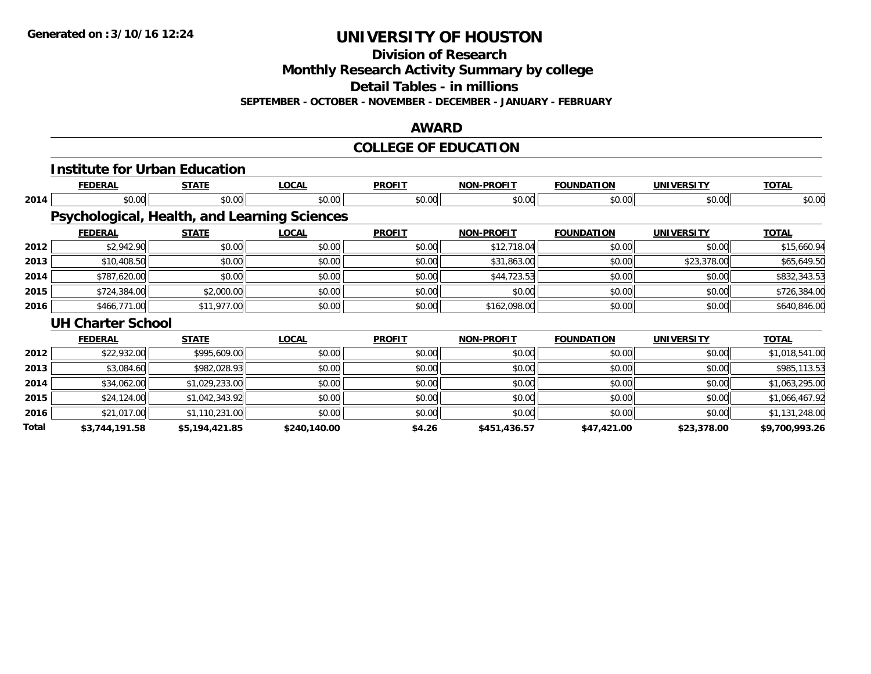**Division of Research**

**Monthly Research Activity Summary by college**

**Detail Tables - in millions**

**SEPTEMBER - OCTOBER - NOVEMBER - DECEMBER - JANUARY - FEBRUARY**

### **AWARD**

## **COLLEGE OF EDUCATION**

|       | <b>Institute for Urban Education</b>         |                |              |               |                   |                   |                   |                |
|-------|----------------------------------------------|----------------|--------------|---------------|-------------------|-------------------|-------------------|----------------|
|       | <b>FEDERAL</b>                               | <b>STATE</b>   | <b>LOCAL</b> | <b>PROFIT</b> | <b>NON-PROFIT</b> | <b>FOUNDATION</b> | <b>UNIVERSITY</b> | <b>TOTAL</b>   |
| 2014  | \$0.00                                       | \$0.00         | \$0.00       | \$0.00        | \$0.00            | \$0.00            | \$0.00            | \$0.00         |
|       | Psychological, Health, and Learning Sciences |                |              |               |                   |                   |                   |                |
|       | <b>FEDERAL</b>                               | <b>STATE</b>   | <b>LOCAL</b> | <b>PROFIT</b> | <b>NON-PROFIT</b> | <b>FOUNDATION</b> | <b>UNIVERSITY</b> | <b>TOTAL</b>   |
| 2012  | \$2,942.90                                   | \$0.00         | \$0.00       | \$0.00        | \$12,718.04       | \$0.00            | \$0.00            | \$15,660.94    |
| 2013  | \$10,408.50                                  | \$0.00         | \$0.00       | \$0.00        | \$31,863.00       | \$0.00            | \$23,378.00       | \$65,649.50    |
| 2014  | \$787,620.00                                 | \$0.00         | \$0.00       | \$0.00        | \$44,723.53       | \$0.00            | \$0.00            | \$832,343.53   |
| 2015  | \$724,384.00                                 | \$2,000.00     | \$0.00       | \$0.00        | \$0.00            | \$0.00            | \$0.00            | \$726,384.00   |
| 2016  | \$466,771.00                                 | \$11,977.00    | \$0.00       | \$0.00        | \$162,098.00      | \$0.00            | \$0.00            | \$640,846.00   |
|       | <b>UH Charter School</b>                     |                |              |               |                   |                   |                   |                |
|       | <b>FEDERAL</b>                               | <b>STATE</b>   | <b>LOCAL</b> | <b>PROFIT</b> | NON-PROFIT        | <b>FOUNDATION</b> | <b>UNIVERSITY</b> | <b>TOTAL</b>   |
| 2012  | \$22,932.00                                  | \$995,609.00   | \$0.00       | \$0.00        | \$0.00            | \$0.00            | \$0.00            | \$1,018,541.00 |
| 2013  | \$3,084.60                                   | \$982,028.93   | \$0.00       | \$0.00        | \$0.00            | \$0.00            | \$0.00            | \$985,113.53   |
| 2014  | \$34,062.00                                  | \$1,029,233.00 | \$0.00       | \$0.00        | \$0.00            | \$0.00            | \$0.00            | \$1,063,295.00 |
| 2015  | \$24,124.00                                  | \$1,042,343.92 | \$0.00       | \$0.00        | \$0.00            | \$0.00            | \$0.00            | \$1,066,467.92 |
| 2016  | \$21,017.00                                  | \$1,110,231.00 | \$0.00       | \$0.00        | \$0.00            | \$0.00            | \$0.00            | \$1,131,248.00 |
| Total | \$3,744,191.58                               | \$5,194,421.85 | \$240,140.00 | \$4.26        | \$451,436.57      | \$47,421.00       | \$23,378.00       | \$9,700,993.26 |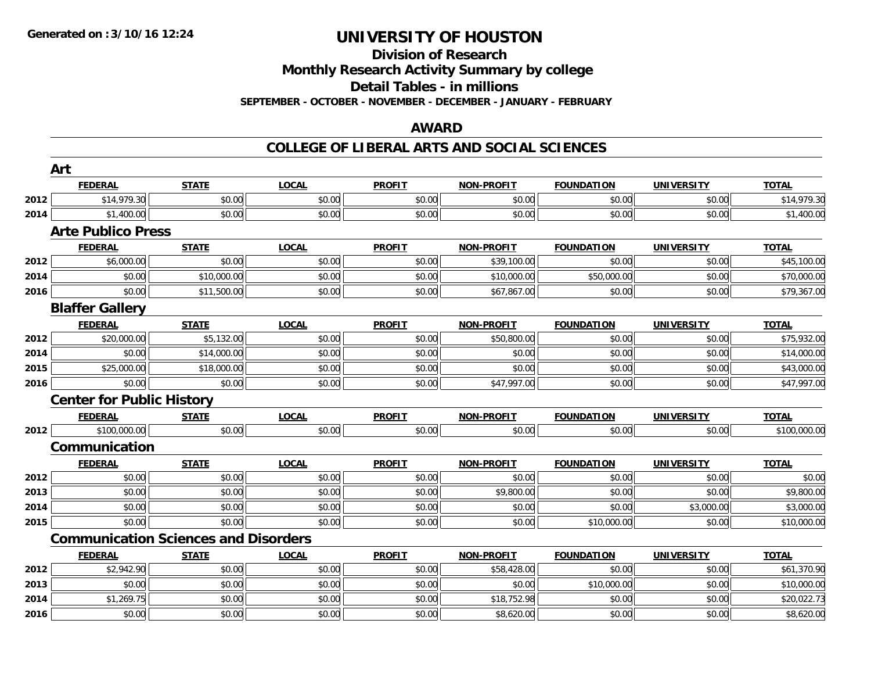## **Division of Research**

**Monthly Research Activity Summary by college**

**Detail Tables - in millions**

**SEPTEMBER - OCTOBER - NOVEMBER - DECEMBER - JANUARY - FEBRUARY**

### **AWARD**

### **COLLEGE OF LIBERAL ARTS AND SOCIAL SCIENCES**

|      | Art                                         |              |              |               |                   |                   |                   |              |
|------|---------------------------------------------|--------------|--------------|---------------|-------------------|-------------------|-------------------|--------------|
|      | <b>FEDERAL</b>                              | <b>STATE</b> | <b>LOCAL</b> | <b>PROFIT</b> | <b>NON-PROFIT</b> | <b>FOUNDATION</b> | <b>UNIVERSITY</b> | <b>TOTAL</b> |
| 2012 | \$14,979.30                                 | \$0.00       | \$0.00       | \$0.00        | \$0.00            | \$0.00            | \$0.00            | \$14,979.30  |
| 2014 | \$1,400.00                                  | \$0.00       | \$0.00       | \$0.00        | \$0.00            | \$0.00            | \$0.00            | \$1,400.00   |
|      | <b>Arte Publico Press</b>                   |              |              |               |                   |                   |                   |              |
|      | <b>FEDERAL</b>                              | <b>STATE</b> | <b>LOCAL</b> | <b>PROFIT</b> | <b>NON-PROFIT</b> | <b>FOUNDATION</b> | <b>UNIVERSITY</b> | <b>TOTAL</b> |
| 2012 | \$6,000.00                                  | \$0.00       | \$0.00       | \$0.00        | \$39,100.00       | \$0.00            | \$0.00            | \$45,100.00  |
| 2014 | \$0.00                                      | \$10,000.00  | \$0.00       | \$0.00        | \$10,000.00       | \$50,000.00       | \$0.00            | \$70,000.00  |
| 2016 | \$0.00                                      | \$11,500.00  | \$0.00       | \$0.00        | \$67,867.00       | \$0.00            | \$0.00            | \$79,367.00  |
|      | <b>Blaffer Gallery</b>                      |              |              |               |                   |                   |                   |              |
|      | <b>FEDERAL</b>                              | <b>STATE</b> | <b>LOCAL</b> | <b>PROFIT</b> | <b>NON-PROFIT</b> | <b>FOUNDATION</b> | <b>UNIVERSITY</b> | <b>TOTAL</b> |
| 2012 | \$20,000.00                                 | \$5,132.00   | \$0.00       | \$0.00        | \$50,800.00       | \$0.00            | \$0.00            | \$75,932.00  |
| 2014 | \$0.00                                      | \$14,000.00  | \$0.00       | \$0.00        | \$0.00            | \$0.00            | \$0.00            | \$14,000.00  |
| 2015 | \$25,000.00                                 | \$18,000.00  | \$0.00       | \$0.00        | \$0.00            | \$0.00            | \$0.00            | \$43,000.00  |
| 2016 | \$0.00                                      | \$0.00       | \$0.00       | \$0.00        | \$47,997.00       | \$0.00            | \$0.00            | \$47,997.00  |
|      | <b>Center for Public History</b>            |              |              |               |                   |                   |                   |              |
|      | <b>FEDERAL</b>                              | <b>STATE</b> | <b>LOCAL</b> | <b>PROFIT</b> | <b>NON-PROFIT</b> | <b>FOUNDATION</b> | <b>UNIVERSITY</b> | <b>TOTAL</b> |
| 2012 | \$100,000.00                                | \$0.00       | \$0.00       | \$0.00        | \$0.00            | \$0.00            | \$0.00            | \$100,000.00 |
|      | Communication                               |              |              |               |                   |                   |                   |              |
|      | <b>FEDERAL</b>                              | <b>STATE</b> | <b>LOCAL</b> | <b>PROFIT</b> | <b>NON-PROFIT</b> | <b>FOUNDATION</b> | <b>UNIVERSITY</b> | <b>TOTAL</b> |
| 2012 | \$0.00                                      | \$0.00       | \$0.00       | \$0.00        | \$0.00            | \$0.00            | \$0.00            | \$0.00       |
| 2013 | \$0.00                                      | \$0.00       | \$0.00       | \$0.00        | \$9,800.00        | \$0.00            | \$0.00            | \$9,800.00   |
| 2014 | \$0.00                                      | \$0.00       | \$0.00       | \$0.00        | \$0.00            | \$0.00            | \$3,000.00        | \$3,000.00   |
| 2015 | \$0.00                                      | \$0.00       | \$0.00       | \$0.00        | \$0.00            | \$10,000.00       | \$0.00            | \$10,000.00  |
|      | <b>Communication Sciences and Disorders</b> |              |              |               |                   |                   |                   |              |
|      | <b>FEDERAL</b>                              | <b>STATE</b> | <b>LOCAL</b> | <b>PROFIT</b> | <b>NON-PROFIT</b> | <b>FOUNDATION</b> | <b>UNIVERSITY</b> | <b>TOTAL</b> |
| 2012 | \$2,942.90                                  | \$0.00       | \$0.00       | \$0.00        | \$58,428.00       | \$0.00            | \$0.00            | \$61,370.90  |
| 2013 | \$0.00                                      | \$0.00       | \$0.00       | \$0.00        | \$0.00            | \$10,000.00       | \$0.00            | \$10,000.00  |
| 2014 | \$1,269.75                                  | \$0.00       | \$0.00       | \$0.00        | \$18,752.98       | \$0.00            | \$0.00            | \$20,022.73  |
| 2016 | \$0.00                                      | \$0.00       | \$0.00       | \$0.00        | \$8,620.00        | \$0.00            | \$0.00            | \$8,620.00   |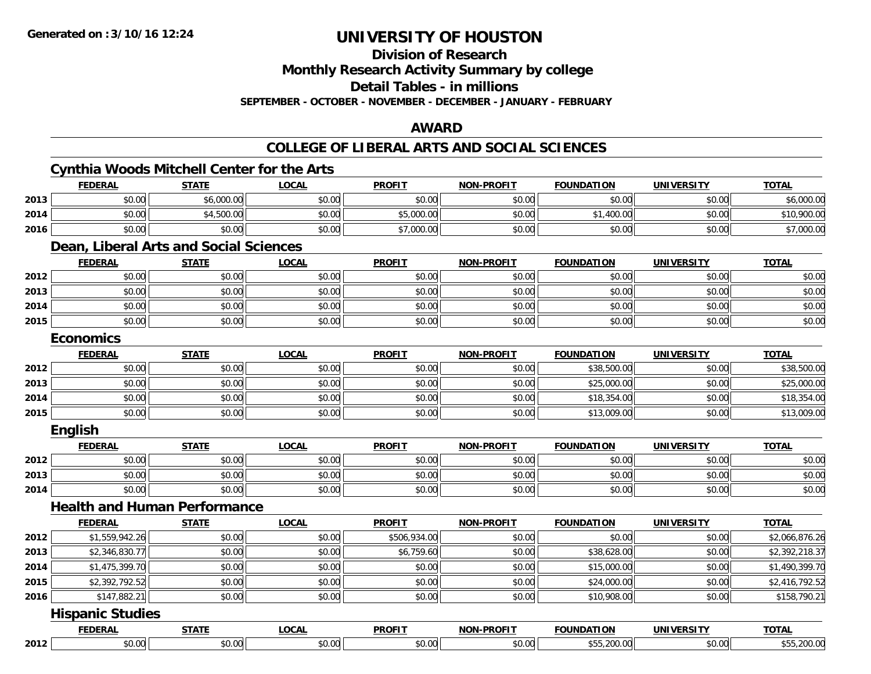**Division of Research**

**Monthly Research Activity Summary by college**

**Detail Tables - in millions**

**SEPTEMBER - OCTOBER - NOVEMBER - DECEMBER - JANUARY - FEBRUARY**

### **AWARD**

|      | <b>Cynthia Woods Mitchell Center for the Arts</b> |              |              |               |                   |                   |                   |                |
|------|---------------------------------------------------|--------------|--------------|---------------|-------------------|-------------------|-------------------|----------------|
|      | <b>FEDERAL</b>                                    | <b>STATE</b> | <b>LOCAL</b> | <b>PROFIT</b> | <b>NON-PROFIT</b> | <b>FOUNDATION</b> | <b>UNIVERSITY</b> | <b>TOTAL</b>   |
| 2013 | \$0.00                                            | \$6,000.00   | \$0.00       | \$0.00        | \$0.00            | \$0.00            | \$0.00            | \$6,000.00     |
| 2014 | \$0.00                                            | \$4,500.00   | \$0.00       | \$5,000.00    | \$0.00            | \$1,400.00        | \$0.00            | \$10,900.00    |
| 2016 | \$0.00                                            | \$0.00       | \$0.00       | \$7,000.00    | \$0.00            | \$0.00            | \$0.00            | \$7,000.00     |
|      | Dean, Liberal Arts and Social Sciences            |              |              |               |                   |                   |                   |                |
|      | <b>FEDERAL</b>                                    | <b>STATE</b> | <b>LOCAL</b> | <b>PROFIT</b> | <b>NON-PROFIT</b> | <b>FOUNDATION</b> | <b>UNIVERSITY</b> | <b>TOTAL</b>   |
| 2012 | \$0.00                                            | \$0.00       | \$0.00       | \$0.00        | \$0.00            | \$0.00            | \$0.00            | \$0.00         |
| 2013 | \$0.00                                            | \$0.00       | \$0.00       | \$0.00        | \$0.00            | \$0.00            | \$0.00            | \$0.00         |
| 2014 | \$0.00                                            | \$0.00       | \$0.00       | \$0.00        | \$0.00            | \$0.00            | \$0.00            | \$0.00         |
| 2015 | \$0.00                                            | \$0.00       | \$0.00       | \$0.00        | \$0.00            | \$0.00            | \$0.00            | \$0.00         |
|      | <b>Economics</b>                                  |              |              |               |                   |                   |                   |                |
|      | <b>FEDERAL</b>                                    | <b>STATE</b> | <b>LOCAL</b> | <b>PROFIT</b> | <b>NON-PROFIT</b> | <b>FOUNDATION</b> | <b>UNIVERSITY</b> | <b>TOTAL</b>   |
| 2012 | \$0.00                                            | \$0.00       | \$0.00       | \$0.00        | \$0.00            | \$38,500.00       | \$0.00            | \$38,500.00    |
| 2013 | \$0.00                                            | \$0.00       | \$0.00       | \$0.00        | \$0.00            | \$25,000.00       | \$0.00            | \$25,000.00    |
| 2014 | \$0.00                                            | \$0.00       | \$0.00       | \$0.00        | \$0.00            | \$18,354.00       | \$0.00            | \$18,354.00    |
| 2015 | \$0.00                                            | \$0.00       | \$0.00       | \$0.00        | \$0.00            | \$13,009.00       | \$0.00            | \$13,009.00    |
|      | English                                           |              |              |               |                   |                   |                   |                |
|      | <b>FEDERAL</b>                                    | <b>STATE</b> | <b>LOCAL</b> | <b>PROFIT</b> | <b>NON-PROFIT</b> | <b>FOUNDATION</b> | <b>UNIVERSITY</b> | <b>TOTAL</b>   |
| 2012 | \$0.00                                            | \$0.00       | \$0.00       | \$0.00        | \$0.00            | \$0.00            | \$0.00            | \$0.00         |
| 2013 | \$0.00                                            | \$0.00       | \$0.00       | \$0.00        | \$0.00            | \$0.00            | \$0.00            | \$0.00         |
| 2014 | \$0.00                                            | \$0.00       | \$0.00       | \$0.00        | \$0.00            | \$0.00            | \$0.00            | \$0.00         |
|      | <b>Health and Human Performance</b>               |              |              |               |                   |                   |                   |                |
|      | <b>FEDERAL</b>                                    | <b>STATE</b> | <b>LOCAL</b> | <b>PROFIT</b> | <b>NON-PROFIT</b> | <b>FOUNDATION</b> | <b>UNIVERSITY</b> | <b>TOTAL</b>   |
| 2012 | \$1,559,942.26                                    | \$0.00       | \$0.00       | \$506,934.00  | \$0.00            | \$0.00            | \$0.00            | \$2,066,876.26 |
| 2013 | \$2,346,830.77                                    | \$0.00       | \$0.00       | \$6,759.60    | \$0.00            | \$38,628.00       | \$0.00            | \$2,392,218.37 |
| 2014 | \$1,475,399.70                                    | \$0.00       | \$0.00       | \$0.00        | \$0.00            | \$15,000.00       | \$0.00            | \$1,490,399.70 |
| 2015 | \$2,392,792.52                                    | \$0.00       | \$0.00       | \$0.00        | \$0.00            | \$24,000.00       | \$0.00            | \$2,416,792.52 |
| 2016 | \$147,882.21                                      | \$0.00       | \$0.00       | \$0.00        | \$0.00            | \$10,908.00       | \$0.00            | \$158,790.21   |
|      | <b>Hispanic Studies</b>                           |              |              |               |                   |                   |                   |                |
|      | <b>FEDERAL</b>                                    | <b>STATE</b> | <b>LOCAL</b> | <b>PROFIT</b> | <b>NON-PROFIT</b> | <b>FOUNDATION</b> | <b>UNIVERSITY</b> | <b>TOTAL</b>   |
| 2012 | \$0.00                                            | \$0.00       | \$0.00       | \$0.00        | \$0.00            | \$55,200.00       | \$0.00            | \$55,200.00    |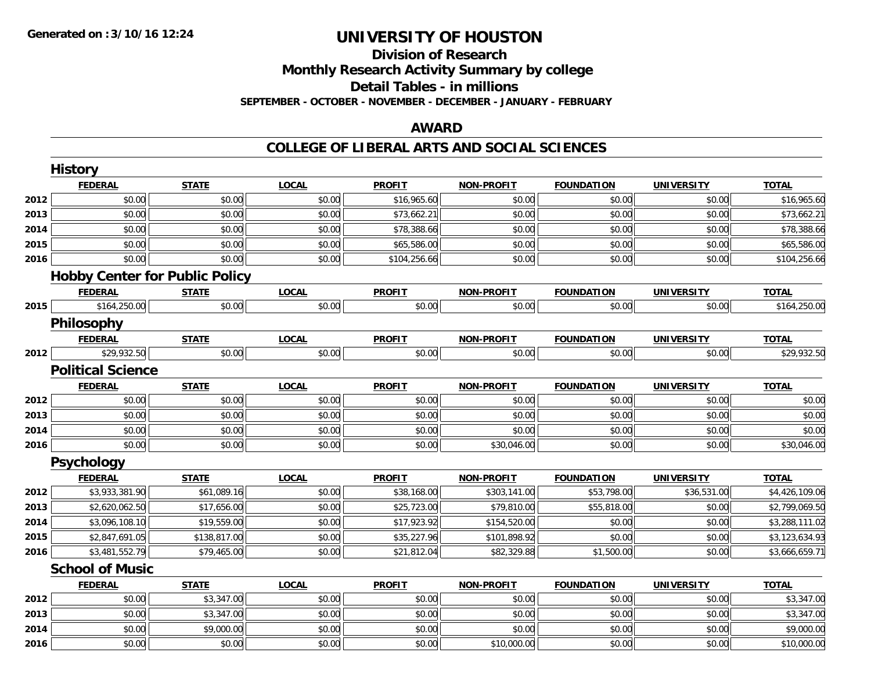### **Division of ResearchMonthly Research Activity Summary by college Detail Tables - in millions SEPTEMBER - OCTOBER - NOVEMBER - DECEMBER - JANUARY - FEBRUARY**

### **AWARD**

|      | <b>History</b>                        |              |              |               |                   |                   |                   |                |
|------|---------------------------------------|--------------|--------------|---------------|-------------------|-------------------|-------------------|----------------|
|      | <b>FEDERAL</b>                        | <b>STATE</b> | <b>LOCAL</b> | <b>PROFIT</b> | NON-PROFIT        | <b>FOUNDATION</b> | <b>UNIVERSITY</b> | <b>TOTAL</b>   |
| 2012 | \$0.00                                | \$0.00       | \$0.00       | \$16,965.60   | \$0.00            | \$0.00            | \$0.00            | \$16,965.60    |
| 2013 | \$0.00                                | \$0.00       | \$0.00       | \$73,662.21   | \$0.00            | \$0.00            | \$0.00            | \$73,662.21    |
| 2014 | \$0.00                                | \$0.00       | \$0.00       | \$78,388.66   | \$0.00            | \$0.00            | \$0.00            | \$78,388.66    |
| 2015 | \$0.00                                | \$0.00       | \$0.00       | \$65,586.00   | \$0.00            | \$0.00            | \$0.00            | \$65,586.00    |
| 2016 | \$0.00                                | \$0.00       | \$0.00       | \$104,256.66  | \$0.00            | \$0.00            | \$0.00            | \$104,256.66   |
|      | <b>Hobby Center for Public Policy</b> |              |              |               |                   |                   |                   |                |
|      | <b>FEDERAL</b>                        | <b>STATE</b> | <b>LOCAL</b> | <b>PROFIT</b> | <b>NON-PROFIT</b> | <b>FOUNDATION</b> | <b>UNIVERSITY</b> | <b>TOTAL</b>   |
| 2015 | \$164,250.00                          | \$0.00       | \$0.00       | \$0.00        | \$0.00            | \$0.00            | \$0.00            | \$164,250.00   |
|      | Philosophy                            |              |              |               |                   |                   |                   |                |
|      | <b>FEDERAL</b>                        | <b>STATE</b> | <b>LOCAL</b> | <b>PROFIT</b> | <b>NON-PROFIT</b> | <b>FOUNDATION</b> | <b>UNIVERSITY</b> | <b>TOTAL</b>   |
| 2012 | \$29,932.50                           | \$0.00       | \$0.00       | \$0.00        | \$0.00            | \$0.00            | \$0.00            | \$29,932.50    |
|      | <b>Political Science</b>              |              |              |               |                   |                   |                   |                |
|      | <b>FEDERAL</b>                        | <b>STATE</b> | <b>LOCAL</b> | <b>PROFIT</b> | <b>NON-PROFIT</b> | <b>FOUNDATION</b> | <b>UNIVERSITY</b> | <b>TOTAL</b>   |
| 2012 | \$0.00                                | \$0.00       | \$0.00       | \$0.00        | \$0.00            | \$0.00            | \$0.00            | \$0.00         |
| 2013 | \$0.00                                | \$0.00       | \$0.00       | \$0.00        | \$0.00            | \$0.00            | \$0.00            | \$0.00         |
| 2014 | \$0.00                                | \$0.00       | \$0.00       | \$0.00        | \$0.00            | \$0.00            | \$0.00            | \$0.00         |
| 2016 | \$0.00                                | \$0.00       | \$0.00       | \$0.00        | \$30,046.00       | \$0.00            | \$0.00            | \$30,046.00    |
|      | Psychology                            |              |              |               |                   |                   |                   |                |
|      | <b>FEDERAL</b>                        | <b>STATE</b> | <b>LOCAL</b> | <b>PROFIT</b> | <b>NON-PROFIT</b> | <b>FOUNDATION</b> | <b>UNIVERSITY</b> | <b>TOTAL</b>   |
| 2012 | \$3,933,381.90                        | \$61,089.16  | \$0.00       | \$38,168.00   | \$303,141.00      | \$53,798.00       | \$36,531.00       | \$4,426,109.06 |
| 2013 | \$2,620,062.50                        | \$17,656.00  | \$0.00       | \$25,723.00   | \$79,810.00       | \$55,818.00       | \$0.00            | \$2,799,069.50 |
| 2014 | \$3,096,108.10                        | \$19,559.00  | \$0.00       | \$17,923.92   | \$154,520.00      | \$0.00            | \$0.00            | \$3,288,111.02 |
| 2015 | \$2,847,691.05                        | \$138,817.00 | \$0.00       | \$35,227.96   | \$101,898.92      | \$0.00            | \$0.00            | \$3,123,634.93 |
| 2016 | \$3,481,552.79                        | \$79,465.00  | \$0.00       | \$21,812.04   | \$82,329.88       | \$1,500.00        | \$0.00            | \$3,666,659.71 |
|      | <b>School of Music</b>                |              |              |               |                   |                   |                   |                |
|      | <b>FEDERAL</b>                        | <b>STATE</b> | <b>LOCAL</b> | <b>PROFIT</b> | <b>NON-PROFIT</b> | <b>FOUNDATION</b> | <b>UNIVERSITY</b> | <b>TOTAL</b>   |
| 2012 | \$0.00                                | \$3,347.00   | \$0.00       | \$0.00        | \$0.00            | \$0.00            | \$0.00            | \$3,347.00     |
| 2013 | \$0.00                                | \$3,347.00   | \$0.00       | \$0.00        | \$0.00            | \$0.00            | \$0.00            | \$3,347.00     |
| 2014 | \$0.00                                | \$9,000.00   | \$0.00       | \$0.00        | \$0.00            | \$0.00            | \$0.00            | \$9,000.00     |
| 2016 | \$0.00                                | \$0.00       | \$0.00       | \$0.00        | \$10,000.00       | \$0.00            | \$0.00            | \$10,000.00    |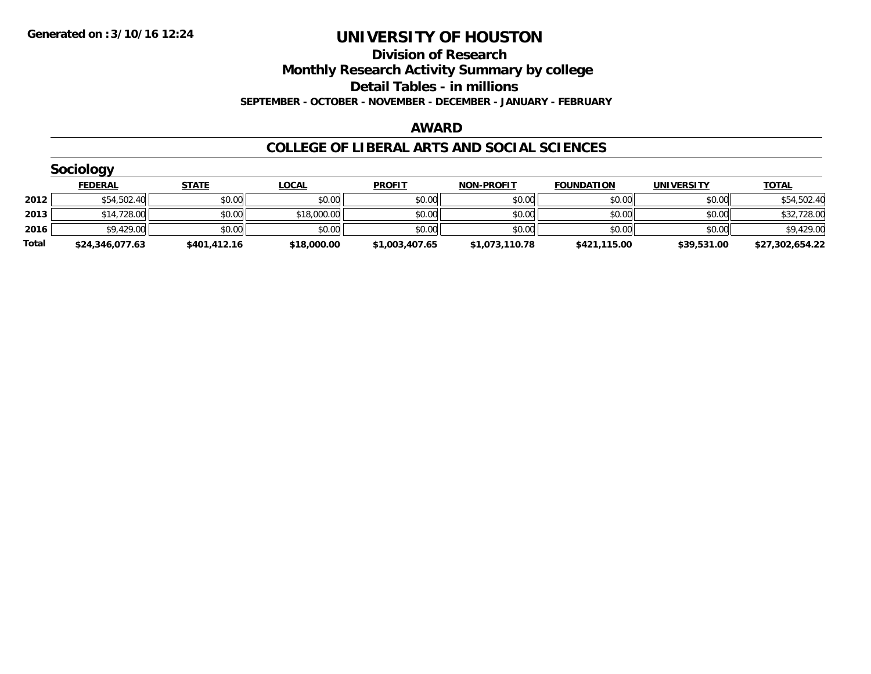#### **Division of Research Monthly Research Activity Summary by college**

**Detail Tables - in millions**

**SEPTEMBER - OCTOBER - NOVEMBER - DECEMBER - JANUARY - FEBRUARY**

#### **AWARD**

|       | <b>Sociology</b> |              |              |                |                   |                   |                   |                 |
|-------|------------------|--------------|--------------|----------------|-------------------|-------------------|-------------------|-----------------|
|       | <b>FEDERAL</b>   | <b>STATE</b> | <u>LOCAL</u> | <b>PROFIT</b>  | <b>NON-PROFIT</b> | <b>FOUNDATION</b> | <b>UNIVERSITY</b> | <b>TOTAL</b>    |
| 2012  | \$54,502.40      | \$0.00       | \$0.00       | \$0.00         | \$0.00            | \$0.00            | \$0.00            | \$54,502.40     |
| 2013  | \$14,728.00      | \$0.00       | \$18,000.00  | \$0.00         | \$0.00            | \$0.00            | \$0.00            | \$32,728.00     |
| 2016  | \$9,429.00       | \$0.00       | \$0.00       | \$0.00         | \$0.00            | \$0.00            | \$0.00            | \$9,429.00      |
| Total | \$24,346,077.63  | \$401,412.16 | \$18,000.00  | \$1,003,407.65 | \$1,073,110.78    | \$421,115.00      | \$39,531.00       | \$27,302,654.22 |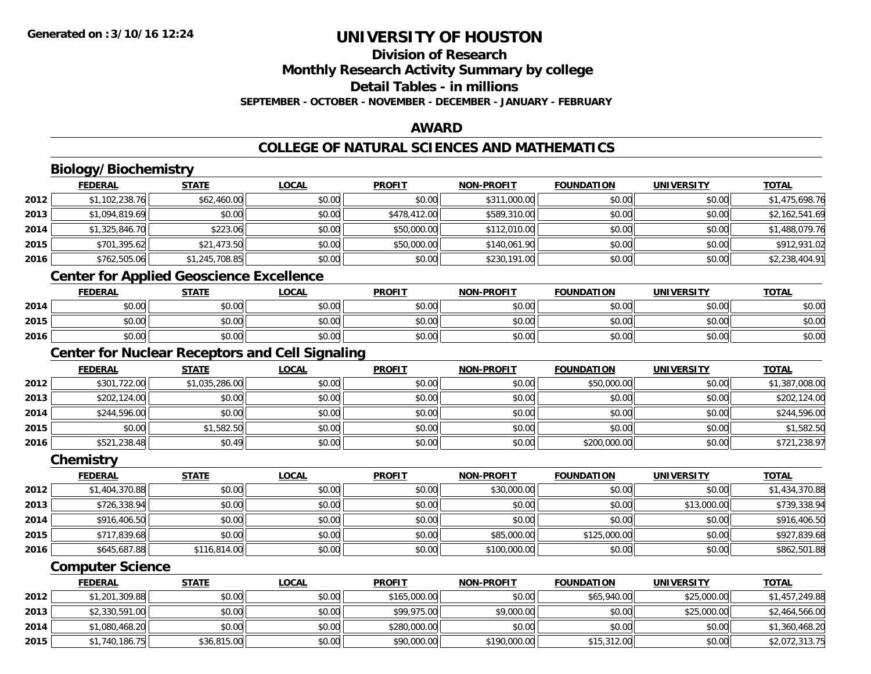## **Division of ResearchMonthly Research Activity Summary by college**

### **Detail Tables - in millions**

**SEPTEMBER - OCTOBER - NOVEMBER - DECEMBER - JANUARY - FEBRUARY**

### **AWARD**

## **COLLEGE OF NATURAL SCIENCES AND MATHEMATICS**

## **Biology/Biochemistry**

|      | <b>FEDERAL</b> | <u>STATE</u>   | <u>LOCAL</u> | <b>PROFIT</b> | <b>NON-PROFIT</b> | <b>FOUNDATION</b> | <b>UNIVERSITY</b> | <b>TOTAL</b>   |
|------|----------------|----------------|--------------|---------------|-------------------|-------------------|-------------------|----------------|
| 2012 | \$1,102,238.76 | \$62,460.00    | \$0.00       | \$0.00        | \$311,000.00      | \$0.00            | \$0.00            | \$1,475,698.76 |
| 2013 | \$1,094,819.69 | \$0.00         | \$0.00       | \$478,412.00  | \$589,310.00      | \$0.00            | \$0.00            | \$2,162,541.69 |
| 2014 | \$1,325,846.70 | \$223.06       | \$0.00       | \$50,000.00   | \$112,010.00      | \$0.00            | \$0.00            | \$1,488,079.76 |
| 2015 | \$701,395.62   | \$21,473.50    | \$0.00       | \$50,000.00   | \$140,061.90      | \$0.00            | \$0.00            | \$912,931.02   |
| 2016 | \$762,505.06   | \$1,245,708.85 | \$0.00       | \$0.00        | \$230,191.00      | \$0.00            | \$0.00            | \$2,238,404.91 |

### **Center for Applied Geoscience Excellence**

|      | <b>FEDERAL</b>           | <b>STATE</b> | <b>LOCAL</b> | <b>PROFIT</b> | <b>NON-PROFIT</b> | <b>FOUNDATION</b> | UNIVERSITY<br>ะแง | <b>TOTAL</b> |
|------|--------------------------|--------------|--------------|---------------|-------------------|-------------------|-------------------|--------------|
| 2014 | ሶስ<br>JU.UU              | \$0.00       | \$0.00       | \$0.00        | \$0.00            | \$0.00            | \$0.00            | \$0.00       |
| 2015 | $n \cap \Omega$<br>PU.UU | \$0.00       | \$0.00       | \$0.00        | \$0.00            | \$0.00            | \$0.00            | \$0.00       |
| 2016 | ልስ ሰሰ<br>JU.UU           | \$0.00       | \$0.00       | \$0.00        | \$0.00            | \$0.00            | \$0.00            | \$0.00       |

<u> 1980 - Johann Stoff, fransk politik (d. 1980)</u>

## **Center for Nuclear Receptors and Cell Signaling**

|      | <b>FEDERAL</b> | <u>STATE</u>   | <u>LOCAL</u> | <b>PROFIT</b> | <b>NON-PROFIT</b> | <b>FOUNDATION</b> | <b>UNIVERSITY</b> | <b>TOTAL</b>   |
|------|----------------|----------------|--------------|---------------|-------------------|-------------------|-------------------|----------------|
| 2012 | \$301,722.00   | \$1,035,286.00 | \$0.00       | \$0.00        | \$0.00            | \$50,000.00       | \$0.00            | \$1,387,008.00 |
| 2013 | \$202,124.00   | \$0.00         | \$0.00       | \$0.00        | \$0.00            | \$0.00            | \$0.00            | \$202,124.00   |
| 2014 | \$244,596.00   | \$0.00         | \$0.00       | \$0.00        | \$0.00            | \$0.00            | \$0.00            | \$244,596.00   |
| 2015 | \$0.00         | \$1,582.50     | \$0.00       | \$0.00        | \$0.00            | \$0.00            | \$0.00            | \$1,582.50     |
| 2016 | \$521,238.48   | \$0.49         | \$0.00       | \$0.00        | \$0.00            | \$200,000.00      | \$0.00            | \$721,238.97   |

#### **Chemistry**

|      | <b>FEDERAL</b> | <b>STATE</b> | <u>LOCAL</u> | <b>PROFIT</b> | <b>NON-PROFIT</b> | <b>FOUNDATION</b> | <b>UNIVERSITY</b> | <b>TOTAL</b>   |
|------|----------------|--------------|--------------|---------------|-------------------|-------------------|-------------------|----------------|
| 2012 | \$1,404,370.88 | \$0.00       | \$0.00       | \$0.00        | \$30,000.00       | \$0.00            | \$0.00            | \$1,434,370.88 |
| 2013 | \$726,338.94   | \$0.00       | \$0.00       | \$0.00        | \$0.00            | \$0.00            | \$13,000.00       | \$739,338.94   |
| 2014 | \$916,406.50   | \$0.00       | \$0.00       | \$0.00        | \$0.00            | \$0.00            | \$0.00            | \$916,406.50   |
| 2015 | \$717,839.68   | \$0.00       | \$0.00       | \$0.00        | \$85,000.00       | \$125,000.00      | \$0.00            | \$927,839.68   |
| 2016 | \$645,687.88   | \$116,814.00 | \$0.00       | \$0.00        | \$100,000.00      | \$0.00            | \$0.00            | \$862,501.88   |

### **Computer Science**

|      | FEDERAL        | <b>STATE</b> | <u>LOCAL</u> | <b>PROFIT</b> | <b>NON-PROFIT</b> | <b>FOUNDATION</b> | UNIVERSITY  | <b>TOTAL</b>   |
|------|----------------|--------------|--------------|---------------|-------------------|-------------------|-------------|----------------|
| 2012 | \$1,201,309.88 | \$0.00       | \$0.00       | \$165,000.00  | \$0.00            | \$65,940.00       | \$25,000.00 | \$1,457,249.88 |
| 2013 | \$2,330,591.00 | \$0.00       | \$0.00       | \$99,975.00   | \$9,000.00        | \$0.00            | \$25,000.00 | \$2,464,566.00 |
| 2014 | \$1,080,468.20 | \$0.00       | \$0.00       | \$280,000.00  | \$0.00            | \$0.00            | \$0.00      | \$1,360,468.20 |
| 2015 | \$1,740,186.75 | \$36,815.00  | \$0.00       | \$90,000.00   | \$190,000.00      | \$15,312.00       | \$0.00      | \$2,072,313.75 |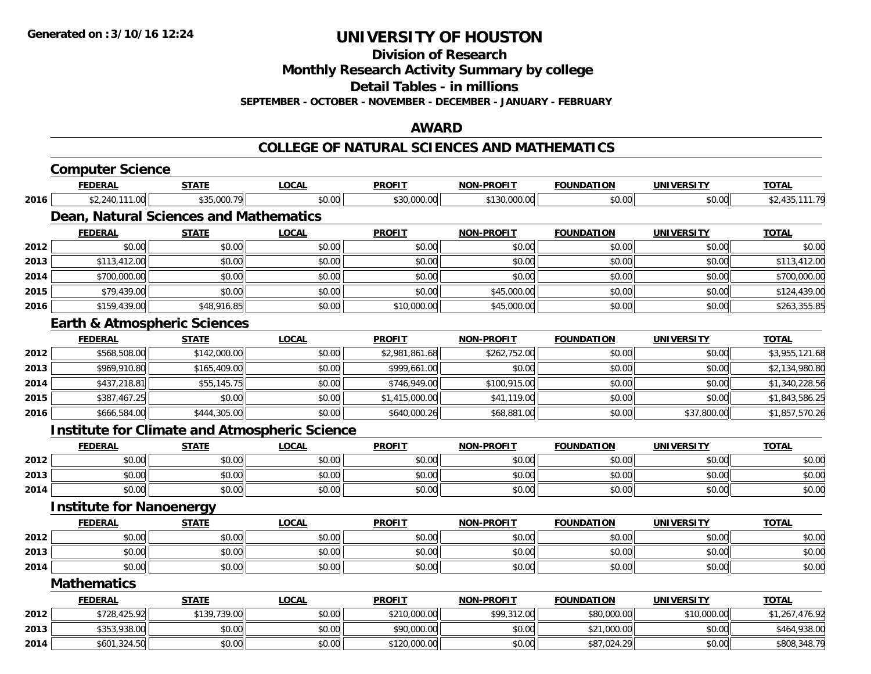**Division of Research**

**Monthly Research Activity Summary by college**

**Detail Tables - in millions**

**SEPTEMBER - OCTOBER - NOVEMBER - DECEMBER - JANUARY - FEBRUARY**

### **AWARD**

#### **COLLEGE OF NATURAL SCIENCES AND MATHEMATICS**

|      | <b>Computer Science</b>                              |              |              |                |                   |                   |                   |                |
|------|------------------------------------------------------|--------------|--------------|----------------|-------------------|-------------------|-------------------|----------------|
|      | <b>FEDERAL</b>                                       | <b>STATE</b> | <b>LOCAL</b> | <b>PROFIT</b>  | <b>NON-PROFIT</b> | <b>FOUNDATION</b> | <b>UNIVERSITY</b> | <b>TOTAL</b>   |
| 2016 | \$2,240,111.00                                       | \$35,000.79  | \$0.00       | \$30,000.00    | \$130,000.00      | \$0.00            | \$0.00            | \$2,435,111.79 |
|      | Dean, Natural Sciences and Mathematics               |              |              |                |                   |                   |                   |                |
|      | <b>FEDERAL</b>                                       | <b>STATE</b> | <b>LOCAL</b> | <b>PROFIT</b>  | <b>NON-PROFIT</b> | <b>FOUNDATION</b> | <b>UNIVERSITY</b> | <b>TOTAL</b>   |
| 2012 | \$0.00                                               | \$0.00       | \$0.00       | \$0.00         | \$0.00            | \$0.00            | \$0.00            | \$0.00         |
| 2013 | \$113,412.00                                         | \$0.00       | \$0.00       | \$0.00         | \$0.00            | \$0.00            | \$0.00            | \$113,412.00   |
| 2014 | \$700,000.00                                         | \$0.00       | \$0.00       | \$0.00         | \$0.00            | \$0.00            | \$0.00            | \$700,000.00   |
| 2015 | \$79,439.00                                          | \$0.00       | \$0.00       | \$0.00         | \$45,000.00       | \$0.00            | \$0.00            | \$124,439.00   |
| 2016 | \$159,439.00                                         | \$48,916.85  | \$0.00       | \$10,000.00    | \$45,000.00       | \$0.00            | \$0.00            | \$263,355.85   |
|      | <b>Earth &amp; Atmospheric Sciences</b>              |              |              |                |                   |                   |                   |                |
|      | <b>FEDERAL</b>                                       | <b>STATE</b> | <b>LOCAL</b> | <b>PROFIT</b>  | <b>NON-PROFIT</b> | <b>FOUNDATION</b> | <b>UNIVERSITY</b> | <b>TOTAL</b>   |
| 2012 | \$568,508.00                                         | \$142,000.00 | \$0.00       | \$2,981,861.68 | \$262,752.00      | \$0.00            | \$0.00            | \$3,955,121.68 |
| 2013 | \$969,910.80                                         | \$165,409.00 | \$0.00       | \$999,661.00   | \$0.00            | \$0.00            | \$0.00            | \$2,134,980.80 |
| 2014 | \$437,218.81                                         | \$55,145.75  | \$0.00       | \$746,949.00   | \$100,915.00      | \$0.00            | \$0.00            | \$1,340,228.56 |
| 2015 | \$387,467.25                                         | \$0.00       | \$0.00       | \$1,415,000.00 | \$41,119.00       | \$0.00            | \$0.00            | \$1,843,586.25 |
| 2016 | \$666,584.00                                         | \$444,305.00 | \$0.00       | \$640,000.26   | \$68,881.00       | \$0.00            | \$37,800.00       | \$1,857,570.26 |
|      | <b>Institute for Climate and Atmospheric Science</b> |              |              |                |                   |                   |                   |                |
|      | <b>FEDERAL</b>                                       | <b>STATE</b> | <b>LOCAL</b> | <b>PROFIT</b>  | <b>NON-PROFIT</b> | <b>FOUNDATION</b> | <b>UNIVERSITY</b> | <b>TOTAL</b>   |
| 2012 | \$0.00                                               | \$0.00       | \$0.00       | \$0.00         | \$0.00            | \$0.00            | \$0.00            | \$0.00         |
| 2013 | \$0.00                                               | \$0.00       | \$0.00       | \$0.00         | \$0.00            | \$0.00            | \$0.00            | \$0.00         |
| 2014 | \$0.00                                               | \$0.00       | \$0.00       | \$0.00         | \$0.00            | \$0.00            | \$0.00            | \$0.00         |
|      | <b>Institute for Nanoenergy</b>                      |              |              |                |                   |                   |                   |                |
|      | <b>FEDERAL</b>                                       | <b>STATE</b> | <b>LOCAL</b> | <b>PROFIT</b>  | <b>NON-PROFIT</b> | <b>FOUNDATION</b> | <b>UNIVERSITY</b> | <b>TOTAL</b>   |
| 2012 | \$0.00                                               | \$0.00       | \$0.00       | \$0.00         | \$0.00            | \$0.00            | \$0.00            | \$0.00         |
| 2013 | \$0.00                                               | \$0.00       | \$0.00       | \$0.00         | \$0.00            | \$0.00            | \$0.00            | \$0.00         |
| 2014 | \$0.00                                               | \$0.00       | \$0.00       | \$0.00         | \$0.00            | \$0.00            | \$0.00            | \$0.00         |
|      | <b>Mathematics</b>                                   |              |              |                |                   |                   |                   |                |
|      | <b>FEDERAL</b>                                       | <b>STATE</b> | <b>LOCAL</b> | <b>PROFIT</b>  | <b>NON-PROFIT</b> | <b>FOUNDATION</b> | <b>UNIVERSITY</b> | <b>TOTAL</b>   |
| 2012 | \$728,425.92                                         | \$139,739.00 | \$0.00       | \$210,000.00   | \$99,312.00       | \$80,000.00       | \$10,000.00       | \$1,267,476.92 |
| 2013 | \$353,938.00                                         | \$0.00       | \$0.00       | \$90,000.00    | \$0.00            | \$21,000.00       | \$0.00            | \$464,938.00   |
| 2014 | \$601,324.50                                         | \$0.00       | \$0.00       | \$120,000.00   | \$0.00            | \$87,024.29       | \$0.00            | \$808,348.79   |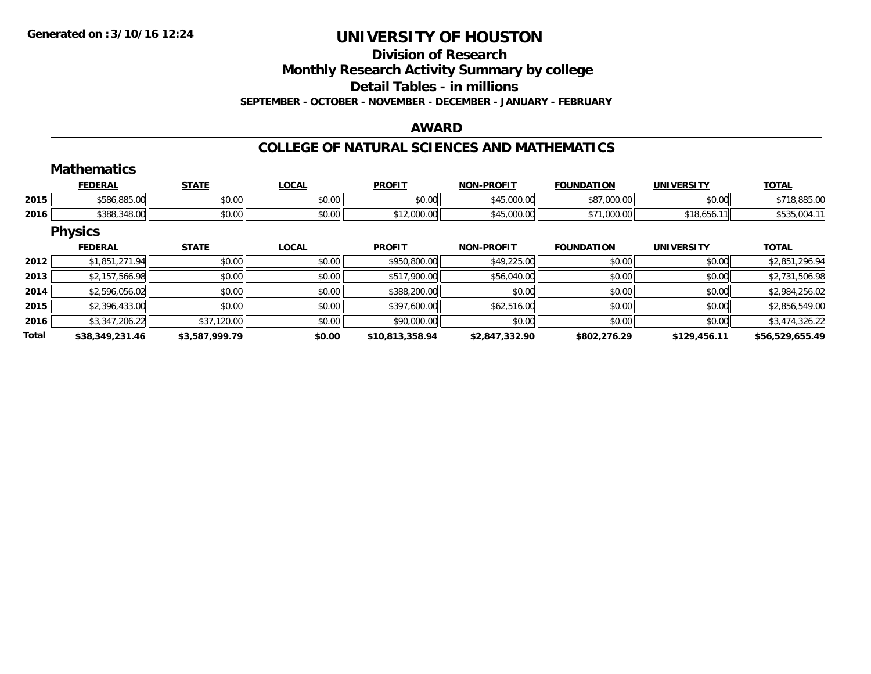# **Division of Research**

**Monthly Research Activity Summary by college**

**Detail Tables - in millions**

**SEPTEMBER - OCTOBER - NOVEMBER - DECEMBER - JANUARY - FEBRUARY**

### **AWARD**

#### **COLLEGE OF NATURAL SCIENCES AND MATHEMATICS**

|              | <b>Mathematics</b> |                |              |                 |                   |                   |                   |                 |
|--------------|--------------------|----------------|--------------|-----------------|-------------------|-------------------|-------------------|-----------------|
|              | <b>FEDERAL</b>     | <b>STATE</b>   | <b>LOCAL</b> | <b>PROFIT</b>   | <b>NON-PROFIT</b> | <b>FOUNDATION</b> | <b>UNIVERSITY</b> | <b>TOTAL</b>    |
| 2015         | \$586,885.00       | \$0.00         | \$0.00       | \$0.00          | \$45,000.00       | \$87,000.00       | \$0.00            | \$718,885.00    |
| 2016         | \$388,348.00       | \$0.00         | \$0.00       | \$12,000.00     | \$45,000.00       | \$71,000.00       | \$18,656.11       | \$535,004.11    |
|              | <b>Physics</b>     |                |              |                 |                   |                   |                   |                 |
|              | <b>FEDERAL</b>     | <b>STATE</b>   | <b>LOCAL</b> | <b>PROFIT</b>   | <b>NON-PROFIT</b> | <b>FOUNDATION</b> | <b>UNIVERSITY</b> | <b>TOTAL</b>    |
| 2012         | \$1,851,271.94     | \$0.00         | \$0.00       | \$950,800.00    | \$49,225.00       | \$0.00            | \$0.00            | \$2,851,296.94  |
| 2013         | \$2,157,566.98     | \$0.00         | \$0.00       | \$517,900.00    | \$56,040.00       | \$0.00            | \$0.00            | \$2,731,506.98  |
| 2014         | \$2,596,056.02     | \$0.00         | \$0.00       | \$388,200.00    | \$0.00            | \$0.00            | \$0.00            | \$2,984,256.02  |
| 2015         | \$2,396,433.00     | \$0.00         | \$0.00       | \$397,600.00    | \$62,516.00       | \$0.00            | \$0.00            | \$2,856,549.00  |
| 2016         | \$3,347,206.22     | \$37,120.00    | \$0.00       | \$90,000.00     | \$0.00            | \$0.00            | \$0.00            | \$3,474,326.22  |
| <b>Total</b> | \$38,349,231.46    | \$3.587.999.79 | \$0.00       | \$10.813.358.94 | \$2,847,332.90    | \$802,276.29      | \$129,456.11      | \$56,529,655.49 |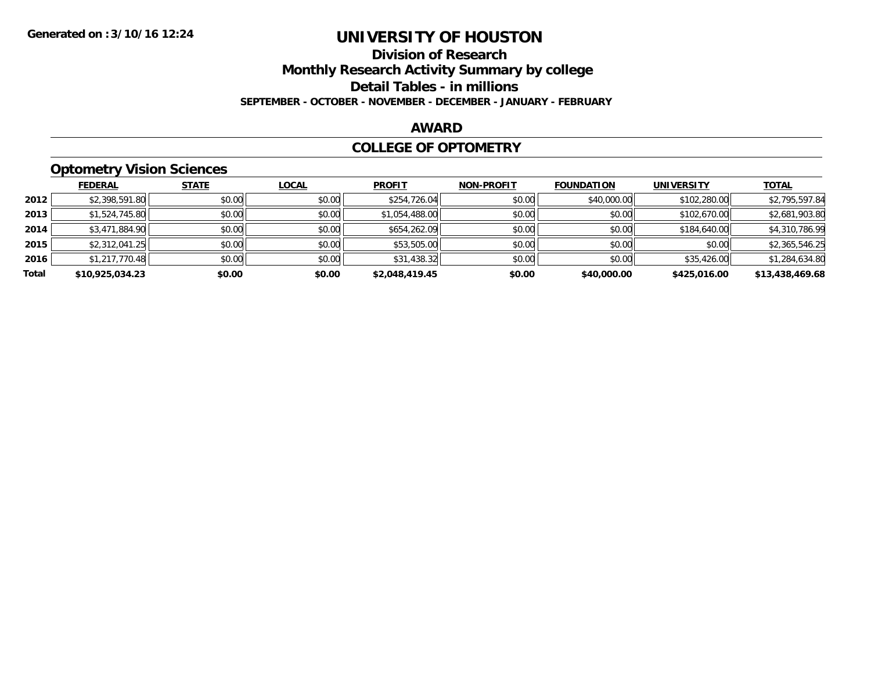# **Division of Research**

**Monthly Research Activity Summary by college**

**Detail Tables - in millions**

**SEPTEMBER - OCTOBER - NOVEMBER - DECEMBER - JANUARY - FEBRUARY**

#### **AWARD**

#### **COLLEGE OF OPTOMETRY**

## **Optometry Vision Sciences**

|       | <b>FEDERAL</b>  | <b>STATE</b> | <b>LOCAL</b> | <b>PROFIT</b>  | <b>NON-PROFIT</b> | <b>FOUNDATION</b> | <b>UNIVERSITY</b> | <b>TOTAL</b>    |
|-------|-----------------|--------------|--------------|----------------|-------------------|-------------------|-------------------|-----------------|
| 2012  | \$2,398,591.80  | \$0.00       | \$0.00       | \$254,726.04   | \$0.00            | \$40,000.00       | \$102,280.00      | \$2,795,597.84  |
| 2013  | \$1,524,745.80  | \$0.00       | \$0.00       | \$1,054,488.00 | \$0.00            | \$0.00            | \$102,670.00      | \$2,681,903.80  |
| 2014  | \$3,471,884.90  | \$0.00       | \$0.00       | \$654,262.09   | \$0.00            | \$0.00            | \$184,640.00      | \$4,310,786.99  |
| 2015  | \$2,312,041.25  | \$0.00       | \$0.00       | \$53,505.00    | \$0.00            | \$0.00            | \$0.00            | \$2,365,546.25  |
| 2016  | \$1,217,770.48  | \$0.00       | \$0.00       | \$31,438.32    | \$0.00            | \$0.00            | \$35,426.00       | \$1,284,634.80  |
| Total | \$10,925,034.23 | \$0.00       | \$0.00       | \$2,048,419.45 | \$0.00            | \$40,000.00       | \$425,016.00      | \$13,438,469.68 |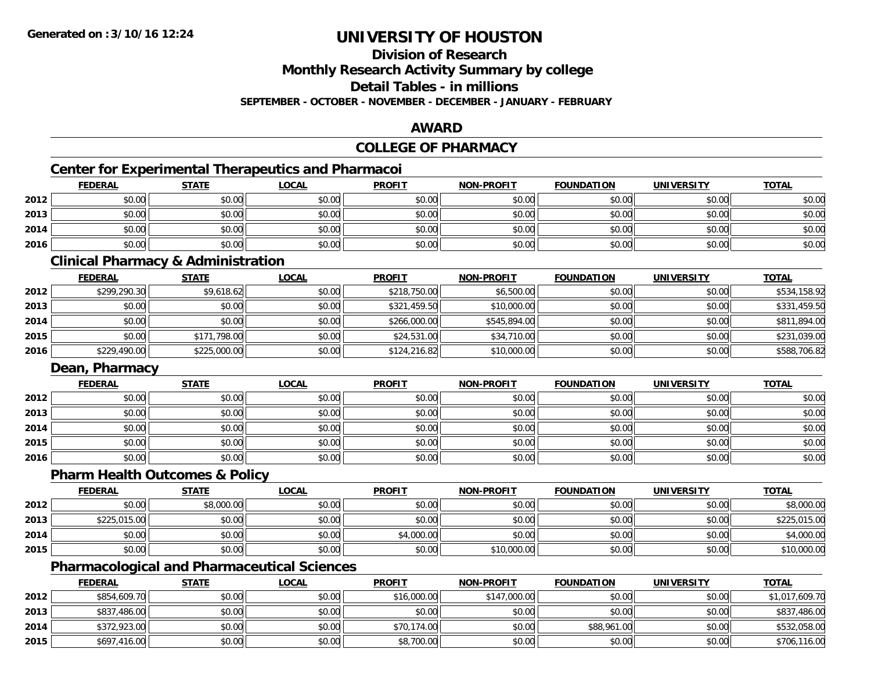**Division of Research**

**Monthly Research Activity Summary by college**

**Detail Tables - in millions**

**SEPTEMBER - OCTOBER - NOVEMBER - DECEMBER - JANUARY - FEBRUARY**

### **AWARD**

## **COLLEGE OF PHARMACY**

## **Center for Experimental Therapeutics and Pharmacoi**

|      | <b>FEDERAL</b> | <b>STATE</b> | <u>LOCAL</u> | <b>PROFIT</b> | <b>NON-PROFIT</b> | <b>FOUNDATION</b> | <b>UNIVERSITY</b> | <b>TOTAL</b> |
|------|----------------|--------------|--------------|---------------|-------------------|-------------------|-------------------|--------------|
| 2012 | \$0.00         | \$0.00       | \$0.00       | \$0.00        | \$0.00            | \$0.00            | \$0.00            | \$0.00       |
| 2013 | \$0.00         | \$0.00       | \$0.00       | \$0.00        | \$0.00            | \$0.00            | \$0.00            | \$0.00       |
| 2014 | \$0.00         | \$0.00       | \$0.00       | \$0.00        | \$0.00            | \$0.00            | \$0.00            | \$0.00       |
| 2016 | \$0.00         | \$0.00       | \$0.00       | \$0.00        | \$0.00            | \$0.00            | \$0.00            | \$0.00       |

#### **Clinical Pharmacy & Administration**

|      | <b>FEDERAL</b> | <u>STATE</u> | <u>LOCAL</u> | <b>PROFIT</b> | <b>NON-PROFIT</b> | <b>FOUNDATION</b> | <b>UNIVERSITY</b> | <b>TOTAL</b> |
|------|----------------|--------------|--------------|---------------|-------------------|-------------------|-------------------|--------------|
| 2012 | \$299,290.30   | \$9,618.62   | \$0.00       | \$218,750.00  | \$6,500.00        | \$0.00            | \$0.00            | \$534,158.92 |
| 2013 | \$0.00         | \$0.00       | \$0.00       | \$321,459.50  | \$10,000.00       | \$0.00            | \$0.00            | \$331,459.50 |
| 2014 | \$0.00         | \$0.00       | \$0.00       | \$266,000.00  | \$545,894,00      | \$0.00            | \$0.00            | \$811,894.00 |
| 2015 | \$0.00         | \$171,798.00 | \$0.00       | \$24,531.00   | \$34,710.00       | \$0.00            | \$0.00            | \$231,039.00 |
| 2016 | \$229,490.00   | \$225,000.00 | \$0.00       | \$124,216.82  | \$10,000.00       | \$0.00            | \$0.00            | \$588,706.82 |

#### **Dean, Pharmacy**

|      | <u>FEDERAL</u> | <b>STATE</b> | <u>LOCAL</u> | <b>PROFIT</b> | <b>NON-PROFIT</b> | <b>FOUNDATION</b> | <b>UNIVERSITY</b> | <b>TOTAL</b> |
|------|----------------|--------------|--------------|---------------|-------------------|-------------------|-------------------|--------------|
| 2012 | \$0.00         | \$0.00       | \$0.00       | \$0.00        | \$0.00            | \$0.00            | \$0.00            | \$0.00       |
| 2013 | \$0.00         | \$0.00       | \$0.00       | \$0.00        | \$0.00            | \$0.00            | \$0.00            | \$0.00       |
| 2014 | \$0.00         | \$0.00       | \$0.00       | \$0.00        | \$0.00            | \$0.00            | \$0.00            | \$0.00       |
| 2015 | \$0.00         | \$0.00       | \$0.00       | \$0.00        | \$0.00            | \$0.00            | \$0.00            | \$0.00       |
| 2016 | \$0.00         | \$0.00       | \$0.00       | \$0.00        | \$0.00            | \$0.00            | \$0.00            | \$0.00       |

### **Pharm Health Outcomes & Policy**

|      | <b>FEDERAL</b> | <u>STATE</u> | <u>LOCAL</u> | <b>PROFIT</b> | <b>NON-PROFIT</b> | <b>FOUNDATION</b> | <b>UNIVERSITY</b> | <b>TOTAL</b> |
|------|----------------|--------------|--------------|---------------|-------------------|-------------------|-------------------|--------------|
| 2012 | \$0.00         | \$8,000.00   | \$0.00       | \$0.00        | \$0.00            | \$0.00            | \$0.00            | \$8,000.00   |
| 2013 | \$225,015.00   | \$0.00       | \$0.00       | \$0.00        | \$0.00            | \$0.00            | \$0.00            | \$225,015.00 |
| 2014 | \$0.00         | \$0.00       | \$0.00       | \$4,000.00    | \$0.00            | \$0.00            | \$0.00            | \$4,000.00   |
| 2015 | \$0.00         | \$0.00       | \$0.00       | \$0.00        | \$10,000.00       | \$0.00            | \$0.00            | \$10,000.00  |

### **Pharmacological and Pharmaceutical Sciences**

|      | <b>FEDERAL</b> | <b>STATE</b> | <u>LOCAL</u> | <b>PROFIT</b> | <b>NON-PROFIT</b> | <b>FOUNDATION</b> | UNIVERSITY | <b>TOTAL</b>   |
|------|----------------|--------------|--------------|---------------|-------------------|-------------------|------------|----------------|
| 2012 | \$854,609.70   | \$0.00       | \$0.00       | \$16,000.00   | \$147,000.00      | \$0.00            | \$0.00     | \$1,017,609.70 |
| 2013 | \$837,486.00   | \$0.00       | \$0.00       | \$0.00        | \$0.00            | \$0.00            | \$0.00     | \$837,486.00   |
| 2014 | \$372,923.00   | \$0.00       | \$0.00       | \$70,174.00   | \$0.00            | \$88,961.00       | \$0.00     | \$532,058.00   |
| 2015 | \$697,416.00   | \$0.00       | \$0.00       | \$8,700.00    | \$0.00            | \$0.00            | \$0.00     | \$706,116.00   |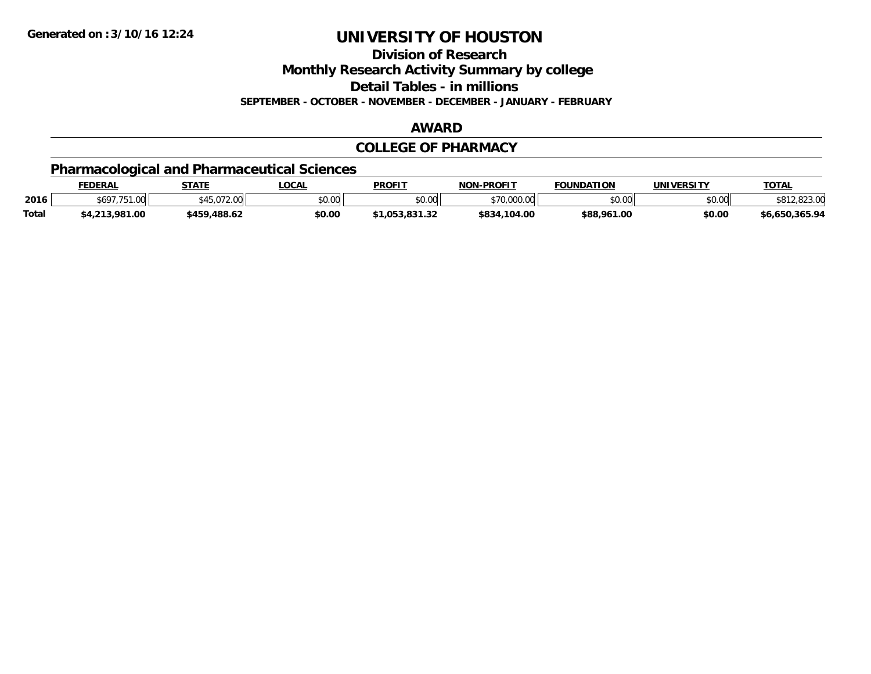**Division of Research**

**Monthly Research Activity Summary by college**

**Detail Tables - in millions**

**SEPTEMBER - OCTOBER - NOVEMBER - DECEMBER - JANUARY - FEBRUARY**

#### **AWARD**

#### **COLLEGE OF PHARMACY**

## **Pharmacological and Pharmaceutical Sciences**

|              | <b>FEDERAL</b>        | <b>STATE</b>                           | <b>OCAL</b> | <b>PROFIT</b> | <b>NON-PROFIT</b> | <b>FOUNDATION</b> | UNIVERSITY | <b>TOTAL</b>             |
|--------------|-----------------------|----------------------------------------|-------------|---------------|-------------------|-------------------|------------|--------------------------|
| 2016         | \$697.751<br>7.751.00 | $MET$ $0.72$ $0.0$<br>JUU. 2 I U. C PC | \$0.00      | \$0.00        | \$70,000.00       | \$0.00            | \$0.00     | . രാര മറ<br>3 I Z.823.UU |
| <b>Total</b> | \$4,213,981.00        | \$459,488.62                           | \$0.00      | 053.831.32    | \$834,104.00      | \$88,961.00       | \$0.00     | \$6.650.365.94           |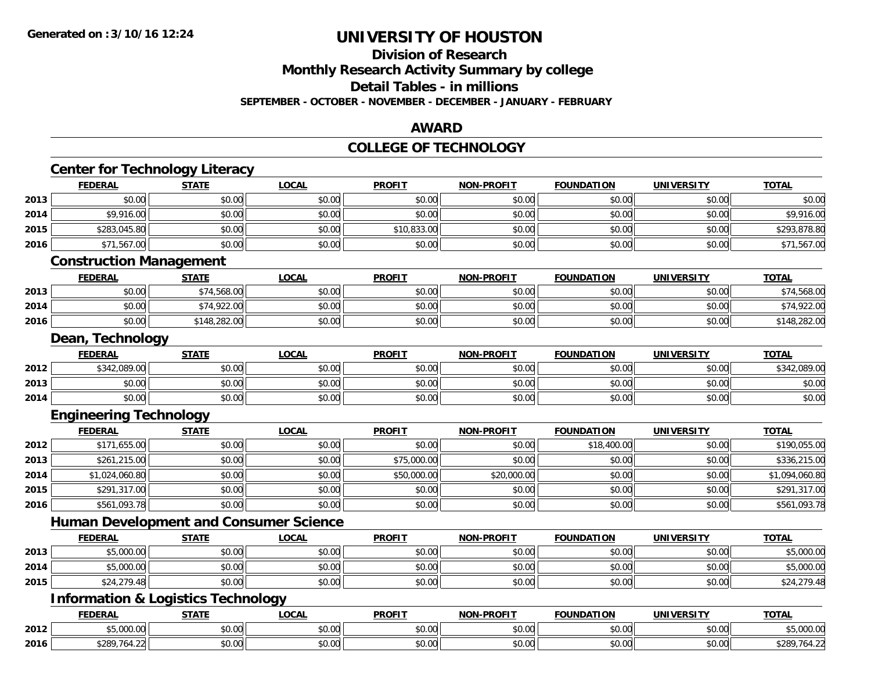#### **Division of Research**

**Monthly Research Activity Summary by college**

**Detail Tables - in millions**

**SEPTEMBER - OCTOBER - NOVEMBER - DECEMBER - JANUARY - FEBRUARY**

#### **AWARD**

#### **COLLEGE OF TECHNOLOGY**

|      | <b>Center for Technology Literacy</b>         |              |              |               |                   |                   |                   |                |
|------|-----------------------------------------------|--------------|--------------|---------------|-------------------|-------------------|-------------------|----------------|
|      | <b>FEDERAL</b>                                | <b>STATE</b> | <b>LOCAL</b> | <b>PROFIT</b> | <b>NON-PROFIT</b> | <b>FOUNDATION</b> | <b>UNIVERSITY</b> | <b>TOTAL</b>   |
| 2013 | \$0.00                                        | \$0.00       | \$0.00       | \$0.00        | \$0.00            | \$0.00            | \$0.00            | \$0.00         |
| 2014 | \$9,916.00                                    | \$0.00       | \$0.00       | \$0.00        | \$0.00            | \$0.00            | \$0.00            | \$9,916.00     |
| 2015 | \$283,045.80                                  | \$0.00       | \$0.00       | \$10,833.00   | \$0.00            | \$0.00            | \$0.00            | \$293,878.80   |
| 2016 | \$71,567.00                                   | \$0.00       | \$0.00       | \$0.00        | \$0.00            | \$0.00            | \$0.00            | \$71,567.00    |
|      | <b>Construction Management</b>                |              |              |               |                   |                   |                   |                |
|      | <b>FEDERAL</b>                                | <b>STATE</b> | <b>LOCAL</b> | <b>PROFIT</b> | <b>NON-PROFIT</b> | <b>FOUNDATION</b> | <b>UNIVERSITY</b> | <b>TOTAL</b>   |
| 2013 | \$0.00                                        | \$74,568.00  | \$0.00       | \$0.00        | \$0.00            | \$0.00            | \$0.00            | \$74,568.00    |
| 2014 | \$0.00                                        | \$74,922.00  | \$0.00       | \$0.00        | \$0.00            | \$0.00            | \$0.00            | \$74,922.00    |
| 2016 | \$0.00                                        | \$148,282.00 | \$0.00       | \$0.00        | \$0.00            | \$0.00            | \$0.00            | \$148,282.00   |
|      | Dean, Technology                              |              |              |               |                   |                   |                   |                |
|      | <b>FEDERAL</b>                                | <b>STATE</b> | <b>LOCAL</b> | <b>PROFIT</b> | <b>NON-PROFIT</b> | <b>FOUNDATION</b> | <b>UNIVERSITY</b> | <b>TOTAL</b>   |
| 2012 | \$342,089.00                                  | \$0.00       | \$0.00       | \$0.00        | \$0.00            | \$0.00            | \$0.00            | \$342,089.00   |
| 2013 | \$0.00                                        | \$0.00       | \$0.00       | \$0.00        | \$0.00            | \$0.00            | \$0.00            | \$0.00         |
| 2014 | \$0.00                                        | \$0.00       | \$0.00       | \$0.00        | \$0.00            | \$0.00            | \$0.00            | \$0.00         |
|      | <b>Engineering Technology</b>                 |              |              |               |                   |                   |                   |                |
|      | <b>FEDERAL</b>                                | <b>STATE</b> | <b>LOCAL</b> | <b>PROFIT</b> | <b>NON-PROFIT</b> | <b>FOUNDATION</b> | <b>UNIVERSITY</b> | <b>TOTAL</b>   |
| 2012 | \$171,655.00                                  | \$0.00       | \$0.00       | \$0.00        | \$0.00            | \$18,400.00       | \$0.00            | \$190,055.00   |
| 2013 | \$261,215.00                                  | \$0.00       | \$0.00       | \$75,000.00   | \$0.00            | \$0.00            | \$0.00            | \$336,215.00   |
| 2014 | \$1,024,060.80                                | \$0.00       | \$0.00       | \$50,000.00   | \$20,000.00       | \$0.00            | \$0.00            | \$1,094,060.80 |
| 2015 | \$291,317.00                                  | \$0.00       | \$0.00       | \$0.00        | \$0.00            | \$0.00            | \$0.00            | \$291,317.00   |
| 2016 | \$561,093.78                                  | \$0.00       | \$0.00       | \$0.00        | \$0.00            | \$0.00            | \$0.00            | \$561,093.78   |
|      | <b>Human Development and Consumer Science</b> |              |              |               |                   |                   |                   |                |
|      | <b>FEDERAL</b>                                | <b>STATE</b> | <b>LOCAL</b> | <b>PROFIT</b> | <b>NON-PROFIT</b> | <b>FOUNDATION</b> | <b>UNIVERSITY</b> | <b>TOTAL</b>   |
| 2013 | \$5,000.00                                    | \$0.00       | \$0.00       | \$0.00        | \$0.00            | \$0.00            | \$0.00            | \$5,000.00     |
| 2014 | \$5,000.00                                    | \$0.00       | \$0.00       | \$0.00        | \$0.00            | \$0.00            | \$0.00            | \$5,000.00     |
| 2015 | \$24,279.48                                   | \$0.00       | \$0.00       | \$0.00        | \$0.00            | \$0.00            | \$0.00            | \$24,279.48    |
|      | <b>Information &amp; Logistics Technology</b> |              |              |               |                   |                   |                   |                |
|      | <b>FEDERAL</b>                                | <b>STATE</b> | <b>LOCAL</b> | <b>PROFIT</b> | <b>NON-PROFIT</b> | <b>FOUNDATION</b> | <b>UNIVERSITY</b> | <b>TOTAL</b>   |
| 2012 | \$5,000.00                                    | \$0.00       | \$0.00       | \$0.00        | \$0.00            | \$0.00            | \$0.00            | \$5,000.00     |
| 2016 | \$289,764.22                                  | \$0.00       | \$0.00       | \$0.00        | \$0.00            | \$0.00            | \$0.00            | \$289,764.22   |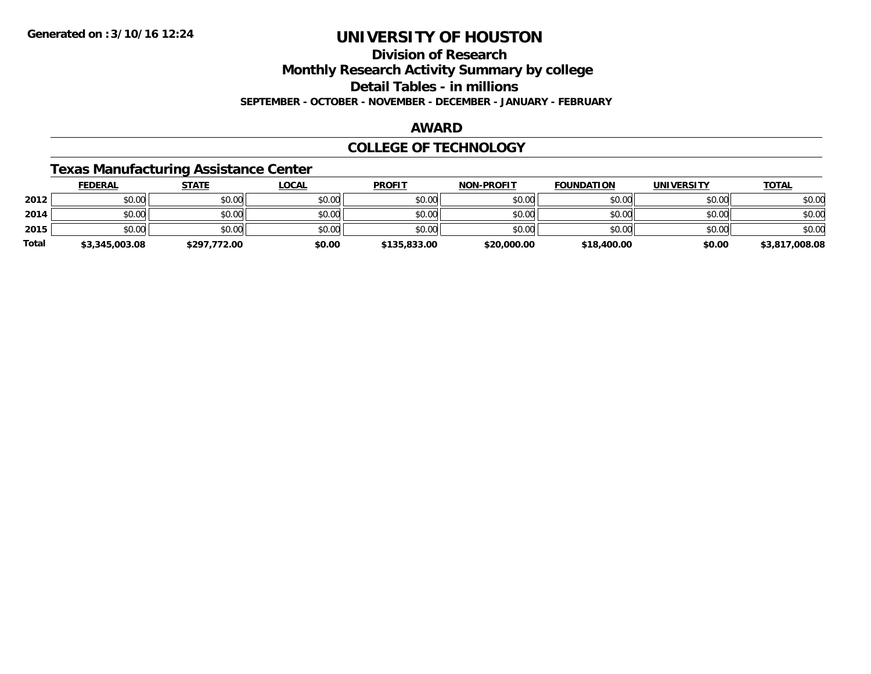**Division of Research**

**Monthly Research Activity Summary by college**

**Detail Tables - in millions**

**SEPTEMBER - OCTOBER - NOVEMBER - DECEMBER - JANUARY - FEBRUARY**

#### **AWARD**

#### **COLLEGE OF TECHNOLOGY**

### **Texas Manufacturing Assistance Center**

|              | <b>FEDERAL</b> | <b>STATE</b> | <u>LOCAL</u> | <b>PROFIT</b> | <b>NON-PROFIT</b> | <b>FOUNDATION</b> | <b>UNIVERSITY</b> | <b>TOTAL</b>   |
|--------------|----------------|--------------|--------------|---------------|-------------------|-------------------|-------------------|----------------|
| 2012         | \$0.00         | \$0.00       | \$0.00       | \$0.00        | \$0.00            | \$0.00            | \$0.00            | \$0.00         |
| 2014         | \$0.00         | \$0.00       | \$0.00       | \$0.00        | \$0.00            | \$0.00            | \$0.00            | \$0.00         |
| 2015         | \$0.00         | \$0.00       | \$0.00       | \$0.00        | \$0.00            | \$0.00            | \$0.00            | \$0.00         |
| <b>Total</b> | \$3,345,003.08 | \$297,772.00 | \$0.00       | \$135,833.00  | \$20,000.00       | \$18,400.00       | \$0.00            | \$3,817,008.08 |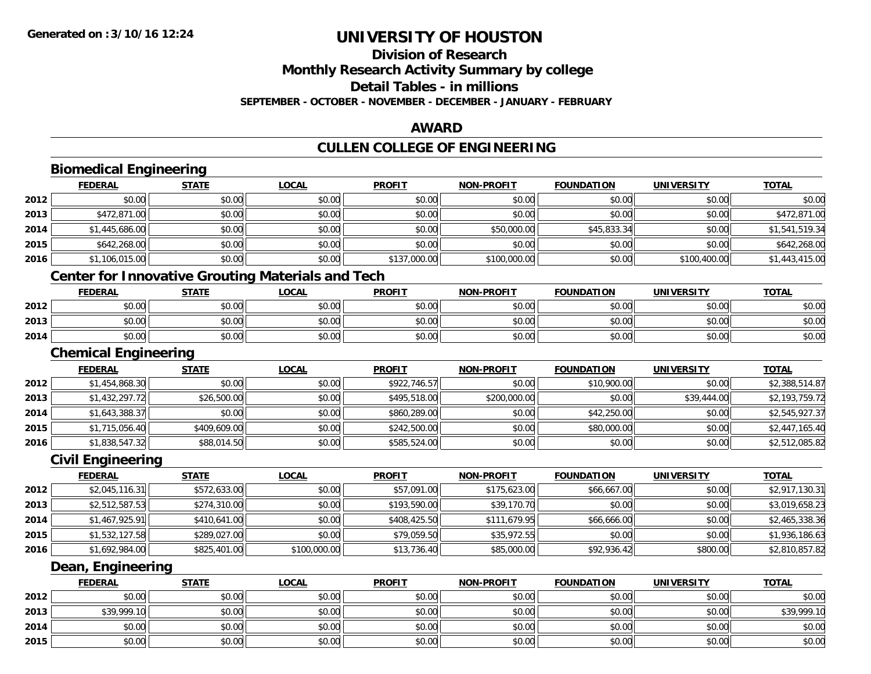**2014**

**2015**

# **UNIVERSITY OF HOUSTON**

# **Division of Research**

**Monthly Research Activity Summary by college**

**Detail Tables - in millions**

**SEPTEMBER - OCTOBER - NOVEMBER - DECEMBER - JANUARY - FEBRUARY**

### **AWARD**

## **CULLEN COLLEGE OF ENGINEERING**

|      | <b>FEDERAL</b>                                           | <b>STATE</b> | <b>LOCAL</b> | <b>PROFIT</b> | <b>NON-PROFIT</b> | <b>FOUNDATION</b> | <b>UNIVERSITY</b> | <b>TOTAL</b>   |
|------|----------------------------------------------------------|--------------|--------------|---------------|-------------------|-------------------|-------------------|----------------|
| 2012 | \$0.00                                                   | \$0.00       | \$0.00       | \$0.00        | \$0.00            | \$0.00            | \$0.00            | \$0.00         |
| 2013 | \$472,871.00                                             | \$0.00       | \$0.00       | \$0.00        | \$0.00            | \$0.00            | \$0.00            | \$472,871.00   |
| 2014 | \$1,445,686.00                                           | \$0.00       | \$0.00       | \$0.00        | \$50,000.00       | \$45,833.34       | \$0.00            | \$1,541,519.34 |
| 2015 | \$642,268.00                                             | \$0.00       | \$0.00       | \$0.00        | \$0.00            | \$0.00            | \$0.00            | \$642,268.00   |
| 2016 | \$1,106,015.00                                           | \$0.00       | \$0.00       | \$137,000.00  | \$100,000.00      | \$0.00            | \$100,400.00      | \$1,443,415.00 |
|      | <b>Center for Innovative Grouting Materials and Tech</b> |              |              |               |                   |                   |                   |                |
|      | <b>FEDERAL</b>                                           | <b>STATE</b> | <b>LOCAL</b> | <b>PROFIT</b> | <b>NON-PROFIT</b> | <b>FOUNDATION</b> | <b>UNIVERSITY</b> | <b>TOTAL</b>   |
| 2012 | \$0.00                                                   | \$0.00       | \$0.00       | \$0.00        | \$0.00            | \$0.00            | \$0.00            | \$0.00         |
| 2013 | \$0.00                                                   | \$0.00       | \$0.00       | \$0.00        | \$0.00            | \$0.00            | \$0.00            | \$0.00         |
| 2014 | \$0.00                                                   | \$0.00       | \$0.00       | \$0.00        | \$0.00            | \$0.00            | \$0.00            | \$0.00         |
|      | <b>Chemical Engineering</b>                              |              |              |               |                   |                   |                   |                |
|      | <b>FEDERAL</b>                                           | <b>STATE</b> | <b>LOCAL</b> | <b>PROFIT</b> | <b>NON-PROFIT</b> | <b>FOUNDATION</b> | <b>UNIVERSITY</b> | <b>TOTAL</b>   |
| 2012 | \$1,454,868.30                                           | \$0.00       | \$0.00       | \$922,746.57  | \$0.00            | \$10,900.00       | \$0.00            | \$2,388,514.87 |
| 2013 | \$1,432,297.72                                           | \$26,500.00  | \$0.00       | \$495,518.00  | \$200,000.00      | \$0.00            | \$39,444.00       | \$2,193,759.72 |
| 2014 | \$1,643,388.37                                           | \$0.00       | \$0.00       | \$860,289.00  | \$0.00            | \$42,250.00       | \$0.00            | \$2,545,927.37 |
| 2015 | \$1,715,056.40                                           | \$409,609.00 | \$0.00       | \$242,500.00  | \$0.00            | \$80,000.00       | \$0.00            | \$2,447,165.40 |
| 2016 | \$1,838,547.32                                           | \$88,014.50  | \$0.00       | \$585,524.00  | \$0.00            | \$0.00            | \$0.00            | \$2,512,085.82 |
|      | <b>Civil Engineering</b>                                 |              |              |               |                   |                   |                   |                |
|      | <b>FEDERAL</b>                                           | <b>STATE</b> | <b>LOCAL</b> | <b>PROFIT</b> | <b>NON-PROFIT</b> | <b>FOUNDATION</b> | <b>UNIVERSITY</b> | <b>TOTAL</b>   |
| 2012 | \$2,045,116.31                                           | \$572,633.00 | \$0.00       | \$57,091.00   | \$175,623.00      | \$66,667.00       | \$0.00            | \$2,917,130.31 |
| 2013 | \$2,512,587.53                                           | \$274,310.00 | \$0.00       | \$193,590.00  | \$39,170.70       | \$0.00            | \$0.00            | \$3,019,658.23 |
| 2014 | \$1,467,925.91                                           | \$410,641.00 | \$0.00       | \$408,425.50  | \$111,679.95      | \$66,666.00       | \$0.00            | \$2,465,338.36 |
| 2015 | \$1,532,127.58                                           | \$289,027.00 | \$0.00       | \$79,059.50   | \$35,972.55       | \$0.00            | \$0.00            | \$1,936,186.63 |
| 2016 | \$1,692,984.00                                           | \$825,401.00 | \$100,000.00 | \$13,736.40   | \$85,000.00       | \$92,936.42       | \$800.00          | \$2,810,857.82 |
|      | Dean, Engineering                                        |              |              |               |                   |                   |                   |                |
|      | <b>FEDERAL</b>                                           | <b>STATE</b> | <b>LOCAL</b> | <b>PROFIT</b> | <b>NON-PROFIT</b> | <b>FOUNDATION</b> | <b>UNIVERSITY</b> | <b>TOTAL</b>   |
| 2012 | \$0.00                                                   | \$0.00       | \$0.00       | \$0.00        | \$0.00            | \$0.00            | \$0.00            | \$0.00         |
| 2013 | \$39,999.10                                              | \$0.00       | \$0.00       | \$0.00        | \$0.00            | \$0.00            | \$0.00            | \$39,999.10    |

4 \$0.00 \$0.00 \$0.00 \$0.00 \$0.00 \$0.00 \$0.00 \$0.00 \$0.00 \$0.00 \$0.00 \$0.00 \$0.00 \$0.00 \$0.00 \$0.00 \$0.00

\$0.00 \$0.00 \$0.00 \$0.00 \$0.00 \$0.00 \$0.00 \$0.00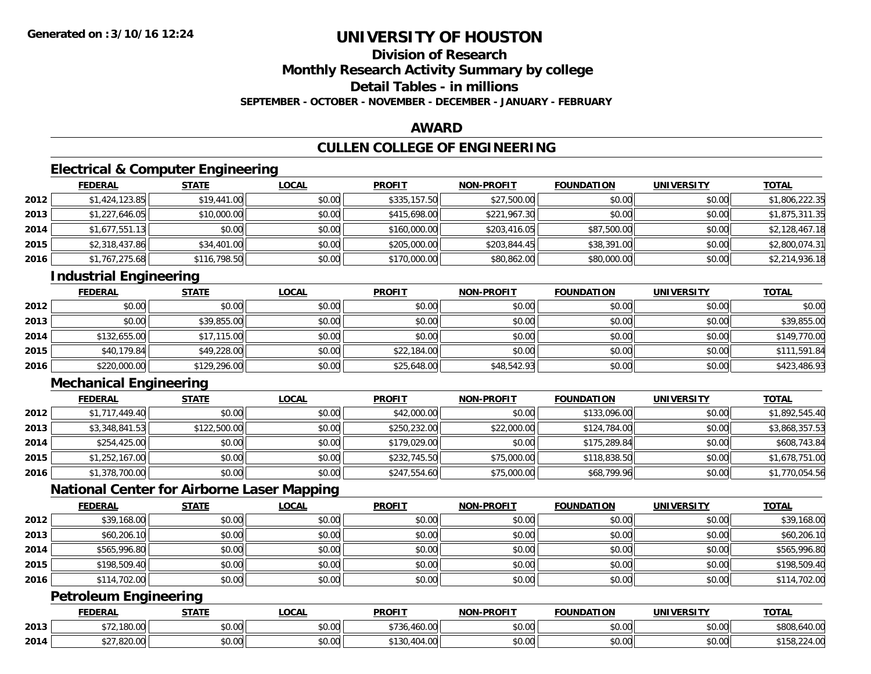## **Division of Research**

**Monthly Research Activity Summary by college**

**Detail Tables - in millions**

**SEPTEMBER - OCTOBER - NOVEMBER - DECEMBER - JANUARY - FEBRUARY**

### **AWARD**

## **CULLEN COLLEGE OF ENGINEERING**

## **Electrical & Computer Engineering**

|      | <b>FEDERAL</b> | <b>STATE</b> | <u>LOCAL</u> | <b>PROFIT</b> | <b>NON-PROFIT</b> | <b>FOUNDATION</b> | <b>UNIVERSITY</b> | <b>TOTAL</b>   |
|------|----------------|--------------|--------------|---------------|-------------------|-------------------|-------------------|----------------|
| 2012 | \$1,424,123.85 | \$19,441.00  | \$0.00       | \$335,157.50  | \$27,500.00       | \$0.00            | \$0.00            | \$1,806,222.35 |
| 2013 | \$1,227,646.05 | \$10,000.00  | \$0.00       | \$415,698.00  | \$221,967.30      | \$0.00            | \$0.00            | \$1,875,311.35 |
| 2014 | \$1,677,551.13 | \$0.00       | \$0.00       | \$160,000.00  | \$203,416.05      | \$87,500.00       | \$0.00            | \$2,128,467.18 |
| 2015 | \$2,318,437.86 | \$34,401.00  | \$0.00       | \$205,000.00  | \$203,844.45      | \$38,391.00       | \$0.00            | \$2,800,074.31 |
| 2016 | \$1,767,275.68 | \$116,798.50 | \$0.00       | \$170,000.00  | \$80,862.00       | \$80,000.00       | \$0.00            | \$2,214,936.18 |

## **Industrial Engineering**

|      | <u>FEDERAL</u> | <b>STATE</b> | <u>LOCAL</u> | <b>PROFIT</b> | <b>NON-PROFIT</b> | <b>FOUNDATION</b> | <b>UNIVERSITY</b> | <b>TOTAL</b> |
|------|----------------|--------------|--------------|---------------|-------------------|-------------------|-------------------|--------------|
| 2012 | \$0.00         | \$0.00       | \$0.00       | \$0.00        | \$0.00            | \$0.00            | \$0.00            | \$0.00       |
| 2013 | \$0.00         | \$39,855.00  | \$0.00       | \$0.00        | \$0.00            | \$0.00            | \$0.00            | \$39,855.00  |
| 2014 | \$132,655.00   | \$17,115.00  | \$0.00       | \$0.00        | \$0.00            | \$0.00            | \$0.00            | \$149,770.00 |
| 2015 | \$40,179.84    | \$49,228.00  | \$0.00       | \$22,184.00   | \$0.00            | \$0.00            | \$0.00            | \$111,591.84 |
| 2016 | \$220,000.00   | \$129,296.00 | \$0.00       | \$25,648.00   | \$48,542.93       | \$0.00            | \$0.00            | \$423,486.93 |

## **Mechanical Engineering**

|      | <b>FEDERAL</b> | <b>STATE</b> | <b>LOCAL</b> | <b>PROFIT</b> | <b>NON-PROFIT</b> | <b>FOUNDATION</b> | <b>UNIVERSITY</b> | <b>TOTAL</b>   |
|------|----------------|--------------|--------------|---------------|-------------------|-------------------|-------------------|----------------|
| 2012 | \$1,717,449.40 | \$0.00       | \$0.00       | \$42,000.00   | \$0.00            | \$133,096.00      | \$0.00            | \$1,892,545.40 |
| 2013 | \$3,348,841.53 | \$122,500.00 | \$0.00       | \$250,232.00  | \$22,000.00       | \$124,784.00      | \$0.00            | \$3,868,357.53 |
| 2014 | \$254,425.00   | \$0.00       | \$0.00       | \$179,029.00  | \$0.00            | \$175,289.84      | \$0.00            | \$608,743.84   |
| 2015 | \$1,252,167.00 | \$0.00       | \$0.00       | \$232,745.50  | \$75,000.00       | \$118,838.50      | \$0.00            | \$1,678,751.00 |
| 2016 | \$1,378,700.00 | \$0.00       | \$0.00       | \$247,554.60  | \$75,000.00       | \$68,799.96       | \$0.00            | \$1,770,054.56 |

## **National Center for Airborne Laser Mapping**

|      | <b>FEDERAL</b> | <b>STATE</b> | <b>LOCAL</b> | <b>PROFIT</b> | <b>NON-PROFIT</b> | <b>FOUNDATION</b> | UNIVERSITY | <b>TOTAL</b> |
|------|----------------|--------------|--------------|---------------|-------------------|-------------------|------------|--------------|
| 2012 | \$39,168.00    | \$0.00       | \$0.00       | \$0.00        | \$0.00            | \$0.00            | \$0.00     | \$39,168.00  |
| 2013 | \$60,206.10    | \$0.00       | \$0.00       | \$0.00        | \$0.00            | \$0.00            | \$0.00     | \$60,206.10  |
| 2014 | \$565,996.80   | \$0.00       | \$0.00       | \$0.00        | \$0.00            | \$0.00            | \$0.00     | \$565,996.80 |
| 2015 | \$198,509.40   | \$0.00       | \$0.00       | \$0.00        | \$0.00            | \$0.00            | \$0.00     | \$198,509.40 |
| 2016 | \$114,702.00   | \$0.00       | \$0.00       | \$0.00        | \$0.00            | \$0.00            | \$0.00     | \$114,702.00 |

## **Petroleum Engineering**

|      | <b>FEDERAL</b>            | <b>CTATE</b> | _OCAI                                    | <b>PROFIT</b>        | <b>L-PROFIT</b><br><b>NION'</b> | <b>FOUNDATION</b> | UNIVE<br>EDCITY | <b>TOTAL</b>                            |
|------|---------------------------|--------------|------------------------------------------|----------------------|---------------------------------|-------------------|-----------------|-----------------------------------------|
| 2013 | 100.00<br>10U.UU          | \$0.00       | $\sim$ 00<br>וטט.                        | 570/<br>460.00       | 0000<br>PU.UU                   | \$0.00            | 0.00<br>\$0.00  | \$808,640.00                            |
| 2014 | 0.0000<br>. .ozu.uu<br>◡∠ | \$0.00       | $\uparrow$ $\uparrow$<br>$\sim$<br>JU.UU | $+10$<br><b>T.V.</b> | ሶስ ሰሰ<br>PO.OO                  | \$0.00            | 0.00<br>\$0.00  | 0.100<br>$A$ $\Gamma$<br>› I ᲔᲒ. 224.UU |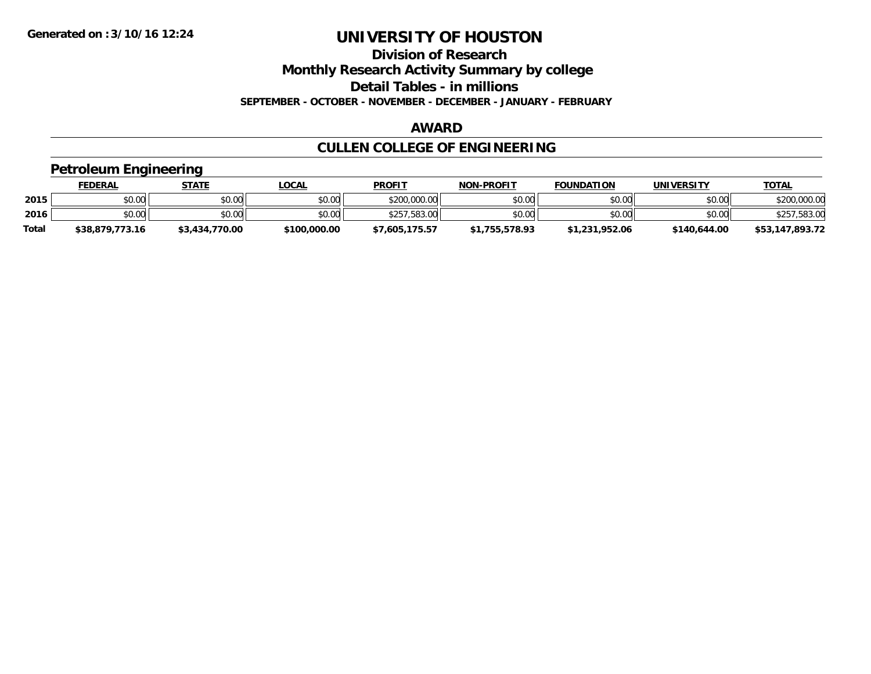**Division of Research**

**Monthly Research Activity Summary by college**

**Detail Tables - in millions**

**SEPTEMBER - OCTOBER - NOVEMBER - DECEMBER - JANUARY - FEBRUARY**

#### **AWARD**

## **CULLEN COLLEGE OF ENGINEERING**

### **Petroleum Engineering**

|              | <b>FEDERAL</b>  | STATE          | <u>LOCAL</u> | <b>PROFIT</b>  | <b>NON-PROFIT</b> | <b>FOUNDATION</b> | UNIVERSITY   | <b>TOTAL</b>    |
|--------------|-----------------|----------------|--------------|----------------|-------------------|-------------------|--------------|-----------------|
| 2015         | \$0.00          | \$0.00         | \$0.00       | \$200,000.00   | \$0.00            | \$0.00            | \$0.00       | \$200,000.00    |
| 2016         | \$0.00          | \$0.00         | \$0.00       | \$257,583,00   | \$0.00            | \$0.00            | \$0.00       | ,583.00         |
| <b>Total</b> | \$38,879,773.16 | \$3,434,770.00 | \$100,000.00 | \$7,605,175.57 | \$1,755,578.93    | \$1,231,952.06    | \$140,644.00 | \$53,147,893.72 |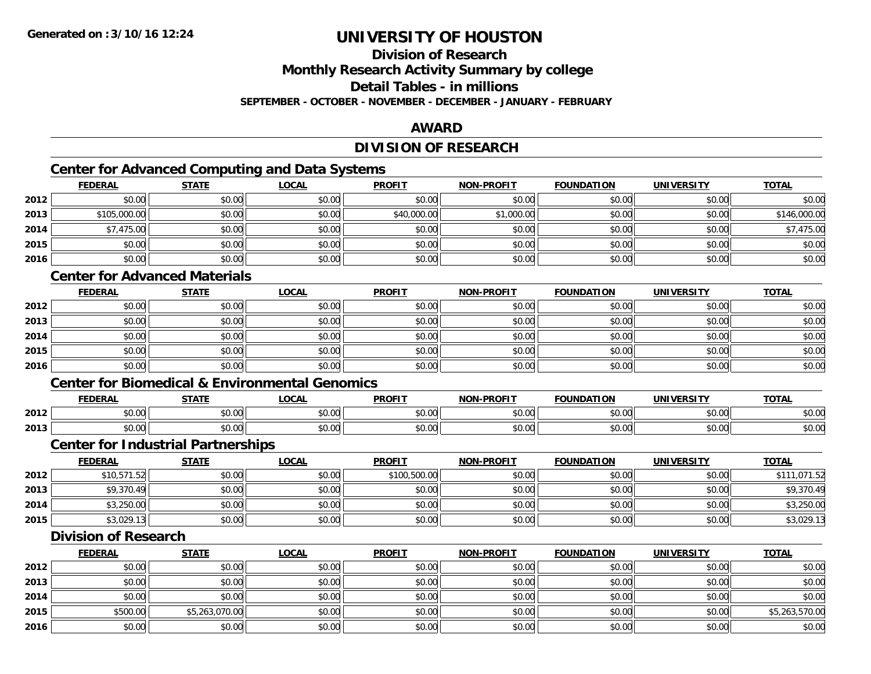## **Division of Research**

**Monthly Research Activity Summary by college**

**Detail Tables - in millions**

**SEPTEMBER - OCTOBER - NOVEMBER - DECEMBER - JANUARY - FEBRUARY**

### **AWARD**

## **DIVISION OF RESEARCH**

## **Center for Advanced Computing and Data Systems**

|      | Center for Advanced Computing and Data Systems |              |              |               |                   |                   |                   |              |  |  |  |
|------|------------------------------------------------|--------------|--------------|---------------|-------------------|-------------------|-------------------|--------------|--|--|--|
|      | <b>FEDERAL</b>                                 | <b>STATE</b> | <u>LOCAL</u> | <b>PROFIT</b> | <b>NON-PROFIT</b> | <b>FOUNDATION</b> | <b>UNIVERSITY</b> | <b>TOTAL</b> |  |  |  |
| 2012 | \$0.00                                         | \$0.00       | \$0.00       | \$0.00        | \$0.00            | \$0.00            | \$0.00            | \$0.00       |  |  |  |
| 2013 | \$105,000.00                                   | \$0.00       | \$0.00       | \$40,000.00   | \$1,000.00        | \$0.00            | \$0.00            | \$146,000.00 |  |  |  |
| 2014 | \$7,475.00                                     | \$0.00       | \$0.00       | \$0.00        | \$0.00            | \$0.00            | \$0.00            | \$7,475.00   |  |  |  |
| 2015 | \$0.00                                         | \$0.00       | \$0.00       | \$0.00        | \$0.00            | \$0.00            | \$0.00            | \$0.00       |  |  |  |
| 2016 | \$0.00                                         | \$0.00       | \$0.00       | \$0.00        | \$0.00            | \$0.00            | \$0.00            | \$0.00       |  |  |  |

### **Center for Advanced Materials**

|      | <u>FEDERAL</u> | <b>STATE</b> | <b>LOCAL</b> | <b>PROFIT</b> | <b>NON-PROFIT</b> | <b>FOUNDATION</b> | <b>UNIVERSITY</b> | <b>TOTAL</b> |
|------|----------------|--------------|--------------|---------------|-------------------|-------------------|-------------------|--------------|
| 2012 | \$0.00         | \$0.00       | \$0.00       | \$0.00        | \$0.00            | \$0.00            | \$0.00            | \$0.00       |
| 2013 | \$0.00         | \$0.00       | \$0.00       | \$0.00        | \$0.00            | \$0.00            | \$0.00            | \$0.00       |
| 2014 | \$0.00         | \$0.00       | \$0.00       | \$0.00        | \$0.00            | \$0.00            | \$0.00            | \$0.00       |
| 2015 | \$0.00         | \$0.00       | \$0.00       | \$0.00        | \$0.00            | \$0.00            | \$0.00            | \$0.00       |
| 2016 | \$0.00         | \$0.00       | \$0.00       | \$0.00        | \$0.00            | \$0.00            | \$0.00            | \$0.00       |

#### **Center for Biomedical & Environmental Genomics**

|      | <b>FEDERAL</b>                                   | <b>STATI</b>             | $\sim$ $\sim$ $\sim$<br>.UUA. | <b>PROFIT</b> | <b>-PROFIT</b><br>NON | <b>FOUNDATION</b> | UNIVERSITY    | <b>TOTAL</b>    |
|------|--------------------------------------------------|--------------------------|-------------------------------|---------------|-----------------------|-------------------|---------------|-----------------|
| 2012 | $\mathsf{A}\cap\mathsf{A}\cap\mathsf{A}$<br>ט.טי | <b>↑∩</b><br>ט.טע        | 0.00<br>vv.vv                 | 0.00<br>JU.UU | 0000<br>vv.vv         | 0000<br>U.UU      | 0000<br>⊸∪.∪∪ | \$0.00          |
| 2013 | 0000<br>DU.UU                                    | <b>↑∩</b><br>--<br>טט.טע | 0.00<br>JU.UU                 | 0.00<br>JU.UU | \$0.00                | 0000<br>JU.UU     | \$0.00        | 0000<br>- JU.UU |

#### **Center for Industrial Partnerships**

|      | <b>FEDERAL</b> | STATE  | LOCAL  | <b>PROFIT</b> | <b>NON-PROFIT</b> | <b>FOUNDATION</b> | <b>UNIVERSITY</b> | <b>TOTAL</b> |
|------|----------------|--------|--------|---------------|-------------------|-------------------|-------------------|--------------|
| 2012 | \$10,571.52    | \$0.00 | \$0.00 | \$100,500.00  | \$0.00            | \$0.00            | \$0.00            | \$111,071.52 |
| 2013 | \$9,370.49     | \$0.00 | \$0.00 | \$0.00        | \$0.00            | \$0.00            | \$0.00            | \$9,370.49   |
| 2014 | \$3,250.00     | \$0.00 | \$0.00 | \$0.00        | \$0.00            | \$0.00            | \$0.00            | \$3,250.00   |
| 2015 | \$3,029.13     | \$0.00 | \$0.00 | \$0.00        | \$0.00            | \$0.00            | \$0.00            | \$3,029.13   |

#### **Division of Research**

|      | <b>FEDERAL</b> | <b>STATE</b>   | <u>LOCAL</u> | <b>PROFIT</b> | <b>NON-PROFIT</b> | <b>FOUNDATION</b> | <b>UNIVERSITY</b> | <b>TOTAL</b>   |
|------|----------------|----------------|--------------|---------------|-------------------|-------------------|-------------------|----------------|
| 2012 | \$0.00         | \$0.00         | \$0.00       | \$0.00        | \$0.00            | \$0.00            | \$0.00            | \$0.00         |
| 2013 | \$0.00         | \$0.00         | \$0.00       | \$0.00        | \$0.00            | \$0.00            | \$0.00            | \$0.00         |
| 2014 | \$0.00         | \$0.00         | \$0.00       | \$0.00        | \$0.00            | \$0.00            | \$0.00            | \$0.00         |
| 2015 | \$500.00       | \$5,263,070.00 | \$0.00       | \$0.00        | \$0.00            | \$0.00            | \$0.00            | \$5,263,570.00 |
| 2016 | \$0.00         | \$0.00         | \$0.00       | \$0.00        | \$0.00            | \$0.00            | \$0.00            | \$0.00         |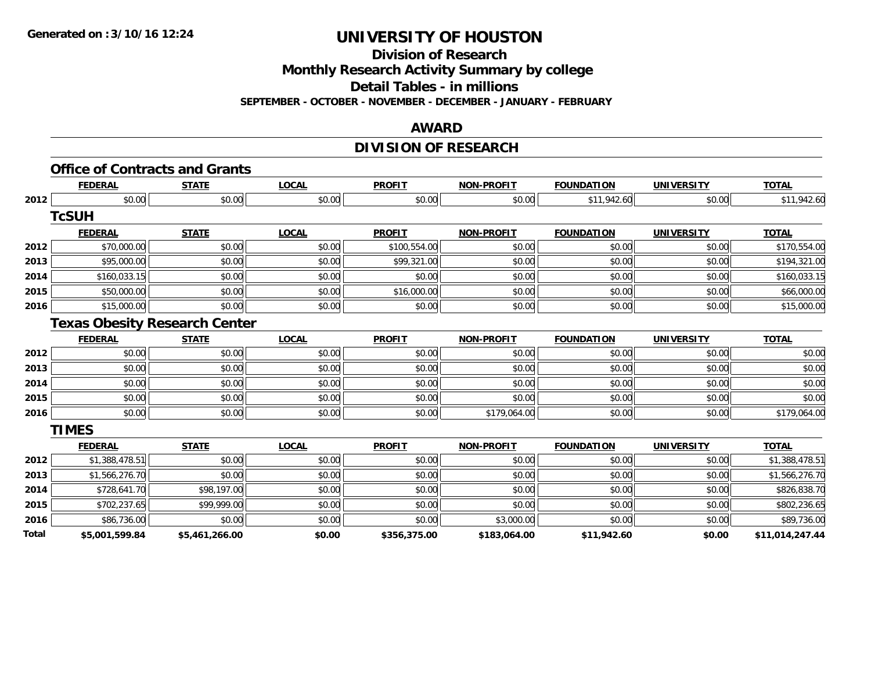**Division of Research**

**Monthly Research Activity Summary by college**

**Detail Tables - in millions**

**SEPTEMBER - OCTOBER - NOVEMBER - DECEMBER - JANUARY - FEBRUARY**

#### **AWARD**

## **DIVISION OF RESEARCH**

|       | <b>FEDERAL</b> | <b>STATE</b>                         | <b>LOCAL</b> | <b>PROFIT</b> | <b>NON-PROFIT</b> | <b>FOUNDATION</b> | <b>UNIVERSITY</b> | <b>TOTAL</b>    |
|-------|----------------|--------------------------------------|--------------|---------------|-------------------|-------------------|-------------------|-----------------|
| 2012  | \$0.00         | \$0.00                               | \$0.00       | \$0.00        | \$0.00            | \$11,942.60       | \$0.00            | \$11,942.60     |
|       | <b>TcSUH</b>   |                                      |              |               |                   |                   |                   |                 |
|       | <b>FEDERAL</b> | <b>STATE</b>                         | <b>LOCAL</b> | <b>PROFIT</b> | <b>NON-PROFIT</b> | <b>FOUNDATION</b> | <b>UNIVERSITY</b> | <b>TOTAL</b>    |
| 2012  | \$70,000.00    | \$0.00                               | \$0.00       | \$100,554.00  | \$0.00            | \$0.00            | \$0.00            | \$170,554.00    |
| 2013  | \$95,000.00    | \$0.00                               | \$0.00       | \$99,321.00   | \$0.00            | \$0.00            | \$0.00            | \$194,321.00    |
| 2014  | \$160,033.15   | \$0.00                               | \$0.00       | \$0.00        | \$0.00            | \$0.00            | \$0.00            | \$160,033.15    |
| 2015  | \$50,000.00    | \$0.00                               | \$0.00       | \$16,000.00   | \$0.00            | \$0.00            | \$0.00            | \$66,000.00     |
| 2016  | \$15,000.00    | \$0.00                               | \$0.00       | \$0.00        | \$0.00            | \$0.00            | \$0.00            | \$15,000.00     |
|       |                | <b>Texas Obesity Research Center</b> |              |               |                   |                   |                   |                 |
|       | <b>FEDERAL</b> | <b>STATE</b>                         | <b>LOCAL</b> | <b>PROFIT</b> | <b>NON-PROFIT</b> | <b>FOUNDATION</b> | <b>UNIVERSITY</b> | <b>TOTAL</b>    |
| 2012  | \$0.00         | \$0.00                               | \$0.00       | \$0.00        | \$0.00            | \$0.00            | \$0.00            | \$0.00          |
| 2013  | \$0.00         | \$0.00                               | \$0.00       | \$0.00        | \$0.00            | \$0.00            | \$0.00            | \$0.00          |
| 2014  | \$0.00         | \$0.00                               | \$0.00       | \$0.00        | \$0.00            | \$0.00            | \$0.00            | \$0.00          |
| 2015  | \$0.00         | \$0.00                               | \$0.00       | \$0.00        | \$0.00            | \$0.00            | \$0.00            | \$0.00          |
| 2016  | \$0.00         | \$0.00                               | \$0.00       | \$0.00        | \$179,064.00      | \$0.00            | \$0.00            | \$179,064.00    |
|       | <b>TIMES</b>   |                                      |              |               |                   |                   |                   |                 |
|       | <b>FEDERAL</b> | <b>STATE</b>                         | <b>LOCAL</b> | <b>PROFIT</b> | <b>NON-PROFIT</b> | <b>FOUNDATION</b> | <b>UNIVERSITY</b> | <b>TOTAL</b>    |
| 2012  | \$1,388,478.51 | \$0.00                               | \$0.00       | \$0.00        | \$0.00            | \$0.00            | \$0.00            | \$1,388,478.51  |
| 2013  | \$1,566,276.70 | \$0.00                               | \$0.00       | \$0.00        | \$0.00            | \$0.00            | \$0.00            | \$1,566,276.70  |
| 2014  | \$728,641.70   | \$98,197.00                          | \$0.00       | \$0.00        | \$0.00            | \$0.00            | \$0.00            | \$826,838.70    |
| 2015  | \$702,237.65   | \$99,999.00                          | \$0.00       | \$0.00        | \$0.00            | \$0.00            | \$0.00            | \$802,236.65    |
| 2016  | \$86,736.00    | \$0.00                               | \$0.00       | \$0.00        | \$3,000.00        | \$0.00            | \$0.00            | \$89,736.00     |
| Total | \$5,001,599.84 | \$5,461,266.00                       | \$0.00       | \$356,375.00  | \$183,064.00      | \$11,942.60       | \$0.00            | \$11,014,247.44 |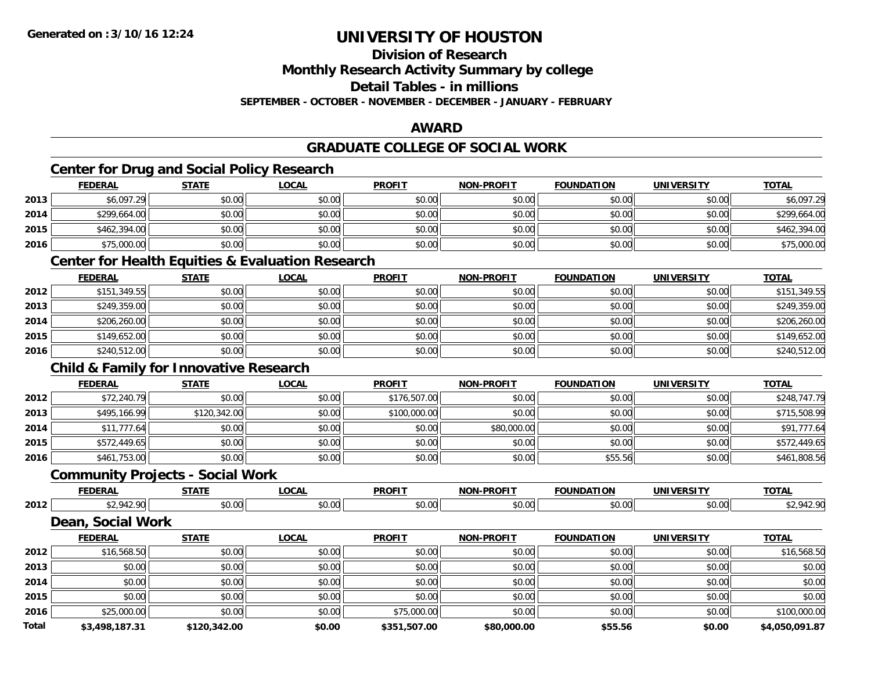**Division of Research**

**Monthly Research Activity Summary by college**

**Detail Tables - in millions**

**SEPTEMBER - OCTOBER - NOVEMBER - DECEMBER - JANUARY - FEBRUARY**

## **AWARD**

### **GRADUATE COLLEGE OF SOCIAL WORK**

## **Center for Drug and Social Policy Research**

|      | <b>FEDERAL</b> | <b>STATE</b> | <u>LOCAL</u> | <b>PROFIT</b> | <b>NON-PROFIT</b> | <b>FOUNDATION</b> | <b>UNIVERSITY</b> | <b>TOTAL</b> |
|------|----------------|--------------|--------------|---------------|-------------------|-------------------|-------------------|--------------|
| 2013 | \$6,097.29     | \$0.00       | \$0.00       | \$0.00        | \$0.00            | \$0.00            | \$0.00            | \$6,097.29   |
| 2014 | \$299,664.00   | \$0.00       | \$0.00       | \$0.00        | \$0.00            | \$0.00            | \$0.00            | \$299,664.00 |
| 2015 | \$462,394.00   | \$0.00       | \$0.00       | \$0.00        | \$0.00            | \$0.00            | \$0.00            | \$462,394.00 |
| 2016 | \$75,000.00    | \$0.00       | \$0.00       | \$0.00        | \$0.00            | \$0.00            | \$0.00            | \$75,000.00  |

### **Center for Health Equities & Evaluation Research**

|      | <u>FEDERAL</u> | <b>STATE</b> | <b>LOCAL</b> | <b>PROFIT</b> | <b>NON-PROFIT</b> | <b>FOUNDATION</b> | <b>UNIVERSITY</b> | <b>TOTAL</b> |
|------|----------------|--------------|--------------|---------------|-------------------|-------------------|-------------------|--------------|
| 2012 | \$151,349.55   | \$0.00       | \$0.00       | \$0.00        | \$0.00            | \$0.00            | \$0.00            | \$151,349.55 |
| 2013 | \$249,359.00   | \$0.00       | \$0.00       | \$0.00        | \$0.00            | \$0.00            | \$0.00            | \$249,359.00 |
| 2014 | \$206,260.00   | \$0.00       | \$0.00       | \$0.00        | \$0.00            | \$0.00            | \$0.00            | \$206,260.00 |
| 2015 | \$149,652.00   | \$0.00       | \$0.00       | \$0.00        | \$0.00            | \$0.00            | \$0.00            | \$149,652.00 |
| 2016 | \$240,512.00   | \$0.00       | \$0.00       | \$0.00        | \$0.00            | \$0.00            | \$0.00            | \$240,512.00 |

### **Child & Family for Innovative Research**

|      | <b>FEDERAL</b> | <b>STATE</b> | <u>LOCAL</u> | <b>PROFIT</b> | <b>NON-PROFIT</b> | <b>FOUNDATION</b> | <b>UNIVERSITY</b> | <b>TOTAL</b> |
|------|----------------|--------------|--------------|---------------|-------------------|-------------------|-------------------|--------------|
| 2012 | \$72,240.79    | \$0.00       | \$0.00       | \$176,507.00  | \$0.00            | \$0.00            | \$0.00            | \$248,747.79 |
| 2013 | \$495,166.99   | \$120,342.00 | \$0.00       | \$100,000.00  | \$0.00            | \$0.00            | \$0.00            | \$715,508.99 |
| 2014 | \$11,777.64    | \$0.00       | \$0.00       | \$0.00        | \$80,000.00       | \$0.00            | \$0.00            | \$91,777.64  |
| 2015 | \$572,449.65   | \$0.00       | \$0.00       | \$0.00        | \$0.00            | \$0.00            | \$0.00            | \$572,449.65 |
| 2016 | \$461,753.00   | \$0.00       | \$0.00       | \$0.00        | \$0.00            | \$55.56           | \$0.00            | \$461,808.56 |

### **Community Projects - Social Work**

|      | <b>FEDERAL</b> | $- - - - -$<br><u>л і і</u> | <b>OCAL</b>                | <b>PROFIT</b>              | <b>DDAEIT</b><br>៱៲កស | .<br>` בווח<br>''''' | ידויה<br><b>UNIVE</b><br>- IV. 31 | <b>TOTAL</b> |
|------|----------------|-----------------------------|----------------------------|----------------------------|-----------------------|----------------------|-----------------------------------|--------------|
| 2012 | $\sim$         | 0000<br>- J.U.              | $\sim$ $\sim$<br>r<br>"v.v | $*$ $\sim$ $\sim$<br>DU.UU | $\sim$ 00<br>JU.UU    | vv.vv                | $\sim$ 00<br>PO.OO                | − • •        |

### **Dean, Social Work**

|              | <b>FEDERAL</b> | <b>STATE</b> | <b>LOCAL</b> | <b>PROFIT</b> | <b>NON-PROFIT</b> | <b>FOUNDATION</b> | <b>UNIVERSITY</b> | <b>TOTAL</b>   |
|--------------|----------------|--------------|--------------|---------------|-------------------|-------------------|-------------------|----------------|
| 2012         | \$16,568.50    | \$0.00       | \$0.00       | \$0.00        | \$0.00            | \$0.00            | \$0.00            | \$16,568.50    |
| 2013         | \$0.00         | \$0.00       | \$0.00       | \$0.00        | \$0.00            | \$0.00            | \$0.00            | \$0.00         |
| 2014         | \$0.00         | \$0.00       | \$0.00       | \$0.00        | \$0.00            | \$0.00            | \$0.00            | \$0.00         |
| 2015         | \$0.00         | \$0.00       | \$0.00       | \$0.00        | \$0.00            | \$0.00            | \$0.00            | \$0.00         |
| 2016         | \$25,000.00    | \$0.00       | \$0.00       | \$75,000.00   | \$0.00            | \$0.00            | \$0.00            | \$100,000.00   |
| <b>Total</b> | \$3,498,187.31 | \$120,342.00 | \$0.00       | \$351,507.00  | \$80,000.00       | \$55.56           | \$0.00            | \$4,050,091.87 |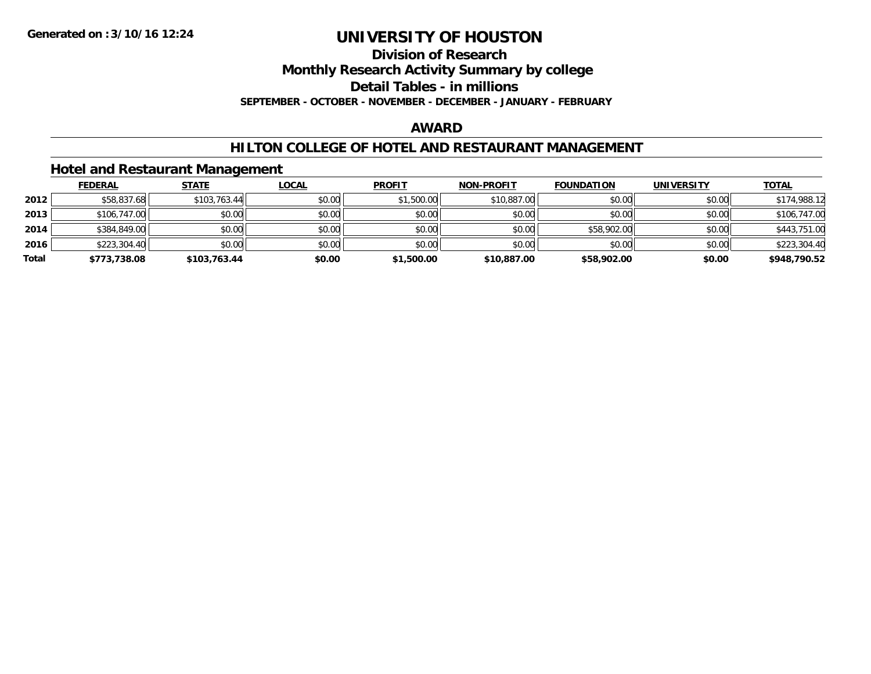**Division of Research**

**Monthly Research Activity Summary by college**

**Detail Tables - in millions**

**SEPTEMBER - OCTOBER - NOVEMBER - DECEMBER - JANUARY - FEBRUARY**

#### **AWARD**

### **HILTON COLLEGE OF HOTEL AND RESTAURANT MANAGEMENT**

#### **Hotel and Restaurant Management**

|       | <b>FEDERAL</b> | <b>STATE</b> | <u>LOCAL</u> | <b>PROFIT</b> | <b>NON-PROFIT</b> | <b>FOUNDATION</b> | <b>UNIVERSITY</b> | <b>TOTAL</b> |
|-------|----------------|--------------|--------------|---------------|-------------------|-------------------|-------------------|--------------|
| 2012  | \$58,837.68    | \$103,763.44 | \$0.00       | \$1,500.00    | \$10,887.00       | \$0.00            | \$0.00            | \$174,988.12 |
| 2013  | \$106,747.00   | \$0.00       | \$0.00       | \$0.00        | \$0.00            | \$0.00            | \$0.00            | \$106,747.00 |
| 2014  | \$384,849.00   | \$0.00       | \$0.00       | \$0.00        | \$0.00            | \$58,902.00       | \$0.00            | \$443,751.00 |
| 2016  | \$223,304.40   | \$0.00       | \$0.00       | \$0.00        | \$0.00            | \$0.00            | \$0.00            | \$223,304.40 |
| Total | \$773,738.08   | \$103,763.44 | \$0.00       | \$1,500.00    | \$10,887.00       | \$58,902.00       | \$0.00            | \$948,790.52 |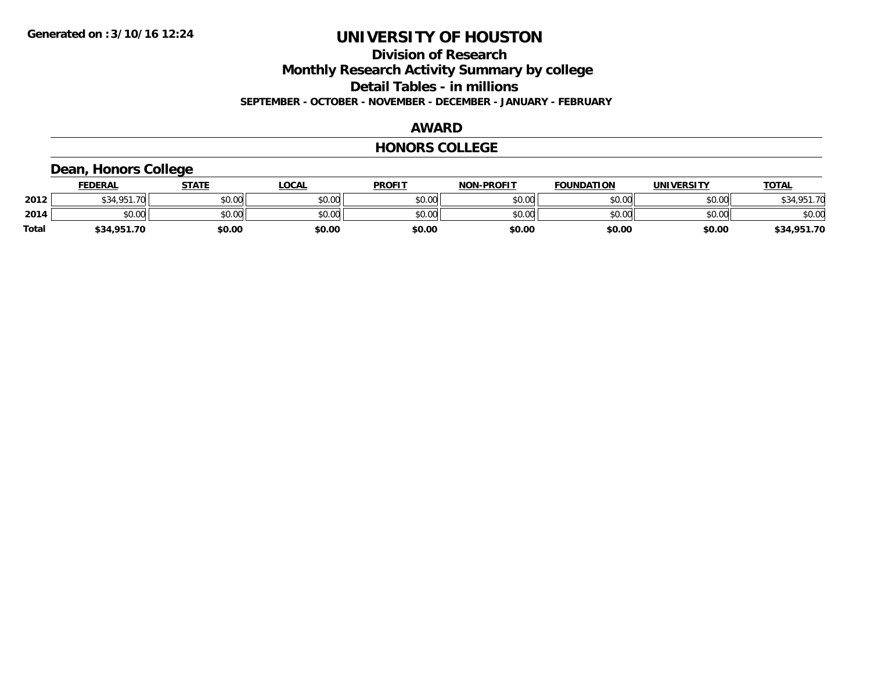**Division of Research**

**Monthly Research Activity Summary by college**

**Detail Tables - in millions**

**SEPTEMBER - OCTOBER - NOVEMBER - DECEMBER - JANUARY - FEBRUARY**

#### **AWARD**

#### **HONORS COLLEGE**

## **Dean, Honors College**

|       | <b>FEDERAL</b>     | <b>STATE</b> | <b>LOCAL</b> | <b>PROFIT</b> | <b>NON-PROFIT</b> | <b>FOUNDATION</b> | <b>UNIVERSITY</b> | <b>TOTAL</b> |
|-------|--------------------|--------------|--------------|---------------|-------------------|-------------------|-------------------|--------------|
| 2012  | \$34.951.70<br>334 | \$0.00       | \$0.00       | \$0.00        | \$0.00            | \$0.00            | \$0.00            | \$34,951.70  |
| 2014  | \$0.00             | \$0.00       | \$0.00       | \$0.00        | \$0.00            | \$0.00            | \$0.00            | \$0.00       |
| Total | \$34,951.70        | \$0.00       | \$0.00       | \$0.00        | \$0.00            | \$0.00            | \$0.00            | \$34,951.70  |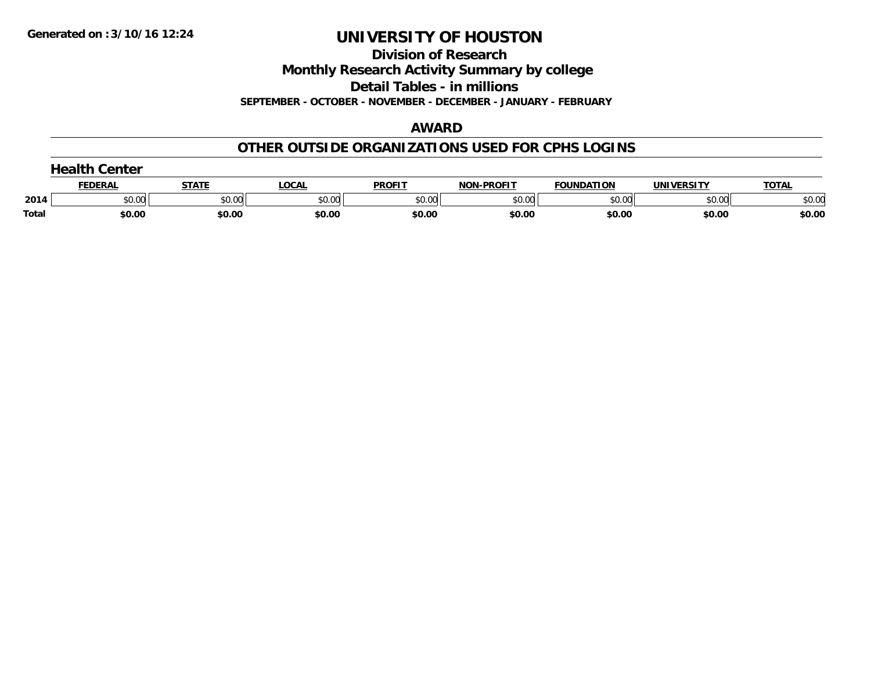**Division of Research**

**Monthly Research Activity Summary by college**

**Detail Tables - in millions**

**SEPTEMBER - OCTOBER - NOVEMBER - DECEMBER - JANUARY - FEBRUARY**

#### **AWARD**

### **OTHER OUTSIDE ORGANIZATIONS USED FOR CPHS LOGINS**

| .<br>Center |         |        |        |               |                   |                   |            |              |
|-------------|---------|--------|--------|---------------|-------------------|-------------------|------------|--------------|
|             | FEDERAI | STATE  | LOCAL  | <b>PROFIT</b> | <b>NON-PROFIT</b> | <b>FOUNDATION</b> | UNIVERSITY | <b>TOTAL</b> |
| 2014        | \$0.00  | \$0.00 | \$0.00 | \$0.00        | \$0.00            | \$0.00            | \$0.00     | \$0.00       |
| Total       | \$0.00  | \$0.00 | \$0.00 | \$0.00        | \$0.00            | \$0.00            | \$0.00     | \$0.00       |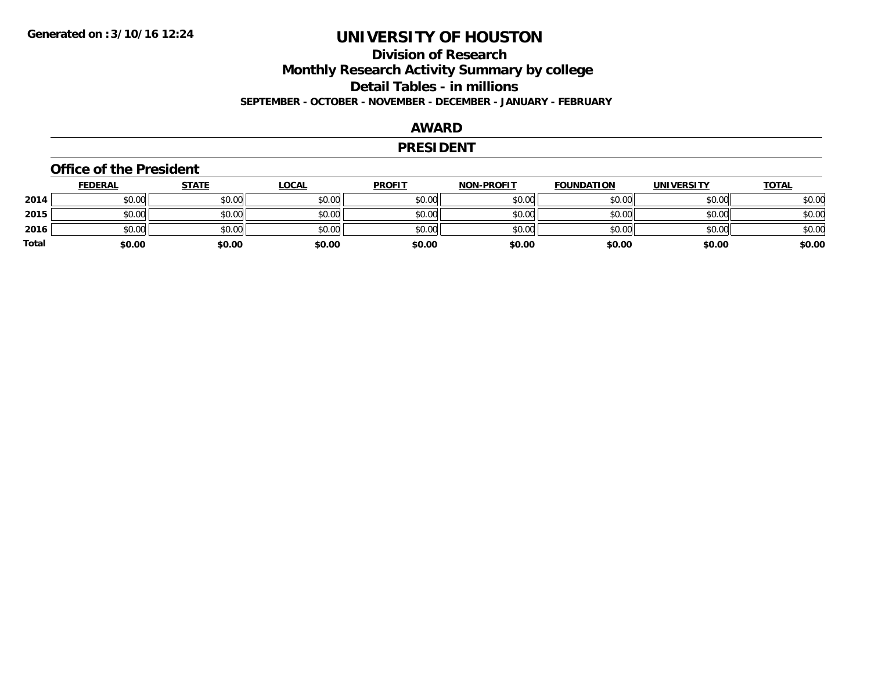## **Division of ResearchMonthly Research Activity Summary by college Detail Tables - in millions SEPTEMBER - OCTOBER - NOVEMBER - DECEMBER - JANUARY - FEBRUARY**

#### **AWARD**

#### **PRESIDENT**

#### **Office of the President**

|       | <b>FEDERAL</b> | <u>STATE</u> | <b>LOCAL</b> | <b>PROFIT</b> | <b>NON-PROFIT</b> | <b>FOUNDATION</b> | <b>UNIVERSITY</b> | <u>TOTAL</u> |
|-------|----------------|--------------|--------------|---------------|-------------------|-------------------|-------------------|--------------|
| 2014  | \$0.00         | \$0.00       | \$0.00       | \$0.00        | \$0.00            | \$0.00            | \$0.00            | \$0.00       |
| 2015  | \$0.00         | \$0.00       | \$0.00       | \$0.00        | \$0.00            | \$0.00            | \$0.00            | \$0.00       |
| 2016  | \$0.00         | \$0.00       | \$0.00       | \$0.00        | \$0.00            | \$0.00            | \$0.00            | \$0.00       |
| Total | \$0.00         | \$0.00       | \$0.00       | \$0.00        | \$0.00            | \$0.00            | \$0.00            | \$0.00       |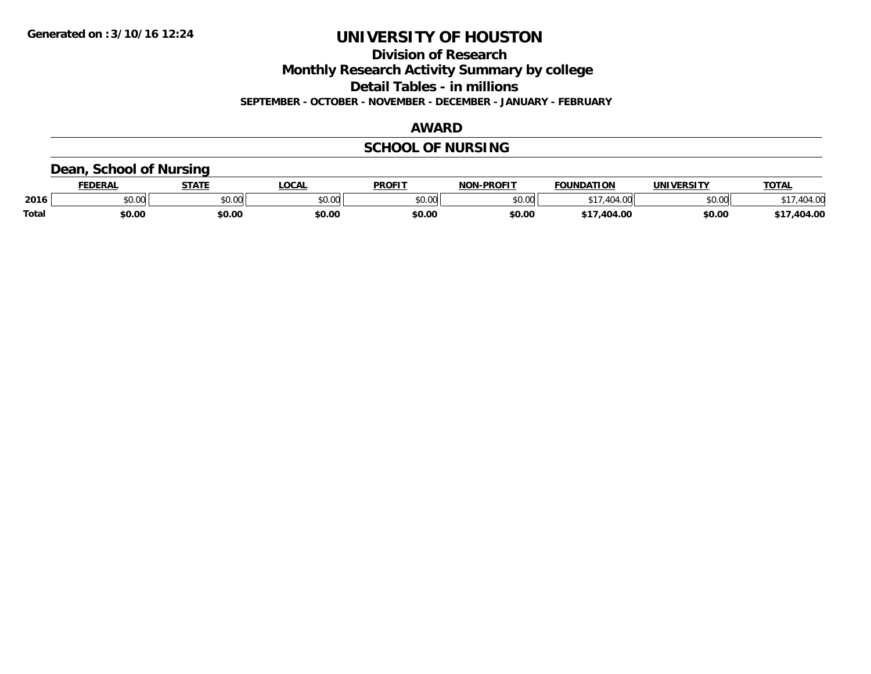**Division of Research**

**Monthly Research Activity Summary by college**

**Detail Tables - in millions**

**SEPTEMBER - OCTOBER - NOVEMBER - DECEMBER - JANUARY - FEBRUARY**

#### **AWARD**

## **SCHOOL OF NURSING**

### **Dean, School of Nursing**

|              | <b>DERAI</b> | <b>STATE</b>                                      | <b>OCAL</b> | <b>PROFIT</b>  | -PROFIT<br>חחו     | <b>FOUNDATION</b> | <b>UNIVERSITY</b> | TOTA.   |
|--------------|--------------|---------------------------------------------------|-------------|----------------|--------------------|-------------------|-------------------|---------|
| 2016         | \$0.00       | $\mathsf{A}\cap\mathsf{A}\cap\mathsf{A}$<br>JU.UU | \$0.00      | 0000<br>\$U.UU | $\sim$ 00<br>pu.uu | $\sim$            | \$0.00            | 1010    |
| <b>Total</b> | \$0.00       | \$0.00                                            | \$0.00      | \$0.00         | \$0.00             | $A -$<br>.404.00  | \$0.00            | .404.00 |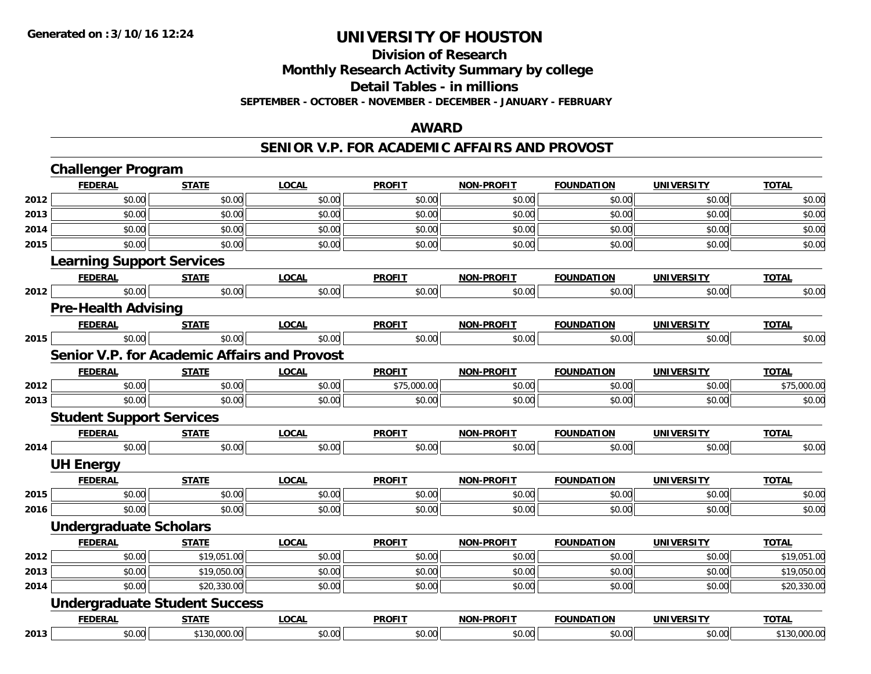## **Division of Research**

**Monthly Research Activity Summary by college**

**Detail Tables - in millions**

**SEPTEMBER - OCTOBER - NOVEMBER - DECEMBER - JANUARY - FEBRUARY**

#### **AWARD**

#### **SENIOR V.P. FOR ACADEMIC AFFAIRS AND PROVOST**

|      | <b>Challenger Program</b>        |                                                     |              |               |                   |                   |                   |              |
|------|----------------------------------|-----------------------------------------------------|--------------|---------------|-------------------|-------------------|-------------------|--------------|
|      | <b>FEDERAL</b>                   | <b>STATE</b>                                        | <b>LOCAL</b> | <b>PROFIT</b> | <b>NON-PROFIT</b> | <b>FOUNDATION</b> | <b>UNIVERSITY</b> | <b>TOTAL</b> |
| 2012 | \$0.00                           | \$0.00                                              | \$0.00       | \$0.00        | \$0.00            | \$0.00            | \$0.00            | \$0.00       |
| 2013 | \$0.00                           | \$0.00                                              | \$0.00       | \$0.00        | \$0.00            | \$0.00            | \$0.00            | \$0.00       |
| 2014 | \$0.00                           | \$0.00                                              | \$0.00       | \$0.00        | \$0.00            | \$0.00            | \$0.00            | \$0.00       |
| 2015 | \$0.00                           | \$0.00                                              | \$0.00       | \$0.00        | \$0.00            | \$0.00            | \$0.00            | \$0.00       |
|      | <b>Learning Support Services</b> |                                                     |              |               |                   |                   |                   |              |
|      | <b>FEDERAL</b>                   | <b>STATE</b>                                        | <b>LOCAL</b> | <b>PROFIT</b> | <b>NON-PROFIT</b> | <b>FOUNDATION</b> | <b>UNIVERSITY</b> | <b>TOTAL</b> |
| 2012 | \$0.00                           | \$0.00                                              | \$0.00       | \$0.00        | \$0.00            | \$0.00            | \$0.00            | \$0.00       |
|      | <b>Pre-Health Advising</b>       |                                                     |              |               |                   |                   |                   |              |
|      | <b>FEDERAL</b>                   | <b>STATE</b>                                        | <b>LOCAL</b> | <b>PROFIT</b> | <b>NON-PROFIT</b> | <b>FOUNDATION</b> | <b>UNIVERSITY</b> | <b>TOTAL</b> |
| 2015 | \$0.00                           | \$0.00                                              | \$0.00       | \$0.00        | \$0.00            | \$0.00            | \$0.00            | \$0.00       |
|      |                                  | <b>Senior V.P. for Academic Affairs and Provost</b> |              |               |                   |                   |                   |              |
|      | <b>FEDERAL</b>                   | <b>STATE</b>                                        | <b>LOCAL</b> | <b>PROFIT</b> | <b>NON-PROFIT</b> | <b>FOUNDATION</b> | <b>UNIVERSITY</b> | <b>TOTAL</b> |
| 2012 | \$0.00                           | \$0.00                                              | \$0.00       | \$75,000.00   | \$0.00            | \$0.00            | \$0.00            | \$75,000.00  |
| 2013 | \$0.00                           | \$0.00                                              | \$0.00       | \$0.00        | \$0.00            | \$0.00            | \$0.00            | \$0.00       |
|      | <b>Student Support Services</b>  |                                                     |              |               |                   |                   |                   |              |
|      | <b>FEDERAL</b>                   | <b>STATE</b>                                        | <b>LOCAL</b> | <b>PROFIT</b> | <b>NON-PROFIT</b> | <b>FOUNDATION</b> | <b>UNIVERSITY</b> | <b>TOTAL</b> |
| 2014 | \$0.00                           | \$0.00                                              | \$0.00       | \$0.00        | \$0.00            | \$0.00            | \$0.00            | \$0.00       |
|      | <b>UH Energy</b>                 |                                                     |              |               |                   |                   |                   |              |
|      | <b>FEDERAL</b>                   | <b>STATE</b>                                        | <b>LOCAL</b> | <b>PROFIT</b> | <b>NON-PROFIT</b> | <b>FOUNDATION</b> | <b>UNIVERSITY</b> | <b>TOTAL</b> |
| 2015 | \$0.00                           | \$0.00                                              | \$0.00       | \$0.00        | \$0.00            | \$0.00            | \$0.00            | \$0.00       |
| 2016 | \$0.00                           | \$0.00                                              | \$0.00       | \$0.00        | \$0.00            | \$0.00            | \$0.00            | \$0.00       |
|      | <b>Undergraduate Scholars</b>    |                                                     |              |               |                   |                   |                   |              |
|      | <b>FEDERAL</b>                   | <b>STATE</b>                                        | <b>LOCAL</b> | <b>PROFIT</b> | <b>NON-PROFIT</b> | <b>FOUNDATION</b> | <b>UNIVERSITY</b> | <b>TOTAL</b> |
| 2012 | \$0.00                           | \$19,051.00                                         | \$0.00       | \$0.00        | \$0.00            | \$0.00            | \$0.00            | \$19,051.00  |
| 2013 | \$0.00                           | \$19,050.00                                         | \$0.00       | \$0.00        | \$0.00            | \$0.00            | \$0.00            | \$19,050.00  |
| 2014 | \$0.00                           | \$20,330.00                                         | \$0.00       | \$0.00        | \$0.00            | \$0.00            | \$0.00            | \$20,330.00  |
|      |                                  | <b>Undergraduate Student Success</b>                |              |               |                   |                   |                   |              |
|      | <b>FEDERAL</b>                   | <b>STATE</b>                                        | <b>LOCAL</b> | <b>PROFIT</b> | <b>NON-PROFIT</b> | <b>FOUNDATION</b> | <b>UNIVERSITY</b> | <b>TOTAL</b> |
| 2013 | \$0.00                           | \$130,000.00                                        | \$0.00       | \$0.00        | \$0.00            | \$0.00            | \$0.00            | \$130,000.00 |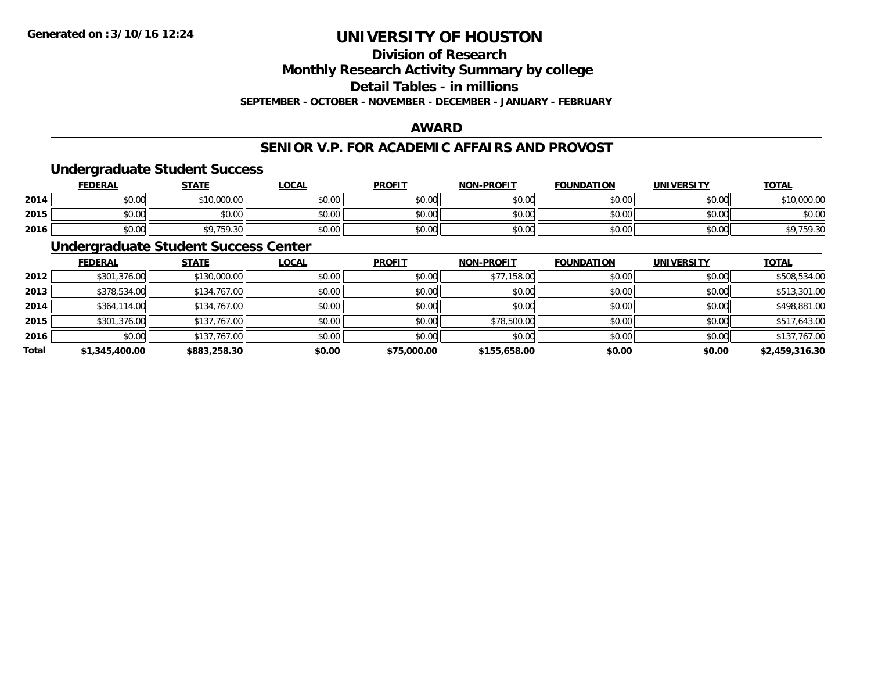## **Division of Research**

**Monthly Research Activity Summary by college**

**Detail Tables - in millions**

**SEPTEMBER - OCTOBER - NOVEMBER - DECEMBER - JANUARY - FEBRUARY**

### **AWARD**

### **SENIOR V.P. FOR ACADEMIC AFFAIRS AND PROVOST**

## **Undergraduate Student Success**

|      | FEDERAL | <b>STATE</b> | <u>LOCAL</u> | <b>PROFIT</b> | <b>NON-PROFIT</b> | <b>FOUNDATION</b> | UNIVERSITY | <b>TOTAL</b>         |
|------|---------|--------------|--------------|---------------|-------------------|-------------------|------------|----------------------|
| 2014 | \$0.00  | \$10,000.00  | \$0.00       | \$0.00        | \$0.00            | \$0.00            | \$0.00     | \$10,000.00          |
| 2015 | \$0.00  | \$0.00       | \$0.00       | \$0.00        | \$0.00            | \$0.00            | \$0.00     | \$0.00               |
| 2016 | \$0.00  | \$9,759.30   | \$0.00       | \$0.00        | \$0.00            | \$0.00            | \$0.00     | 759.30<br>\$Y,15Y.3U |

### **Undergraduate Student Success Center**

|       | <b>FEDERAL</b> | <b>STATE</b> | <b>LOCAL</b> | <b>PROFIT</b> | <b>NON-PROFIT</b> | <b>FOUNDATION</b> | <b>UNIVERSITY</b> | <b>TOTAL</b>   |
|-------|----------------|--------------|--------------|---------------|-------------------|-------------------|-------------------|----------------|
| 2012  | \$301,376.00   | \$130,000.00 | \$0.00       | \$0.00        | \$77,158.00       | \$0.00            | \$0.00            | \$508,534.00   |
| 2013  | \$378,534.00   | \$134,767.00 | \$0.00       | \$0.00        | \$0.00            | \$0.00            | \$0.00            | \$513,301.00   |
| 2014  | \$364,114.00   | \$134,767.00 | \$0.00       | \$0.00        | \$0.00            | \$0.00            | \$0.00            | \$498,881.00   |
| 2015  | \$301,376.00   | \$137,767.00 | \$0.00       | \$0.00        | \$78,500.00       | \$0.00            | \$0.00            | \$517,643.00   |
| 2016  | \$0.00         | \$137,767.00 | \$0.00       | \$0.00        | \$0.00            | \$0.00            | \$0.00            | \$137,767.00   |
| Total | \$1,345,400.00 | \$883,258.30 | \$0.00       | \$75,000.00   | \$155,658.00      | \$0.00            | \$0.00            | \$2,459,316.30 |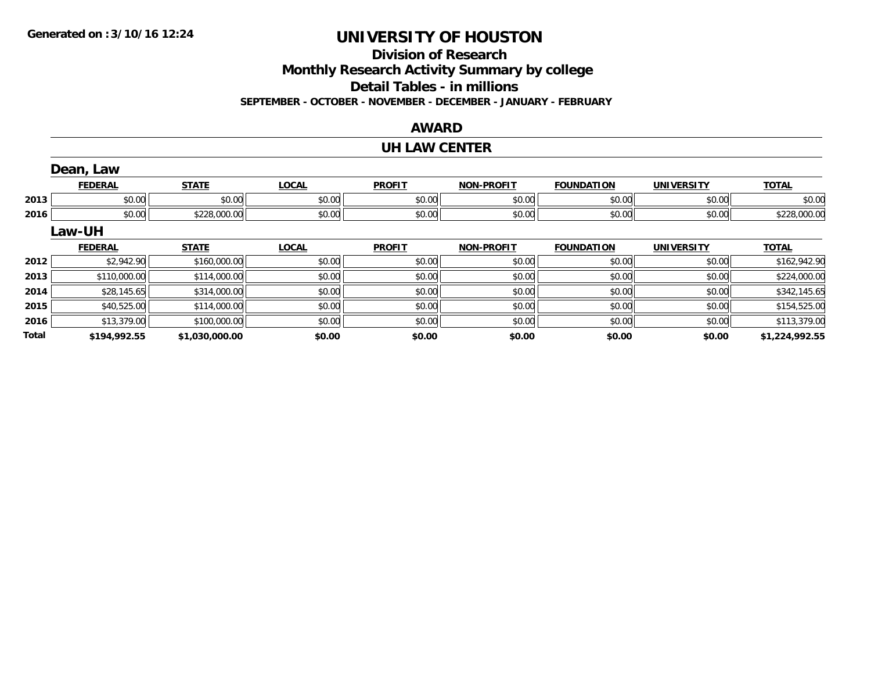## **Division of Research**

**Monthly Research Activity Summary by college**

**Detail Tables - in millions**

**SEPTEMBER - OCTOBER - NOVEMBER - DECEMBER - JANUARY - FEBRUARY**

### **AWARD**

## **UH LAW CENTER**

|              | Dean, Law      |                |              |               |                   |                   |                   |                |
|--------------|----------------|----------------|--------------|---------------|-------------------|-------------------|-------------------|----------------|
|              | <b>FEDERAL</b> | <b>STATE</b>   | <b>LOCAL</b> | <b>PROFIT</b> | <b>NON-PROFIT</b> | <b>FOUNDATION</b> | <b>UNIVERSITY</b> | <b>TOTAL</b>   |
| 2013         | \$0.00         | \$0.00         | \$0.00       | \$0.00        | \$0.00            | \$0.00            | \$0.00            | \$0.00         |
| 2016         | \$0.00         | \$228,000.00   | \$0.00       | \$0.00        | \$0.00            | \$0.00            | \$0.00            | \$228,000.00   |
|              | Law-UH         |                |              |               |                   |                   |                   |                |
|              | <b>FEDERAL</b> | <b>STATE</b>   | <b>LOCAL</b> | <b>PROFIT</b> | <b>NON-PROFIT</b> | <b>FOUNDATION</b> | <b>UNIVERSITY</b> | <b>TOTAL</b>   |
| 2012         | \$2,942.90     | \$160,000.00   | \$0.00       | \$0.00        | \$0.00            | \$0.00            | \$0.00            | \$162,942.90   |
| 2013         | \$110,000.00   | \$114,000.00   | \$0.00       | \$0.00        | \$0.00            | \$0.00            | \$0.00            | \$224,000.00   |
| 2014         | \$28,145.65    | \$314,000.00   | \$0.00       | \$0.00        | \$0.00            | \$0.00            | \$0.00            | \$342,145.65   |
| 2015         | \$40,525.00    | \$114,000.00   | \$0.00       | \$0.00        | \$0.00            | \$0.00            | \$0.00            | \$154,525.00   |
| 2016         | \$13,379.00    | \$100,000.00   | \$0.00       | \$0.00        | \$0.00            | \$0.00            | \$0.00            | \$113,379.00   |
| <b>Total</b> | \$194,992.55   | \$1,030,000.00 | \$0.00       | \$0.00        | \$0.00            | \$0.00            | \$0.00            | \$1,224,992.55 |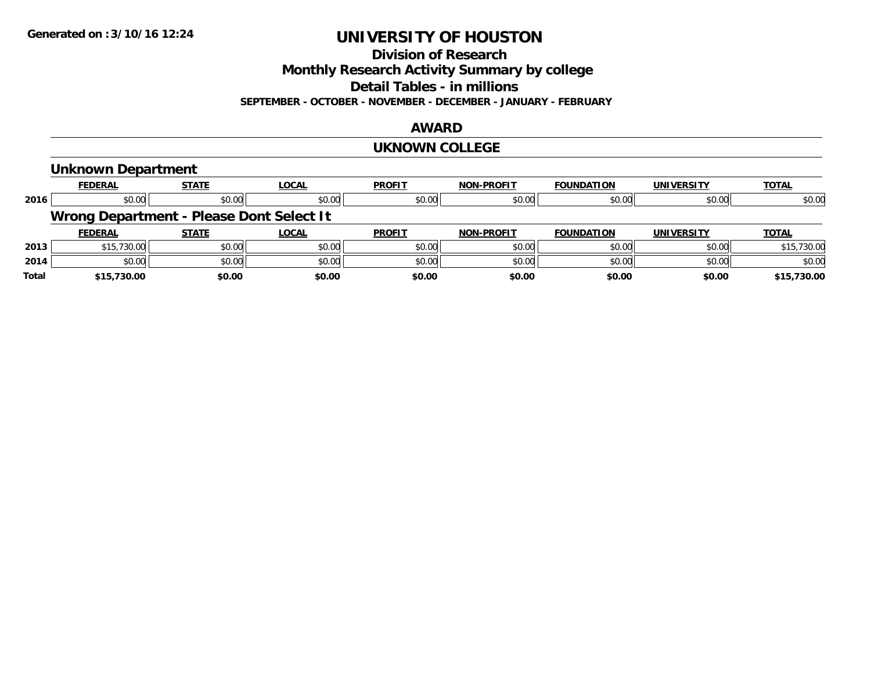**Division of Research**

**Monthly Research Activity Summary by college**

**Detail Tables - in millions**

**SEPTEMBER - OCTOBER - NOVEMBER - DECEMBER - JANUARY - FEBRUARY**

### **AWARD**

#### **UKNOWN COLLEGE**

### **Unknown Department**

|       | <b>FEDERAL</b> | <b>STATE</b>                             | <b>LOCAL</b> | <b>PROFIT</b> | <b>NON-PROFIT</b> | <b>FOUNDATION</b> | <b>UNIVERSITY</b> | <b>TOTAL</b> |
|-------|----------------|------------------------------------------|--------------|---------------|-------------------|-------------------|-------------------|--------------|
| 2016  | \$0.00         | \$0.00                                   | \$0.00       | \$0.00        | \$0.00            | \$0.00            | \$0.00            | \$0.00       |
|       |                | Wrong Department - Please Dont Select It |              |               |                   |                   |                   |              |
|       | <b>FEDERAL</b> | <b>STATE</b>                             | <b>LOCAL</b> | <b>PROFIT</b> | <b>NON-PROFIT</b> | <b>FOUNDATION</b> | <b>UNIVERSITY</b> | <b>TOTAL</b> |
| 2013  | \$15,730.00    | \$0.00                                   | \$0.00       | \$0.00        | \$0.00            | \$0.00            | \$0.00            | \$15,730.00  |
| 2014  | \$0.00         | \$0.00                                   | \$0.00       | \$0.00        | \$0.00            | \$0.00            | \$0.00            | \$0.00       |
| Total | \$15,730.00    | \$0.00                                   | \$0.00       | \$0.00        | \$0.00            | \$0.00            | \$0.00            | \$15,730.00  |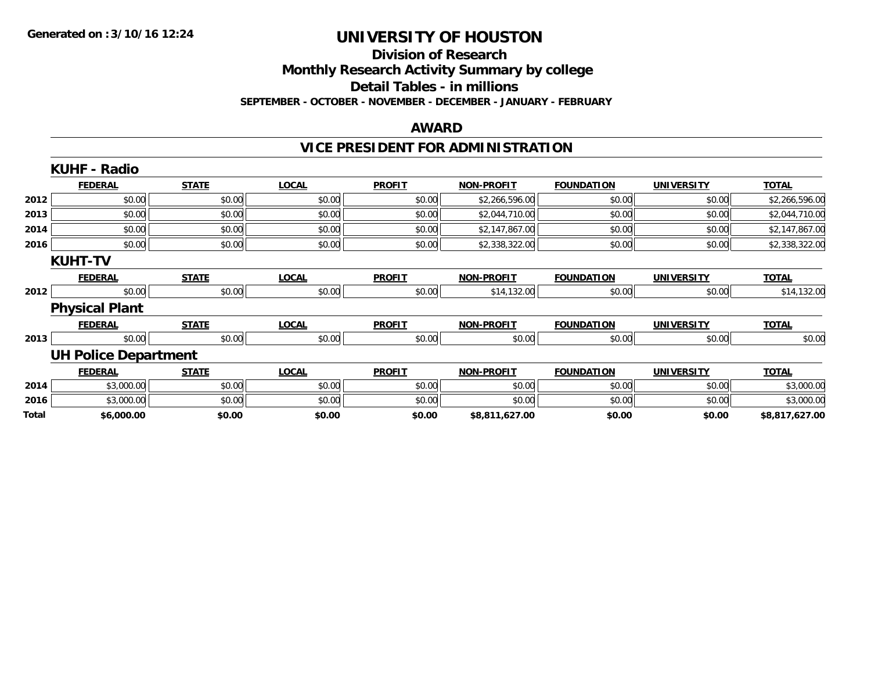## **Division of Research**

**Monthly Research Activity Summary by college**

**Detail Tables - in millions**

**SEPTEMBER - OCTOBER - NOVEMBER - DECEMBER - JANUARY - FEBRUARY**

#### **AWARD**

## **VICE PRESIDENT FOR ADMINISTRATION**

|       | <b>KUHF - Radio</b>         |              |              |               |                   |                   |                   |                |
|-------|-----------------------------|--------------|--------------|---------------|-------------------|-------------------|-------------------|----------------|
|       | <b>FEDERAL</b>              | <b>STATE</b> | <b>LOCAL</b> | <b>PROFIT</b> | <b>NON-PROFIT</b> | <b>FOUNDATION</b> | <b>UNIVERSITY</b> | <b>TOTAL</b>   |
| 2012  | \$0.00                      | \$0.00       | \$0.00       | \$0.00        | \$2,266,596.00    | \$0.00            | \$0.00            | \$2,266,596.00 |
| 2013  | \$0.00                      | \$0.00       | \$0.00       | \$0.00        | \$2,044,710.00    | \$0.00            | \$0.00            | \$2,044,710.00 |
| 2014  | \$0.00                      | \$0.00       | \$0.00       | \$0.00        | \$2,147,867.00    | \$0.00            | \$0.00            | \$2,147,867.00 |
| 2016  | \$0.00                      | \$0.00       | \$0.00       | \$0.00        | \$2,338,322.00    | \$0.00            | \$0.00            | \$2,338,322.00 |
|       | <b>KUHT-TV</b>              |              |              |               |                   |                   |                   |                |
|       | <b>FEDERAL</b>              | <b>STATE</b> | <b>LOCAL</b> | <b>PROFIT</b> | <b>NON-PROFIT</b> | <b>FOUNDATION</b> | <b>UNIVERSITY</b> | <b>TOTAL</b>   |
| 2012  | \$0.00                      | \$0.00       | \$0.00       | \$0.00        | \$14,132.00       | \$0.00            | \$0.00            | \$14,132.00    |
|       | <b>Physical Plant</b>       |              |              |               |                   |                   |                   |                |
|       | <b>FEDERAL</b>              | <b>STATE</b> | <b>LOCAL</b> | <b>PROFIT</b> | <b>NON-PROFIT</b> | <b>FOUNDATION</b> | <b>UNIVERSITY</b> | <b>TOTAL</b>   |
| 2013  | \$0.00                      | \$0.00       | \$0.00       | \$0.00        | \$0.00            | \$0.00            | \$0.00            | \$0.00         |
|       | <b>UH Police Department</b> |              |              |               |                   |                   |                   |                |
|       | <b>FEDERAL</b>              | <b>STATE</b> | <b>LOCAL</b> | <b>PROFIT</b> | <b>NON-PROFIT</b> | <b>FOUNDATION</b> | <b>UNIVERSITY</b> | <b>TOTAL</b>   |
| 2014  | \$3,000.00                  | \$0.00       | \$0.00       | \$0.00        | \$0.00            | \$0.00            | \$0.00            | \$3,000.00     |
| 2016  | \$3,000.00                  | \$0.00       | \$0.00       | \$0.00        | \$0.00            | \$0.00            | \$0.00            | \$3,000.00     |
| Total | \$6,000.00                  | \$0.00       | \$0.00       | \$0.00        | \$8,811,627.00    | \$0.00            | \$0.00            | \$8,817,627.00 |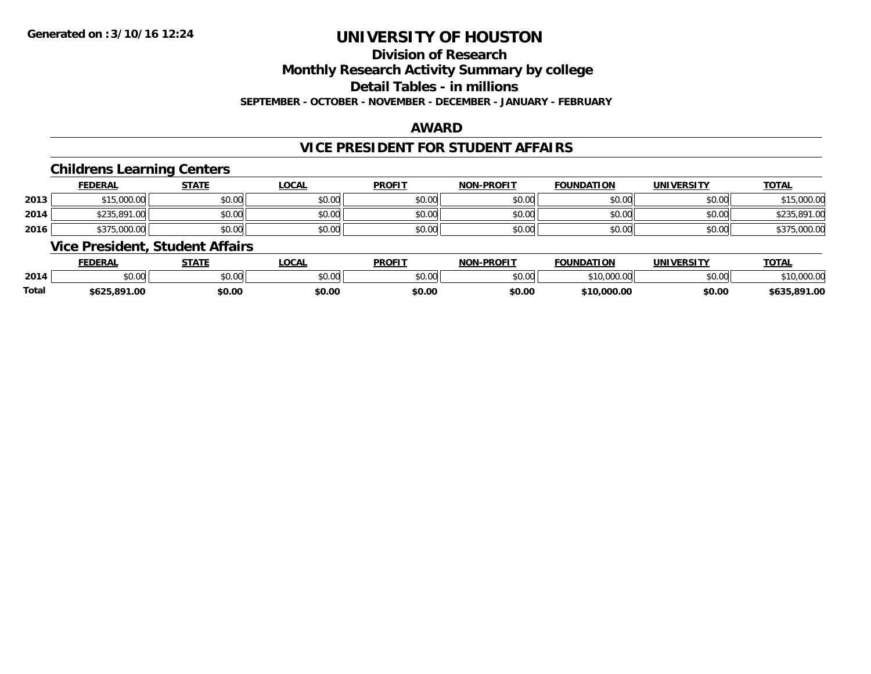## **Division of Research**

**Monthly Research Activity Summary by college**

**Detail Tables - in millions**

**SEPTEMBER - OCTOBER - NOVEMBER - DECEMBER - JANUARY - FEBRUARY**

### **AWARD**

### **VICE PRESIDENT FOR STUDENT AFFAIRS**

### **Childrens Learning Centers**

|      | <u>FEDERAL</u> | <b>STATE</b> | <u>_OCAL</u> | <b>PROFIT</b> | <b>NON-PROFIT</b> | <b>FOUNDATION</b> | <b>UNIVERSITY</b> | <b>TOTAL</b>            |
|------|----------------|--------------|--------------|---------------|-------------------|-------------------|-------------------|-------------------------|
| 2013 | \$15,000.00    | \$0.00       | \$0.00       | \$0.00        | \$0.00            | \$0.00            | \$0.00            | <b>¢15</b><br>15,000.00 |
| 2014 | \$235,891.00   | \$0.00       | \$0.00       | \$0.00        | \$0.00            | \$0.00            | \$0.00            | \$235,891.<br>1.00      |
| 2016 | \$375,000.00   | \$0.00       | \$0.00       | \$0.00        | \$0.00            | \$0.00            | \$0.00            | \$375,000.00            |

### **Vice President, Student Affairs**

|       | <b>FEDERAL</b> | STATE         | <b>OCAL</b> | <b>PROFIT</b> | <b>J-PROFIT</b><br>NON- | <b>FOUNDATION</b>              | UNIVERSITY | <b>TOTAL</b>                     |
|-------|----------------|---------------|-------------|---------------|-------------------------|--------------------------------|------------|----------------------------------|
| 2014  | 0000<br>DU.UU  | 0000<br>JU.UU | \$0.00      | \$0.00        | 0000<br>JU.UU           | \$10,00<br>$\sim$<br>TU.UUU.UU | \$0.00     | $*10.000.00$<br><u>10.000.00</u> |
| Total | \$625,891.00   | \$0.00        | \$0.00      | \$0.00        | \$0.00                  | \$10,000.00                    | \$0.00     | ,891.00<br>6635                  |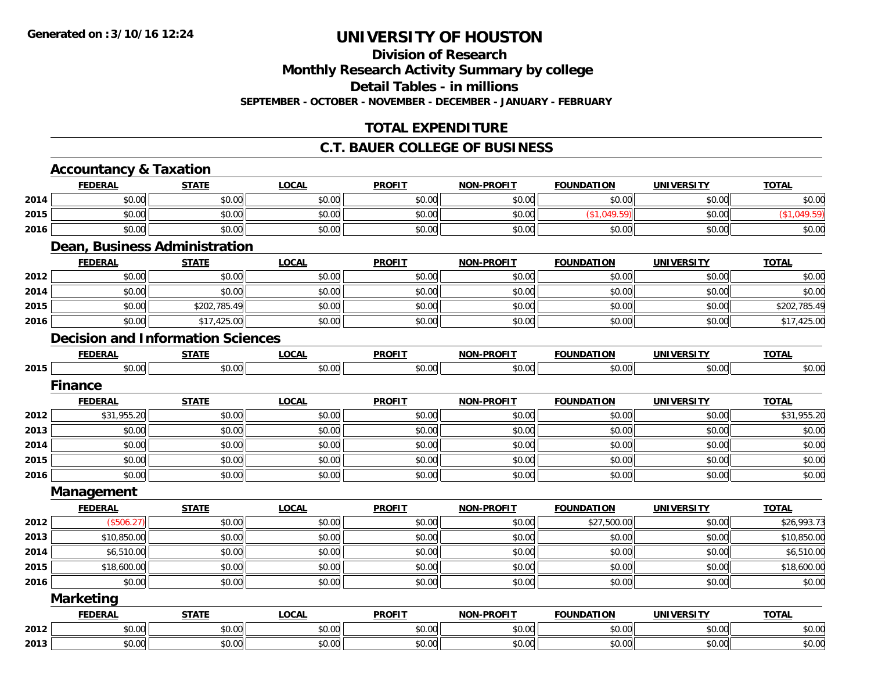# **Division of Research**

**Monthly Research Activity Summary by college**

**Detail Tables - in millions**

**SEPTEMBER - OCTOBER - NOVEMBER - DECEMBER - JANUARY - FEBRUARY**

## **TOTAL EXPENDITURE**

### **C.T. BAUER COLLEGE OF BUSINESS**

|      | <b>Accountancy &amp; Taxation</b> |                                          |              |               |                   |                   |                   |              |
|------|-----------------------------------|------------------------------------------|--------------|---------------|-------------------|-------------------|-------------------|--------------|
|      | <b>FEDERAL</b>                    | <b>STATE</b>                             | <b>LOCAL</b> | <b>PROFIT</b> | <b>NON-PROFIT</b> | <b>FOUNDATION</b> | <b>UNIVERSITY</b> | <b>TOTAL</b> |
| 2014 | \$0.00                            | \$0.00                                   | \$0.00       | \$0.00        | \$0.00            | \$0.00            | \$0.00            | \$0.00       |
| 2015 | \$0.00                            | \$0.00                                   | \$0.00       | \$0.00        | \$0.00            | (\$1,049.59)      | \$0.00            | (\$1,049.59) |
| 2016 | \$0.00                            | \$0.00                                   | \$0.00       | \$0.00        | \$0.00            | \$0.00            | \$0.00            | \$0.00       |
|      |                                   | <b>Dean, Business Administration</b>     |              |               |                   |                   |                   |              |
|      | <b>FEDERAL</b>                    | <b>STATE</b>                             | <b>LOCAL</b> | <b>PROFIT</b> | <b>NON-PROFIT</b> | <b>FOUNDATION</b> | <b>UNIVERSITY</b> | <b>TOTAL</b> |
| 2012 | \$0.00                            | \$0.00                                   | \$0.00       | \$0.00        | \$0.00            | \$0.00            | \$0.00            | \$0.00       |
| 2014 | \$0.00                            | \$0.00                                   | \$0.00       | \$0.00        | \$0.00            | \$0.00            | \$0.00            | \$0.00       |
| 2015 | \$0.00                            | \$202,785.49                             | \$0.00       | \$0.00        | \$0.00            | \$0.00            | \$0.00            | \$202,785.49 |
| 2016 | \$0.00                            | \$17,425.00                              | \$0.00       | \$0.00        | \$0.00            | \$0.00            | \$0.00            | \$17,425.00  |
|      |                                   | <b>Decision and Information Sciences</b> |              |               |                   |                   |                   |              |
|      | <b>FEDERAL</b>                    | <b>STATE</b>                             | <b>LOCAL</b> | <b>PROFIT</b> | <b>NON-PROFIT</b> | <b>FOUNDATION</b> | <b>UNIVERSITY</b> | <b>TOTAL</b> |
| 2015 | \$0.00                            | \$0.00                                   | \$0.00       | \$0.00        | \$0.00            | \$0.00            | \$0.00            | \$0.00       |
|      | <b>Finance</b>                    |                                          |              |               |                   |                   |                   |              |
|      | <b>FEDERAL</b>                    | <b>STATE</b>                             | <b>LOCAL</b> | <b>PROFIT</b> | <b>NON-PROFIT</b> | <b>FOUNDATION</b> | <b>UNIVERSITY</b> | <b>TOTAL</b> |
| 2012 | \$31,955.20                       | \$0.00                                   | \$0.00       | \$0.00        | \$0.00            | \$0.00            | \$0.00            | \$31,955.20  |
| 2013 | \$0.00                            | \$0.00                                   | \$0.00       | \$0.00        | \$0.00            | \$0.00            | \$0.00            | \$0.00       |
| 2014 | \$0.00                            | \$0.00                                   | \$0.00       | \$0.00        | \$0.00            | \$0.00            | \$0.00            | \$0.00       |
| 2015 | \$0.00                            | \$0.00                                   | \$0.00       | \$0.00        | \$0.00            | \$0.00            | \$0.00            | \$0.00       |
| 2016 | \$0.00                            | \$0.00                                   | \$0.00       | \$0.00        | \$0.00            | \$0.00            | \$0.00            | \$0.00       |
|      | Management                        |                                          |              |               |                   |                   |                   |              |
|      | <b>FEDERAL</b>                    | <b>STATE</b>                             | <b>LOCAL</b> | <b>PROFIT</b> | <b>NON-PROFIT</b> | <b>FOUNDATION</b> | <b>UNIVERSITY</b> | <b>TOTAL</b> |
| 2012 | (\$506.27)                        | \$0.00                                   | \$0.00       | \$0.00        | \$0.00            | \$27,500.00       | \$0.00            | \$26,993.73  |
| 2013 | \$10,850.00                       | \$0.00                                   | \$0.00       | \$0.00        | \$0.00            | \$0.00            | \$0.00            | \$10,850.00  |
| 2014 | \$6,510.00                        | \$0.00                                   | \$0.00       | \$0.00        | \$0.00            | \$0.00            | \$0.00            | \$6,510.00   |
| 2015 | \$18,600.00                       | \$0.00                                   | \$0.00       | \$0.00        | \$0.00            | \$0.00            | \$0.00            | \$18,600.00  |
| 2016 | \$0.00                            | \$0.00                                   | \$0.00       | \$0.00        | \$0.00            | \$0.00            | \$0.00            | \$0.00       |
|      | <b>Marketing</b>                  |                                          |              |               |                   |                   |                   |              |
|      | <b>FEDERAL</b>                    | <b>STATE</b>                             | <b>LOCAL</b> | <b>PROFIT</b> | <b>NON-PROFIT</b> | <b>FOUNDATION</b> | <b>UNIVERSITY</b> | <b>TOTAL</b> |
| 2012 | \$0.00                            | \$0.00                                   | \$0.00       | \$0.00        | \$0.00            | \$0.00            | \$0.00            | \$0.00       |
| 2013 | \$0.00                            | \$0.00                                   | \$0.00       | \$0.00        | \$0.00            | \$0.00            | \$0.00            | \$0.00       |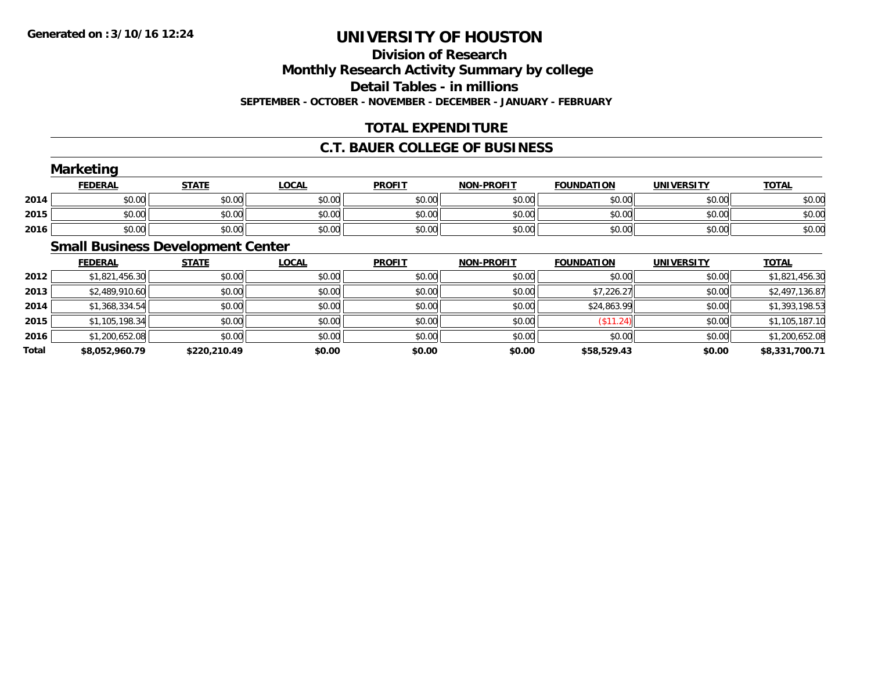## **Division of ResearchMonthly Research Activity Summary by college Detail Tables - in millions SEPTEMBER - OCTOBER - NOVEMBER - DECEMBER - JANUARY - FEBRUARY**

## **TOTAL EXPENDITURE**

### **C.T. BAUER COLLEGE OF BUSINESS**

|      | <b>Marketing</b> |              |              |               |                   |                   |                   |              |
|------|------------------|--------------|--------------|---------------|-------------------|-------------------|-------------------|--------------|
|      | <b>FEDERAL</b>   | <b>STATE</b> | <u>LOCAL</u> | <b>PROFIT</b> | <b>NON-PROFIT</b> | <b>FOUNDATION</b> | <b>UNIVERSITY</b> | <b>TOTAL</b> |
| 2014 | \$0.00           | \$0.00       | \$0.00       | \$0.00        | \$0.00            | \$0.00            | \$0.00            | \$0.00       |
| 2015 | \$0.00           | \$0.00       | \$0.00       | \$0.00        | \$0.00            | \$0.00            | \$0.00            | \$0.00       |
| 2016 | \$0.00           | \$0.00       | \$0.00       | \$0.00        | \$0.00            | \$0.00            | \$0.00            | \$0.00       |
|      |                  |              |              |               |                   |                   |                   |              |

## **Small Business Development Center**

|       | <b>FEDERAL</b> | <b>STATE</b> | <b>LOCAL</b> | <b>PROFIT</b> | <b>NON-PROFIT</b> | <b>FOUNDATION</b> | <b>UNIVERSITY</b> | <u>TOTAL</u>   |
|-------|----------------|--------------|--------------|---------------|-------------------|-------------------|-------------------|----------------|
| 2012  | \$1,821,456.30 | \$0.00       | \$0.00       | \$0.00        | \$0.00            | \$0.00            | \$0.00            | \$1,821,456.30 |
| 2013  | \$2,489,910.60 | \$0.00       | \$0.00       | \$0.00        | \$0.00            | \$7,226.27        | \$0.00            | \$2,497,136.87 |
| 2014  | \$1,368,334.54 | \$0.00       | \$0.00       | \$0.00        | \$0.00            | \$24,863.99       | \$0.00            | \$1,393,198.53 |
| 2015  | \$1,105,198.34 | \$0.00       | \$0.00       | \$0.00        | \$0.00            | (\$11.24)         | \$0.00            | \$1,105,187.10 |
| 2016  | \$1,200,652.08 | \$0.00       | \$0.00       | \$0.00        | \$0.00            | \$0.00            | \$0.00            | \$1,200,652.08 |
| Total | \$8,052,960.79 | \$220,210.49 | \$0.00       | \$0.00        | \$0.00            | \$58,529.43       | \$0.00            | \$8,331,700.71 |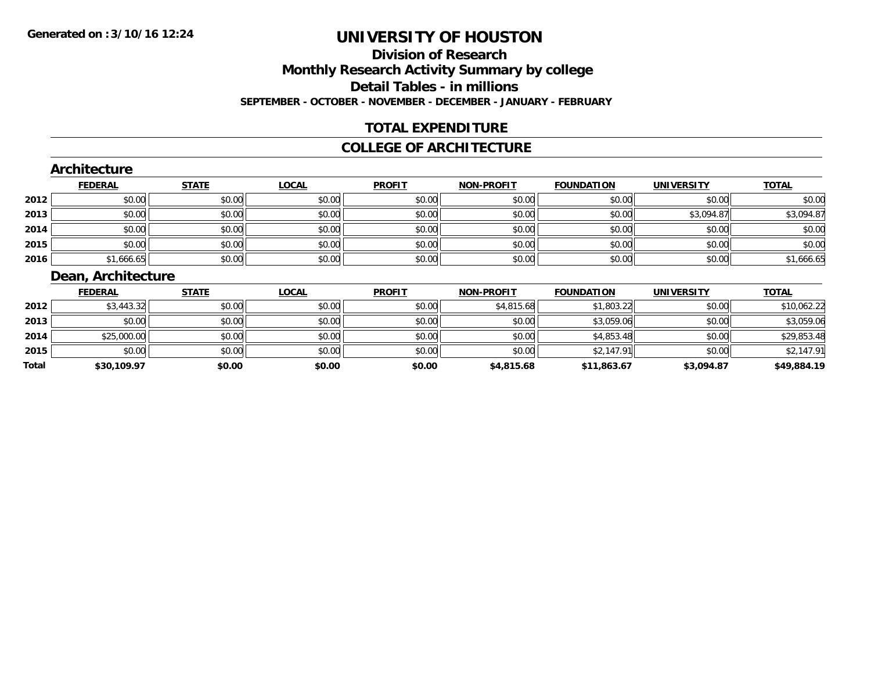## **Division of ResearchMonthly Research Activity Summary by college Detail Tables - in millions SEPTEMBER - OCTOBER - NOVEMBER - DECEMBER - JANUARY - FEBRUARY**

### **TOTAL EXPENDITURE**

#### **COLLEGE OF ARCHITECTURE**

### **Architecture**

|      | <b>FEDERAL</b> | <b>STATE</b> | <u>LOCAL</u> | <b>PROFIT</b> | <b>NON-PROFIT</b> | <b>FOUNDATION</b> | <b>UNIVERSITY</b> | <b>TOTAL</b> |
|------|----------------|--------------|--------------|---------------|-------------------|-------------------|-------------------|--------------|
| 2012 | \$0.00         | \$0.00       | \$0.00       | \$0.00        | \$0.00            | \$0.00            | \$0.00            | \$0.00       |
| 2013 | \$0.00         | \$0.00       | \$0.00       | \$0.00        | \$0.00            | \$0.00            | \$3,094.87        | \$3,094.87   |
| 2014 | \$0.00         | \$0.00       | \$0.00       | \$0.00        | \$0.00            | \$0.00            | \$0.00            | \$0.00       |
| 2015 | \$0.00         | \$0.00       | \$0.00       | \$0.00        | \$0.00            | \$0.00            | \$0.00            | \$0.00       |
| 2016 | \$1,666.65     | \$0.00       | \$0.00       | \$0.00        | \$0.00            | \$0.00            | \$0.00            | \$1,666.65   |

## **Dean, Architecture**

|       | <b>FEDERAL</b> | <b>STATE</b> | <b>LOCAL</b> | <b>PROFIT</b> | <b>NON-PROFIT</b> | <b>FOUNDATION</b> | UNIVERSITY | <b>TOTAL</b> |
|-------|----------------|--------------|--------------|---------------|-------------------|-------------------|------------|--------------|
| 2012  | \$3,443.32     | \$0.00       | \$0.00       | \$0.00        | \$4,815.68        | \$1,803.22        | \$0.00     | \$10,062.22  |
| 2013  | \$0.00         | \$0.00       | \$0.00       | \$0.00        | \$0.00            | \$3,059.06        | \$0.00     | \$3,059.06   |
| 2014  | \$25,000.00    | \$0.00       | \$0.00       | \$0.00        | \$0.00            | \$4,853.48        | \$0.00     | \$29,853.48  |
| 2015  | \$0.00         | \$0.00       | \$0.00       | \$0.00        | \$0.00            | \$2,147.91        | \$0.00     | \$2,147.91   |
| Total | \$30,109.97    | \$0.00       | \$0.00       | \$0.00        | \$4,815.68        | \$11,863.67       | \$3,094.87 | \$49,884.19  |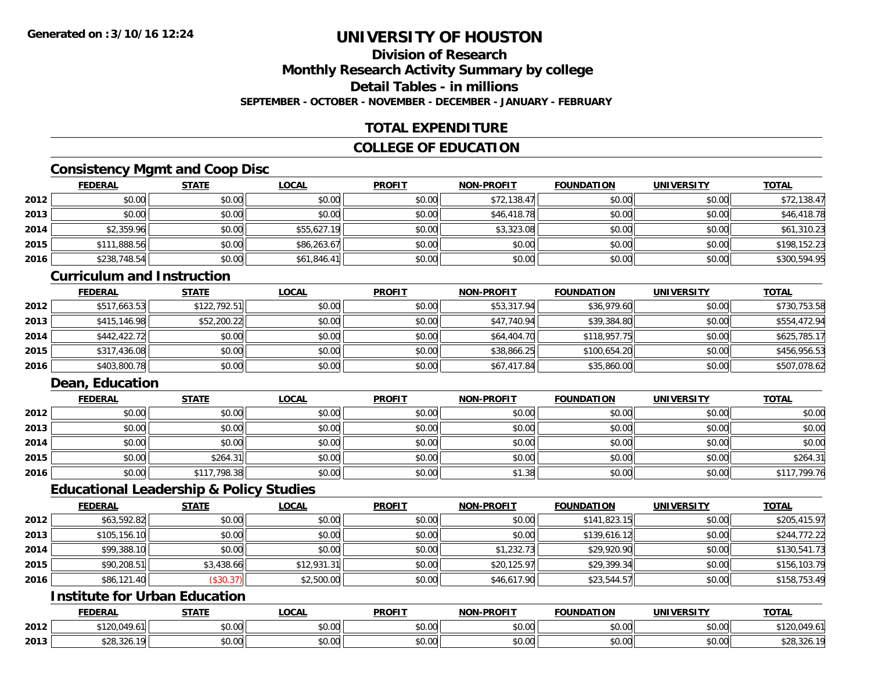### **Division of ResearchMonthly Research Activity Summary by college Detail Tables - in millions**

**SEPTEMBER - OCTOBER - NOVEMBER - DECEMBER - JANUARY - FEBRUARY**

## **TOTAL EXPENDITURE**

### **COLLEGE OF EDUCATION**

## **Consistency Mgmt and Coop Disc**

|      | <b>FEDERAL</b> | <b>STATE</b> | <u>LOCAL</u> | <b>PROFIT</b> | <b>NON-PROFIT</b> | <b>FOUNDATION</b> | <b>UNIVERSITY</b> | <b>TOTAL</b> |
|------|----------------|--------------|--------------|---------------|-------------------|-------------------|-------------------|--------------|
| 2012 | \$0.00         | \$0.00       | \$0.00       | \$0.00        | \$72,138.47       | \$0.00            | \$0.00            | \$72,138.47  |
| 2013 | \$0.00         | \$0.00       | \$0.00       | \$0.00        | \$46,418.78       | \$0.00            | \$0.00            | \$46,418.78  |
| 2014 | \$2,359.96     | \$0.00       | \$55,627.19  | \$0.00        | \$3,323.08        | \$0.00            | \$0.00            | \$61,310.23  |
| 2015 | \$111,888.56   | \$0.00       | \$86,263.67  | \$0.00        | \$0.00            | \$0.00            | \$0.00            | \$198,152.23 |
| 2016 | \$238,748.54   | \$0.00       | \$61,846.41  | \$0.00        | \$0.00            | \$0.00            | \$0.00            | \$300,594.95 |

#### **Curriculum and Instruction**

|      | <b>FEDERAL</b> | <u>STATE</u> | <b>LOCAL</b> | <b>PROFIT</b> | <b>NON-PROFIT</b> | <b>FOUNDATION</b> | <b>UNIVERSITY</b> | <b>TOTAL</b> |
|------|----------------|--------------|--------------|---------------|-------------------|-------------------|-------------------|--------------|
| 2012 | \$517,663.53   | \$122,792.51 | \$0.00       | \$0.00        | \$53,317.94       | \$36,979.60       | \$0.00            | \$730.753.58 |
| 2013 | \$415,146.98   | \$52,200.22  | \$0.00       | \$0.00        | \$47,740.94       | \$39,384.80       | \$0.00            | \$554,472.94 |
| 2014 | \$442,422.72   | \$0.00       | \$0.00       | \$0.00        | \$64,404.70       | \$118,957.75      | \$0.00            | \$625,785.17 |
| 2015 | \$317,436.08   | \$0.00       | \$0.00       | \$0.00        | \$38,866.25       | \$100,654.20      | \$0.00            | \$456,956.53 |
| 2016 | \$403,800.78   | \$0.00       | \$0.00       | \$0.00        | \$67,417.84       | \$35,860.00       | \$0.00            | \$507,078.62 |

## **Dean, Education**

|      | <b>FEDERAL</b> | <b>STATE</b> | <u>LOCAL</u> | <b>PROFIT</b> | <b>NON-PROFIT</b> | <b>FOUNDATION</b> | <b>UNIVERSITY</b> | <b>TOTAL</b> |
|------|----------------|--------------|--------------|---------------|-------------------|-------------------|-------------------|--------------|
| 2012 | \$0.00         | \$0.00       | \$0.00       | \$0.00        | \$0.00            | \$0.00            | \$0.00            | \$0.00       |
| 2013 | \$0.00         | \$0.00       | \$0.00       | \$0.00        | \$0.00            | \$0.00            | \$0.00            | \$0.00       |
| 2014 | \$0.00         | \$0.00       | \$0.00       | \$0.00        | \$0.00            | \$0.00            | \$0.00            | \$0.00       |
| 2015 | \$0.00         | \$264.31     | \$0.00       | \$0.00        | \$0.00            | \$0.00            | \$0.00            | \$264.31     |
| 2016 | \$0.00         | \$117,798.38 | \$0.00       | \$0.00        | \$1.38            | \$0.00            | \$0.00            | \$117,799.76 |

### **Educational Leadership & Policy Studies**

|      | <b>FEDERAL</b> | <b>STATE</b> | <u>LOCAL</u> | <b>PROFIT</b> | <b>NON-PROFIT</b> | <b>FOUNDATION</b> | <b>UNIVERSITY</b> | <b>TOTAL</b> |
|------|----------------|--------------|--------------|---------------|-------------------|-------------------|-------------------|--------------|
| 2012 | \$63,592.82    | \$0.00       | \$0.00       | \$0.00        | \$0.00            | \$141,823.15      | \$0.00            | \$205,415.97 |
| 2013 | \$105,156.10   | \$0.00       | \$0.00       | \$0.00        | \$0.00            | \$139,616.12      | \$0.00            | \$244,772.22 |
| 2014 | \$99,388.10    | \$0.00       | \$0.00       | \$0.00        | \$1,232.73        | \$29,920.90       | \$0.00            | \$130,541.73 |
| 2015 | \$90,208.51    | \$3,438.66   | \$12,931.31  | \$0.00        | \$20,125.97       | \$29,399.34       | \$0.00            | \$156,103.79 |
| 2016 | \$86,121.40    | (\$30.37)    | \$2,500.00   | \$0.00        | \$46,617.90       | \$23,544.57       | \$0.00            | \$158,753.49 |

## **Institute for Urban Education**

|      | <b>FEDERAL</b>             | <b>CTATE</b>             | <b>_OCAL</b>          | <b>PROFIT</b>      | <b>J-PROFIT</b><br><b>BIABI</b> | <b>FOUNDATION</b> | <b>UNIVERSITY</b>    | <b>TOTAL</b>                 |
|------|----------------------------|--------------------------|-----------------------|--------------------|---------------------------------|-------------------|----------------------|------------------------------|
| 2012 | 0.100<br>0.10<br>1 Z U . U | $n \cap \Omega$<br>DU.UU | $\sim$<br>0 t<br>וטט. | nn nn<br>DU.UU     | 0.00<br>JU.UU                   | \$0.00            | \$0.00               | $+10$<br>010<br>. 20.04<br>. |
| 2013 | 0.20<br>\$28.326.          | 0000<br>,u.uu            | $\sim$ 00<br>vv.vv    | $\sim$ 00<br>DU.UU | 0.00<br>JU.UU                   | \$0.00            | 0000<br><b>JU.UU</b> | 328.320                      |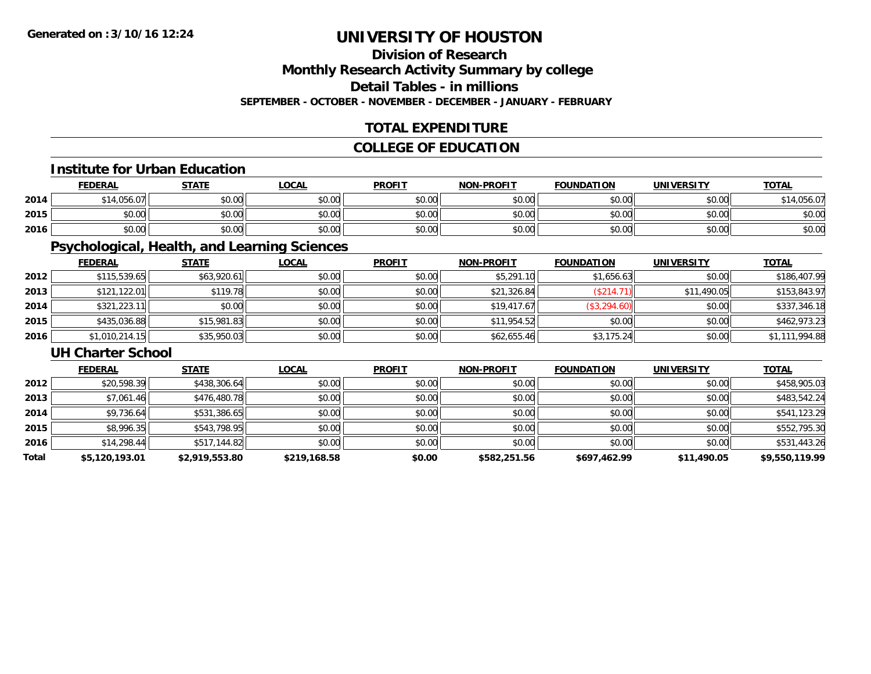## **Division of Research**

**Monthly Research Activity Summary by college**

**Detail Tables - in millions**

**SEPTEMBER - OCTOBER - NOVEMBER - DECEMBER - JANUARY - FEBRUARY**

### **TOTAL EXPENDITURE**

## **COLLEGE OF EDUCATION**

#### **Institute for Urban Education**

|      | <b>FEDERAL</b>  | <b>STATE</b> | <b>_OCAL</b> | <b>PROFIT</b> | <b>NON-PROFIT</b> | <b>FOUNDATION</b> | <b>UNIVERSITY</b> | <b>TOTAL</b> |
|------|-----------------|--------------|--------------|---------------|-------------------|-------------------|-------------------|--------------|
| 2014 | 1.056<br>$\sim$ | \$0.00       | \$0.00       | \$0.00        | \$0.00            | \$0.00            | \$0.00            | 056.07       |
| 2015 | \$0.00          | \$0.00       | \$0.00       | \$0.00        | \$0.00            | \$0.00            | \$0.00            | \$0.00       |
| 2016 | \$0.00          | \$0.00       | \$0.00       | \$0.00        | \$0.00            | \$0.00            | \$0.00            | \$0.00       |

## **Psychological, Health, and Learning Sciences**

|      | <b>FEDERAL</b> | <b>STATE</b> | <b>LOCAL</b> | <b>PROFIT</b> | <b>NON-PROFIT</b> | <b>FOUNDATION</b> | <b>UNIVERSITY</b> | <b>TOTAL</b>   |
|------|----------------|--------------|--------------|---------------|-------------------|-------------------|-------------------|----------------|
| 2012 | \$115,539.65   | \$63,920.61  | \$0.00       | \$0.00        | \$5,291.10        | \$1,656.63        | \$0.00            | \$186,407.99   |
| 2013 | \$121,122.01   | \$119.78     | \$0.00       | \$0.00        | \$21,326.84       | (\$214.71)        | \$11,490.05       | \$153,843.97   |
| 2014 | \$321,223.11   | \$0.00       | \$0.00       | \$0.00        | \$19,417.67       | (\$3,294.60)      | \$0.00            | \$337,346.18   |
| 2015 | \$435,036.88   | \$15,981.83  | \$0.00       | \$0.00        | \$11,954.52       | \$0.00            | \$0.00            | \$462,973.23   |
| 2016 | \$1,010,214.15 | \$35,950.03  | \$0.00       | \$0.00        | \$62,655.46       | \$3,175.24        | \$0.00            | \$1,111,994.88 |

#### **UH Charter School**

|       | <b>FEDERAL</b> | <b>STATE</b>   | <b>LOCAL</b> | <b>PROFIT</b> | <b>NON-PROFIT</b> | <b>FOUNDATION</b> | <b>UNIVERSITY</b> | <b>TOTAL</b>   |
|-------|----------------|----------------|--------------|---------------|-------------------|-------------------|-------------------|----------------|
| 2012  | \$20,598.39    | \$438,306.64   | \$0.00       | \$0.00        | \$0.00            | \$0.00            | \$0.00            | \$458,905.03   |
| 2013  | \$7,061.46     | \$476,480.78   | \$0.00       | \$0.00        | \$0.00            | \$0.00            | \$0.00            | \$483,542.24   |
| 2014  | \$9,736.64     | \$531,386.65   | \$0.00       | \$0.00        | \$0.00            | \$0.00            | \$0.00            | \$541,123.29   |
| 2015  | \$8,996.35     | \$543,798.95   | \$0.00       | \$0.00        | \$0.00            | \$0.00            | \$0.00            | \$552,795.30   |
| 2016  | \$14,298.44    | \$517,144.82   | \$0.00       | \$0.00        | \$0.00            | \$0.00            | \$0.00            | \$531,443.26   |
| Total | \$5,120,193.01 | \$2,919,553.80 | \$219,168.58 | \$0.00        | \$582,251.56      | \$697,462.99      | \$11,490.05       | \$9,550,119.99 |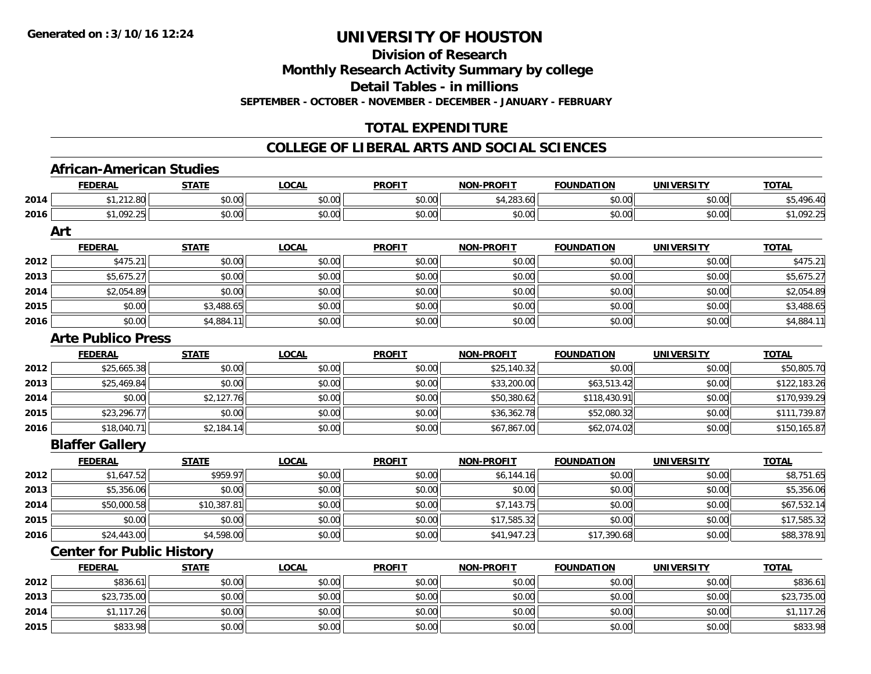**Division of Research**

**Monthly Research Activity Summary by college**

**Detail Tables - in millions**

**SEPTEMBER - OCTOBER - NOVEMBER - DECEMBER - JANUARY - FEBRUARY**

## **TOTAL EXPENDITURE**

#### **COLLEGE OF LIBERAL ARTS AND SOCIAL SCIENCES**

## **African-American Studies**

**2015**

|      | <b>FEDERAL</b>                   | <b>STATE</b> | <b>LOCAL</b> | <b>PROFIT</b> | <b>NON-PROFIT</b> | <b>FOUNDATION</b> | <b>UNIVERSITY</b> | <b>TOTAL</b> |
|------|----------------------------------|--------------|--------------|---------------|-------------------|-------------------|-------------------|--------------|
| 2014 | \$1,212.80                       | \$0.00       | \$0.00       | \$0.00        | \$4,283.60        | \$0.00            | \$0.00            | \$5,496.40   |
| 2016 | \$1,092.25                       | \$0.00       | \$0.00       | \$0.00        | \$0.00            | \$0.00            | \$0.00            | \$1,092.25   |
|      | Art                              |              |              |               |                   |                   |                   |              |
|      | <b>FEDERAL</b>                   | <b>STATE</b> | <b>LOCAL</b> | <b>PROFIT</b> | <b>NON-PROFIT</b> | <b>FOUNDATION</b> | <b>UNIVERSITY</b> | <b>TOTAL</b> |
| 2012 | \$475.21                         | \$0.00       | \$0.00       | \$0.00        | \$0.00            | \$0.00            | \$0.00            | \$475.21     |
| 2013 | \$5,675.27                       | \$0.00       | \$0.00       | \$0.00        | \$0.00            | \$0.00            | \$0.00            | \$5,675.27   |
| 2014 | \$2,054.89                       | \$0.00       | \$0.00       | \$0.00        | \$0.00            | \$0.00            | \$0.00            | \$2,054.89   |
| 2015 | \$0.00                           | \$3,488.65   | \$0.00       | \$0.00        | \$0.00            | \$0.00            | \$0.00            | \$3,488.65   |
| 2016 | \$0.00                           | \$4,884.11   | \$0.00       | \$0.00        | \$0.00            | \$0.00            | \$0.00            | \$4,884.11   |
|      | <b>Arte Publico Press</b>        |              |              |               |                   |                   |                   |              |
|      | <b>FEDERAL</b>                   | <b>STATE</b> | <b>LOCAL</b> | <b>PROFIT</b> | <b>NON-PROFIT</b> | <b>FOUNDATION</b> | <b>UNIVERSITY</b> | <b>TOTAL</b> |
| 2012 | \$25,665.38                      | \$0.00       | \$0.00       | \$0.00        | \$25,140.32       | \$0.00            | \$0.00            | \$50,805.70  |
| 2013 | \$25,469.84                      | \$0.00       | \$0.00       | \$0.00        | \$33,200.00       | \$63,513.42       | \$0.00            | \$122,183.26 |
| 2014 | \$0.00                           | \$2,127.76   | \$0.00       | \$0.00        | \$50,380.62       | \$118,430.91      | \$0.00            | \$170,939.29 |
| 2015 | \$23,296.77                      | \$0.00       | \$0.00       | \$0.00        | \$36,362.78       | \$52,080.32       | \$0.00            | \$111,739.87 |
| 2016 | \$18,040.71                      | \$2,184.14   | \$0.00       | \$0.00        | \$67,867.00       | \$62,074.02       | \$0.00            | \$150,165.87 |
|      | <b>Blaffer Gallery</b>           |              |              |               |                   |                   |                   |              |
|      | <b>FEDERAL</b>                   | <b>STATE</b> | <b>LOCAL</b> | <b>PROFIT</b> | <b>NON-PROFIT</b> | <b>FOUNDATION</b> | <b>UNIVERSITY</b> | <b>TOTAL</b> |
| 2012 | \$1,647.52                       | \$959.97     | \$0.00       | \$0.00        | \$6,144.16        | \$0.00            | \$0.00            | \$8,751.65   |
| 2013 | \$5,356.06                       | \$0.00       | \$0.00       | \$0.00        | \$0.00            | \$0.00            | \$0.00            | \$5,356.06   |
| 2014 | \$50,000.58                      | \$10,387.81  | \$0.00       | \$0.00        | \$7,143.75        | \$0.00            | \$0.00            | \$67,532.14  |
| 2015 | \$0.00                           | \$0.00       | \$0.00       | \$0.00        | \$17,585.32       | \$0.00            | \$0.00            | \$17,585.32  |
| 2016 | \$24,443.00                      | \$4,598.00   | \$0.00       | \$0.00        | \$41,947.23       | \$17,390.68       | \$0.00            | \$88,378.91  |
|      | <b>Center for Public History</b> |              |              |               |                   |                   |                   |              |
|      | <b>FEDERAL</b>                   | <b>STATE</b> | <b>LOCAL</b> | <b>PROFIT</b> | <b>NON-PROFIT</b> | <b>FOUNDATION</b> | <b>UNIVERSITY</b> | <b>TOTAL</b> |
| 2012 | \$836.61                         | \$0.00       | \$0.00       | \$0.00        | \$0.00            | \$0.00            | \$0.00            | \$836.61     |
| 2013 | \$23,735.00                      | \$0.00       | \$0.00       | \$0.00        | \$0.00            | \$0.00            | \$0.00            | \$23,735.00  |
| 2014 | \$1,117.26                       | \$0.00       | \$0.00       | \$0.00        | \$0.00            | \$0.00            | \$0.00            | \$1,117.26   |

5 | \$833.98 \$833.98 \$0.00 \$0.00 \$0.00 \$0.00 \$0.00 \$0.00 \$0.00 \$0.00 \$0.00 \$0.00 \$0.00 \$833.98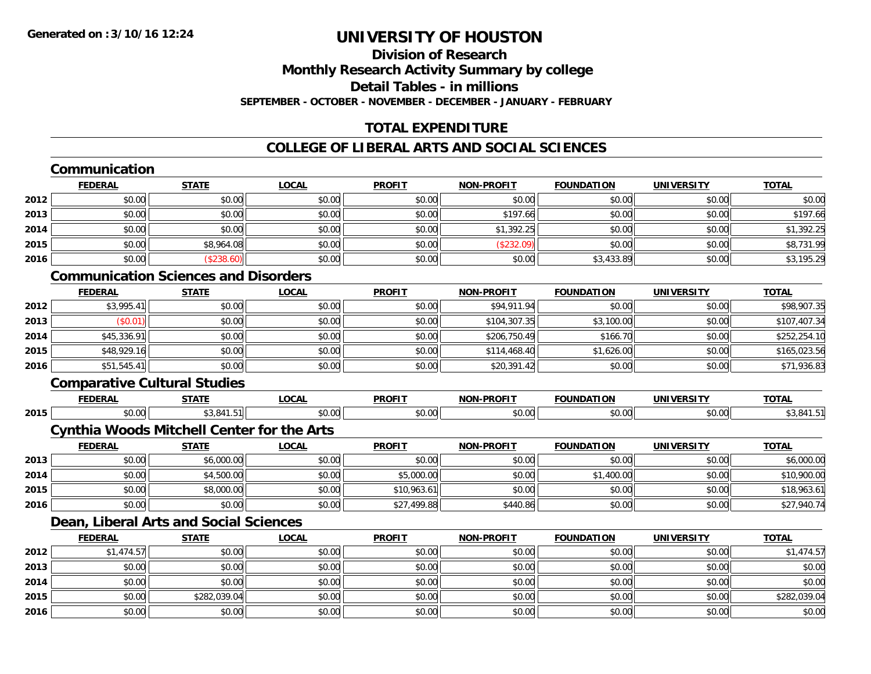### **Division of ResearchMonthly Research Activity Summary by college Detail Tables - in millionsSEPTEMBER - OCTOBER - NOVEMBER - DECEMBER - JANUARY - FEBRUARY**

## **TOTAL EXPENDITURE**

## **COLLEGE OF LIBERAL ARTS AND SOCIAL SCIENCES**

## **Communication**

|      | <b>FEDERAL</b> | <b>STATE</b> | <u>LOCAL</u> | <b>PROFIT</b> | <b>NON-PROFIT</b> | <b>FOUNDATION</b> | <b>UNIVERSITY</b> | <b>TOTAL</b> |
|------|----------------|--------------|--------------|---------------|-------------------|-------------------|-------------------|--------------|
| 2012 | \$0.00         | \$0.00       | \$0.00       | \$0.00        | \$0.00            | \$0.00            | \$0.00            | \$0.00       |
| 2013 | \$0.00         | \$0.00       | \$0.00       | \$0.00        | \$197.66          | \$0.00            | \$0.00            | \$197.66     |
| 2014 | \$0.00         | \$0.00       | \$0.00       | \$0.00        | \$1,392.25        | \$0.00            | \$0.00            | \$1,392.25   |
| 2015 | \$0.00         | \$8,964.08   | \$0.00       | \$0.00        | (\$232.09)        | \$0.00            | \$0.00            | \$8,731.99   |
| 2016 | \$0.00         | (\$238.60)   | \$0.00       | \$0.00        | \$0.00            | \$3,433.89        | \$0.00            | \$3,195.29   |

## **Communication Sciences and Disorders**

|      | <u>FEDERAL</u> | <u>STATE</u> | <u>LOCAL</u> | <b>PROFIT</b> | <b>NON-PROFIT</b> | <b>FOUNDATION</b> | <b>UNIVERSITY</b> | <b>TOTAL</b> |
|------|----------------|--------------|--------------|---------------|-------------------|-------------------|-------------------|--------------|
| 2012 | \$3,995.41     | \$0.00       | \$0.00       | \$0.00        | \$94,911.94       | \$0.00            | \$0.00            | \$98,907.35  |
| 2013 | \$0.01)        | \$0.00       | \$0.00       | \$0.00        | \$104,307.35      | \$3,100.00        | \$0.00            | \$107,407.34 |
| 2014 | \$45,336.91    | \$0.00       | \$0.00       | \$0.00        | \$206,750.49      | \$166.70          | \$0.00            | \$252,254.10 |
| 2015 | \$48,929.16    | \$0.00       | \$0.00       | \$0.00        | \$114,468.40      | \$1,626.00        | \$0.00            | \$165,023.56 |
| 2016 | \$51,545.41    | \$0.00       | \$0.00       | \$0.00        | \$20,391.42       | \$0.00            | \$0.00            | \$71,936.83  |

### **Comparative Cultural Studies**

|      | <b>FEDERA</b> | <b>CTATE</b><br>1 M | $\sim$ $\sim$ $\sim$<br>-UUAI | <b>PROFIT</b>   | .                                           | ג הו           | <b>JNIVE</b>               | $T^{\prime}$<br>TOTAL |
|------|---------------|---------------------|-------------------------------|-----------------|---------------------------------------------|----------------|----------------------------|-----------------------|
| 2015 | 0000<br>טט.טי | .51                 | $\sim$ $\sim$<br>,u.uu        | 0000<br>⊸J.UUI! | $\triangle$ $\triangle$ $\triangle$<br>DU.U | $\sim$ 00<br>w | $\sim$ 00 $\sim$<br>JU.UU' | 0                     |

#### **Cynthia Woods Mitchell Center for the Arts**

|      | <u>FEDERAL</u> | <u>STATE</u> | <u>LOCAL</u> | <b>PROFIT</b> | <b>NON-PROFIT</b> | <b>FOUNDATION</b> | UNIVERSITY | <b>TOTAL</b> |
|------|----------------|--------------|--------------|---------------|-------------------|-------------------|------------|--------------|
| 2013 | \$0.00         | \$6,000.00   | \$0.00       | \$0.00        | \$0.00            | \$0.00            | \$0.00     | \$6,000.00   |
| 2014 | \$0.00         | \$4,500.00   | \$0.00       | \$5,000.00    | \$0.00            | \$1,400.00        | \$0.00     | \$10,900.00  |
| 2015 | \$0.00         | \$8,000.00   | \$0.00       | \$10,963.61   | \$0.00            | \$0.00            | \$0.00     | \$18,963.61  |
| 2016 | \$0.00         | \$0.00       | \$0.00       | \$27,499.88   | \$440.86          | \$0.00            | \$0.00     | \$27,940.74  |

## **Dean, Liberal Arts and Social Sciences**

|      | <b>FEDERAL</b> | <b>STATE</b> | <b>LOCAL</b> | <b>PROFIT</b> | <b>NON-PROFIT</b> | <b>FOUNDATION</b> | <b>UNIVERSITY</b> | <b>TOTAL</b> |
|------|----------------|--------------|--------------|---------------|-------------------|-------------------|-------------------|--------------|
| 2012 | \$1,474.57     | \$0.00       | \$0.00       | \$0.00        | \$0.00            | \$0.00            | \$0.00            | \$1,474.57   |
| 2013 | \$0.00         | \$0.00       | \$0.00       | \$0.00        | \$0.00            | \$0.00            | \$0.00            | \$0.00       |
| 2014 | \$0.00         | \$0.00       | \$0.00       | \$0.00        | \$0.00            | \$0.00            | \$0.00            | \$0.00       |
| 2015 | \$0.00         | \$282,039.04 | \$0.00       | \$0.00        | \$0.00            | \$0.00            | \$0.00            | \$282,039.04 |
| 2016 | \$0.00         | \$0.00       | \$0.00       | \$0.00        | \$0.00            | \$0.00            | \$0.00            | \$0.00       |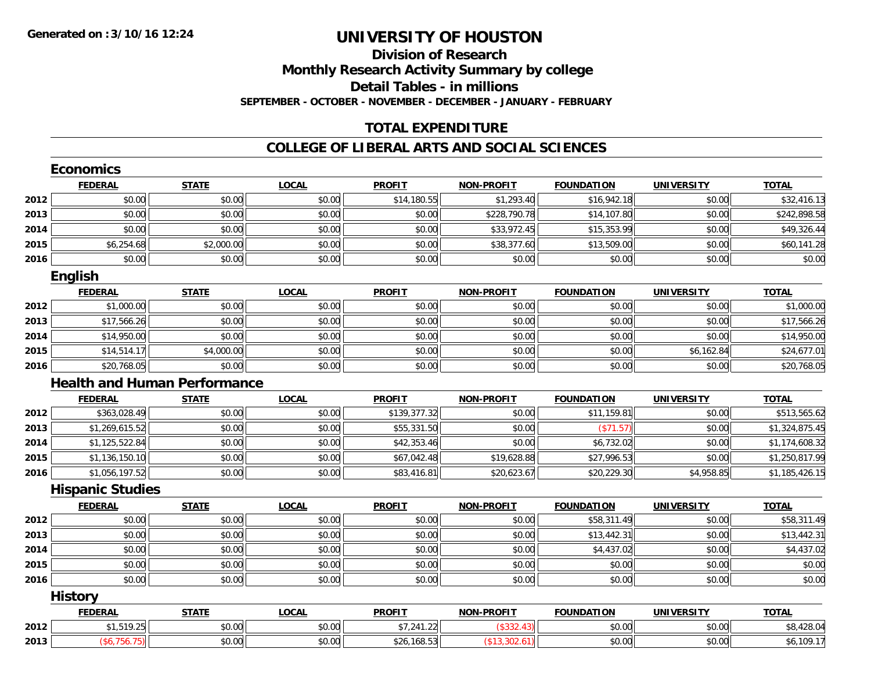# **Division of ResearchMonthly Research Activity Summary by college**

**Detail Tables - in millions**

**SEPTEMBER - OCTOBER - NOVEMBER - DECEMBER - JANUARY - FEBRUARY**

## **TOTAL EXPENDITURE**

|      | <b>Economics</b>        |                                     |              |               |                   |                   |                   |                |
|------|-------------------------|-------------------------------------|--------------|---------------|-------------------|-------------------|-------------------|----------------|
|      | <b>FEDERAL</b>          | <b>STATE</b>                        | <b>LOCAL</b> | <b>PROFIT</b> | <b>NON-PROFIT</b> | <b>FOUNDATION</b> | <b>UNIVERSITY</b> | <b>TOTAL</b>   |
| 2012 | \$0.00                  | \$0.00                              | \$0.00       | \$14,180.55   | \$1,293.40        | \$16,942.18       | \$0.00            | \$32,416.13    |
| 2013 | \$0.00                  | \$0.00                              | \$0.00       | \$0.00        | \$228,790.78      | \$14,107.80       | \$0.00            | \$242,898.58   |
| 2014 | \$0.00                  | \$0.00                              | \$0.00       | \$0.00        | \$33,972.45       | \$15,353.99       | \$0.00            | \$49,326.44    |
| 2015 | \$6,254.68              | \$2,000.00                          | \$0.00       | \$0.00        | \$38,377.60       | \$13,509.00       | \$0.00            | \$60,141.28    |
| 2016 | \$0.00                  | \$0.00                              | \$0.00       | \$0.00        | \$0.00            | \$0.00            | \$0.00            | \$0.00         |
|      | English                 |                                     |              |               |                   |                   |                   |                |
|      | <b>FEDERAL</b>          | <b>STATE</b>                        | <b>LOCAL</b> | <b>PROFIT</b> | <b>NON-PROFIT</b> | <b>FOUNDATION</b> | <b>UNIVERSITY</b> | <b>TOTAL</b>   |
| 2012 | \$1,000.00              | \$0.00                              | \$0.00       | \$0.00        | \$0.00            | \$0.00            | \$0.00            | \$1,000.00     |
| 2013 | \$17,566.26             | \$0.00                              | \$0.00       | \$0.00        | \$0.00            | \$0.00            | \$0.00            | \$17,566.26    |
| 2014 | \$14,950.00             | \$0.00                              | \$0.00       | \$0.00        | \$0.00            | \$0.00            | \$0.00            | \$14,950.00    |
| 2015 | \$14,514.17             | \$4,000.00                          | \$0.00       | \$0.00        | \$0.00            | \$0.00            | \$6,162.84        | \$24,677.01    |
| 2016 | \$20,768.05             | \$0.00                              | \$0.00       | \$0.00        | \$0.00            | \$0.00            | \$0.00            | \$20,768.05    |
|      |                         | <b>Health and Human Performance</b> |              |               |                   |                   |                   |                |
|      | <b>FEDERAL</b>          | <b>STATE</b>                        | <b>LOCAL</b> | <b>PROFIT</b> | <b>NON-PROFIT</b> | <b>FOUNDATION</b> | <b>UNIVERSITY</b> | <b>TOTAL</b>   |
| 2012 | \$363,028.49            | \$0.00                              | \$0.00       | \$139,377.32  | \$0.00            | \$11,159.81       | \$0.00            | \$513,565.62   |
| 2013 | \$1,269,615.52          | \$0.00                              | \$0.00       | \$55,331.50   | \$0.00            | (\$71.57)         | \$0.00            | \$1,324,875.45 |
| 2014 | \$1,125,522.84          | \$0.00                              | \$0.00       | \$42,353.46   | \$0.00            | \$6,732.02        | \$0.00            | \$1,174,608.32 |
| 2015 | \$1,136,150.10          | \$0.00                              | \$0.00       | \$67,042.48   | \$19,628.88       | \$27,996.53       | \$0.00            | \$1,250,817.99 |
| 2016 | \$1,056,197.52          | \$0.00                              | \$0.00       | \$83,416.81   | \$20,623.67       | \$20,229.30       | \$4,958.85        | \$1,185,426.15 |
|      | <b>Hispanic Studies</b> |                                     |              |               |                   |                   |                   |                |
|      | <b>FEDERAL</b>          | <b>STATE</b>                        | <b>LOCAL</b> | <b>PROFIT</b> | <b>NON-PROFIT</b> | <b>FOUNDATION</b> | <b>UNIVERSITY</b> | <b>TOTAL</b>   |
| 2012 | \$0.00                  | \$0.00                              | \$0.00       | \$0.00        | \$0.00            | \$58,311.49       | \$0.00            | \$58,311.49    |
| 2013 | \$0.00                  | \$0.00                              | \$0.00       | \$0.00        | \$0.00            | \$13,442.31       | \$0.00            | \$13,442.31    |
| 2014 | \$0.00                  | \$0.00                              | \$0.00       | \$0.00        | \$0.00            | \$4,437.02        | \$0.00            | \$4,437.02     |
| 2015 | \$0.00                  | \$0.00                              | \$0.00       | \$0.00        | \$0.00            | \$0.00            | \$0.00            | \$0.00         |
| 2016 | \$0.00                  | \$0.00                              | \$0.00       | \$0.00        | \$0.00            | \$0.00            | \$0.00            | \$0.00         |
|      | <b>History</b>          |                                     |              |               |                   |                   |                   |                |
|      | <b>FEDERAL</b>          | <b>STATE</b>                        | <b>LOCAL</b> | <b>PROFIT</b> | <b>NON-PROFIT</b> | <b>FOUNDATION</b> | <b>UNIVERSITY</b> | <b>TOTAL</b>   |
| 2012 | \$1,519.25              | \$0.00                              | \$0.00       | \$7,241.22    | (\$332.43)        | \$0.00            | \$0.00            | \$8,428.04     |
| 2013 | (\$6,756.75)            | \$0.00                              | \$0.00       | \$26,168.53   | (\$13,302.61)     | \$0.00            | \$0.00            | \$6,109.17     |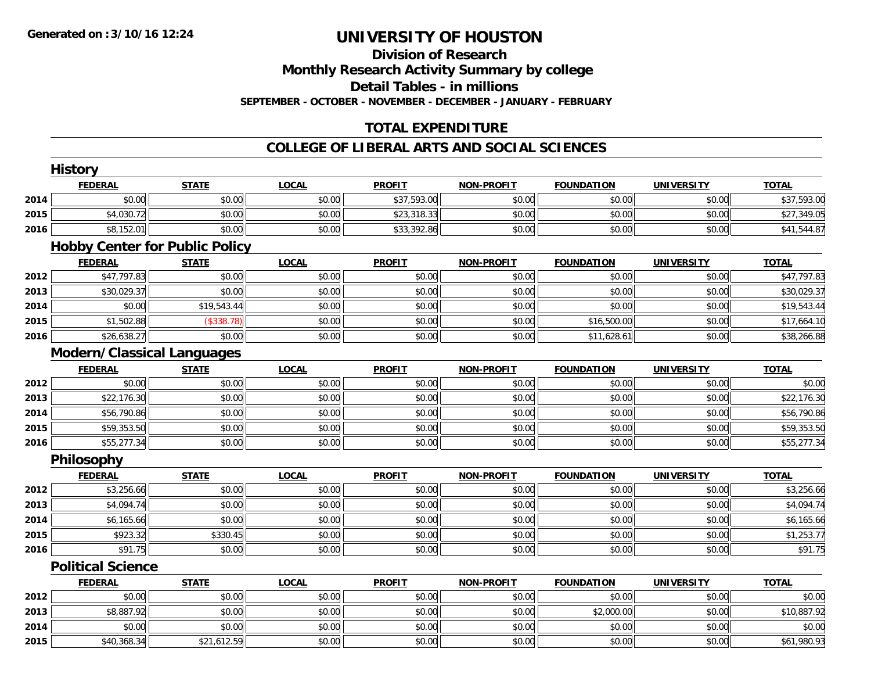## **Division of Research**

**Monthly Research Activity Summary by college**

**Detail Tables - in millions**

**SEPTEMBER - OCTOBER - NOVEMBER - DECEMBER - JANUARY - FEBRUARY**

### **TOTAL EXPENDITURE**

### **COLLEGE OF LIBERAL ARTS AND SOCIAL SCIENCES**

|      | <b>History</b>                        |              |              |               |                   |                   |                   |              |
|------|---------------------------------------|--------------|--------------|---------------|-------------------|-------------------|-------------------|--------------|
|      | <b>FEDERAL</b>                        | <b>STATE</b> | <b>LOCAL</b> | <b>PROFIT</b> | <b>NON-PROFIT</b> | <b>FOUNDATION</b> | <b>UNIVERSITY</b> | <b>TOTAL</b> |
| 2014 | \$0.00                                | \$0.00       | \$0.00       | \$37,593.00   | \$0.00            | \$0.00            | \$0.00            | \$37,593.00  |
| 2015 | \$4,030.72                            | \$0.00       | \$0.00       | \$23,318.33   | \$0.00            | \$0.00            | \$0.00            | \$27,349.05  |
| 2016 | \$8,152.01                            | \$0.00       | \$0.00       | \$33,392.86   | \$0.00            | \$0.00            | \$0.00            | \$41,544.87  |
|      | <b>Hobby Center for Public Policy</b> |              |              |               |                   |                   |                   |              |
|      | <b>FEDERAL</b>                        | <b>STATE</b> | <b>LOCAL</b> | <b>PROFIT</b> | <b>NON-PROFIT</b> | <b>FOUNDATION</b> | <b>UNIVERSITY</b> | <b>TOTAL</b> |
| 2012 | \$47,797.83                           | \$0.00       | \$0.00       | \$0.00        | \$0.00            | \$0.00            | \$0.00            | \$47,797.83  |
| 2013 | \$30,029.37                           | \$0.00       | \$0.00       | \$0.00        | \$0.00            | \$0.00            | \$0.00            | \$30,029.37  |
| 2014 | \$0.00                                | \$19,543.44  | \$0.00       | \$0.00        | \$0.00            | \$0.00            | \$0.00            | \$19,543.44  |
| 2015 | \$1,502.88                            | (\$338.78)   | \$0.00       | \$0.00        | \$0.00            | \$16,500.00       | \$0.00            | \$17,664.10  |
| 2016 | \$26,638.27                           | \$0.00       | \$0.00       | \$0.00        | \$0.00            | \$11,628.61       | \$0.00            | \$38,266.88  |
|      | <b>Modern/Classical Languages</b>     |              |              |               |                   |                   |                   |              |
|      | <b>FEDERAL</b>                        | <b>STATE</b> | <b>LOCAL</b> | <b>PROFIT</b> | <b>NON-PROFIT</b> | <b>FOUNDATION</b> | <b>UNIVERSITY</b> | <b>TOTAL</b> |
| 2012 | \$0.00                                | \$0.00       | \$0.00       | \$0.00        | \$0.00            | \$0.00            | \$0.00            | \$0.00       |
| 2013 | \$22,176.30                           | \$0.00       | \$0.00       | \$0.00        | \$0.00            | \$0.00            | \$0.00            | \$22,176.30  |
| 2014 | \$56,790.86                           | \$0.00       | \$0.00       | \$0.00        | \$0.00            | \$0.00            | \$0.00            | \$56,790.86  |
| 2015 | \$59,353.50                           | \$0.00       | \$0.00       | \$0.00        | \$0.00            | \$0.00            | \$0.00            | \$59,353.50  |
| 2016 | \$55,277.34                           | \$0.00       | \$0.00       | \$0.00        | \$0.00            | \$0.00            | \$0.00            | \$55,277.34  |
|      | Philosophy                            |              |              |               |                   |                   |                   |              |
|      | <b>FEDERAL</b>                        | <b>STATE</b> | <b>LOCAL</b> | <b>PROFIT</b> | <b>NON-PROFIT</b> | <b>FOUNDATION</b> | <b>UNIVERSITY</b> | <b>TOTAL</b> |
| 2012 | \$3,256.66                            | \$0.00       | \$0.00       | \$0.00        | \$0.00            | \$0.00            | \$0.00            | \$3,256.66   |
| 2013 | \$4,094.74                            | \$0.00       | \$0.00       | \$0.00        | \$0.00            | \$0.00            | \$0.00            | \$4,094.74   |
| 2014 | \$6,165.66                            | \$0.00       | \$0.00       | \$0.00        | \$0.00            | \$0.00            | \$0.00            | \$6,165.66   |
| 2015 | \$923.32                              | \$330.45     | \$0.00       | \$0.00        | \$0.00            | \$0.00            | \$0.00            | \$1,253.77   |
| 2016 | \$91.75                               | \$0.00       | \$0.00       | \$0.00        | \$0.00            | \$0.00            | \$0.00            | \$91.75      |
|      | <b>Political Science</b>              |              |              |               |                   |                   |                   |              |
|      | <b>FEDERAL</b>                        | <b>STATE</b> | <b>LOCAL</b> | <b>PROFIT</b> | <b>NON-PROFIT</b> | <b>FOUNDATION</b> | <b>UNIVERSITY</b> | <b>TOTAL</b> |
| 2012 | \$0.00                                | \$0.00       | \$0.00       | \$0.00        | \$0.00            | \$0.00            | \$0.00            | \$0.00       |
| 2013 | \$8,887.92                            | \$0.00       | \$0.00       | \$0.00        | \$0.00            | \$2,000.00        | \$0.00            | \$10,887.92  |
| 2014 | \$0.00                                | \$0.00       | \$0.00       | \$0.00        | \$0.00            | \$0.00            | \$0.00            | \$0.00       |
| 2015 | \$40,368.34                           | \$21,612.59  | \$0.00       | \$0.00        | \$0.00            | \$0.00            | \$0.00            | \$61,980.93  |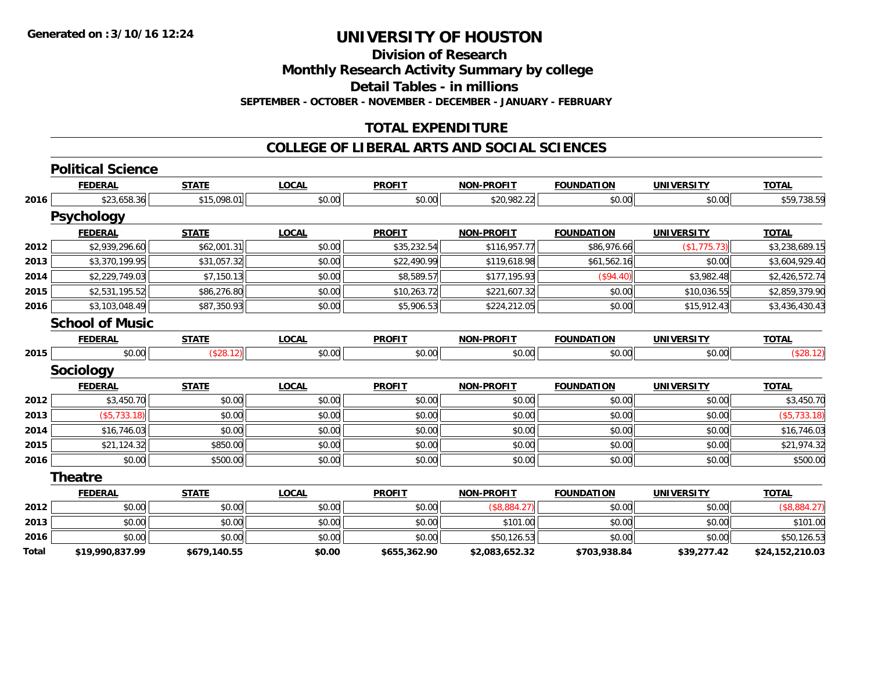**Division of Research**

**Monthly Research Activity Summary by college**

**Detail Tables - in millions**

**SEPTEMBER - OCTOBER - NOVEMBER - DECEMBER - JANUARY - FEBRUARY**

### **TOTAL EXPENDITURE**

#### **COLLEGE OF LIBERAL ARTS AND SOCIAL SCIENCES**

|              | <b>Political Science</b> |              |              |               |                   |                   |                   |                 |
|--------------|--------------------------|--------------|--------------|---------------|-------------------|-------------------|-------------------|-----------------|
|              | <b>FEDERAL</b>           | <b>STATE</b> | <b>LOCAL</b> | <b>PROFIT</b> | <b>NON-PROFIT</b> | <b>FOUNDATION</b> | <b>UNIVERSITY</b> | <b>TOTAL</b>    |
| 2016         | \$23,658.36              | \$15,098.01  | \$0.00       | \$0.00        | \$20,982.22       | \$0.00            | \$0.00            | \$59,738.59     |
|              | <b>Psychology</b>        |              |              |               |                   |                   |                   |                 |
|              | <u>FEDERAL</u>           | <b>STATE</b> | <b>LOCAL</b> | <b>PROFIT</b> | <b>NON-PROFIT</b> | <b>FOUNDATION</b> | <b>UNIVERSITY</b> | <b>TOTAL</b>    |
| 2012         | \$2,939,296.60           | \$62,001.31  | \$0.00       | \$35,232.54   | \$116,957.77      | \$86,976.66       | (\$1,775.73)      | \$3,238,689.15  |
| 2013         | \$3,370,199.95           | \$31,057.32  | \$0.00       | \$22,490.99   | \$119,618.98      | \$61,562.16       | \$0.00            | \$3,604,929.40  |
| 2014         | \$2,229,749.03           | \$7,150.13   | \$0.00       | \$8,589.57    | \$177,195.93      | (\$94.40)         | \$3,982.48        | \$2,426,572.74  |
| 2015         | \$2,531,195.52           | \$86,276.80  | \$0.00       | \$10,263.72   | \$221,607.32      | \$0.00            | \$10,036.55       | \$2,859,379.90  |
| 2016         | \$3,103,048.49           | \$87,350.93  | \$0.00       | \$5,906.53    | \$224,212.05      | \$0.00            | \$15,912.43       | \$3,436,430.43  |
|              | <b>School of Music</b>   |              |              |               |                   |                   |                   |                 |
|              | <b>FEDERAL</b>           | <b>STATE</b> | <b>LOCAL</b> | <b>PROFIT</b> | <b>NON-PROFIT</b> | <b>FOUNDATION</b> | <b>UNIVERSITY</b> | <b>TOTAL</b>    |
| 2015         | \$0.00                   | (\$28.12)    | \$0.00       | \$0.00        | \$0.00            | \$0.00            | \$0.00            | (\$28.12)       |
|              | <b>Sociology</b>         |              |              |               |                   |                   |                   |                 |
|              | <b>FEDERAL</b>           | <b>STATE</b> | <b>LOCAL</b> | <b>PROFIT</b> | <b>NON-PROFIT</b> | <b>FOUNDATION</b> | <b>UNIVERSITY</b> | <b>TOTAL</b>    |
| 2012         | \$3,450.70               | \$0.00       | \$0.00       | \$0.00        | \$0.00            | \$0.00            | \$0.00            | \$3,450.70      |
| 2013         | (\$5,733.18)             | \$0.00       | \$0.00       | \$0.00        | \$0.00            | \$0.00            | \$0.00            | (\$5,733.18)    |
| 2014         | \$16,746.03              | \$0.00       | \$0.00       | \$0.00        | \$0.00            | \$0.00            | \$0.00            | \$16,746.03     |
| 2015         | \$21,124.32              | \$850.00     | \$0.00       | \$0.00        | \$0.00            | \$0.00            | \$0.00            | \$21,974.32     |
| 2016         | \$0.00                   | \$500.00     | \$0.00       | \$0.00        | \$0.00            | \$0.00            | \$0.00            | \$500.00        |
|              | Theatre                  |              |              |               |                   |                   |                   |                 |
|              | <b>FEDERAL</b>           | <b>STATE</b> | <b>LOCAL</b> | <b>PROFIT</b> | <b>NON-PROFIT</b> | <b>FOUNDATION</b> | <b>UNIVERSITY</b> | <b>TOTAL</b>    |
| 2012         | \$0.00                   | \$0.00       | \$0.00       | \$0.00        | (\$8,884.27)      | \$0.00            | \$0.00            | (\$8,884.27)    |
| 2013         | \$0.00                   | \$0.00       | \$0.00       | \$0.00        | \$101.00          | \$0.00            | \$0.00            | \$101.00        |
| 2016         | \$0.00                   | \$0.00       | \$0.00       | \$0.00        | \$50,126.53       | \$0.00            | \$0.00            | \$50,126.53     |
| <b>Total</b> | \$19,990,837.99          | \$679,140.55 | \$0.00       | \$655,362.90  | \$2,083,652.32    | \$703,938.84      | \$39,277.42       | \$24,152,210.03 |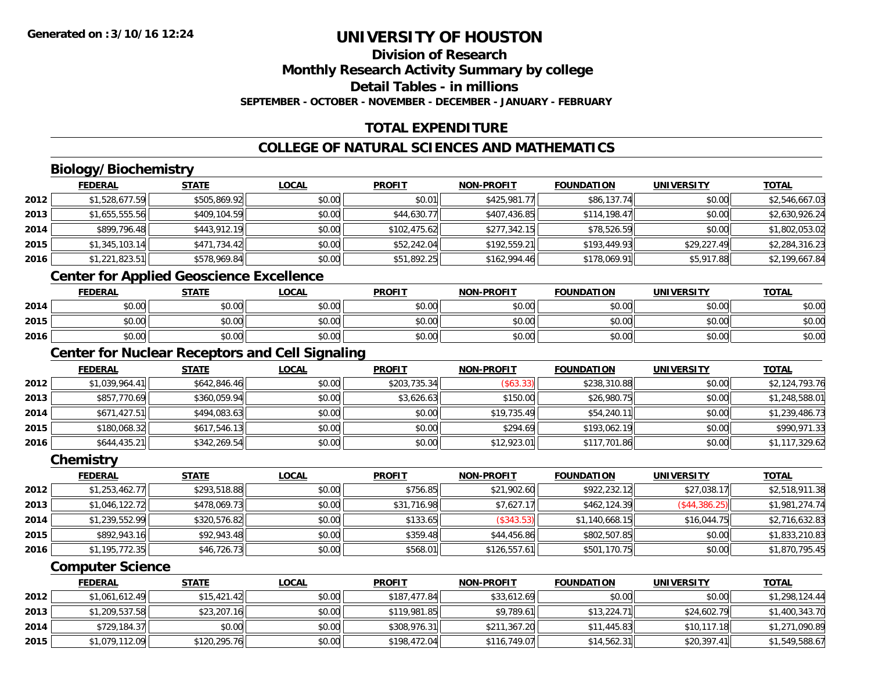### **Division of Research**

**Monthly Research Activity Summary by college**

**Detail Tables - in millions**

**SEPTEMBER - OCTOBER - NOVEMBER - DECEMBER - JANUARY - FEBRUARY**

### **TOTAL EXPENDITURE**

### **COLLEGE OF NATURAL SCIENCES AND MATHEMATICS**

### **Biology/Biochemistry**

|      | <b>FEDERAL</b> | <b>STATE</b> | <b>LOCAL</b> | <b>PROFIT</b> | <b>NON-PROFIT</b> | <b>FOUNDATION</b> | <b>UNIVERSITY</b> | <b>TOTAL</b>   |
|------|----------------|--------------|--------------|---------------|-------------------|-------------------|-------------------|----------------|
| 2012 | \$1,528,677.59 | \$505,869.92 | \$0.00       | \$0.01        | \$425,981.77      | \$86,137.74       | \$0.00            | \$2,546,667.03 |
| 2013 | \$1,655,555.56 | \$409,104.59 | \$0.00       | \$44,630.77   | \$407,436.85      | \$114,198.47      | \$0.00            | \$2,630,926.24 |
| 2014 | \$899,796.48   | \$443,912.19 | \$0.00       | \$102,475.62  | \$277,342.15      | \$78,526.59       | \$0.00            | \$1,802,053.02 |
| 2015 | \$1,345,103.14 | \$471,734.42 | \$0.00       | \$52,242.04   | \$192,559.21      | \$193,449.93      | \$29,227.49       | \$2,284,316.23 |
| 2016 | \$1,221,823.51 | \$578,969.84 | \$0.00       | \$51,892.25   | \$162,994.46      | \$178,069.91      | \$5,917.88        | \$2,199,667.84 |

### **Center for Applied Geoscience Excellence**

|      | <b>FEDERAL</b>                           | <b>STATE</b>                       | <u>LOCAL</u> | <b>PROFIT</b> | <b>NON-PROFIT</b> | <b>FOUNDATION</b> | <b>UNIVERSITY</b> | <b>TOTAL</b> |
|------|------------------------------------------|------------------------------------|--------------|---------------|-------------------|-------------------|-------------------|--------------|
| 2014 | ሖ ∩<br>$\sim$<br>vv.vv                   | \$0.00                             | \$0.00       | \$0.00        | \$0.00            | \$0.00            | \$0.00            | \$0.00       |
| 2015 | ሖ ∩<br>$\sim$<br>JU.UU                   | \$0.00                             | \$0.00       | \$0.00        | \$0.00            | \$0.00            | \$0.00            | \$0.00       |
| 2016 | $\uparrow$ $\uparrow$<br>$\sim$<br>pu.uu | $\uparrow$ $\cap$ $\cap$<br>\$U.UU | \$0.00       | \$0.00        | \$0.00            | \$0.00            | \$0.00            | \$0.00       |

### **Center for Nuclear Receptors and Cell Signaling**

|      | <b>FEDERAL</b> | <b>STATE</b> | <u>LOCAL</u> | <b>PROFIT</b> | <b>NON-PROFIT</b> | <b>FOUNDATION</b> | <b>UNIVERSITY</b> | <b>TOTAL</b>   |
|------|----------------|--------------|--------------|---------------|-------------------|-------------------|-------------------|----------------|
| 2012 | \$1,039,964.41 | \$642,846.46 | \$0.00       | \$203,735.34  | (\$63.33)         | \$238,310.88      | \$0.00            | \$2,124,793.76 |
| 2013 | \$857,770.69   | \$360,059.94 | \$0.00       | \$3,626.63    | \$150.00          | \$26,980.75       | \$0.00            | \$1,248,588.01 |
| 2014 | \$671,427.51   | \$494,083.63 | \$0.00       | \$0.00        | \$19,735.49       | \$54,240.11       | \$0.00            | \$1,239,486.73 |
| 2015 | \$180,068.32   | \$617,546.13 | \$0.00       | \$0.00        | \$294.69          | \$193,062.19      | \$0.00            | \$990,971.33   |
| 2016 | \$644,435.21   | \$342,269.54 | \$0.00       | \$0.00        | \$12,923.01       | \$117,701.86      | \$0.00            | \$1,117,329.62 |

#### **Chemistry**

|      | <b>FEDERAL</b> | <b>STATE</b> | <b>LOCAL</b> | <b>PROFIT</b> | <b>NON-PROFIT</b> | <b>FOUNDATION</b> | <b>UNIVERSITY</b> | <b>TOTAL</b>   |
|------|----------------|--------------|--------------|---------------|-------------------|-------------------|-------------------|----------------|
| 2012 | \$1,253,462.77 | \$293,518.88 | \$0.00       | \$756.85      | \$21,902.60       | \$922,232.12      | \$27,038.17       | \$2,518,911.38 |
| 2013 | \$1,046,122.72 | \$478,069.73 | \$0.00       | \$31,716.98   | \$7,627.17        | \$462,124.39      | (\$44,386.25)     | \$1,981,274.74 |
| 2014 | \$1,239,552.99 | \$320,576.82 | \$0.00       | \$133.65      | (\$343.53)        | \$1,140,668.15    | \$16,044.75       | \$2,716,632.83 |
| 2015 | \$892,943.16   | \$92,943.48  | \$0.00       | \$359.48      | \$44,456.86       | \$802,507.85      | \$0.00            | \$1,833,210.83 |
| 2016 | \$1,195,772.35 | \$46,726.73  | \$0.00       | \$568.01      | \$126,557.61      | \$501,170.75      | \$0.00            | \$1,870,795.45 |

#### **Computer Science**

|      | <b>FEDERAL</b> | <b>STATE</b> | <u>LOCAL</u> | <b>PROFIT</b> | <b>NON-PROFIT</b> | <b>FOUNDATION</b> | UNIVERSITY  | <b>TOTAL</b>   |
|------|----------------|--------------|--------------|---------------|-------------------|-------------------|-------------|----------------|
| 2012 | \$1,061,612.49 | \$15,421.42  | \$0.00       | \$187,477.84  | \$33,612.69       | \$0.00            | \$0.00      | \$1,298,124.44 |
| 2013 | \$1,209,537.58 | \$23,207.16  | \$0.00       | \$119,981.85  | \$9.789.61        | \$13.224.71       | \$24,602.79 | \$1,400,343.70 |
| 2014 | \$729,184.37   | \$0.00       | \$0.00       | \$308,976.31  | \$211,367.20      | \$11,445.83       | \$10,117.18 | \$1,271,090.89 |
| 2015 | \$1,079,112.09 | \$120,295.76 | \$0.00       | \$198,472.04  | \$116,749.07      | \$14,562.31       | \$20.397.41 | \$1,549,588.67 |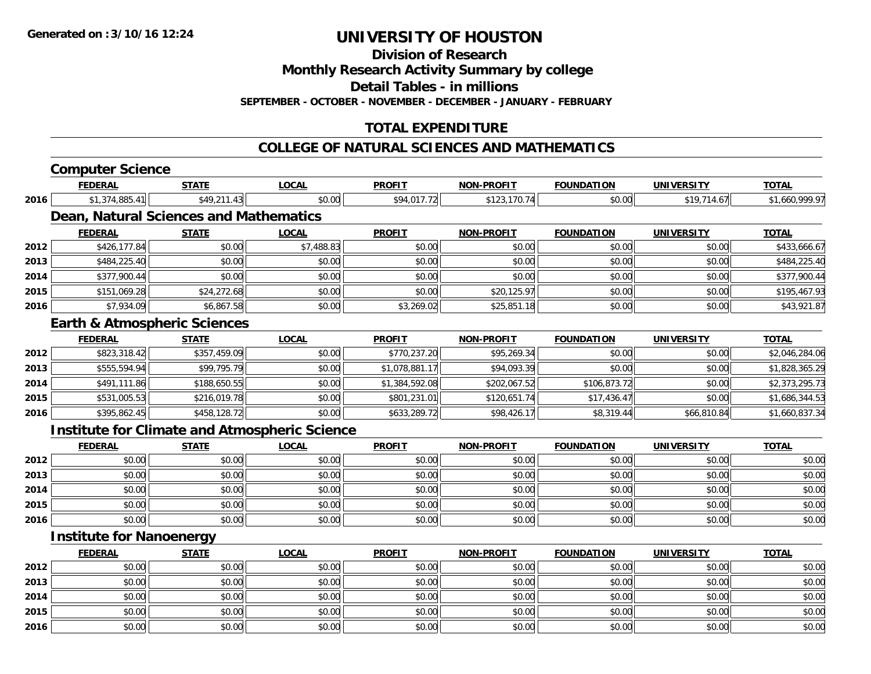**Division of Research**

**Monthly Research Activity Summary by college**

**Detail Tables - in millions**

**SEPTEMBER - OCTOBER - NOVEMBER - DECEMBER - JANUARY - FEBRUARY**

### **TOTAL EXPENDITURE**

#### **COLLEGE OF NATURAL SCIENCES AND MATHEMATICS**

# **Computer Science**

|      | <b>FEDERAL</b>                                       | STATE        | LOCAL        | <b>PROFIT</b>  | <u>NON-PROFIT</u> | <b>FOUNDATION</b> | <u>UNIVERSITY</u> | <b>TOTAL</b>   |
|------|------------------------------------------------------|--------------|--------------|----------------|-------------------|-------------------|-------------------|----------------|
| 2016 | \$1,374,885.41                                       | \$49,211.43  | \$0.00       | \$94,017.72    | \$123,170.74      | \$0.00            | \$19,714.67       | \$1,660,999.97 |
|      | Dean, Natural Sciences and Mathematics               |              |              |                |                   |                   |                   |                |
|      | <b>FEDERAL</b>                                       | <b>STATE</b> | <b>LOCAL</b> | <b>PROFIT</b>  | <b>NON-PROFIT</b> | <b>FOUNDATION</b> | <b>UNIVERSITY</b> | <b>TOTAL</b>   |
| 2012 | \$426,177.84                                         | \$0.00       | \$7,488.83   | \$0.00         | \$0.00            | \$0.00            | \$0.00            | \$433,666.67   |
| 2013 | \$484,225.40                                         | \$0.00       | \$0.00       | \$0.00         | \$0.00            | \$0.00            | \$0.00            | \$484,225.40   |
| 2014 | \$377,900.44                                         | \$0.00       | \$0.00       | \$0.00         | \$0.00            | \$0.00            | \$0.00            | \$377,900.44   |
| 2015 | \$151,069.28                                         | \$24,272.68  | \$0.00       | \$0.00         | \$20,125.97       | \$0.00            | \$0.00            | \$195,467.93   |
| 2016 | \$7,934.09                                           | \$6,867.58   | \$0.00       | \$3,269.02     | \$25,851.18       | \$0.00            | \$0.00            | \$43,921.87    |
|      | <b>Earth &amp; Atmospheric Sciences</b>              |              |              |                |                   |                   |                   |                |
|      | <b>FEDERAL</b>                                       | <b>STATE</b> | <b>LOCAL</b> | <b>PROFIT</b>  | <b>NON-PROFIT</b> | <b>FOUNDATION</b> | <b>UNIVERSITY</b> | <b>TOTAL</b>   |
| 2012 | \$823,318.42                                         | \$357,459.09 | \$0.00       | \$770,237.20   | \$95,269.34       | \$0.00            | \$0.00            | \$2,046,284.06 |
| 2013 | \$555,594.94                                         | \$99,795.79  | \$0.00       | \$1,078,881.17 | \$94,093.39       | \$0.00            | \$0.00            | \$1,828,365.29 |
| 2014 | \$491,111.86                                         | \$188,650.55 | \$0.00       | \$1,384,592.08 | \$202,067.52      | \$106,873.72      | \$0.00            | \$2,373,295.73 |
| 2015 | \$531,005.53                                         | \$216,019.78 | \$0.00       | \$801,231.01   | \$120,651.74      | \$17,436.47       | \$0.00            | \$1,686,344.53 |
| 2016 | \$395,862.45                                         | \$458,128.72 | \$0.00       | \$633,289.72   | \$98,426.17       | \$8,319.44        | \$66,810.84       | \$1,660,837.34 |
|      | <b>Institute for Climate and Atmospheric Science</b> |              |              |                |                   |                   |                   |                |
|      | <b>FEDERAL</b>                                       | <b>STATE</b> | <b>LOCAL</b> | <b>PROFIT</b>  | <b>NON-PROFIT</b> | <b>FOUNDATION</b> | <b>UNIVERSITY</b> | <b>TOTAL</b>   |
| 2012 | \$0.00                                               | \$0.00       | \$0.00       | \$0.00         | \$0.00            | \$0.00            | \$0.00            | \$0.00         |
| 2013 | \$0.00                                               | \$0.00       | \$0.00       | \$0.00         | \$0.00            | \$0.00            | \$0.00            | \$0.00         |
| 2014 | \$0.00                                               | \$0.00       | \$0.00       | \$0.00         | \$0.00            | \$0.00            | \$0.00            | \$0.00         |
| 2015 | \$0.00                                               | \$0.00       | \$0.00       | \$0.00         | \$0.00            | \$0.00            | \$0.00            | \$0.00         |
| 2016 | \$0.00                                               | \$0.00       | \$0.00       | \$0.00         | \$0.00            | \$0.00            | \$0.00            | \$0.00         |
|      | <b>Institute for Nanoenergy</b>                      |              |              |                |                   |                   |                   |                |
|      | <b>FEDERAL</b>                                       | <b>STATE</b> | <b>LOCAL</b> | <b>PROFIT</b>  | <b>NON-PROFIT</b> | <b>FOUNDATION</b> | <b>UNIVERSITY</b> | <b>TOTAL</b>   |

|      | <b>FEDERAL</b> | <u>SIAIL</u> | <u>LUCAL</u> | <b>PROFII</b> | <b>NON-PROFIL</b> | <b>FOUNDATION</b> | UNIVERSITY | <u>IUIAL</u> |
|------|----------------|--------------|--------------|---------------|-------------------|-------------------|------------|--------------|
| 2012 | \$0.00         | \$0.00       | \$0.00       | \$0.00        | \$0.00            | \$0.00            | \$0.00     | \$0.00       |
| 2013 | \$0.00         | \$0.00       | \$0.00       | \$0.00        | \$0.00            | \$0.00            | \$0.00     | \$0.00       |
| 2014 | \$0.00         | \$0.00       | \$0.00       | \$0.00        | \$0.00            | \$0.00            | \$0.00     | \$0.00       |
| 2015 | \$0.00         | \$0.00       | \$0.00       | \$0.00        | \$0.00            | \$0.00            | \$0.00     | \$0.00       |
| 2016 | \$0.00         | \$0.00       | \$0.00       | \$0.00        | \$0.00            | \$0.00            | \$0.00     | \$0.00       |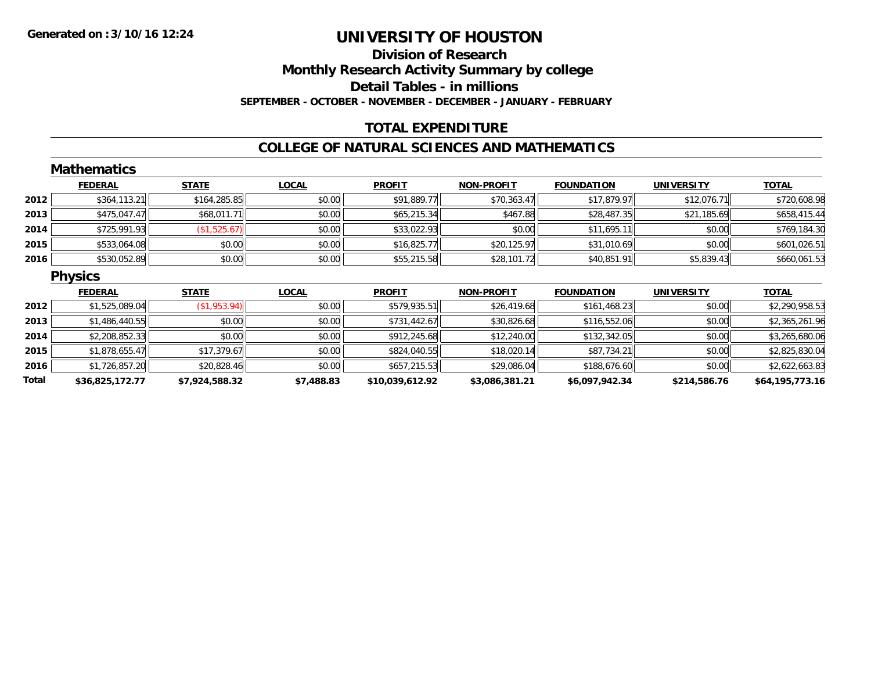### **Division of ResearchMonthly Research Activity Summary by college Detail Tables - in millions SEPTEMBER - OCTOBER - NOVEMBER - DECEMBER - JANUARY - FEBRUARY**

### **TOTAL EXPENDITURE**

#### **COLLEGE OF NATURAL SCIENCES AND MATHEMATICS**

|       | <b>Mathematics</b> |                |              |                 |                   |                   |                   |                 |
|-------|--------------------|----------------|--------------|-----------------|-------------------|-------------------|-------------------|-----------------|
|       | <b>FEDERAL</b>     | <b>STATE</b>   | <b>LOCAL</b> | <b>PROFIT</b>   | <b>NON-PROFIT</b> | <b>FOUNDATION</b> | <b>UNIVERSITY</b> | <b>TOTAL</b>    |
| 2012  | \$364,113.21       | \$164,285.85   | \$0.00       | \$91,889.77     | \$70,363.47       | \$17,879.97       | \$12,076.71       | \$720,608.98    |
| 2013  | \$475,047.47       | \$68,011.71    | \$0.00       | \$65,215.34     | \$467.88          | \$28,487.35       | \$21,185.69       | \$658,415.44    |
| 2014  | \$725,991.93       | (\$1,525.67)   | \$0.00       | \$33,022.93     | \$0.00            | \$11,695.11       | \$0.00            | \$769,184.30    |
| 2015  | \$533,064.08       | \$0.00         | \$0.00       | \$16,825.77     | \$20,125.97       | \$31,010.69       | \$0.00            | \$601,026.51    |
| 2016  | \$530,052.89       | \$0.00         | \$0.00       | \$55,215.58     | \$28,101.72       | \$40,851.91       | \$5,839.43        | \$660,061.53    |
|       | <b>Physics</b>     |                |              |                 |                   |                   |                   |                 |
|       | <b>FEDERAL</b>     | <b>STATE</b>   | <b>LOCAL</b> | <b>PROFIT</b>   | <b>NON-PROFIT</b> | <b>FOUNDATION</b> | <b>UNIVERSITY</b> | <b>TOTAL</b>    |
| 2012  | \$1,525,089.04     | (\$1,953.94)   | \$0.00       | \$579,935.51    | \$26,419.68       | \$161,468.23      | \$0.00            | \$2,290,958.53  |
| 2013  | \$1,486,440.55     | \$0.00         | \$0.00       | \$731,442.67    | \$30,826.68       | \$116,552.06      | \$0.00            | \$2,365,261.96  |
| 2014  | \$2,208,852.33     | \$0.00         | \$0.00       | \$912,245.68    | \$12,240.00       | \$132,342.05      | \$0.00            | \$3,265,680.06  |
| 2015  | \$1,878,655.47     | \$17,379.67    | \$0.00       | \$824,040.55    | \$18,020.14       | \$87,734.21       | \$0.00            | \$2,825,830.04  |
| 2016  | \$1,726,857.20     | \$20,828.46    | \$0.00       | \$657,215.53    | \$29,086.04       | \$188,676.60      | \$0.00            | \$2,622,663.83  |
| Total | \$36,825,172.77    | \$7,924,588.32 | \$7,488.83   | \$10,039,612.92 | \$3,086,381.21    | \$6,097,942.34    | \$214,586.76      | \$64,195,773.16 |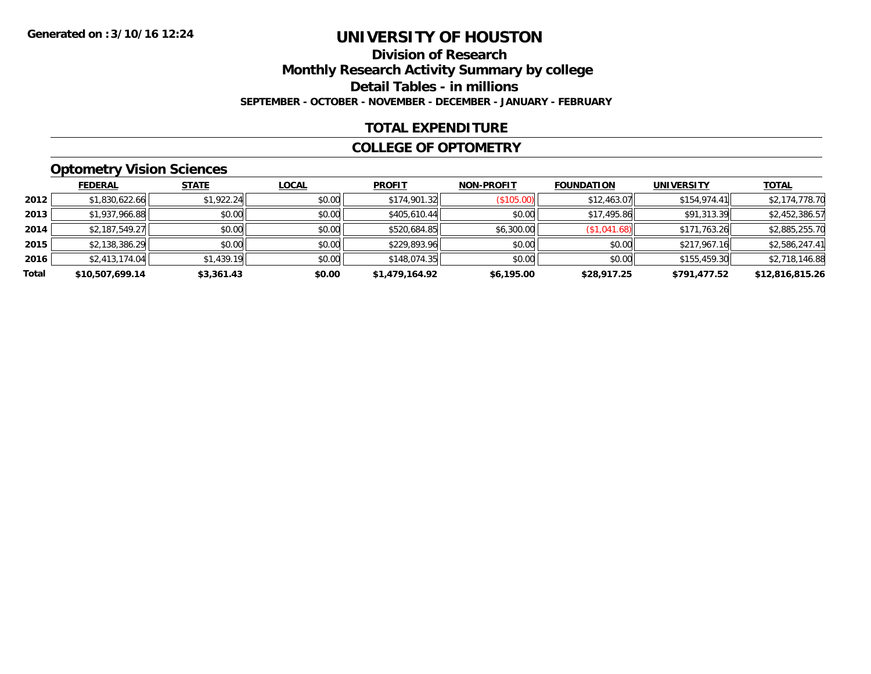### **Division of ResearchMonthly Research Activity Summary by college Detail Tables - in millions SEPTEMBER - OCTOBER - NOVEMBER - DECEMBER - JANUARY - FEBRUARY**

### **TOTAL EXPENDITURE**

#### **COLLEGE OF OPTOMETRY**

### **Optometry Vision Sciences**

|       | <b>FEDERAL</b>  | <b>STATE</b> | <b>LOCAL</b> | <b>PROFIT</b>  | <b>NON-PROFIT</b> | <b>FOUNDATION</b> | <b>UNIVERSITY</b> | <b>TOTAL</b>    |
|-------|-----------------|--------------|--------------|----------------|-------------------|-------------------|-------------------|-----------------|
| 2012  | \$1,830,622.66  | \$1,922.24   | \$0.00       | \$174,901.32   | (\$105.00)        | \$12,463.07       | \$154.974.41      | \$2,174,778.70  |
| 2013  | \$1,937,966.88  | \$0.00       | \$0.00       | \$405,610.44   | \$0.00            | \$17,495.86       | \$91,313.39       | \$2,452,386.57  |
| 2014  | \$2,187,549.27  | \$0.00       | \$0.00       | \$520,684.85   | \$6,300.00        | (\$1,041.68)      | \$171,763.26      | \$2,885,255.70  |
| 2015  | \$2,138,386.29  | \$0.00       | \$0.00       | \$229,893.96   | \$0.00            | \$0.00            | \$217,967.16      | \$2,586,247.41  |
| 2016  | \$2,413,174.04  | \$1,439.19   | \$0.00       | \$148,074.35   | \$0.00            | \$0.00            | \$155,459.30      | \$2,718,146.88  |
| Total | \$10,507,699.14 | \$3,361.43   | \$0.00       | \$1,479,164.92 | \$6,195.00        | \$28,917.25       | \$791,477.52      | \$12,816,815.26 |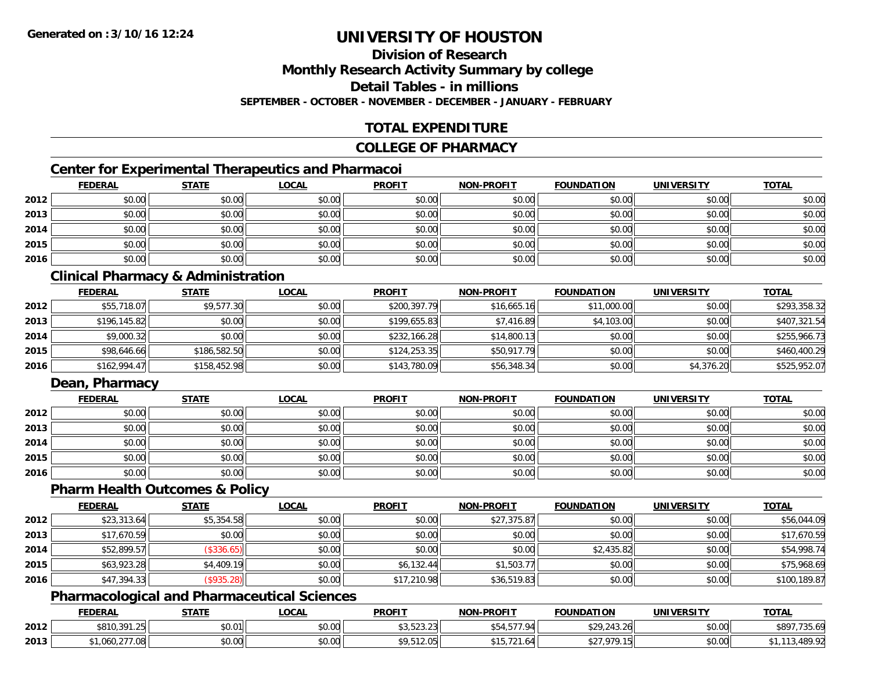### **Division of Research**

**Monthly Research Activity Summary by college**

**Detail Tables - in millions**

**SEPTEMBER - OCTOBER - NOVEMBER - DECEMBER - JANUARY - FEBRUARY**

### **TOTAL EXPENDITURE**

#### **COLLEGE OF PHARMACY**

### **Center for Experimental Therapeutics and Pharmacoi**

|      | <b>FEDERAL</b> | <b>STATE</b> | <u>LOCAL</u> | <b>PROFIT</b> | <b>NON-PROFIT</b> | <b>FOUNDATION</b> | <b>UNIVERSITY</b> | <b>TOTAL</b> |
|------|----------------|--------------|--------------|---------------|-------------------|-------------------|-------------------|--------------|
| 2012 | \$0.00         | \$0.00       | \$0.00       | \$0.00        | \$0.00            | \$0.00            | \$0.00            | \$0.00       |
| 2013 | \$0.00         | \$0.00       | \$0.00       | \$0.00        | \$0.00            | \$0.00            | \$0.00            | \$0.00       |
| 2014 | \$0.00         | \$0.00       | \$0.00       | \$0.00        | \$0.00            | \$0.00            | \$0.00            | \$0.00       |
| 2015 | \$0.00         | \$0.00       | \$0.00       | \$0.00        | \$0.00            | \$0.00            | \$0.00            | \$0.00       |
| 2016 | \$0.00         | \$0.00       | \$0.00       | \$0.00        | \$0.00            | \$0.00            | \$0.00            | \$0.00       |

### **Clinical Pharmacy & Administration**

|      | <b>FEDERAL</b> | <b>STATE</b> | <u>LOCAL</u> | <b>PROFIT</b> | <b>NON-PROFIT</b> | <b>FOUNDATION</b> | <b>UNIVERSITY</b> | <b>TOTAL</b> |
|------|----------------|--------------|--------------|---------------|-------------------|-------------------|-------------------|--------------|
| 2012 | \$55,718.07    | \$9,577.30   | \$0.00       | \$200,397.79  | \$16,665.16       | \$11,000.00       | \$0.00            | \$293,358.32 |
| 2013 | \$196,145.82   | \$0.00       | \$0.00       | \$199,655.83  | \$7,416.89        | \$4,103.00        | \$0.00            | \$407,321.54 |
| 2014 | \$9,000.32     | \$0.00       | \$0.00       | \$232,166.28  | \$14,800.13       | \$0.00            | \$0.00            | \$255,966.73 |
| 2015 | \$98,646.66    | \$186,582.50 | \$0.00       | \$124, 253.35 | \$50,917.79       | \$0.00            | \$0.00            | \$460,400.29 |
| 2016 | \$162,994.47   | \$158,452.98 | \$0.00       | \$143,780.09  | \$56,348.34       | \$0.00            | \$4,376.20        | \$525,952.07 |

### **Dean, Pharmacy**

|      | <b>FEDERAL</b> | <b>STATE</b> | <b>LOCAL</b> | <b>PROFIT</b> | <b>NON-PROFIT</b> | <b>FOUNDATION</b> | <b>UNIVERSITY</b> | <b>TOTAL</b> |
|------|----------------|--------------|--------------|---------------|-------------------|-------------------|-------------------|--------------|
| 2012 | \$0.00         | \$0.00       | \$0.00       | \$0.00        | \$0.00            | \$0.00            | \$0.00            | \$0.00       |
| 2013 | \$0.00         | \$0.00       | \$0.00       | \$0.00        | \$0.00            | \$0.00            | \$0.00            | \$0.00       |
| 2014 | \$0.00         | \$0.00       | \$0.00       | \$0.00        | \$0.00            | \$0.00            | \$0.00            | \$0.00       |
| 2015 | \$0.00         | \$0.00       | \$0.00       | \$0.00        | \$0.00            | \$0.00            | \$0.00            | \$0.00       |
| 2016 | \$0.00         | \$0.00       | \$0.00       | \$0.00        | \$0.00            | \$0.00            | \$0.00            | \$0.00       |

#### **Pharm Health Outcomes & Policy**

|      | <b>FEDERAL</b> | <b>STATE</b> | <b>LOCAL</b> | <b>PROFIT</b> | <b>NON-PROFIT</b> | <b>FOUNDATION</b> | <b>UNIVERSITY</b> | <b>TOTAL</b> |
|------|----------------|--------------|--------------|---------------|-------------------|-------------------|-------------------|--------------|
| 2012 | \$23,313.64    | \$5,354.58   | \$0.00       | \$0.00        | \$27,375.87       | \$0.00            | \$0.00            | \$56,044.09  |
| 2013 | \$17,670.59    | \$0.00       | \$0.00       | \$0.00        | \$0.00            | \$0.00            | \$0.00            | \$17,670.59  |
| 2014 | \$52,899.57    | (\$336.65)   | \$0.00       | \$0.00        | \$0.00            | \$2,435.82        | \$0.00            | \$54,998.74  |
| 2015 | \$63,923.28    | \$4,409.19   | \$0.00       | \$6,132.44    | \$1,503.77        | \$0.00            | \$0.00            | \$75,968.69  |
| 2016 | \$47,394.33    | (\$935.28)   | \$0.00       | \$17,210.98   | \$36,519.83       | \$0.00            | \$0.00            | \$100,189.87 |

#### **Pharmacological and Pharmaceutical Sciences**

|      | <b>FEDERAL</b> | <b>STATE</b>             | .OCAL           | <b>PROFIT</b>                          | <b>M-PROFIT</b><br><b>MANI</b> | <b>FOUNDATION</b> | UNIVERSITY           | <b>TOTAL</b>  |
|------|----------------|--------------------------|-----------------|----------------------------------------|--------------------------------|-------------------|----------------------|---------------|
| 2012 | \$810,391.25   | 0.01<br>DU.U II          | ሶስ ስስ<br>,,,,,  | $\cdots$<br>$\sim$<br><b>JU.JZJ.ZJ</b> | $- - - -$                      | \$29.213<br>.3.26 | \$0.00               | 480.<br>35.09 |
| 2013 | 7.Uŏ           | $n \cap \Omega$<br>DU.UU | $\sim$<br>vv.vv | $\sim$<br>7, JIZ. UJ                   | .                              | റ7റ               | 0000<br><b>DU.UU</b> |               |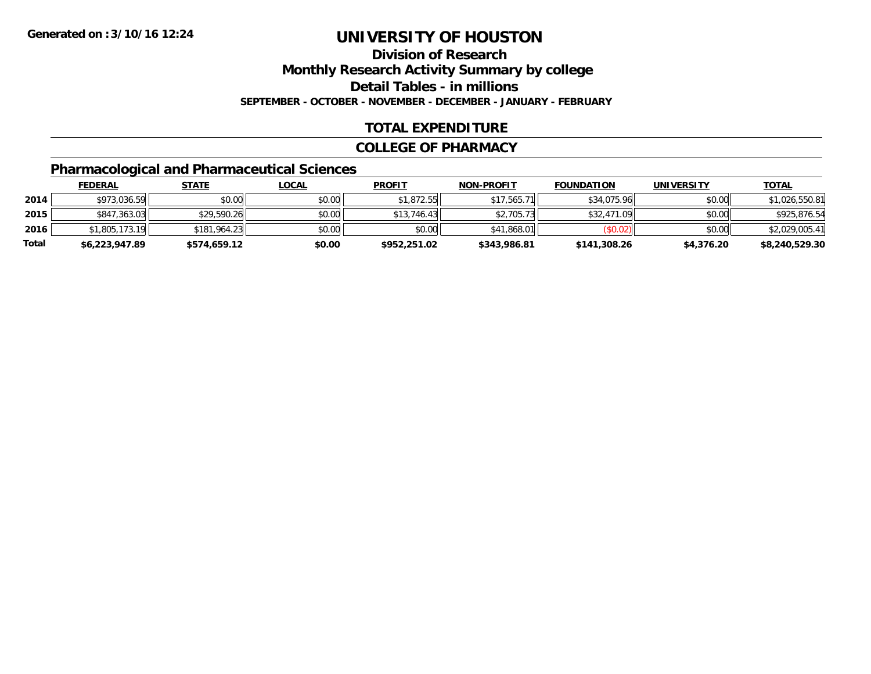**Division of Research**

**Monthly Research Activity Summary by college**

**Detail Tables - in millions**

**SEPTEMBER - OCTOBER - NOVEMBER - DECEMBER - JANUARY - FEBRUARY**

### **TOTAL EXPENDITURE**

#### **COLLEGE OF PHARMACY**

### **Pharmacological and Pharmaceutical Sciences**

|       | <u>FEDERAL</u> | <u>STATE</u> | <u>LOCAL</u> | <b>PROFIT</b> | <b>NON-PROFIT</b> | <b>FOUNDATION</b> | <b>UNIVERSITY</b> | <b>TOTAL</b>   |
|-------|----------------|--------------|--------------|---------------|-------------------|-------------------|-------------------|----------------|
| 2014  | \$973,036.59   | \$0.00       | \$0.00       | \$1,872.55    | \$17,565.71       | \$34,075.96       | \$0.00            | \$1,026,550.81 |
| 2015  | \$847,363.03   | \$29,590.26  | \$0.00       | \$13.746.43   | \$2,705.73        | \$32,471.09       | \$0.00            | \$925,876.54   |
| 2016  | \$1,805,173.19 | \$181,964.23 | \$0.00       | \$0.00        | \$41,868,01       | (S0.02)           | \$0.00            | \$2,029,005.41 |
| Total | \$6,223,947.89 | \$574,659.12 | \$0.00       | \$952,251.02  | \$343,986.81      | \$141,308.26      | \$4,376.20        | \$8,240,529.30 |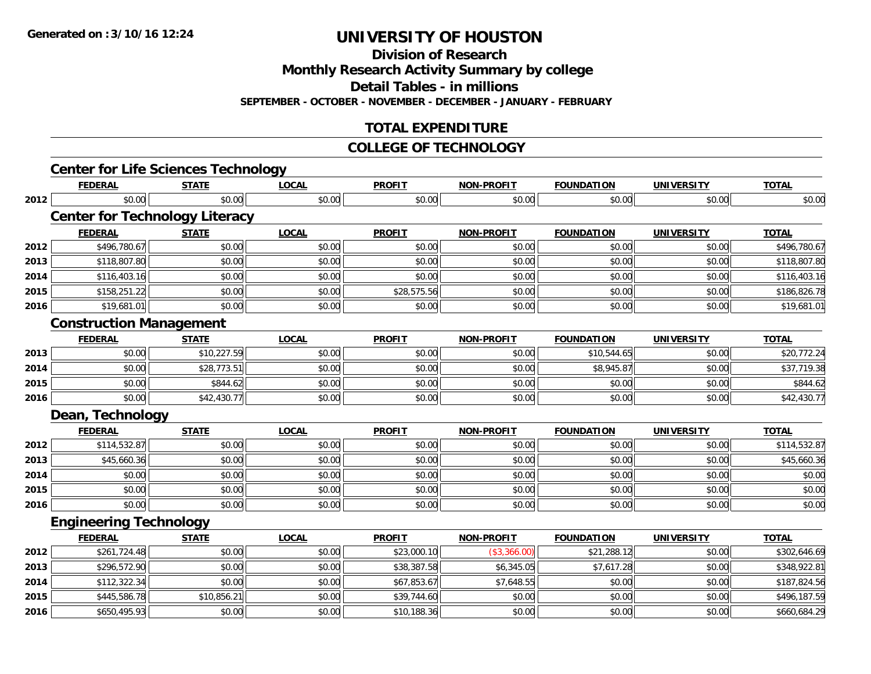**Division of Research**

**Monthly Research Activity Summary by college**

**Detail Tables - in millions**

**SEPTEMBER - OCTOBER - NOVEMBER - DECEMBER - JANUARY - FEBRUARY**

### **TOTAL EXPENDITURE**

#### **COLLEGE OF TECHNOLOGY**

|      | <b>Center for Life Sciences Technology</b><br><b>FEDERAL</b> | <b>STATE</b> | <b>LOCAL</b> | <b>PROFIT</b> | <b>NON-PROFIT</b> | <b>FOUNDATION</b> | <b>UNIVERSITY</b> | <b>TOTAL</b> |
|------|--------------------------------------------------------------|--------------|--------------|---------------|-------------------|-------------------|-------------------|--------------|
| 2012 | \$0.00                                                       | \$0.00       | \$0.00       | \$0.00        | \$0.00            | \$0.00            | \$0.00            | \$0.00       |
|      | <b>Center for Technology Literacy</b>                        |              |              |               |                   |                   |                   |              |
|      | <b>FEDERAL</b>                                               | <b>STATE</b> | <b>LOCAL</b> | <b>PROFIT</b> | <b>NON-PROFIT</b> | <b>FOUNDATION</b> | <b>UNIVERSITY</b> | <b>TOTAL</b> |
| 2012 | \$496,780.67                                                 | \$0.00       | \$0.00       | \$0.00        | \$0.00            | \$0.00            | \$0.00            | \$496,780.67 |
| 2013 | \$118,807.80                                                 | \$0.00       | \$0.00       | \$0.00        | \$0.00            | \$0.00            | \$0.00            | \$118,807.80 |
| 2014 | \$116,403.16                                                 | \$0.00       | \$0.00       | \$0.00        | \$0.00            | \$0.00            | \$0.00            | \$116,403.16 |
| 2015 | \$158,251.22                                                 | \$0.00       | \$0.00       | \$28,575.56   | \$0.00            | \$0.00            | \$0.00            | \$186,826.78 |
| 2016 | \$19,681.01                                                  | \$0.00       | \$0.00       | \$0.00        | \$0.00            | \$0.00            | \$0.00            | \$19,681.01  |
|      | <b>Construction Management</b>                               |              |              |               |                   |                   |                   |              |
|      | <b>FEDERAL</b>                                               | <b>STATE</b> | <b>LOCAL</b> | <b>PROFIT</b> | <b>NON-PROFIT</b> | <b>FOUNDATION</b> | <b>UNIVERSITY</b> | <b>TOTAL</b> |
| 2013 | \$0.00                                                       | \$10,227.59  | \$0.00       | \$0.00        | \$0.00            | \$10,544.65       | \$0.00            | \$20,772.24  |
| 2014 | \$0.00                                                       | \$28,773.51  | \$0.00       | \$0.00        | \$0.00            | \$8,945.87        | \$0.00            | \$37,719.38  |
| 2015 | \$0.00                                                       | \$844.62     | \$0.00       | \$0.00        | \$0.00            | \$0.00            | \$0.00            | \$844.62     |
| 2016 | \$0.00                                                       | \$42,430.77  | \$0.00       | \$0.00        | \$0.00            | \$0.00            | \$0.00            | \$42,430.77  |
|      | Dean, Technology                                             |              |              |               |                   |                   |                   |              |
|      | <b>FEDERAL</b>                                               | <b>STATE</b> | <b>LOCAL</b> | <b>PROFIT</b> | <b>NON-PROFIT</b> | <b>FOUNDATION</b> | <b>UNIVERSITY</b> | <b>TOTAL</b> |
| 2012 | \$114,532.87                                                 | \$0.00       | \$0.00       | \$0.00        | \$0.00            | \$0.00            | \$0.00            | \$114,532.87 |
| 2013 | \$45,660.36                                                  | \$0.00       | \$0.00       | \$0.00        | \$0.00            | \$0.00            | \$0.00            | \$45,660.36  |
| 2014 | \$0.00                                                       | \$0.00       | \$0.00       | \$0.00        | \$0.00            | \$0.00            | \$0.00            | \$0.00       |
| 2015 | \$0.00                                                       | \$0.00       | \$0.00       | \$0.00        | \$0.00            | \$0.00            | \$0.00            | \$0.00       |
| 2016 | \$0.00                                                       | \$0.00       | \$0.00       | \$0.00        | \$0.00            | \$0.00            | \$0.00            | \$0.00       |
|      | <b>Engineering Technology</b>                                |              |              |               |                   |                   |                   |              |
|      | <b>FEDERAL</b>                                               | <b>STATE</b> | <b>LOCAL</b> | <b>PROFIT</b> | <b>NON-PROFIT</b> | <b>FOUNDATION</b> | <b>UNIVERSITY</b> | <b>TOTAL</b> |
| 2012 | \$261,724.48                                                 | \$0.00       | \$0.00       | \$23,000.10   | (\$3,366.00)      | \$21,288.12       | \$0.00            | \$302,646.69 |
| 2013 | \$296,572.90                                                 | \$0.00       | \$0.00       | \$38,387.58   | \$6,345.05        | \$7,617.28        | \$0.00            | \$348,922.81 |
| 2014 | \$112,322.34                                                 | \$0.00       | \$0.00       | \$67,853.67   | \$7,648.55        | \$0.00            | \$0.00            | \$187,824.56 |
| 2015 | \$445,586.78                                                 | \$10,856.21  | \$0.00       | \$39,744.60   | \$0.00            | \$0.00            | \$0.00            | \$496,187.59 |
| 2016 | \$650,495.93                                                 | \$0.00       | \$0.00       | \$10,188.36   | \$0.00            | \$0.00            | \$0.00            | \$660,684.29 |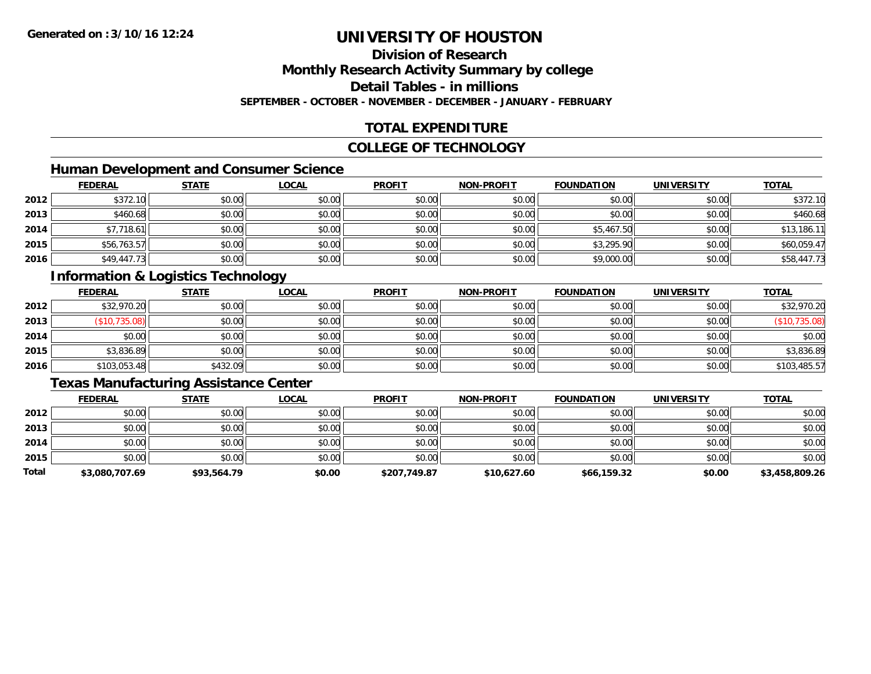### **Division of Research**

**Monthly Research Activity Summary by college**

**Detail Tables - in millions**

**SEPTEMBER - OCTOBER - NOVEMBER - DECEMBER - JANUARY - FEBRUARY**

### **TOTAL EXPENDITURE**

#### **COLLEGE OF TECHNOLOGY**

### **Human Development and Consumer Science**

|      | <b>FEDERAL</b> | <b>STATE</b> | <b>LOCAL</b> | <b>PROFIT</b> | <b>NON-PROFIT</b> | <b>FOUNDATION</b> | <b>UNIVERSITY</b> | <b>TOTAL</b> |
|------|----------------|--------------|--------------|---------------|-------------------|-------------------|-------------------|--------------|
| 2012 | \$372.10       | \$0.00       | \$0.00       | \$0.00        | \$0.00            | \$0.00            | \$0.00            | \$372.10     |
| 2013 | \$460.68       | \$0.00       | \$0.00       | \$0.00        | \$0.00            | \$0.00            | \$0.00            | \$460.68     |
| 2014 | \$7,718.61     | \$0.00       | \$0.00       | \$0.00        | \$0.00            | \$5,467.50        | \$0.00            | \$13,186.11  |
| 2015 | \$56,763.57    | \$0.00       | \$0.00       | \$0.00        | \$0.00            | \$3,295.90        | \$0.00            | \$60,059.47  |
| 2016 | \$49,447.73    | \$0.00       | \$0.00       | \$0.00        | \$0.00            | \$9,000.00        | \$0.00            | \$58,447.73  |

### **Information & Logistics Technology**

|      | <b>FEDERAL</b> | <b>STATE</b> | <u>LOCAL</u> | <b>PROFIT</b> | NON-PROFIT | <b>FOUNDATION</b> | <b>UNIVERSITY</b> | <b>TOTAL</b>  |
|------|----------------|--------------|--------------|---------------|------------|-------------------|-------------------|---------------|
| 2012 | \$32,970.20    | \$0.00       | \$0.00       | \$0.00        | \$0.00     | \$0.00            | \$0.00            | \$32,970.20   |
| 2013 | (\$10,735.08)  | \$0.00       | \$0.00       | \$0.00        | \$0.00     | \$0.00            | \$0.00            | (\$10,735.08) |
| 2014 | \$0.00         | \$0.00       | \$0.00       | \$0.00        | \$0.00     | \$0.00            | \$0.00            | \$0.00        |
| 2015 | \$3,836.89     | \$0.00       | \$0.00       | \$0.00        | \$0.00     | \$0.00            | \$0.00            | \$3,836.89    |
| 2016 | \$103,053.48   | \$432.09     | \$0.00       | \$0.00        | \$0.00     | \$0.00            | \$0.00            | \$103,485.57  |

### **Texas Manufacturing Assistance Center**

|       | <b>FEDERAL</b> | <b>STATE</b> | <b>LOCAL</b> | <b>PROFIT</b> | <b>NON-PROFIT</b> | <b>FOUNDATION</b> | <b>UNIVERSITY</b> | <b>TOTAL</b>   |
|-------|----------------|--------------|--------------|---------------|-------------------|-------------------|-------------------|----------------|
| 2012  | \$0.00         | \$0.00       | \$0.00       | \$0.00        | \$0.00            | \$0.00            | \$0.00            | \$0.00         |
| 2013  | \$0.00         | \$0.00       | \$0.00       | \$0.00        | \$0.00            | \$0.00            | \$0.00            | \$0.00         |
| 2014  | \$0.00         | \$0.00       | \$0.00       | \$0.00        | \$0.00            | \$0.00            | \$0.00            | \$0.00         |
| 2015  | \$0.00         | \$0.00       | \$0.00       | \$0.00        | \$0.00            | \$0.00            | \$0.00            | \$0.00         |
| Total | \$3,080,707.69 | \$93,564.79  | \$0.00       | \$207,749.87  | \$10,627.60       | \$66,159.32       | \$0.00            | \$3,458,809.26 |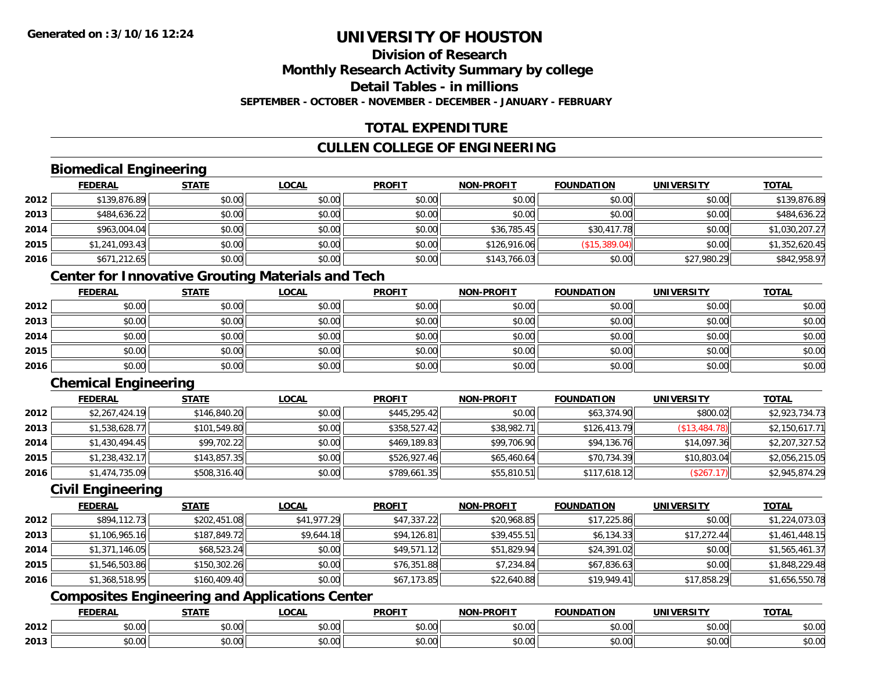### **Division of ResearchMonthly Research Activity Summary by college Detail Tables - in millionsSEPTEMBER - OCTOBER - NOVEMBER - DECEMBER - JANUARY - FEBRUARY**

### **TOTAL EXPENDITURE**

### **CULLEN COLLEGE OF ENGINEERING**

### **Biomedical Engineering**

|      | <b>FEDERAL</b> | <b>STATE</b> | <b>LOCAL</b> | <b>PROFIT</b> | <b>NON-PROFIT</b> | <b>FOUNDATION</b> | <b>UNIVERSITY</b> | <u>TOTAL</u>   |
|------|----------------|--------------|--------------|---------------|-------------------|-------------------|-------------------|----------------|
| 2012 | \$139,876.89   | \$0.00       | \$0.00       | \$0.00        | \$0.00            | \$0.00            | \$0.00            | \$139,876.89   |
| 2013 | \$484,636.22   | \$0.00       | \$0.00       | \$0.00        | \$0.00            | \$0.00            | \$0.00            | \$484,636.22   |
| 2014 | \$963,004.04   | \$0.00       | \$0.00       | \$0.00        | \$36,785.45       | \$30,417.78       | \$0.00            | \$1,030,207.27 |
| 2015 | \$1,241,093.43 | \$0.00       | \$0.00       | \$0.00        | \$126,916.06      | (S15, 389.04)     | \$0.00            | \$1,352,620.45 |
| 2016 | \$671,212.65   | \$0.00       | \$0.00       | \$0.00        | \$143,766.03      | \$0.00            | \$27,980.29       | \$842,958.97   |

### **Center for Innovative Grouting Materials and Tech**

|      | <u>FEDERAL</u> | <b>STATE</b> | <u>LOCAL</u> | <b>PROFIT</b> | <b>NON-PROFIT</b> | <b>FOUNDATION</b> | <b>UNIVERSITY</b> | <b>TOTAL</b> |
|------|----------------|--------------|--------------|---------------|-------------------|-------------------|-------------------|--------------|
| 2012 | \$0.00         | \$0.00       | \$0.00       | \$0.00        | \$0.00            | \$0.00            | \$0.00            | \$0.00       |
| 2013 | \$0.00         | \$0.00       | \$0.00       | \$0.00        | \$0.00            | \$0.00            | \$0.00            | \$0.00       |
| 2014 | \$0.00         | \$0.00       | \$0.00       | \$0.00        | \$0.00            | \$0.00            | \$0.00            | \$0.00       |
| 2015 | \$0.00         | \$0.00       | \$0.00       | \$0.00        | \$0.00            | \$0.00            | \$0.00            | \$0.00       |
| 2016 | \$0.00         | \$0.00       | \$0.00       | \$0.00        | \$0.00            | \$0.00            | \$0.00            | \$0.00       |

### **Chemical Engineering**

|      | <b>FEDERAL</b> | <b>STATE</b> | <u>LOCAL</u> | <b>PROFIT</b> | <b>NON-PROFIT</b> | <b>FOUNDATION</b> | <b>UNIVERSITY</b> | <b>TOTAL</b>   |
|------|----------------|--------------|--------------|---------------|-------------------|-------------------|-------------------|----------------|
| 2012 | \$2,267,424.19 | \$146,840.20 | \$0.00       | \$445,295.42  | \$0.00            | \$63,374.90       | \$800.02          | \$2,923,734.73 |
| 2013 | \$1,538,628.77 | \$101,549.80 | \$0.00       | \$358,527.42  | \$38,982.71       | \$126,413.79      | (\$13,484.78)     | \$2,150,617.71 |
| 2014 | \$1,430,494.45 | \$99,702.22  | \$0.00       | \$469,189.83  | \$99,706.90       | \$94,136.76       | \$14,097.36       | \$2,207,327.52 |
| 2015 | \$1,238,432,17 | \$143.857.35 | \$0.00       | \$526,927.46  | \$65,460.64       | \$70,734.39       | \$10,803.04       | \$2,056,215.05 |
| 2016 | \$1,474,735.09 | \$508,316.40 | \$0.00       | \$789,661.35  | \$55,810.51       | \$117,618.12      | (\$267.17)        | \$2,945,874.29 |

### **Civil Engineering**

|      | <b>FEDERAL</b> | <u>STATE</u> | <b>LOCAL</b> | <b>PROFIT</b> | <b>NON-PROFIT</b> | <b>FOUNDATION</b> | <b>UNIVERSITY</b> | <u>TOTAL</u>   |
|------|----------------|--------------|--------------|---------------|-------------------|-------------------|-------------------|----------------|
| 2012 | \$894,112,73   | \$202,451.08 | \$41,977.29  | \$47,337.22   | \$20,968.85       | \$17,225.86       | \$0.00            | \$1,224,073.03 |
| 2013 | \$1,106,965.16 | \$187,849.72 | \$9,644.18   | \$94,126.81   | \$39,455.51       | \$6,134.33        | \$17,272.44       | \$1,461,448.15 |
| 2014 | \$1,371,146.05 | \$68,523.24  | \$0.00       | \$49,571.12   | \$51,829.94       | \$24,391.02       | \$0.00            | \$1,565,461.37 |
| 2015 | \$1,546,503.86 | \$150,302.26 | \$0.00       | \$76,351.88   | \$7,234.84        | \$67,836.63       | \$0.00            | \$1,848,229.48 |
| 2016 | \$1,368,518.95 | \$160,409.40 | \$0.00       | \$67,173.85   | \$22,640.88       | \$19,949.41       | \$17,858.29       | \$1,656,550.78 |

### **Composites Engineering and Applications Center**

|      | ומם ח<br>ERA   | <b>CTATI</b>       | <b>_OCAI</b>       | <b>PROFIT</b>      | <b>DDAEIT</b><br><b>NON</b><br>зĸ.            | <b>INDA</b><br>.                           | i INIT<br>w     | <b>TOTAL</b> |
|------|----------------|--------------------|--------------------|--------------------|-----------------------------------------------|--------------------------------------------|-----------------|--------------|
| 2012 | 0.00           | $\sim$<br>טט.טע    | $\sim$ 00<br>pu.uu | $\sim$ 00<br>pu.uu | $\mathfrak{g}$ $\mathfrak{g}$<br><b>DU.UU</b> | $\mathsf{A} \cap \mathsf{A} \cap$<br>JU.UU | ADAO<br>vu.vu   | JU.UU        |
| 2013 | $\sim$<br>0.00 | $\triangle$<br>ט.ט | ሶስ ሰሰ<br>PU.UU     | $\sim$ 00<br>JU.UU | \$0.00                                        | $\cdots$<br>JU.UU                          | امہ مہ<br>vv.vv | JU.UL        |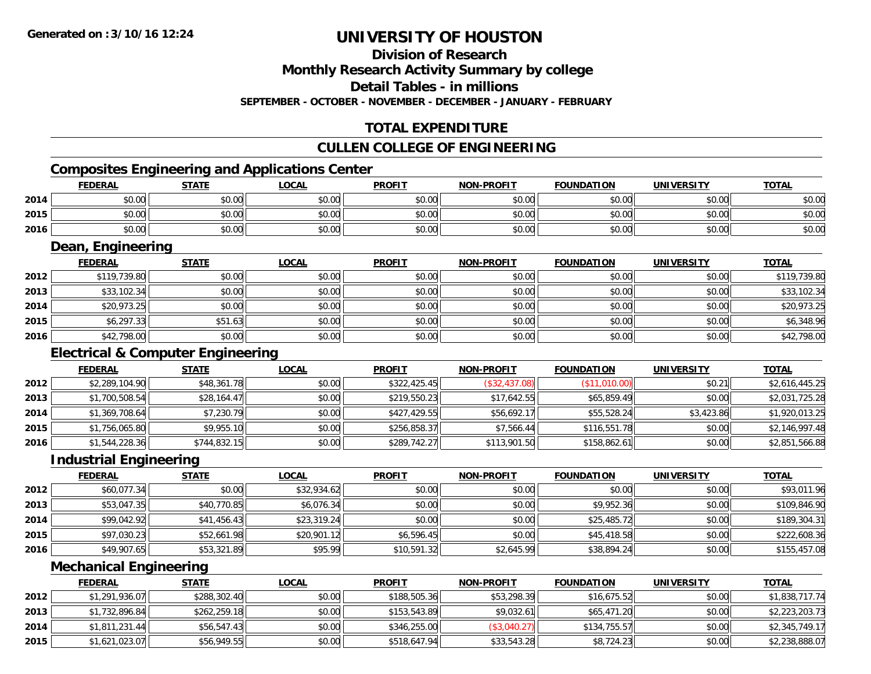### **Division of Research**

**Monthly Research Activity Summary by college**

**Detail Tables - in millions**

**SEPTEMBER - OCTOBER - NOVEMBER - DECEMBER - JANUARY - FEBRUARY**

### **TOTAL EXPENDITURE**

### **CULLEN COLLEGE OF ENGINEERING**

### **Composites Engineering and Applications Center**

|      | <b>FEDERAL</b> | <b>STATE</b> | <b>LOCAL</b> | <b>PROFIT</b> | <b>NON-PROFIT</b> | <b>FOUNDATION</b> | <b>UNIVERSITY</b> | <b>TOTAL</b> |
|------|----------------|--------------|--------------|---------------|-------------------|-------------------|-------------------|--------------|
| 2014 | ልስ ሰሰ<br>DU.UU | \$0.00       | \$0.00       | \$0.00        | \$0.00            | \$0.00            | \$0.00            | \$0.00       |
| 2015 | ስስ ስስ<br>DU.UU | \$0.00       | \$0.00       | \$0.00        | \$0.00            | \$0.00            | \$0.00            | \$0.00       |
| 2016 | \$0.00         | \$0.00       | \$0.00       | \$0.00        | \$0.00            | \$0.00            | \$0.00            | \$0.00       |

<u> 1989 - Johann Stoff, amerikansk politiker (d. 1989)</u>

### **Dean, Engineering**

|      | <b>FEDERAL</b> | <b>STATE</b> | <b>LOCAL</b> | <b>PROFIT</b> | <b>NON-PROFIT</b> | <b>FOUNDATION</b> | <b>UNIVERSITY</b> | <b>TOTAL</b> |
|------|----------------|--------------|--------------|---------------|-------------------|-------------------|-------------------|--------------|
| 2012 | \$119,739.80   | \$0.00       | \$0.00       | \$0.00        | \$0.00            | \$0.00            | \$0.00            | \$119,739.80 |
| 2013 | \$33,102.34    | \$0.00       | \$0.00       | \$0.00        | \$0.00            | \$0.00            | \$0.00            | \$33,102.34  |
| 2014 | \$20,973.25    | \$0.00       | \$0.00       | \$0.00        | \$0.00            | \$0.00            | \$0.00            | \$20,973.25  |
| 2015 | \$6,297.33     | \$51.63      | \$0.00       | \$0.00        | \$0.00            | \$0.00            | \$0.00            | \$6,348.96   |
| 2016 | \$42,798.00    | \$0.00       | \$0.00       | \$0.00        | \$0.00            | \$0.00            | \$0.00            | \$42,798.00  |

### **Electrical & Computer Engineering**

|      | <b>FEDERAL</b> | <b>STATE</b> | <b>LOCAL</b> | <b>PROFIT</b> | <b>NON-PROFIT</b> | <b>FOUNDATION</b> | <b>UNIVERSITY</b> | <b>TOTAL</b>   |
|------|----------------|--------------|--------------|---------------|-------------------|-------------------|-------------------|----------------|
| 2012 | \$2,289,104.90 | \$48,361.78  | \$0.00       | \$322,425.45  | (\$32,437.08)     | (\$11,010.00)     | \$0.21            | \$2,616,445.25 |
| 2013 | \$1,700,508.54 | \$28,164.47  | \$0.00       | \$219,550.23  | \$17,642.55       | \$65,859.49       | \$0.00            | \$2,031,725.28 |
| 2014 | \$1,369,708.64 | \$7,230.79   | \$0.00       | \$427,429.55  | \$56,692.17       | \$55,528.24       | \$3,423.86        | \$1,920,013.25 |
| 2015 | \$1,756,065.80 | \$9,955.10   | \$0.00       | \$256,858.37  | \$7,566.44        | \$116,551.78      | \$0.00            | \$2,146,997.48 |
| 2016 | \$1,544,228.36 | \$744,832.15 | \$0.00       | \$289,742.27  | \$113,901.50      | \$158,862.61      | \$0.00            | \$2,851,566.88 |

#### **Industrial Engineering**

|      | <b>FEDERAL</b> | <b>STATE</b> | <u>LOCAL</u> | <b>PROFIT</b> | <b>NON-PROFIT</b> | <b>FOUNDATION</b> | <b>UNIVERSITY</b> | <b>TOTAL</b> |
|------|----------------|--------------|--------------|---------------|-------------------|-------------------|-------------------|--------------|
| 2012 | \$60,077.34    | \$0.00       | \$32,934.62  | \$0.00        | \$0.00            | \$0.00            | \$0.00            | \$93,011.96  |
| 2013 | \$53,047.35    | \$40,770.85  | \$6,076.34   | \$0.00        | \$0.00            | \$9,952.36        | \$0.00            | \$109,846.90 |
| 2014 | \$99,042.92    | \$41,456.43  | \$23,319.24  | \$0.00        | \$0.00            | \$25,485.72       | \$0.00            | \$189,304.31 |
| 2015 | \$97,030.23    | \$52,661.98  | \$20,901.12  | \$6,596.45    | \$0.00            | \$45,418.58       | \$0.00            | \$222,608.36 |
| 2016 | \$49,907.65    | \$53,321.89  | \$95.99      | \$10,591.32   | \$2,645.99        | \$38,894.24       | \$0.00            | \$155,457.08 |

#### **Mechanical Engineering**

|      | <b>FEDERAL</b> | <b>STATE</b> | <u>LOCAL</u> | <b>PROFIT</b> | <b>NON-PROFIT</b> | <b>FOUNDATION</b> | <b>UNIVERSITY</b> | <b>TOTAL</b>   |
|------|----------------|--------------|--------------|---------------|-------------------|-------------------|-------------------|----------------|
| 2012 | \$1,291,936.07 | \$288,302.40 | \$0.00       | \$188,505.36  | \$53,298.39       | \$16,675.52       | \$0.00            | \$1,838,717.74 |
| 2013 | \$1,732,896.84 | \$262,259.18 | \$0.00       | \$153,543.89  | \$9.032.61        | \$65,471.20       | \$0.00            | \$2,223,203.73 |
| 2014 | \$1,811,231.44 | \$56,547.43  | \$0.00       | \$346,255,00  | (\$3,040.27)      | \$134,755.57      | \$0.00            | \$2,345,749.17 |
| 2015 | \$1,621,023.07 | \$56,949.55  | \$0.00       | \$518,647.94  | \$33,543.28       | \$8,724.23        | \$0.00            | \$2,238,888.07 |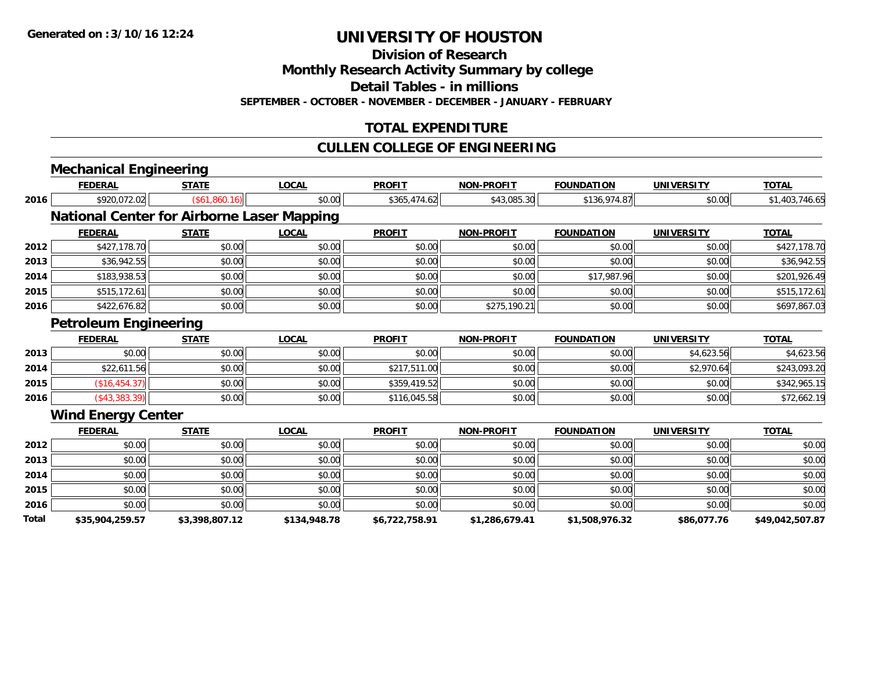**Division of Research**

**Monthly Research Activity Summary by college**

**Detail Tables - in millions**

**SEPTEMBER - OCTOBER - NOVEMBER - DECEMBER - JANUARY - FEBRUARY**

### **TOTAL EXPENDITURE**

### **CULLEN COLLEGE OF ENGINEERING**

|       | <b>Mechanical Engineering</b>                     |                |              |                |                   |                   |                   |                 |
|-------|---------------------------------------------------|----------------|--------------|----------------|-------------------|-------------------|-------------------|-----------------|
|       | <b>FEDERAL</b>                                    | <b>STATE</b>   | <b>LOCAL</b> | <b>PROFIT</b>  | <b>NON-PROFIT</b> | <b>FOUNDATION</b> | <b>UNIVERSITY</b> | <b>TOTAL</b>    |
| 2016  | \$920,072.02                                      | (\$61,860.16)  | \$0.00       | \$365,474.62   | \$43,085.30       | \$136,974.87      | \$0.00            | \$1,403,746.65  |
|       | <b>National Center for Airborne Laser Mapping</b> |                |              |                |                   |                   |                   |                 |
|       | <b>FEDERAL</b>                                    | <b>STATE</b>   | <b>LOCAL</b> | <b>PROFIT</b>  | <b>NON-PROFIT</b> | <b>FOUNDATION</b> | <b>UNIVERSITY</b> | <b>TOTAL</b>    |
| 2012  | \$427,178.70                                      | \$0.00         | \$0.00       | \$0.00         | \$0.00            | \$0.00            | \$0.00            | \$427,178.70    |
| 2013  | \$36,942.55                                       | \$0.00         | \$0.00       | \$0.00         | \$0.00            | \$0.00            | \$0.00            | \$36,942.55     |
| 2014  | \$183,938.53                                      | \$0.00         | \$0.00       | \$0.00         | \$0.00            | \$17,987.96       | \$0.00            | \$201,926.49    |
| 2015  | \$515,172.61                                      | \$0.00         | \$0.00       | \$0.00         | \$0.00            | \$0.00            | \$0.00            | \$515,172.61    |
| 2016  | \$422,676.82                                      | \$0.00         | \$0.00       | \$0.00         | \$275,190.21      | \$0.00            | \$0.00            | \$697,867.03    |
|       | <b>Petroleum Engineering</b>                      |                |              |                |                   |                   |                   |                 |
|       | <b>FEDERAL</b>                                    | <b>STATE</b>   | <b>LOCAL</b> | <b>PROFIT</b>  | <b>NON-PROFIT</b> | <b>FOUNDATION</b> | <b>UNIVERSITY</b> | <b>TOTAL</b>    |
| 2013  | \$0.00                                            | \$0.00         | \$0.00       | \$0.00         | \$0.00            | \$0.00            | \$4,623.56        | \$4,623.56      |
| 2014  | \$22,611.56                                       | \$0.00         | \$0.00       | \$217,511.00   | \$0.00            | \$0.00            | \$2,970.64        | \$243,093.20    |
| 2015  | (\$16,454.37)                                     | \$0.00         | \$0.00       | \$359,419.52   | \$0.00            | \$0.00            | \$0.00            | \$342,965.15    |
| 2016  | $($ \$43,383.39 $)$                               | \$0.00         | \$0.00       | \$116,045.58   | \$0.00            | \$0.00            | \$0.00            | \$72,662.19     |
|       | <b>Wind Energy Center</b>                         |                |              |                |                   |                   |                   |                 |
|       | <b>FEDERAL</b>                                    | <b>STATE</b>   | <b>LOCAL</b> | <b>PROFIT</b>  | <b>NON-PROFIT</b> | <b>FOUNDATION</b> | <b>UNIVERSITY</b> | <b>TOTAL</b>    |
| 2012  | \$0.00                                            | \$0.00         | \$0.00       | \$0.00         | \$0.00            | \$0.00            | \$0.00            | \$0.00          |
| 2013  | \$0.00                                            | \$0.00         | \$0.00       | \$0.00         | \$0.00            | \$0.00            | \$0.00            | \$0.00          |
| 2014  | \$0.00                                            | \$0.00         | \$0.00       | \$0.00         | \$0.00            | \$0.00            | \$0.00            | \$0.00          |
| 2015  | \$0.00                                            | \$0.00         | \$0.00       | \$0.00         | \$0.00            | \$0.00            | \$0.00            | \$0.00          |
| 2016  | \$0.00                                            | \$0.00         | \$0.00       | \$0.00         | \$0.00            | \$0.00            | \$0.00            | \$0.00          |
| Total | \$35,904,259.57                                   | \$3,398,807.12 | \$134,948.78 | \$6,722,758.91 | \$1,286,679.41    | \$1,508,976.32    | \$86,077.76       | \$49,042,507.87 |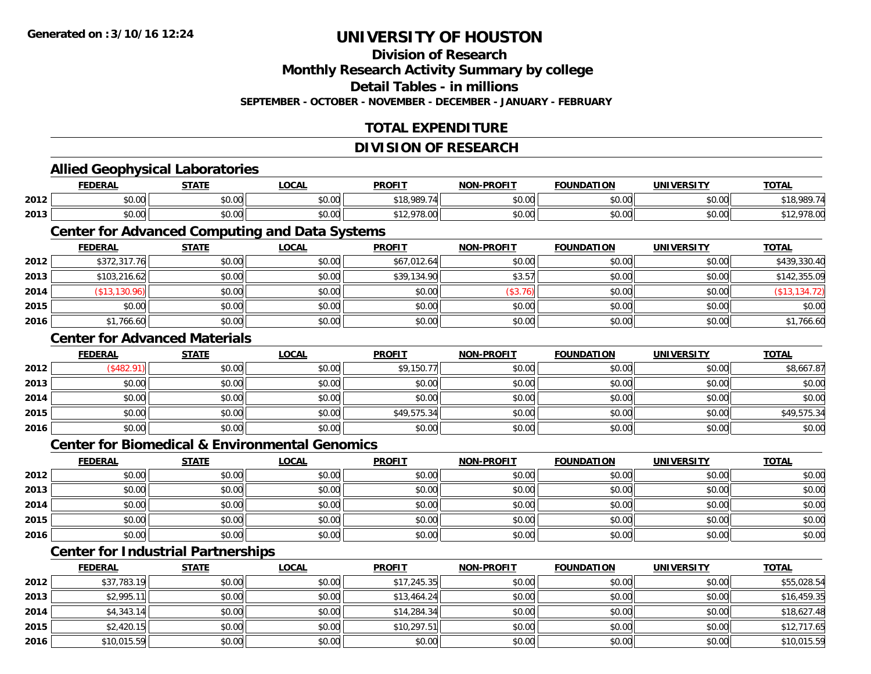**Division of Research**

**Monthly Research Activity Summary by college**

**Detail Tables - in millions**

**SEPTEMBER - OCTOBER - NOVEMBER - DECEMBER - JANUARY - FEBRUARY**

### **TOTAL EXPENDITURE**

#### **DIVISION OF RESEARCH**

#### **Allied Geophysical Laboratories FEDERAL STATE LOCAL PROFIT NON-PROFIT FOUNDATION UNIVERSITY TOTALTOTAL 2012** \$0.00 \$0.00 \$0.00 \$18,989.74 \$0.00 \$0.00 \$0.00 \$18,989.74 **2013** \$0.00 \$0.00 \$0.00 \$12,978.00 \$0.00 \$0.00 \$0.00 \$12,978.00 **Center for Advanced Computing and Data Systems FEDERAL STATE LOCAL PROFIT NON-PROFIT FOUNDATION UNIVERSITY TOTALTOTAL 2012** \$372,317.76 \$0.00 \$0.00 \$67,012.64 \$0.00 \$0.00 \$0.00 \$439,330.40 **2013** $\textbf{3} \quad \textbf{\textcolor{blue}{\textbf{3}}} \quad \textbf{\textcolor{blue}{\textbf{3}}} \quad \textbf{\textcolor{blue}{\textbf{3}}} \quad \textbf{\textcolor{blue}{\textbf{3}}} \quad \textbf{\textcolor{blue}{\textbf{3}}} \quad \textbf{\textcolor{blue}{\textbf{3}}} \quad \textbf{\textcolor{blue}{\textbf{3}}} \quad \textbf{\textcolor{blue}{\textbf{3}}} \quad \textbf{\textcolor{blue}{\textbf{3}}} \quad \textbf{\textcolor{blue}{\textbf{3}}} \quad \textbf{\textcolor{blue}{\textbf{3}}} \quad \textbf{\textcolor{blue}{\textbf{3}}} \quad \textbf{\textcolor{blue$ **2014**4 (\$13,130.96)|| \$0.00| \$0.00|| \$0.00|| (\$3.76)|| \$0.00|| (\$13,134.72) **2015** \$0.00 \$0.00 \$0.00 \$0.00 \$0.00 \$0.00 \$0.00 \$0.00 **2016**6 \$1,766.60 \$0.00 \$0.00 \$0.00 \$0.00 \$0.00 \$0.00 \$0.00 \$0.00 \$0.00 \$0.00 \$0.00 \$1,766.60 **Center for Advanced MaterialsFEDERAL STATE LOCAL PROFIT NON-PROFIT FOUNDATION UNIVERSITY TOTAL2012**2 | (\$482.91)|| \$0.00|| \$0.00|| \$9,150.77|| \$0.00|| \$0.00|| \$8,667.87 **2013** \$0.00 \$0.00 \$0.00 \$0.00 \$0.00 \$0.00 \$0.00 \$0.00 **2014**4 \$0.00 \$0.00 \$0.00 \$0.00 \$0.00 \$0.00 \$0.00 \$0.00 \$0.00 \$0.00 \$0.00 \$0.00 \$0.00 \$0.00 \$0.00 \$0.00 \$0.00 **2015** \$0.00 \$0.00 \$0.00 \$49,575.34 \$0.00 \$0.00 \$0.00 \$49,575.34 **2016** \$0.00 \$0.00 \$0.00 \$0.00 \$0.00 \$0.00 \$0.00 \$0.00 **Center for Biomedical & Environmental GenomicsFEDERAL STATE LOCAL PROFIT NON-PROFIT FOUNDATION UNIVERSITY TOTALTOTAL 2012**2 | \$0.00 \$0.00 \$0.00 \$0.00 \$0.00 \$0.00 \$0.00 \$0.00 \$0.00 \$0.00 \$0.00 \$0.00 \$0.00 \$0.00 \$0.00 \$0.00 \$0.00 **2013** \$0.00 \$0.00 \$0.00 \$0.00 \$0.00 \$0.00 \$0.00 \$0.00 **2014**4 \$0.00 \$0.00 \$0.00 \$0.00 \$0.00 \$0.00 \$0.00 \$0.00 \$0.00 \$0.00 \$0.00 \$0.00 \$0.00 \$0.00 \$0.00 \$0.00 \$0.00 **2015** \$0.00 \$0.00 \$0.00 \$0.00 \$0.00 \$0.00 \$0.00 \$0.00 **2016** \$0.00 \$0.00 \$0.00 \$0.00 \$0.00 \$0.00 \$0.00 \$0.00 **Center for Industrial Partnerships FEDERAL STATE LOCAL PROFIT NON-PROFIT FOUNDATION UNIVERSITY TOTAL**

| 2012 | \$37,783.19 | \$0.00 | \$0.00 | \$17,245.35 | \$0.00 | \$0.00 | \$0.00 | \$55,028.54 |
|------|-------------|--------|--------|-------------|--------|--------|--------|-------------|
| 2013 | \$2,995.11  | \$0.00 | \$0.00 | \$13,464.24 | \$0.00 | \$0.00 | \$0.00 | \$16,459.35 |
| 2014 | \$4,343.14  | \$0.00 | \$0.00 | \$14,284.34 | \$0.00 | \$0.00 | \$0.00 | \$18,627.48 |
| 2015 | \$2,420.15  | \$0.00 | \$0.00 | \$10,297.51 | \$0.00 | \$0.00 | \$0.00 | \$12,717.65 |
| 2016 | \$10,015.59 | \$0.00 | \$0.00 | \$0.00      | \$0.00 | \$0.00 | \$0.00 | \$10,015.59 |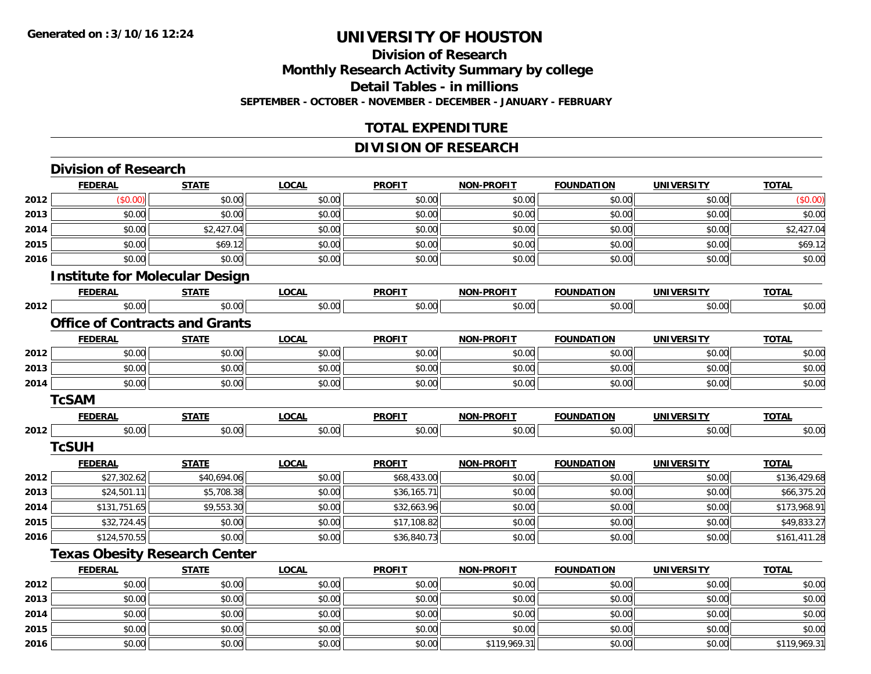**2014**

**2015**

**2016**

### **UNIVERSITY OF HOUSTON**

### **Division of ResearchMonthly Research Activity Summary by college Detail Tables - in millions SEPTEMBER - OCTOBER - NOVEMBER - DECEMBER - JANUARY - FEBRUARY**

### **TOTAL EXPENDITURE**

### **DIVISION OF RESEARCH**

|      | <b>Division of Research</b>           |              |              |               |                   |                   |                   |              |
|------|---------------------------------------|--------------|--------------|---------------|-------------------|-------------------|-------------------|--------------|
|      | <b>FEDERAL</b>                        | <b>STATE</b> | <b>LOCAL</b> | <b>PROFIT</b> | NON-PROFIT        | <b>FOUNDATION</b> | <b>UNIVERSITY</b> | <b>TOTAL</b> |
| 2012 | (\$0.00)                              | \$0.00       | \$0.00       | \$0.00        | \$0.00            | \$0.00            | \$0.00            | (\$0.00)     |
| 2013 | \$0.00                                | \$0.00       | \$0.00       | \$0.00        | \$0.00            | \$0.00            | \$0.00            | \$0.00       |
| 2014 | \$0.00                                | \$2,427.04   | \$0.00       | \$0.00        | \$0.00            | \$0.00            | \$0.00            | \$2,427.04   |
| 2015 | \$0.00                                | \$69.12      | \$0.00       | \$0.00        | \$0.00            | \$0.00            | \$0.00            | \$69.12      |
| 2016 | \$0.00                                | \$0.00       | \$0.00       | \$0.00        | \$0.00            | \$0.00            | \$0.00            | \$0.00       |
|      | <b>Institute for Molecular Design</b> |              |              |               |                   |                   |                   |              |
|      | <b>FEDERAL</b>                        | <b>STATE</b> | <b>LOCAL</b> | <b>PROFIT</b> | NON-PROFIT        | <b>FOUNDATION</b> | <b>UNIVERSITY</b> | <b>TOTAL</b> |
| 2012 | \$0.00                                | \$0.00       | \$0.00       | \$0.00        | \$0.00            | \$0.00            | \$0.00            | \$0.00       |
|      | <b>Office of Contracts and Grants</b> |              |              |               |                   |                   |                   |              |
|      | <b>FEDERAL</b>                        | <b>STATE</b> | <b>LOCAL</b> | <b>PROFIT</b> | <b>NON-PROFIT</b> | <b>FOUNDATION</b> | <b>UNIVERSITY</b> | <b>TOTAL</b> |
| 2012 | \$0.00                                | \$0.00       | \$0.00       | \$0.00        | \$0.00            | \$0.00            | \$0.00            | \$0.00       |
| 2013 | \$0.00                                | \$0.00       | \$0.00       | \$0.00        | \$0.00            | \$0.00            | \$0.00            | \$0.00       |
| 2014 | \$0.00                                | \$0.00       | \$0.00       | \$0.00        | \$0.00            | \$0.00            | \$0.00            | \$0.00       |
|      | <b>TcSAM</b>                          |              |              |               |                   |                   |                   |              |
|      | <b>FEDERAL</b>                        | <b>STATE</b> | <b>LOCAL</b> | <b>PROFIT</b> | NON-PROFIT        | <b>FOUNDATION</b> | <b>UNIVERSITY</b> | <b>TOTAL</b> |
| 2012 | \$0.00                                | \$0.00       | \$0.00       | \$0.00        | \$0.00            | \$0.00            | \$0.00            | \$0.00       |
|      | <b>TcSUH</b>                          |              |              |               |                   |                   |                   |              |
|      | <b>FEDERAL</b>                        | <b>STATE</b> | <b>LOCAL</b> | <b>PROFIT</b> | <b>NON-PROFIT</b> | <b>FOUNDATION</b> | <b>UNIVERSITY</b> | <b>TOTAL</b> |
| 2012 | \$27,302.62                           | \$40,694.06  | \$0.00       | \$68,433.00   | \$0.00            | \$0.00            | \$0.00            | \$136,429.68 |
| 2013 | \$24,501.11                           | \$5,708.38   | \$0.00       | \$36,165.71   | \$0.00            | \$0.00            | \$0.00            | \$66,375.20  |
| 2014 | \$131,751.65                          | \$9,553.30   | \$0.00       | \$32,663.96   | \$0.00            | \$0.00            | \$0.00            | \$173,968.91 |
| 2015 | \$32,724.45                           | \$0.00       | \$0.00       | \$17,108.82   | \$0.00            | \$0.00            | \$0.00            | \$49,833.27  |
| 2016 | \$124,570.55                          | \$0.00       | \$0.00       | \$36,840.73   | \$0.00            | \$0.00            | \$0.00            | \$161,411.28 |
|      | <b>Texas Obesity Research Center</b>  |              |              |               |                   |                   |                   |              |
|      | <b>FEDERAL</b>                        | <b>STATE</b> | <b>LOCAL</b> | <b>PROFIT</b> | NON-PROFIT        | <b>FOUNDATION</b> | <b>UNIVERSITY</b> | <b>TOTAL</b> |
| 2012 | \$0.00                                | \$0.00       | \$0.00       | \$0.00        | \$0.00            | \$0.00            | \$0.00            | \$0.00       |
| 2013 | \$0.00                                | \$0.00       | \$0.00       | \$0.00        | \$0.00            | \$0.00            | \$0.00            | \$0.00       |

4 \$0.00 \$0.00 \$0.00 \$0.00 \$0.00 \$0.00 \$0.00 \$0.00 \$0.00 \$0.00 \$0.00 \$0.00 \$0.00 \$0.00 \$0.00 \$0.00 \$0.00

\$0.00 \$0.00 \$0.00 \$0.00 \$0.00 \$0.00 \$0.00 \$0.00

6 \$0.00 \$0.00 \$0.00 \$0.00 \$0.00 \$0.00 \$0.00 \$0.00 \$0.00 \$119,969.31 \$0.00 \$0.00 \$0.00 \$119,969.31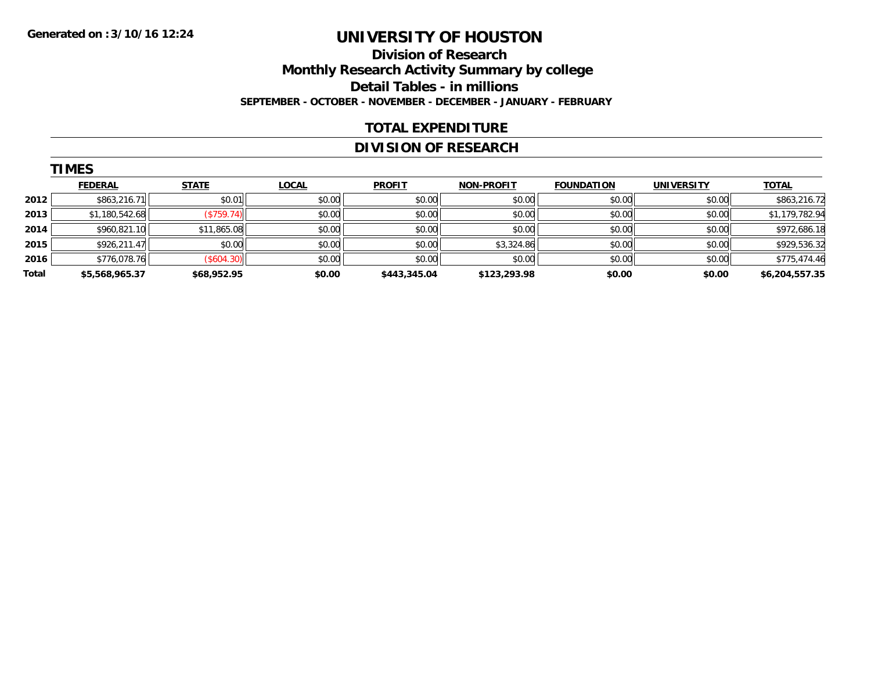### **Division of Research Monthly Research Activity Summary by college Detail Tables - in millions SEPTEMBER - OCTOBER - NOVEMBER - DECEMBER - JANUARY - FEBRUARY**

### **TOTAL EXPENDITURE**

### **DIVISION OF RESEARCH**

|       | <b>TIMES</b>   |                   |              |               |                   |                   |                   |                |
|-------|----------------|-------------------|--------------|---------------|-------------------|-------------------|-------------------|----------------|
|       | <b>FEDERAL</b> | <b>STATE</b>      | <b>LOCAL</b> | <b>PROFIT</b> | <b>NON-PROFIT</b> | <b>FOUNDATION</b> | <b>UNIVERSITY</b> | <b>TOTAL</b>   |
| 2012  | \$863,216.71   | \$0.01            | \$0.00       | \$0.00        | \$0.00            | \$0.00            | \$0.00            | \$863,216.72   |
| 2013  | \$1,180,542.68 | (S759.74)         | \$0.00       | \$0.00        | \$0.00            | \$0.00            | \$0.00            | \$1,179,782.94 |
| 2014  | \$960,821.10   | \$11,865.08       | \$0.00       | \$0.00        | \$0.00            | \$0.00            | \$0.00            | \$972,686.18   |
| 2015  | \$926,211.47   | \$0.00            | \$0.00       | \$0.00        | \$3,324.86        | \$0.00            | \$0.00            | \$929,536.32   |
| 2016  | \$776,078.76   | $($ \$604.30) $ $ | \$0.00       | \$0.00        | \$0.00            | \$0.00            | \$0.00            | \$775,474.46   |
| Total | \$5,568,965.37 | \$68,952.95       | \$0.00       | \$443,345.04  | \$123,293.98      | \$0.00            | \$0.00            | \$6,204,557.35 |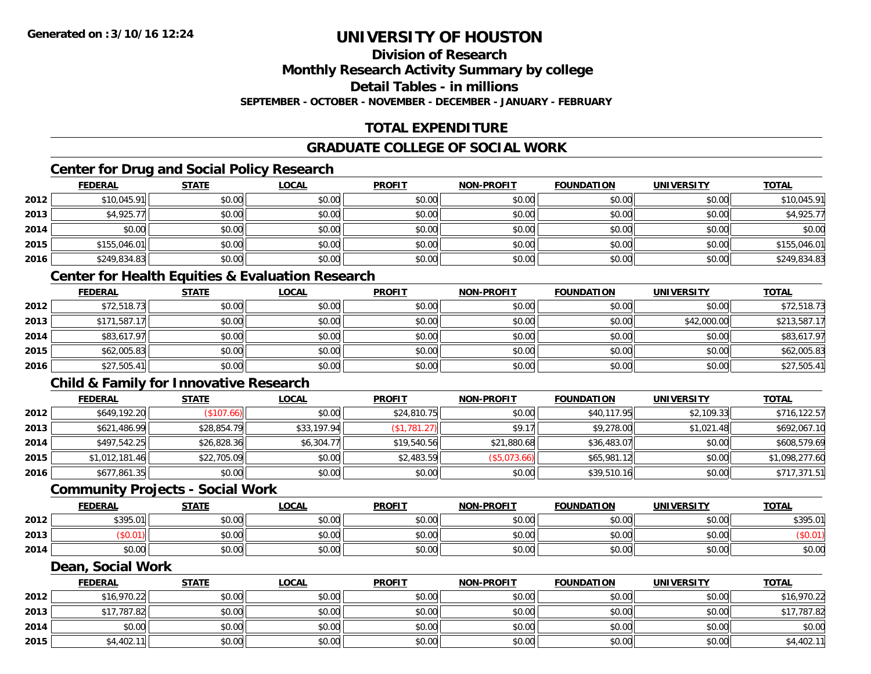### **Division of Research**

**Monthly Research Activity Summary by college**

**Detail Tables - in millions**

**SEPTEMBER - OCTOBER - NOVEMBER - DECEMBER - JANUARY - FEBRUARY**

### **TOTAL EXPENDITURE**

### **GRADUATE COLLEGE OF SOCIAL WORK**

### **Center for Drug and Social Policy Research**

|      | <b>FEDERAL</b> | <b>STATE</b> | <b>LOCAL</b> | <b>PROFIT</b> | <b>NON-PROFIT</b> | <b>FOUNDATION</b> | <b>UNIVERSITY</b> | <b>TOTAL</b> |
|------|----------------|--------------|--------------|---------------|-------------------|-------------------|-------------------|--------------|
| 2012 | \$10,045.91    | \$0.00       | \$0.00       | \$0.00        | \$0.00            | \$0.00            | \$0.00            | \$10,045.91  |
| 2013 | \$4,925.77     | \$0.00       | \$0.00       | \$0.00        | \$0.00            | \$0.00            | \$0.00            | \$4,925.77   |
| 2014 | \$0.00         | \$0.00       | \$0.00       | \$0.00        | \$0.00            | \$0.00            | \$0.00            | \$0.00       |
| 2015 | \$155,046.01   | \$0.00       | \$0.00       | \$0.00        | \$0.00            | \$0.00            | \$0.00            | \$155,046.01 |
| 2016 | \$249,834.83   | \$0.00       | \$0.00       | \$0.00        | \$0.00            | \$0.00            | \$0.00            | \$249,834.83 |

### **Center for Health Equities & Evaluation Research**

|      | <b>FEDERAL</b> | <b>STATE</b> | <u>LOCAL</u> | <b>PROFIT</b> | <b>NON-PROFIT</b> | <b>FOUNDATION</b> | <b>UNIVERSITY</b> | <b>TOTAL</b> |
|------|----------------|--------------|--------------|---------------|-------------------|-------------------|-------------------|--------------|
| 2012 | \$72,518.73    | \$0.00       | \$0.00       | \$0.00        | \$0.00            | \$0.00            | \$0.00            | \$72,518.73  |
| 2013 | \$171,587.17   | \$0.00       | \$0.00       | \$0.00        | \$0.00            | \$0.00            | \$42,000.00       | \$213,587.17 |
| 2014 | \$83,617.97    | \$0.00       | \$0.00       | \$0.00        | \$0.00            | \$0.00            | \$0.00            | \$83,617.97  |
| 2015 | \$62,005.83    | \$0.00       | \$0.00       | \$0.00        | \$0.00            | \$0.00            | \$0.00            | \$62,005.83  |
| 2016 | \$27,505.41    | \$0.00       | \$0.00       | \$0.00        | \$0.00            | \$0.00            | \$0.00            | \$27,505.41  |

### **Child & Family for Innovative Research**

|      | <b>FEDERAL</b> | <b>STATE</b> | <b>LOCAL</b> | <b>PROFIT</b> | <b>NON-PROFIT</b> | <b>FOUNDATION</b> | <b>UNIVERSITY</b> | <b>TOTAL</b>   |
|------|----------------|--------------|--------------|---------------|-------------------|-------------------|-------------------|----------------|
| 2012 | \$649,192.20   | (\$107.66)   | \$0.00       | \$24,810.75   | \$0.00            | \$40,117.95       | \$2,109.33        | \$716,122.57   |
| 2013 | \$621,486.99   | \$28,854.79  | \$33,197.94  | (\$1,781.27)  | \$9.17            | \$9,278.00        | \$1,021.48        | \$692,067.10   |
| 2014 | \$497,542.25   | \$26,828.36  | \$6,304.77   | \$19,540.56   | \$21,880.68       | \$36,483.07       | \$0.00            | \$608,579.69   |
| 2015 | \$1,012,181.46 | \$22,705.09  | \$0.00       | \$2,483.59    | (\$5,073.66)      | \$65,981.12       | \$0.00            | \$1,098,277.60 |
| 2016 | \$677,861.35   | \$0.00       | \$0.00       | \$0.00        | \$0.00            | \$39,510.16       | \$0.00            | \$717,371.51   |

#### **Community Projects - Social Work**

|      | <b>FEDERAL</b> | <b>STATE</b>          | <b>LOCAL</b> | <b>PROFIT</b> | <b>NON-PROFIT</b> | <b>FOUNDATION</b> | <b>UNIVERSITY</b> | <b>TOTAL</b> |
|------|----------------|-----------------------|--------------|---------------|-------------------|-------------------|-------------------|--------------|
| 2012 | \$395.01       | ⊄∩ ∩∩<br><b>JU.UU</b> | \$0.00       | \$0.00        | \$0.00            | \$0.00<br>- JU.UU | \$0.00            | \$395.01     |
| 2013 |                | ልስ ስስ<br>JU.UU        | \$0.00       | \$0.00        | \$0.00            | \$0.00            | \$0.00            |              |
| 2014 | ტი იი<br>งบ.บบ | 0000<br>JU.UU         | \$0.00       | \$0.00        | \$0.00            | \$0.00            | \$0.00            | \$0.00       |

#### **Dean, Social Work**

|      | <b>FEDERAL</b> | <b>STATE</b> | <u>LOCAL</u> | <b>PROFIT</b> | <b>NON-PROFIT</b> | <b>FOUNDATION</b> | <b>UNIVERSITY</b> | <b>TOTAL</b> |
|------|----------------|--------------|--------------|---------------|-------------------|-------------------|-------------------|--------------|
| 2012 | \$16,970.22    | \$0.00       | \$0.00       | \$0.00        | \$0.00            | \$0.00            | \$0.00            | \$16,970.22  |
| 2013 | \$17,787.82    | \$0.00       | \$0.00       | \$0.00        | \$0.00            | \$0.00            | \$0.00            | \$17,787.82  |
| 2014 | \$0.00         | \$0.00       | \$0.00       | \$0.00        | \$0.00            | \$0.00            | \$0.00            | \$0.00       |
| 2015 | \$4,402.11     | \$0.00       | \$0.00       | \$0.00        | \$0.00            | \$0.00            | \$0.00            | \$4,402.11   |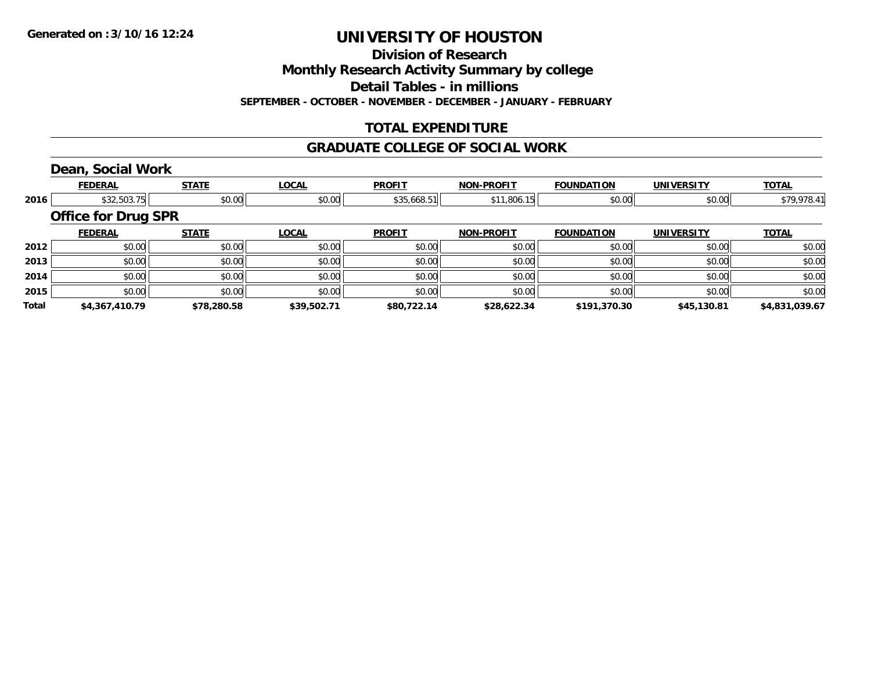**Division of Research**

**Monthly Research Activity Summary by college**

**Detail Tables - in millions**

**SEPTEMBER - OCTOBER - NOVEMBER - DECEMBER - JANUARY - FEBRUARY**

### **TOTAL EXPENDITURE**

#### **GRADUATE COLLEGE OF SOCIAL WORK**

### **Dean, Social Work**

|              | <b>FEDERAL</b>             | <b>STATE</b> | <b>LOCAL</b> | <b>PROFIT</b> | <b>NON-PROFIT</b> | <b>FOUNDATION</b> | <b>UNIVERSITY</b> | <b>TOTAL</b>   |
|--------------|----------------------------|--------------|--------------|---------------|-------------------|-------------------|-------------------|----------------|
| 2016         | \$32,503.75                | \$0.00       | \$0.00       | \$35,668.51   | \$11,806.15       | \$0.00            | \$0.00            | \$79,978.41    |
|              | <b>Office for Drug SPR</b> |              |              |               |                   |                   |                   |                |
|              | <b>FEDERAL</b>             | <b>STATE</b> | <b>LOCAL</b> | <b>PROFIT</b> | <b>NON-PROFIT</b> | <b>FOUNDATION</b> | <b>UNIVERSITY</b> | <b>TOTAL</b>   |
| 2012         | \$0.00                     | \$0.00       | \$0.00       | \$0.00        | \$0.00            | \$0.00            | \$0.00            | \$0.00         |
| 2013         | \$0.00                     | \$0.00       | \$0.00       | \$0.00        | \$0.00            | \$0.00            | \$0.00            | \$0.00         |
| 2014         | \$0.00                     | \$0.00       | \$0.00       | \$0.00        | \$0.00            | \$0.00            | \$0.00            | \$0.00         |
| 2015         | \$0.00                     | \$0.00       | \$0.00       | \$0.00        | \$0.00            | \$0.00            | \$0.00            | \$0.00         |
| <b>Total</b> | \$4,367,410.79             | \$78,280.58  | \$39,502.71  | \$80,722.14   | \$28,622.34       | \$191,370.30      | \$45,130.81       | \$4.831.039.67 |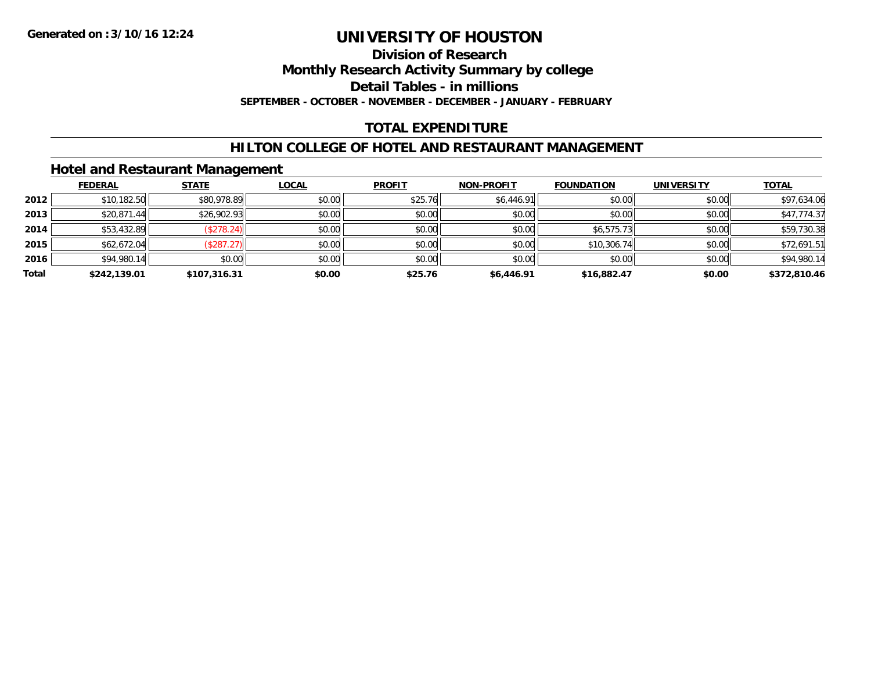### **Division of Research**

**Monthly Research Activity Summary by college**

**Detail Tables - in millions**

**SEPTEMBER - OCTOBER - NOVEMBER - DECEMBER - JANUARY - FEBRUARY**

### **TOTAL EXPENDITURE**

### **HILTON COLLEGE OF HOTEL AND RESTAURANT MANAGEMENT**

### **Hotel and Restaurant Management**

|       | <b>FEDERAL</b> | <b>STATE</b> | <b>LOCAL</b> | <b>PROFIT</b> | <b>NON-PROFIT</b> | <b>FOUNDATION</b> | <b>UNIVERSITY</b> | <b>TOTAL</b> |
|-------|----------------|--------------|--------------|---------------|-------------------|-------------------|-------------------|--------------|
| 2012  | \$10,182.50    | \$80,978.89  | \$0.00       | \$25.76       | \$6,446.91        | \$0.00            | \$0.00            | \$97,634.06  |
| 2013  | \$20,871.44    | \$26,902.93  | \$0.00       | \$0.00        | \$0.00            | \$0.00            | \$0.00            | \$47,774.37  |
| 2014  | \$53,432.89    | (\$278.24)   | \$0.00       | \$0.00        | \$0.00            | \$6,575.73        | \$0.00            | \$59,730.38  |
| 2015  | \$62,672.04    | (\$287.27)   | \$0.00       | \$0.00        | \$0.00            | \$10,306.74       | \$0.00            | \$72,691.51  |
| 2016  | \$94,980.14    | \$0.00       | \$0.00       | \$0.00        | \$0.00            | \$0.00            | \$0.00            | \$94,980.14  |
| Total | \$242,139.01   | \$107.316.31 | \$0.00       | \$25.76       | \$6,446.91        | \$16,882.47       | \$0.00            | \$372,810.46 |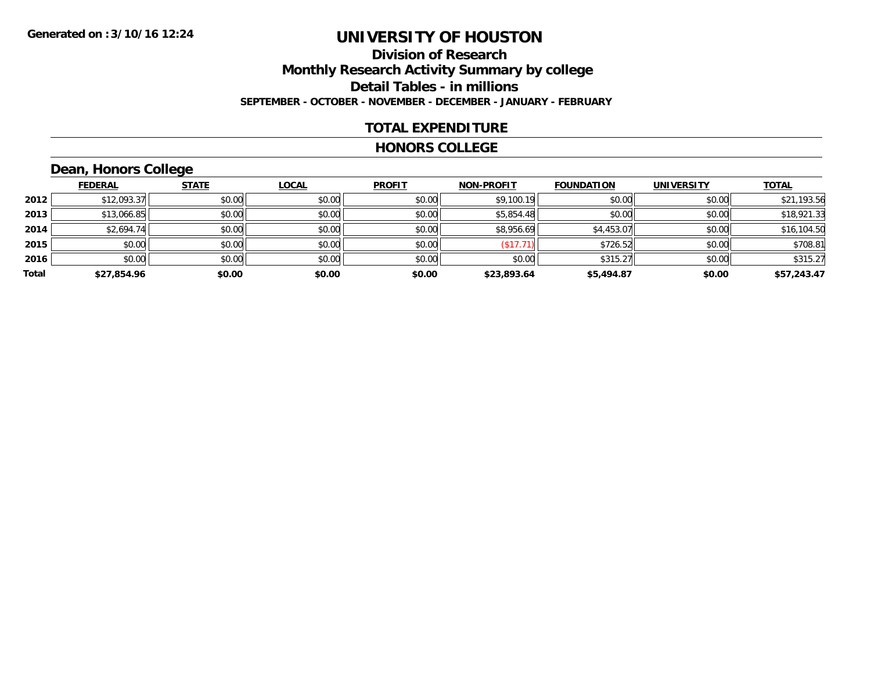### **Division of ResearchMonthly Research Activity Summary by college Detail Tables - in millions SEPTEMBER - OCTOBER - NOVEMBER - DECEMBER - JANUARY - FEBRUARY**

### **TOTAL EXPENDITURE**

#### **HONORS COLLEGE**

### **Dean, Honors College**

|       | <b>FEDERAL</b> | <b>STATE</b> | <b>LOCAL</b> | <b>PROFIT</b> | <b>NON-PROFIT</b> | <b>FOUNDATION</b> | <b>UNIVERSITY</b> | <b>TOTAL</b> |
|-------|----------------|--------------|--------------|---------------|-------------------|-------------------|-------------------|--------------|
| 2012  | \$12,093.37    | \$0.00       | \$0.00       | \$0.00        | \$9,100.19        | \$0.00            | \$0.00            | \$21,193.56  |
| 2013  | \$13,066.85    | \$0.00       | \$0.00       | \$0.00        | \$5,854.48        | \$0.00            | \$0.00            | \$18,921.33  |
| 2014  | \$2,694.74     | \$0.00       | \$0.00       | \$0.00        | \$8,956.69        | \$4,453.07        | \$0.00            | \$16,104.50  |
| 2015  | \$0.00         | \$0.00       | \$0.00       | \$0.00        | (\$17.71          | \$726.52          | \$0.00            | \$708.81     |
| 2016  | \$0.00         | \$0.00       | \$0.00       | \$0.00        | \$0.00            | \$315.27          | \$0.00            | \$315.27     |
| Total | \$27,854.96    | \$0.00       | \$0.00       | \$0.00        | \$23,893.64       | \$5,494.87        | \$0.00            | \$57,243.47  |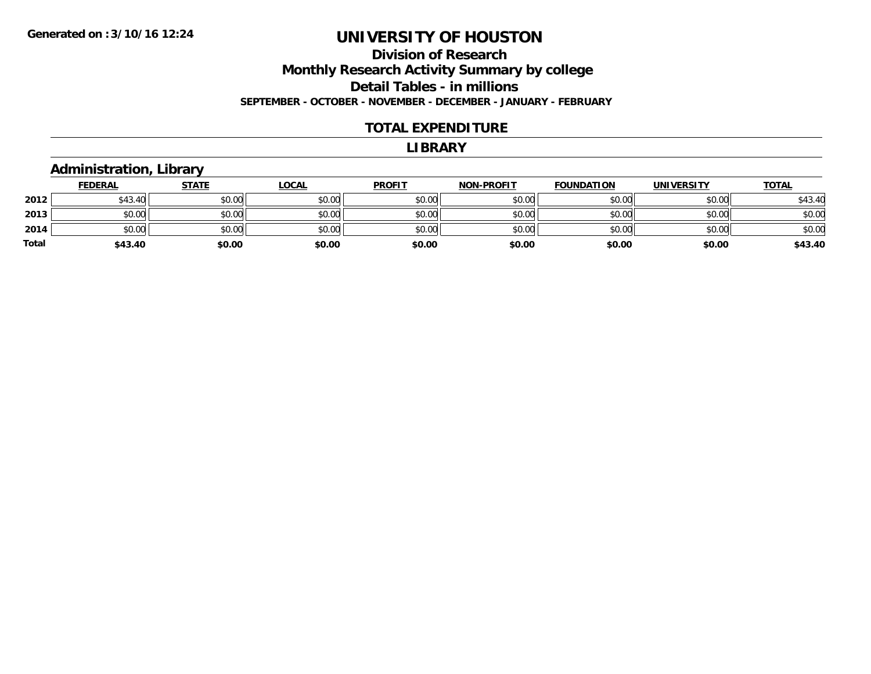#### **Division of Research Monthly Research Activity Summary by college Detail Tables - in millions SEPTEMBER - OCTOBER - NOVEMBER - DECEMBER - JANUARY - FEBRUARY**

#### **TOTAL EXPENDITURE**

#### **LIBRARY**

### **Administration, Library**

|       | <b>FEDERAL</b> | <u>STATE</u> | <b>LOCAL</b> | <b>PROFIT</b> | <b>NON-PROFIT</b> | <b>FOUNDATION</b> | <b>UNIVERSITY</b> | <b>TOTAL</b> |
|-------|----------------|--------------|--------------|---------------|-------------------|-------------------|-------------------|--------------|
| 2012  | \$43.40        | \$0.00       | \$0.00       | \$0.00        | \$0.00            | \$0.00            | \$0.00            | \$43.40      |
| 2013  | \$0.00         | \$0.00       | \$0.00       | \$0.00        | \$0.00            | \$0.00            | \$0.00            | \$0.00       |
| 2014  | \$0.00         | \$0.00       | \$0.00       | \$0.00        | \$0.00            | \$0.00            | \$0.00            | \$0.00       |
| Total | \$43.40        | \$0.00       | \$0.00       | \$0.00        | \$0.00            | \$0.00            | \$0.00            | \$43.40      |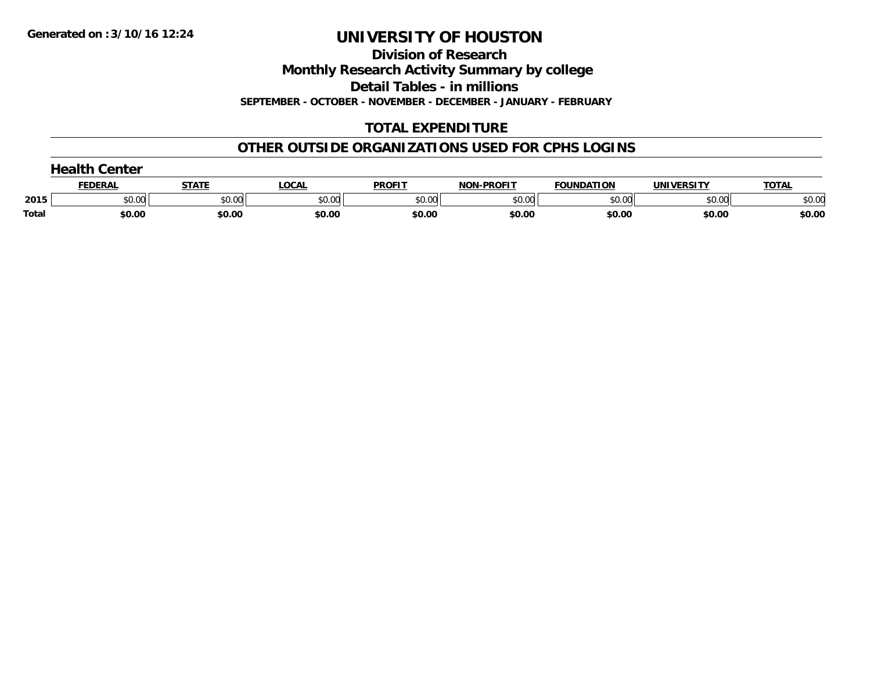**Division of Research**

**Monthly Research Activity Summary by college**

**Detail Tables - in millions**

**SEPTEMBER - OCTOBER - NOVEMBER - DECEMBER - JANUARY - FEBRUARY**

### **TOTAL EXPENDITURE**

### **OTHER OUTSIDE ORGANIZATIONS USED FOR CPHS LOGINS**

|              | nealth ∂<br><b>Center</b> |        |        |               |                   |                   |                   |              |  |
|--------------|---------------------------|--------|--------|---------------|-------------------|-------------------|-------------------|--------------|--|
|              | <b>FEDERAL</b>            | STATE  | LOCAL  | <b>PROFIT</b> | <b>NON-PROFIT</b> | <b>FOUNDATION</b> | <b>UNIVERSITY</b> | <b>TOTAL</b> |  |
| 2015         | \$0.00                    | \$0.00 | \$0.00 | \$0.00        | \$0.00            | \$0.00            | \$0.00            | \$0.00       |  |
| <b>Total</b> | \$0.00                    | \$0.00 | \$0.00 | \$0.00        | \$0.00            | \$0.00            | \$0.00            | \$0.00       |  |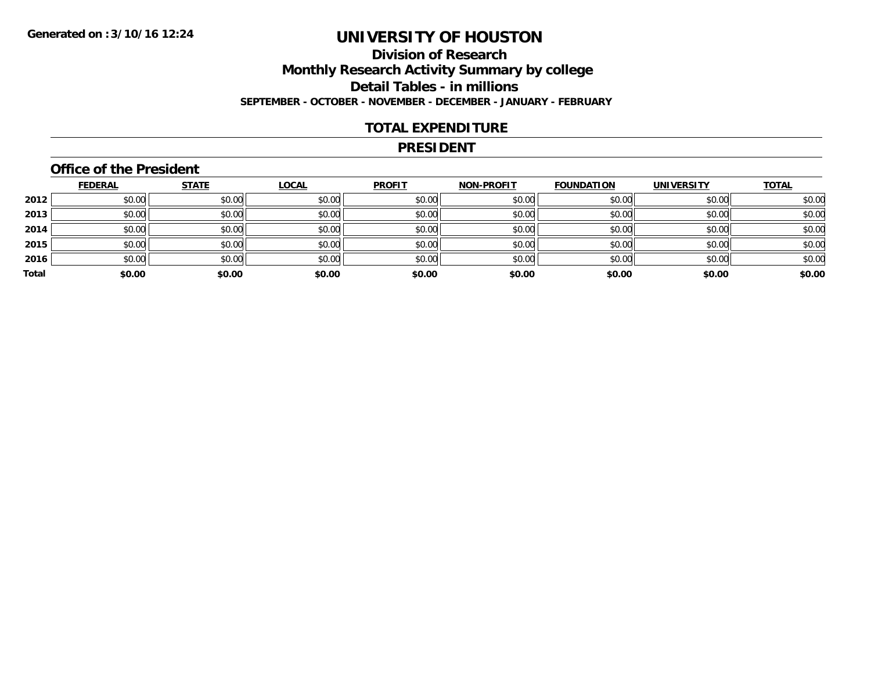### **Division of ResearchMonthly Research Activity Summary by college Detail Tables - in millions SEPTEMBER - OCTOBER - NOVEMBER - DECEMBER - JANUARY - FEBRUARY**

### **TOTAL EXPENDITURE**

#### **PRESIDENT**

### **Office of the President**

|       | <b>FEDERAL</b> | <b>STATE</b> | <b>LOCAL</b> | <b>PROFIT</b> | <b>NON-PROFIT</b> | <b>FOUNDATION</b> | <b>UNIVERSITY</b> | <b>TOTAL</b> |
|-------|----------------|--------------|--------------|---------------|-------------------|-------------------|-------------------|--------------|
| 2012  | \$0.00         | \$0.00       | \$0.00       | \$0.00        | \$0.00            | \$0.00            | \$0.00            | \$0.00       |
| 2013  | \$0.00         | \$0.00       | \$0.00       | \$0.00        | \$0.00            | \$0.00            | \$0.00            | \$0.00       |
| 2014  | \$0.00         | \$0.00       | \$0.00       | \$0.00        | \$0.00            | \$0.00            | \$0.00            | \$0.00       |
| 2015  | \$0.00         | \$0.00       | \$0.00       | \$0.00        | \$0.00            | \$0.00            | \$0.00            | \$0.00       |
| 2016  | \$0.00         | \$0.00       | \$0.00       | \$0.00        | \$0.00            | \$0.00            | \$0.00            | \$0.00       |
| Total | \$0.00         | \$0.00       | \$0.00       | \$0.00        | \$0.00            | \$0.00            | \$0.00            | \$0.00       |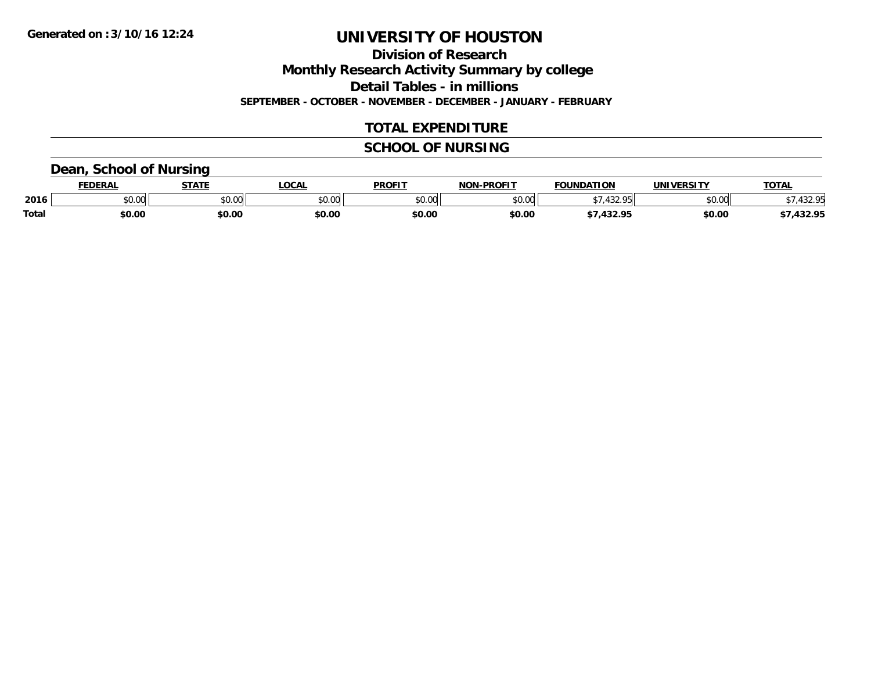**Division of Research**

**Monthly Research Activity Summary by college**

**Detail Tables - in millions**

**SEPTEMBER - OCTOBER - NOVEMBER - DECEMBER - JANUARY - FEBRUARY**

### **TOTAL EXPENDITURE**

### **SCHOOL OF NURSING**

### **Dean, School of Nursing**

|              | <b>FEDERAL</b> | <b>STATE</b> | <b>LOCAL</b> | <b>PROFIT</b> | <b>J-PROFIT</b><br><b>NON</b> | <b>FOUNDATION</b>         | <b>UNIVERSITY</b> | <b>TOTAL</b>    |
|--------------|----------------|--------------|--------------|---------------|-------------------------------|---------------------------|-------------------|-----------------|
| 2016         | vv.vv          | \$0.00       | \$0.00       | 4000<br>JU.UU | \$0.00                        | $\sqrt{2}$<br>⊢∩ E<br>–…… | \$0.00            | 220<br>. ک ک    |
| <b>Total</b> | \$0.00         | \$0.00       | \$0.00       | \$0.00        | \$0.00                        | 422.OE                    | \$0.00            | 1220<br>,432.73 |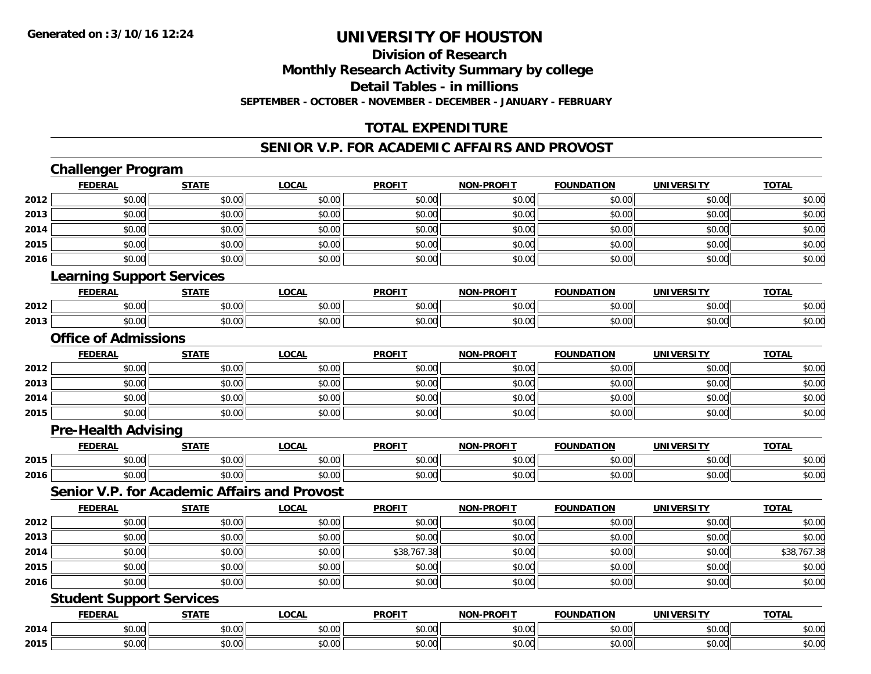### **Division of ResearchMonthly Research Activity Summary by college**

**Detail Tables - in millions**

**SEPTEMBER - OCTOBER - NOVEMBER - DECEMBER - JANUARY - FEBRUARY**

### **TOTAL EXPENDITURE**

### **SENIOR V.P. FOR ACADEMIC AFFAIRS AND PROVOST**

### **Challenger Program**

|      | <b>FEDERAL</b>                                      | <b>STATE</b> | <b>LOCAL</b> | <b>PROFIT</b> | <b>NON-PROFIT</b> | <b>FOUNDATION</b> | <b>UNIVERSITY</b> | <b>TOTAL</b> |
|------|-----------------------------------------------------|--------------|--------------|---------------|-------------------|-------------------|-------------------|--------------|
| 2012 | \$0.00                                              | \$0.00       | \$0.00       | \$0.00        | \$0.00            | \$0.00            | \$0.00            | \$0.00       |
| 2013 | \$0.00                                              | \$0.00       | \$0.00       | \$0.00        | \$0.00            | \$0.00            | \$0.00            | \$0.00       |
| 2014 | \$0.00                                              | \$0.00       | \$0.00       | \$0.00        | \$0.00            | \$0.00            | \$0.00            | \$0.00       |
| 2015 | \$0.00                                              | \$0.00       | \$0.00       | \$0.00        | \$0.00            | \$0.00            | \$0.00            | \$0.00       |
| 2016 | \$0.00                                              | \$0.00       | \$0.00       | \$0.00        | \$0.00            | \$0.00            | \$0.00            | \$0.00       |
|      | <b>Learning Support Services</b>                    |              |              |               |                   |                   |                   |              |
|      | <b>FEDERAL</b>                                      | <b>STATE</b> | <b>LOCAL</b> | <b>PROFIT</b> | <b>NON-PROFIT</b> | <b>FOUNDATION</b> | <b>UNIVERSITY</b> | <b>TOTAL</b> |
| 2012 | \$0.00                                              | \$0.00       | \$0.00       | \$0.00        | \$0.00            | \$0.00            | \$0.00            | \$0.00       |
| 2013 | \$0.00                                              | \$0.00       | \$0.00       | \$0.00        | \$0.00            | \$0.00            | \$0.00            | \$0.00       |
|      | <b>Office of Admissions</b>                         |              |              |               |                   |                   |                   |              |
|      | <b>FEDERAL</b>                                      | <b>STATE</b> | <b>LOCAL</b> | <b>PROFIT</b> | <b>NON-PROFIT</b> | <b>FOUNDATION</b> | <b>UNIVERSITY</b> | <b>TOTAL</b> |
| 2012 | \$0.00                                              | \$0.00       | \$0.00       | \$0.00        | \$0.00            | \$0.00            | \$0.00            | \$0.00       |
| 2013 | \$0.00                                              | \$0.00       | \$0.00       | \$0.00        | \$0.00            | \$0.00            | \$0.00            | \$0.00       |
| 2014 | \$0.00                                              | \$0.00       | \$0.00       | \$0.00        | \$0.00            | \$0.00            | \$0.00            | \$0.00       |
| 2015 | \$0.00                                              | \$0.00       | \$0.00       | \$0.00        | \$0.00            | \$0.00            | \$0.00            | \$0.00       |
|      | <b>Pre-Health Advising</b>                          |              |              |               |                   |                   |                   |              |
|      | <b>FEDERAL</b>                                      | <b>STATE</b> | <b>LOCAL</b> | <b>PROFIT</b> | <b>NON-PROFIT</b> | <b>FOUNDATION</b> | <b>UNIVERSITY</b> | <b>TOTAL</b> |
| 2015 | \$0.00                                              | \$0.00       | \$0.00       | \$0.00        | \$0.00            | \$0.00            | \$0.00            | \$0.00       |
| 2016 | \$0.00                                              | \$0.00       | \$0.00       | \$0.00        | \$0.00            | \$0.00            | \$0.00            | \$0.00       |
|      | <b>Senior V.P. for Academic Affairs and Provost</b> |              |              |               |                   |                   |                   |              |
|      | <b>FEDERAL</b>                                      | <b>STATE</b> | <b>LOCAL</b> | <b>PROFIT</b> | <b>NON-PROFIT</b> | <b>FOUNDATION</b> | <b>UNIVERSITY</b> | <b>TOTAL</b> |
| 2012 | \$0.00                                              | \$0.00       | \$0.00       | \$0.00        | \$0.00            | \$0.00            | \$0.00            | \$0.00       |
| 2013 | \$0.00                                              | \$0.00       | \$0.00       | \$0.00        | \$0.00            | \$0.00            | \$0.00            | \$0.00       |
| 2014 | \$0.00                                              | \$0.00       | \$0.00       | \$38,767.38   | \$0.00            | \$0.00            | \$0.00            | \$38,767.38  |
| 2015 | \$0.00                                              | \$0.00       | \$0.00       | \$0.00        | \$0.00            | \$0.00            | \$0.00            | \$0.00       |
| 2016 | \$0.00                                              | \$0.00       | \$0.00       | \$0.00        | \$0.00            | \$0.00            | \$0.00            | \$0.00       |
|      | <b>Student Support Services</b>                     |              |              |               |                   |                   |                   |              |
|      | <b>FEDERAL</b>                                      | <b>STATE</b> | <b>LOCAL</b> | <b>PROFIT</b> | <b>NON-PROFIT</b> | <b>FOUNDATION</b> | <b>UNIVERSITY</b> | <b>TOTAL</b> |
| 2014 | \$0.00                                              | \$0.00       | \$0.00       | \$0.00        | \$0.00            | \$0.00            | \$0.00            | \$0.00       |
| 2015 | \$0.00                                              | \$0.00       | \$0.00       | \$0.00        | \$0.00            | \$0.00            | \$0.00            | \$0.00       |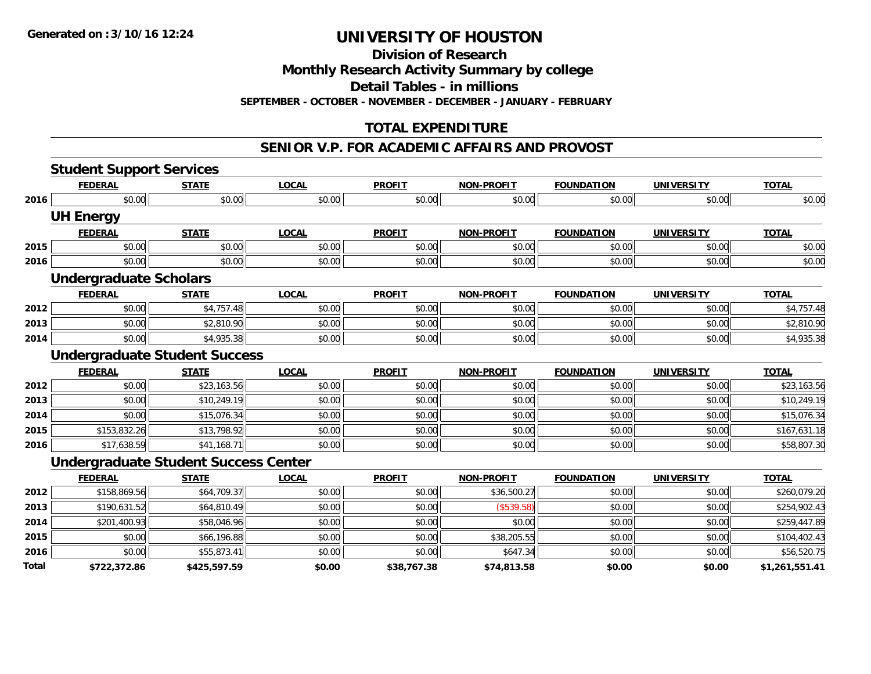**Division of Research**

**Monthly Research Activity Summary by college**

**Detail Tables - in millions**

**SEPTEMBER - OCTOBER - NOVEMBER - DECEMBER - JANUARY - FEBRUARY**

### **TOTAL EXPENDITURE**

#### **SENIOR V.P. FOR ACADEMIC AFFAIRS AND PROVOST**

|       | <b>Student Support Services</b>             |              |              |               |                   |                   |                   |                |
|-------|---------------------------------------------|--------------|--------------|---------------|-------------------|-------------------|-------------------|----------------|
|       | <b>FEDERAL</b>                              | <b>STATE</b> | <b>LOCAL</b> | <b>PROFIT</b> | <b>NON-PROFIT</b> | <b>FOUNDATION</b> | <b>UNIVERSITY</b> | <b>TOTAL</b>   |
| 2016  | \$0.00                                      | \$0.00       | \$0.00       | \$0.00        | \$0.00            | \$0.00            | \$0.00            | \$0.00         |
|       | <b>UH Energy</b>                            |              |              |               |                   |                   |                   |                |
|       | <b>FEDERAL</b>                              | <b>STATE</b> | <b>LOCAL</b> | <b>PROFIT</b> | <b>NON-PROFIT</b> | <b>FOUNDATION</b> | <b>UNIVERSITY</b> | <b>TOTAL</b>   |
| 2015  | \$0.00                                      | \$0.00       | \$0.00       | \$0.00        | \$0.00            | \$0.00            | \$0.00            | \$0.00         |
| 2016  | \$0.00                                      | \$0.00       | \$0.00       | \$0.00        | \$0.00            | \$0.00            | \$0.00            | \$0.00         |
|       | <b>Undergraduate Scholars</b>               |              |              |               |                   |                   |                   |                |
|       | <b>FEDERAL</b>                              | <b>STATE</b> | <b>LOCAL</b> | <b>PROFIT</b> | <b>NON-PROFIT</b> | <b>FOUNDATION</b> | <b>UNIVERSITY</b> | <b>TOTAL</b>   |
| 2012  | \$0.00                                      | \$4,757.48   | \$0.00       | \$0.00        | \$0.00            | \$0.00            | \$0.00            | \$4,757.48     |
| 2013  | \$0.00                                      | \$2,810.90   | \$0.00       | \$0.00        | \$0.00            | \$0.00            | \$0.00            | \$2,810.90     |
| 2014  | \$0.00                                      | \$4,935.38   | \$0.00       | \$0.00        | \$0.00            | \$0.00            | \$0.00            | \$4,935.38     |
|       | <b>Undergraduate Student Success</b>        |              |              |               |                   |                   |                   |                |
|       | <b>FEDERAL</b>                              | <b>STATE</b> | <b>LOCAL</b> | <b>PROFIT</b> | <b>NON-PROFIT</b> | <b>FOUNDATION</b> | <b>UNIVERSITY</b> | <b>TOTAL</b>   |
| 2012  | \$0.00                                      | \$23,163.56  | \$0.00       | \$0.00        | \$0.00            | \$0.00            | \$0.00            | \$23,163.56    |
| 2013  | \$0.00                                      | \$10,249.19  | \$0.00       | \$0.00        | \$0.00            | \$0.00            | \$0.00            | \$10,249.19    |
| 2014  | \$0.00                                      | \$15,076.34  | \$0.00       | \$0.00        | \$0.00            | \$0.00            | \$0.00            | \$15,076.34    |
| 2015  | \$153,832.26                                | \$13,798.92  | \$0.00       | \$0.00        | \$0.00            | \$0.00            | \$0.00            | \$167,631.18   |
| 2016  | \$17,638.59                                 | \$41,168.71  | \$0.00       | \$0.00        | \$0.00            | \$0.00            | \$0.00            | \$58,807.30    |
|       | <b>Undergraduate Student Success Center</b> |              |              |               |                   |                   |                   |                |
|       | <b>FEDERAL</b>                              | <b>STATE</b> | <b>LOCAL</b> | <b>PROFIT</b> | <b>NON-PROFIT</b> | <b>FOUNDATION</b> | <b>UNIVERSITY</b> | <b>TOTAL</b>   |
| 2012  | \$158,869.56                                | \$64,709.37  | \$0.00       | \$0.00        | \$36,500.27       | \$0.00            | \$0.00            | \$260,079.20   |
| 2013  | \$190,631.52                                | \$64,810.49  | \$0.00       | \$0.00        | (\$539.58)        | \$0.00            | \$0.00            | \$254,902.43   |
| 2014  | \$201,400.93                                | \$58,046.96  | \$0.00       | \$0.00        | \$0.00            | \$0.00            | \$0.00            | \$259,447.89   |
| 2015  | \$0.00                                      | \$66,196.88  | \$0.00       | \$0.00        | \$38,205.55       | \$0.00            | \$0.00            | \$104,402.43   |
| 2016  | \$0.00                                      | \$55,873.41  | \$0.00       | \$0.00        | \$647.34          | \$0.00            | \$0.00            | \$56,520.75    |
| Total | \$722,372.86                                | \$425,597.59 | \$0.00       | \$38,767.38   | \$74,813.58       | \$0.00            | \$0.00            | \$1,261,551.41 |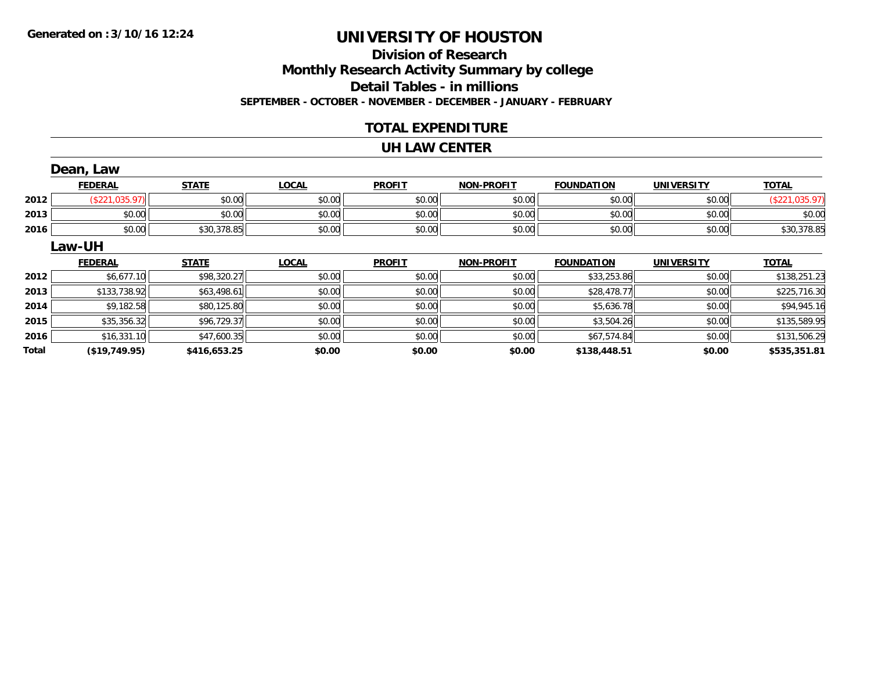### **Division of ResearchMonthly Research Activity Summary by college Detail Tables - in millions SEPTEMBER - OCTOBER - NOVEMBER - DECEMBER - JANUARY - FEBRUARY**

### **TOTAL EXPENDITURE**

#### **UH LAW CENTER**

|       | Dean, Law      |              |              |               |                   |                   |                   |                |
|-------|----------------|--------------|--------------|---------------|-------------------|-------------------|-------------------|----------------|
|       | <b>FEDERAL</b> | <b>STATE</b> | <b>LOCAL</b> | <b>PROFIT</b> | <b>NON-PROFIT</b> | <b>FOUNDATION</b> | <b>UNIVERSITY</b> | <b>TOTAL</b>   |
| 2012  | (\$221,035.97) | \$0.00       | \$0.00       | \$0.00        | \$0.00            | \$0.00            | \$0.00            | (\$221,035.97) |
| 2013  | \$0.00         | \$0.00       | \$0.00       | \$0.00        | \$0.00            | \$0.00            | \$0.00            | \$0.00         |
| 2016  | \$0.00         | \$30,378.85  | \$0.00       | \$0.00        | \$0.00            | \$0.00            | \$0.00            | \$30,378.85    |
|       | Law-UH         |              |              |               |                   |                   |                   |                |
|       | <b>FEDERAL</b> | <b>STATE</b> | <b>LOCAL</b> | <b>PROFIT</b> | <b>NON-PROFIT</b> | <b>FOUNDATION</b> | <b>UNIVERSITY</b> | <b>TOTAL</b>   |
| 2012  | \$6,677.10     | \$98,320.27  | \$0.00       | \$0.00        | \$0.00            | \$33,253.86       | \$0.00            | \$138,251.23   |
| 2013  | \$133,738.92   | \$63,498.61  | \$0.00       | \$0.00        | \$0.00            | \$28,478.77       | \$0.00            | \$225,716.30   |
| 2014  | \$9,182.58     | \$80,125.80  | \$0.00       | \$0.00        | \$0.00            | \$5,636.78        | \$0.00            | \$94,945.16    |
| 2015  | \$35,356.32    | \$96,729.37  | \$0.00       | \$0.00        | \$0.00            | \$3,504.26        | \$0.00            | \$135,589.95   |
| 2016  | \$16,331.10    | \$47,600.35  | \$0.00       | \$0.00        | \$0.00            | \$67,574.84       | \$0.00            | \$131,506.29   |
| Total | (\$19,749.95)  | \$416,653.25 | \$0.00       | \$0.00        | \$0.00            | \$138,448.51      | \$0.00            | \$535,351.81   |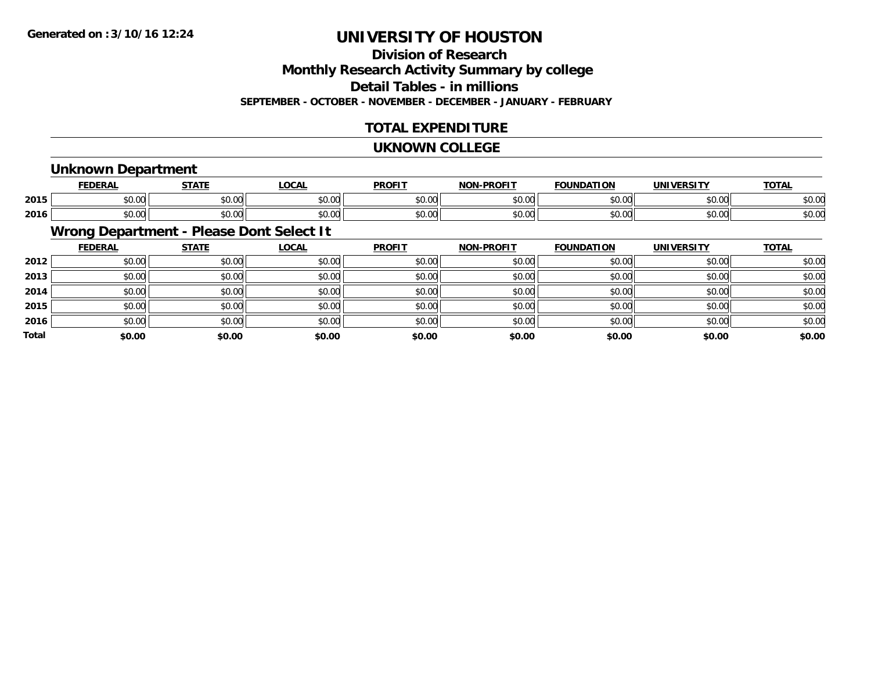### **Division of ResearchMonthly Research Activity Summary by college**

**Detail Tables - in millions**

**SEPTEMBER - OCTOBER - NOVEMBER - DECEMBER - JANUARY - FEBRUARY**

### **TOTAL EXPENDITURE**

#### **UKNOWN COLLEGE**

### **Unknown Department**

|      |             | -----         | 00N                                           | <b>DDOEIT</b>                                | ------<br><b>NICH</b> | מרו<br>w      |               | $-2$          |
|------|-------------|---------------|-----------------------------------------------|----------------------------------------------|-----------------------|---------------|---------------|---------------|
| 2015 | 50.00       | $\sim$ $\sim$ | $\mathbf{A} \mathbf{A} \mathbf{A} \mathbf{A}$ | $\mathsf{A} \cap \mathsf{A} \cap$            | ሐሴ ሴሮ                 | $\sim$ $\sim$ | $\sim$ 00     | $\sim$        |
|      | JU.UU       | - JU.UU       | JU.UU                                         | JU.UL                                        | ט.טע                  | JU.UU         | vv.vv         | DU.U          |
|      | $\sim$ 0.00 | $\sim$ $\sim$ | $\sim$ $\sim$ $\sim$                          | $\mathbf{A} \cap \mathbf{A} \cap \mathbf{A}$ | $\sim$ $\sim$         | $\sim$ $\sim$ | $\sim$ $\sim$ | $\sim$ $\sim$ |
| 2016 | ט.טע        | ₽U.UU         | 40.00                                         | JU.U                                         | ט.טע                  | JU.UU         | vv.vv         | D.U¢          |

### **Wrong Department - Please Dont Select It**

|              | <b>FEDERAL</b> | <b>STATE</b> | <u>LOCAL</u> | <b>PROFIT</b> | <b>NON-PROFIT</b> | <b>FOUNDATION</b> | <b>UNIVERSITY</b> | <b>TOTAL</b> |
|--------------|----------------|--------------|--------------|---------------|-------------------|-------------------|-------------------|--------------|
| 2012         | \$0.00         | \$0.00       | \$0.00       | \$0.00        | \$0.00            | \$0.00            | \$0.00            | \$0.00       |
| 2013         | \$0.00         | \$0.00       | \$0.00       | \$0.00        | \$0.00            | \$0.00            | \$0.00            | \$0.00       |
| 2014         | \$0.00         | \$0.00       | \$0.00       | \$0.00        | \$0.00            | \$0.00            | \$0.00            | \$0.00       |
| 2015         | \$0.00         | \$0.00       | \$0.00       | \$0.00        | \$0.00            | \$0.00            | \$0.00            | \$0.00       |
| 2016         | \$0.00         | \$0.00       | \$0.00       | \$0.00        | \$0.00            | \$0.00            | \$0.00            | \$0.00       |
| <b>Total</b> | \$0.00         | \$0.00       | \$0.00       | \$0.00        | \$0.00            | \$0.00            | \$0.00            | \$0.00       |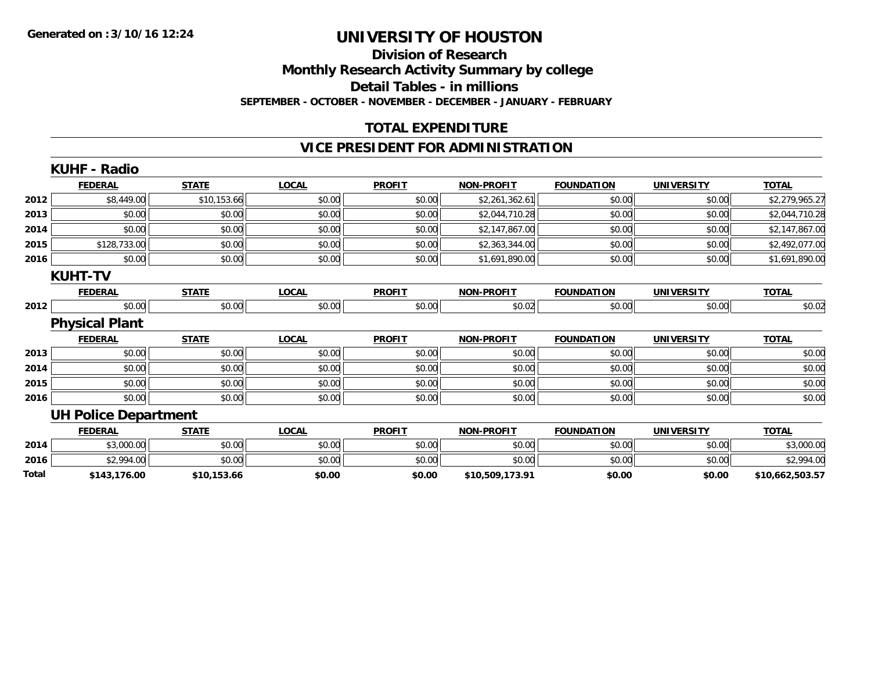#### **Division of Research Monthly Research Activity Summary by college Detail Tables - in millions SEPTEMBER - OCTOBER - NOVEMBER - DECEMBER - JANUARY - FEBRUARY**

### **TOTAL EXPENDITURE**

### **VICE PRESIDENT FOR ADMINISTRATION**

|       | <b>KUHF - Radio</b>         |              |              |               |                   |                   |                   |                 |
|-------|-----------------------------|--------------|--------------|---------------|-------------------|-------------------|-------------------|-----------------|
|       | <b>FEDERAL</b>              | <b>STATE</b> | <b>LOCAL</b> | <b>PROFIT</b> | <b>NON-PROFIT</b> | <b>FOUNDATION</b> | <b>UNIVERSITY</b> | <b>TOTAL</b>    |
| 2012  | \$8,449.00                  | \$10,153.66  | \$0.00       | \$0.00        | \$2,261,362.61    | \$0.00            | \$0.00            | \$2,279,965.27  |
| 2013  | \$0.00                      | \$0.00       | \$0.00       | \$0.00        | \$2,044,710.28    | \$0.00            | \$0.00            | \$2,044,710.28  |
| 2014  | \$0.00                      | \$0.00       | \$0.00       | \$0.00        | \$2,147,867.00    | \$0.00            | \$0.00            | \$2,147,867.00  |
| 2015  | \$128,733.00                | \$0.00       | \$0.00       | \$0.00        | \$2,363,344.00    | \$0.00            | \$0.00            | \$2,492,077.00  |
| 2016  | \$0.00                      | \$0.00       | \$0.00       | \$0.00        | \$1,691,890.00    | \$0.00            | \$0.00            | \$1,691,890.00  |
|       | <b>KUHT-TV</b>              |              |              |               |                   |                   |                   |                 |
|       | <b>FEDERAL</b>              | <b>STATE</b> | <b>LOCAL</b> | <b>PROFIT</b> | <b>NON-PROFIT</b> | <b>FOUNDATION</b> | <b>UNIVERSITY</b> | <b>TOTAL</b>    |
| 2012  | \$0.00                      | \$0.00       | \$0.00       | \$0.00        | \$0.02            | \$0.00            | \$0.00            | \$0.02          |
|       | <b>Physical Plant</b>       |              |              |               |                   |                   |                   |                 |
|       | <b>FEDERAL</b>              | <b>STATE</b> | <b>LOCAL</b> | <b>PROFIT</b> | <b>NON-PROFIT</b> | <b>FOUNDATION</b> | <b>UNIVERSITY</b> | <b>TOTAL</b>    |
| 2013  | \$0.00                      | \$0.00       | \$0.00       | \$0.00        | \$0.00            | \$0.00            | \$0.00            | \$0.00          |
| 2014  | \$0.00                      | \$0.00       | \$0.00       | \$0.00        | \$0.00            | \$0.00            | \$0.00            | \$0.00          |
| 2015  | \$0.00                      | \$0.00       | \$0.00       | \$0.00        | \$0.00            | \$0.00            | \$0.00            | \$0.00          |
| 2016  | \$0.00                      | \$0.00       | \$0.00       | \$0.00        | \$0.00            | \$0.00            | \$0.00            | \$0.00          |
|       | <b>UH Police Department</b> |              |              |               |                   |                   |                   |                 |
|       | <b>FEDERAL</b>              | <b>STATE</b> | <b>LOCAL</b> | <b>PROFIT</b> | <b>NON-PROFIT</b> | <b>FOUNDATION</b> | <b>UNIVERSITY</b> | <b>TOTAL</b>    |
| 2014  | \$3,000.00                  | \$0.00       | \$0.00       | \$0.00        | \$0.00            | \$0.00            | \$0.00            | \$3,000.00      |
| 2016  | \$2,994.00                  | \$0.00       | \$0.00       | \$0.00        | \$0.00            | \$0.00            | \$0.00            | \$2,994.00      |
| Total | \$143,176.00                | \$10,153.66  | \$0.00       | \$0.00        | \$10,509,173.91   | \$0.00            | \$0.00            | \$10,662,503.57 |
|       |                             |              |              |               |                   |                   |                   |                 |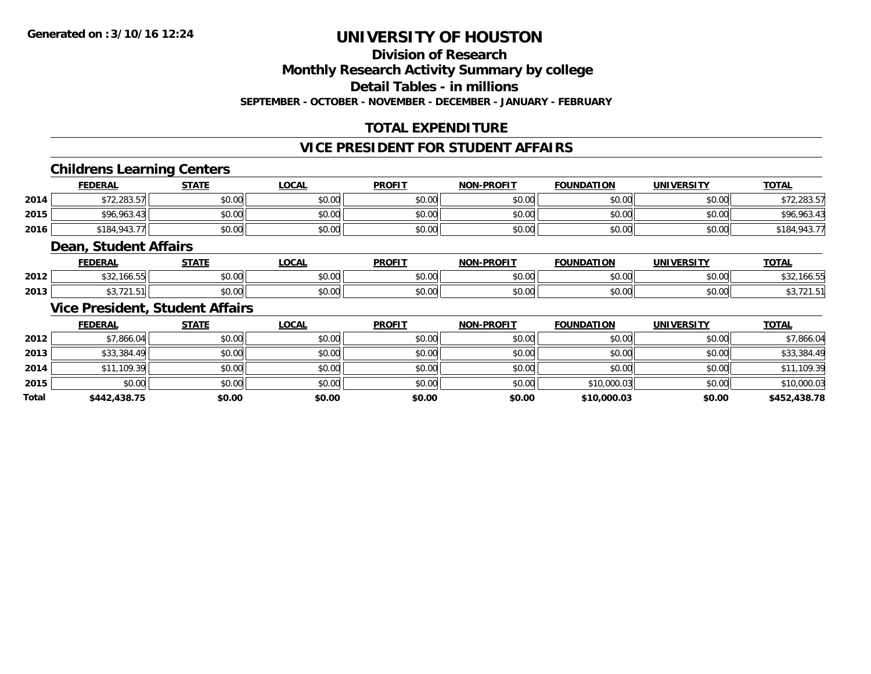**Division of Research**

**Monthly Research Activity Summary by college**

**Detail Tables - in millions**

**SEPTEMBER - OCTOBER - NOVEMBER - DECEMBER - JANUARY - FEBRUARY**

### **TOTAL EXPENDITURE**

#### **VICE PRESIDENT FOR STUDENT AFFAIRS**

### **Childrens Learning Centers**

|      | <b>FEDERAL</b> | <b>STATE</b> | <u>LOCAL</u> | <b>PROFIT</b> | <b>NON-PROFIT</b> | <b>FOUNDATION</b> | <b>UNIVERSITY</b> | <b>TOTAL</b> |
|------|----------------|--------------|--------------|---------------|-------------------|-------------------|-------------------|--------------|
| 2014 | \$72,283.57    | \$0.00       | \$0.00       | \$0.00        | \$0.00            | \$0.00            | \$0.00            | 12,283.57∉   |
| 2015 | \$96,963.43    | \$0.00       | \$0.00       | \$0.00        | \$0.00            | \$0.00            | \$0.00            | \$96,963.43  |
| 2016 | \$184,943,77   | \$0.00       | \$0.00       | \$0.00        | \$0.00            | \$0.00            | \$0.00            | \$184,943.7. |

#### **Dean, Student Affairs**

|      | <b>FEDERAL</b>  | <b>CTATE</b>  | <b>OCAL</b>   | <b>PROFIT</b> | -PROFIT<br>NON- | <b>FOUNDATION</b> | <b>UNIVERSITY</b> | <b>TOTAL</b>   |
|------|-----------------|---------------|---------------|---------------|-----------------|-------------------|-------------------|----------------|
| 2012 | 2.100.55<br>ے ب | 0000<br>PO.OO | 0000<br>PO.OO | 40.00         | 0000<br>vv.vv   | 0000<br>,u.uu     | 0000<br>JU.UU     | ⊾ت ⊄<br>$\sim$ |
| 2013 |                 | ስ ለሰ<br>PO.OO | 0000<br>JU.UU | JU.UU         | 0000<br>PO.OO   | 0000<br>,u.uu     | 0.00<br>JU.UU     | . ب            |

### **Vice President, Student Affairs**

|              | <b>FEDERAL</b> | <b>STATE</b> | <u>LOCAL</u> | <b>PROFIT</b> | <b>NON-PROFIT</b> | <b>FOUNDATION</b> | <b>UNIVERSITY</b> | <b>TOTAL</b> |
|--------------|----------------|--------------|--------------|---------------|-------------------|-------------------|-------------------|--------------|
| 2012         | \$7,866.04     | \$0.00       | \$0.00       | \$0.00        | \$0.00            | \$0.00            | \$0.00            | \$7,866.04   |
| 2013         | \$33,384.49    | \$0.00       | \$0.00       | \$0.00        | \$0.00            | \$0.00            | \$0.00            | \$33,384.49  |
| 2014         | \$11,109.39    | \$0.00       | \$0.00       | \$0.00        | \$0.00            | \$0.00            | \$0.00            | \$11,109.39  |
| 2015         | \$0.00         | \$0.00       | \$0.00       | \$0.00        | \$0.00            | \$10,000.03       | \$0.00            | \$10,000.03  |
| <b>Total</b> | \$442,438.75   | \$0.00       | \$0.00       | \$0.00        | \$0.00            | \$10,000.03       | \$0.00            | \$452,438.78 |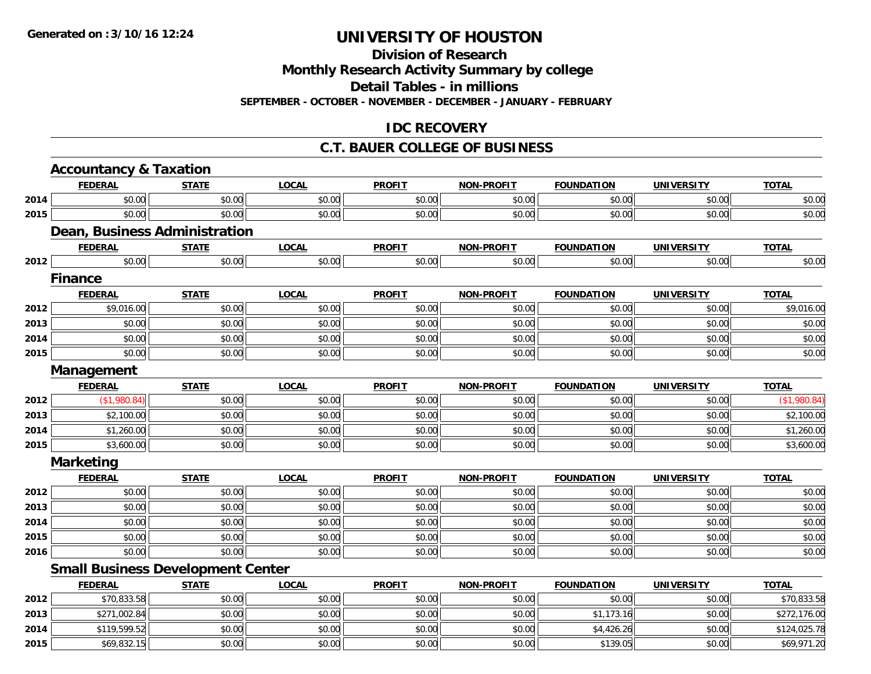**Division of Research**

**Monthly Research Activity Summary by college**

**Detail Tables - in millions**

**SEPTEMBER - OCTOBER - NOVEMBER - DECEMBER - JANUARY - FEBRUARY**

### **IDC RECOVERY**

#### **C.T. BAUER COLLEGE OF BUSINESS**

|      | <b>Accountancy &amp; Taxation</b>        |              |              |               |                   |                   |                   |              |
|------|------------------------------------------|--------------|--------------|---------------|-------------------|-------------------|-------------------|--------------|
|      | <b>FEDERAL</b>                           | <b>STATE</b> | <b>LOCAL</b> | <b>PROFIT</b> | NON-PROFIT        | <b>FOUNDATION</b> | <b>UNIVERSITY</b> | <b>TOTAL</b> |
| 2014 | \$0.00                                   | \$0.00       | \$0.00       | \$0.00        | \$0.00            | \$0.00            | \$0.00            | \$0.00       |
| 2015 | \$0.00                                   | \$0.00       | \$0.00       | \$0.00        | \$0.00            | \$0.00            | \$0.00            | \$0.00       |
|      | Dean, Business Administration            |              |              |               |                   |                   |                   |              |
|      | <b>FEDERAL</b>                           | <b>STATE</b> | <b>LOCAL</b> | <b>PROFIT</b> | <b>NON-PROFIT</b> | <b>FOUNDATION</b> | <b>UNIVERSITY</b> | <b>TOTAL</b> |
| 2012 | \$0.00                                   | \$0.00       | \$0.00       | \$0.00        | \$0.00            | \$0.00            | \$0.00            | \$0.00       |
|      | <b>Finance</b>                           |              |              |               |                   |                   |                   |              |
|      | <b>FEDERAL</b>                           | <b>STATE</b> | <b>LOCAL</b> | <b>PROFIT</b> | <b>NON-PROFIT</b> | <b>FOUNDATION</b> | <b>UNIVERSITY</b> | <b>TOTAL</b> |
| 2012 | \$9,016.00                               | \$0.00       | \$0.00       | \$0.00        | \$0.00            | \$0.00            | \$0.00            | \$9,016.00   |
| 2013 | \$0.00                                   | \$0.00       | \$0.00       | \$0.00        | \$0.00            | \$0.00            | \$0.00            | \$0.00       |
| 2014 | \$0.00                                   | \$0.00       | \$0.00       | \$0.00        | \$0.00            | \$0.00            | \$0.00            | \$0.00       |
| 2015 | \$0.00                                   | \$0.00       | \$0.00       | \$0.00        | \$0.00            | \$0.00            | \$0.00            | \$0.00       |
|      | Management                               |              |              |               |                   |                   |                   |              |
|      | <b>FEDERAL</b>                           | <b>STATE</b> | <b>LOCAL</b> | <b>PROFIT</b> | <b>NON-PROFIT</b> | <b>FOUNDATION</b> | <b>UNIVERSITY</b> | <b>TOTAL</b> |
| 2012 | (\$1,980.84)                             | \$0.00       | \$0.00       | \$0.00        | \$0.00            | \$0.00            | \$0.00            | (\$1,980.84) |
| 2013 | \$2,100.00                               | \$0.00       | \$0.00       | \$0.00        | \$0.00            | \$0.00            | \$0.00            | \$2,100.00   |
| 2014 | \$1,260.00                               | \$0.00       | \$0.00       | \$0.00        | \$0.00            | \$0.00            | \$0.00            | \$1,260.00   |
| 2015 | \$3,600.00                               | \$0.00       | \$0.00       | \$0.00        | \$0.00            | \$0.00            | \$0.00            | \$3,600.00   |
|      | <b>Marketing</b>                         |              |              |               |                   |                   |                   |              |
|      | <b>FEDERAL</b>                           | <b>STATE</b> | <b>LOCAL</b> | <b>PROFIT</b> | <b>NON-PROFIT</b> | <b>FOUNDATION</b> | <b>UNIVERSITY</b> | <b>TOTAL</b> |
| 2012 | \$0.00                                   | \$0.00       | \$0.00       | \$0.00        | \$0.00            | \$0.00            | \$0.00            | \$0.00       |
| 2013 | \$0.00                                   | \$0.00       | \$0.00       | \$0.00        | \$0.00            | \$0.00            | \$0.00            | \$0.00       |
| 2014 | \$0.00                                   | \$0.00       | \$0.00       | \$0.00        | \$0.00            | \$0.00            | \$0.00            | \$0.00       |
| 2015 | \$0.00                                   | \$0.00       | \$0.00       | \$0.00        | \$0.00            | \$0.00            | \$0.00            | \$0.00       |
| 2016 | \$0.00                                   | \$0.00       | \$0.00       | \$0.00        | \$0.00            | \$0.00            | \$0.00            | \$0.00       |
|      | <b>Small Business Development Center</b> |              |              |               |                   |                   |                   |              |
|      | <b>FEDERAL</b>                           | <b>STATE</b> | <b>LOCAL</b> | <b>PROFIT</b> | <b>NON-PROFIT</b> | <b>FOUNDATION</b> | <b>UNIVERSITY</b> | <b>TOTAL</b> |
| 2012 | \$70,833.58                              | \$0.00       | \$0.00       | \$0.00        | \$0.00            | \$0.00            | \$0.00            | \$70,833.58  |
| 2013 | \$271,002.84                             | \$0.00       | \$0.00       | \$0.00        | \$0.00            | \$1,173.16        | \$0.00            | \$272,176.00 |
| 2014 | \$119,599.52                             | \$0.00       | \$0.00       | \$0.00        | \$0.00            | \$4,426.26        | \$0.00            | \$124,025.78 |
| 2015 | \$69,832.15                              | \$0.00       | \$0.00       | \$0.00        | \$0.00            | \$139.05          | \$0.00            | \$69,971.20  |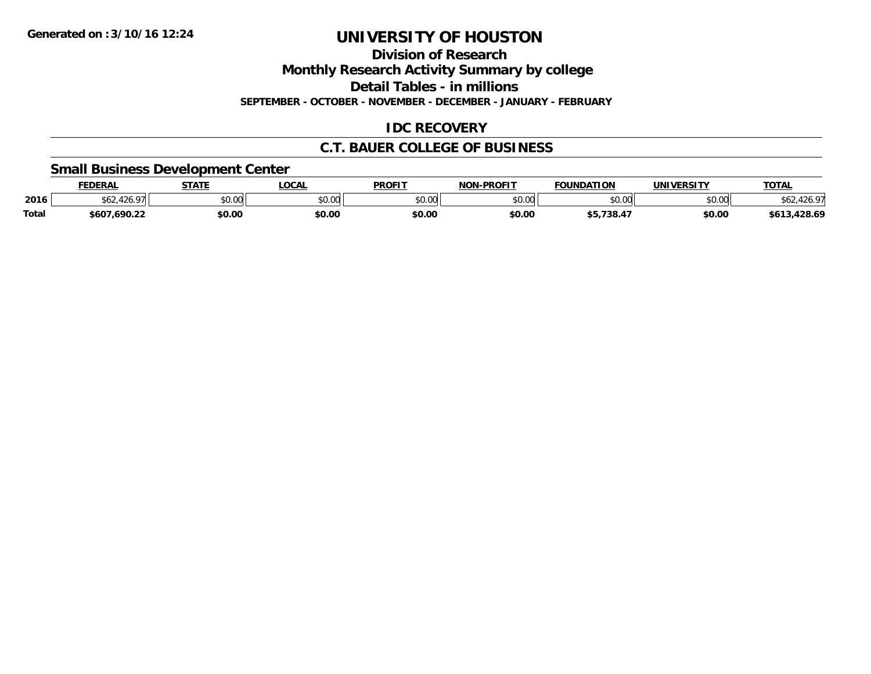**Division of Research**

**Monthly Research Activity Summary by college**

**Detail Tables - in millions**

**SEPTEMBER - OCTOBER - NOVEMBER - DECEMBER - JANUARY - FEBRUARY**

### **IDC RECOVERY**

### **C.T. BAUER COLLEGE OF BUSINESS**

### **Small Business Development Center**

|       | <b>FEDERAL</b>                                           | <b>STATE</b>  | .OCA           | <b>PROFIT</b> | -PROFIT<br>៶៲៸៶ | <b>FOUNDATION</b> | <b>UNIVERSITY</b> | <b>TOTAL</b>     |
|-------|----------------------------------------------------------|---------------|----------------|---------------|-----------------|-------------------|-------------------|------------------|
| 2016  | $\sim$<br>$\mathcal{A} \times \mathcal{A}$<br>שפ⊾<br>zu. | 0000<br>JU.UU | nn na<br>,u.uu | \$0.00        | \$0.00          | ሶስ ሰሰ             | \$0.00            |                  |
| Total | \$607,690.22                                             | \$0.00        | \$0.00         | \$0.00        | \$0.00          | \$5,738.4         | \$0.00            | .428.69<br>\$613 |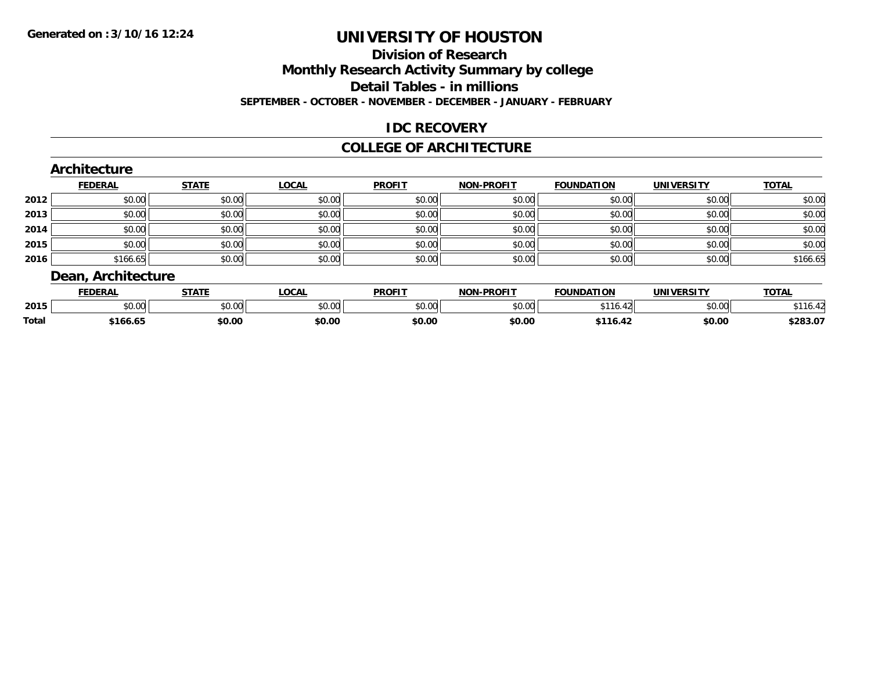### **Division of Research**

**Monthly Research Activity Summary by college**

**Detail Tables - in millions**

**SEPTEMBER - OCTOBER - NOVEMBER - DECEMBER - JANUARY - FEBRUARY**

### **IDC RECOVERY**

#### **COLLEGE OF ARCHITECTURE**

|      | Architecture       |              |              |               |                   |                   |                   |              |
|------|--------------------|--------------|--------------|---------------|-------------------|-------------------|-------------------|--------------|
|      | <b>FEDERAL</b>     | <b>STATE</b> | <b>LOCAL</b> | <b>PROFIT</b> | <b>NON-PROFIT</b> | <b>FOUNDATION</b> | <b>UNIVERSITY</b> | <b>TOTAL</b> |
| 2012 | \$0.00             | \$0.00       | \$0.00       | \$0.00        | \$0.00            | \$0.00            | \$0.00            | \$0.00       |
| 2013 | \$0.00             | \$0.00       | \$0.00       | \$0.00        | \$0.00            | \$0.00            | \$0.00            | \$0.00       |
| 2014 | \$0.00             | \$0.00       | \$0.00       | \$0.00        | \$0.00            | \$0.00            | \$0.00            | \$0.00       |
| 2015 | \$0.00             | \$0.00       | \$0.00       | \$0.00        | \$0.00            | \$0.00            | \$0.00            | \$0.00       |
| 2016 | \$166.65           | \$0.00       | \$0.00       | \$0.00        | \$0.00            | \$0.00            | \$0.00            | \$166.65     |
|      | Dean, Architecture |              |              |               |                   |                   |                   |              |

|              | <b>FEDERAL</b>     | <b>STATE</b>         | .OCAL  | <b>PROFIT</b>            | -PROFIT<br>NON | <b>FOUNDATION</b> | UNIVERSITY                 | <b>TOTAL</b> |
|--------------|--------------------|----------------------|--------|--------------------------|----------------|-------------------|----------------------------|--------------|
| 2015         | $\sim$ 00<br>וטטוע | 0.00<br><b>JU.UU</b> | \$0.00 | $n \cap \Omega$<br>JU.UU | \$0.00         | AA<br>10.         | $*$ $\cap$ $\cap$<br>JU.UU | <b>ID.</b>   |
| <b>Total</b> | \$166.65           | \$0.00               | \$0.00 | \$0.00                   | \$0.00         | $*116.4.$<br>- 42 | \$0.00                     | \$283.07     |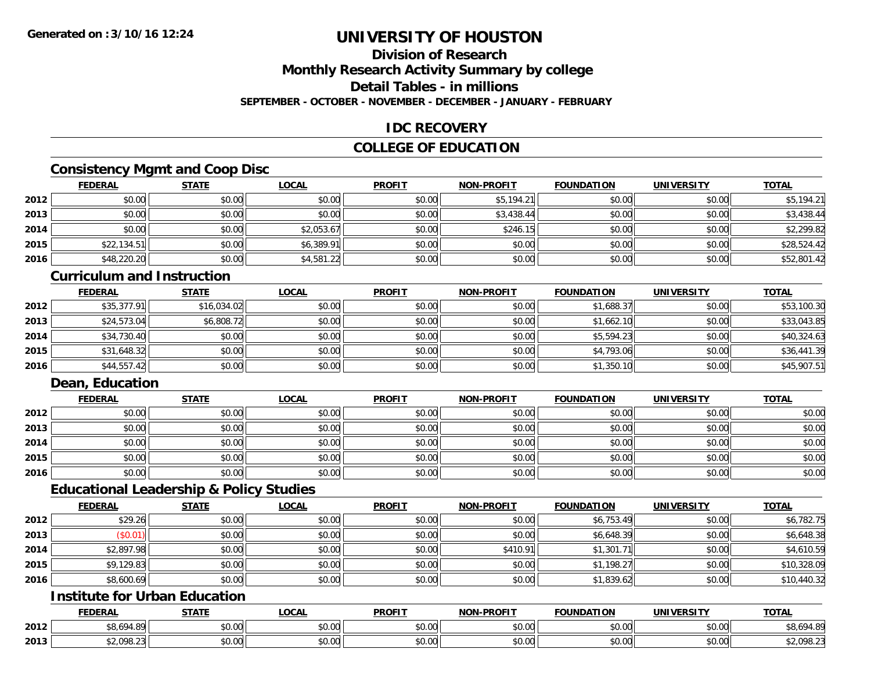### **Division of Research**

**Monthly Research Activity Summary by college**

**Detail Tables - in millions**

**SEPTEMBER - OCTOBER - NOVEMBER - DECEMBER - JANUARY - FEBRUARY**

### **IDC RECOVERY**

### **COLLEGE OF EDUCATION**

### **Consistency Mgmt and Coop Disc**

|      | <b>FEDERAL</b> | <b>STATE</b> | <b>LOCAL</b> | <b>PROFIT</b> | <b>NON-PROFIT</b> | <b>FOUNDATION</b> | <b>UNIVERSITY</b> | <b>TOTAL</b> |
|------|----------------|--------------|--------------|---------------|-------------------|-------------------|-------------------|--------------|
| 2012 | \$0.00         | \$0.00       | \$0.00       | \$0.00        | \$5,194.21        | \$0.00            | \$0.00            | \$5,194.21   |
| 2013 | \$0.00         | \$0.00       | \$0.00       | \$0.00        | \$3,438.44        | \$0.00            | \$0.00            | \$3,438.44   |
| 2014 | \$0.00         | \$0.00       | \$2,053.67   | \$0.00        | \$246.1           | \$0.00            | \$0.00            | \$2,299.82   |
| 2015 | \$22,134.51    | \$0.00       | \$6,389.91   | \$0.00        | \$0.00            | \$0.00            | \$0.00            | \$28,524.42  |
| 2016 | \$48,220.20    | \$0.00       | \$4,581.22   | \$0.00        | \$0.00            | \$0.00            | \$0.00            | \$52,801.42  |

#### **Curriculum and Instruction**

|      | <b>FEDERAL</b> | <b>STATE</b> | <u>LOCAL</u> | <b>PROFIT</b> | <b>NON-PROFIT</b> | <b>FOUNDATION</b> | <b>UNIVERSITY</b> | <b>TOTAL</b> |
|------|----------------|--------------|--------------|---------------|-------------------|-------------------|-------------------|--------------|
| 2012 | \$35,377.91    | \$16,034.02  | \$0.00       | \$0.00        | \$0.00            | \$1,688.37        | \$0.00            | \$53,100.30  |
| 2013 | \$24,573.04    | \$6,808.72   | \$0.00       | \$0.00        | \$0.00            | \$1,662.10        | \$0.00            | \$33,043.85  |
| 2014 | \$34,730.40    | \$0.00       | \$0.00       | \$0.00        | \$0.00            | \$5,594.23        | \$0.00            | \$40,324.63  |
| 2015 | \$31,648.32    | \$0.00       | \$0.00       | \$0.00        | \$0.00            | \$4,793.06        | \$0.00            | \$36,441.39  |
| 2016 | \$44,557.42    | \$0.00       | \$0.00       | \$0.00        | \$0.00            | \$1,350.10        | \$0.00            | \$45,907.51  |

### **Dean, Education**

|      | <b>FEDERAL</b> | <b>STATE</b> | <u>LOCAL</u> | <b>PROFIT</b> | <b>NON-PROFIT</b> | <b>FOUNDATION</b> | <b>UNIVERSITY</b> | <b>TOTAL</b> |
|------|----------------|--------------|--------------|---------------|-------------------|-------------------|-------------------|--------------|
| 2012 | \$0.00         | \$0.00       | \$0.00       | \$0.00        | \$0.00            | \$0.00            | \$0.00            | \$0.00       |
| 2013 | \$0.00         | \$0.00       | \$0.00       | \$0.00        | \$0.00            | \$0.00            | \$0.00            | \$0.00       |
| 2014 | \$0.00         | \$0.00       | \$0.00       | \$0.00        | \$0.00            | \$0.00            | \$0.00            | \$0.00       |
| 2015 | \$0.00         | \$0.00       | \$0.00       | \$0.00        | \$0.00            | \$0.00            | \$0.00            | \$0.00       |
| 2016 | \$0.00         | \$0.00       | \$0.00       | \$0.00        | \$0.00            | \$0.00            | \$0.00            | \$0.00       |

#### **Educational Leadership & Policy Studies**

|      | <b>FEDERAL</b> | <b>STATE</b> | <u>LOCAL</u> | <b>PROFIT</b> | <b>NON-PROFIT</b> | <b>FOUNDATION</b> | <b>UNIVERSITY</b> | <b>TOTAL</b> |
|------|----------------|--------------|--------------|---------------|-------------------|-------------------|-------------------|--------------|
| 2012 | \$29.26        | \$0.00       | \$0.00       | \$0.00        | \$0.00            | \$6,753.49        | \$0.00            | \$6,782.75   |
| 2013 | (\$0.01)       | \$0.00       | \$0.00       | \$0.00        | \$0.00            | \$6,648.39        | \$0.00            | \$6,648.38   |
| 2014 | \$2,897.98     | \$0.00       | \$0.00       | \$0.00        | \$410.91          | \$1,301.71        | \$0.00            | \$4,610.59   |
| 2015 | \$9,129.83     | \$0.00       | \$0.00       | \$0.00        | \$0.00            | \$1,198.27        | \$0.00            | \$10,328.09  |
| 2016 | \$8,600.69     | \$0.00       | \$0.00       | \$0.00        | \$0.00            | \$1,839.62        | \$0.00            | \$10,440.32  |

### **Institute for Urban Education**

|      | <b>FEDERAL</b>        | <b>STATE</b>  | <b>LOCAL</b>                        | <b>PROFIT</b> | <b>J-PROFIT</b><br><b>AION'</b> | <b>FOUNDATION</b> | <b>UNIVERSITY</b>     | <b>TOTAL</b> |
|------|-----------------------|---------------|-------------------------------------|---------------|---------------------------------|-------------------|-----------------------|--------------|
| 2012 | 604.00<br>74.O`       | 0000<br>DU.UU | $\sim$ 00<br>vv.vv                  | 0000<br>JU.UU | 0.00<br>vv.vv                   | \$0.00            | \$0.00                | 94.8°، ب     |
| 2013 | non pr<br>92.V / U.L. | 0000<br>DU.UU | $\theta$ $\theta$ $\theta$<br>vu.vu | 0000<br>งบ.บบ | 0000<br>PO.OO                   | \$0.00            | 0.001<br><b>DU.UU</b> | \$2,098.23   |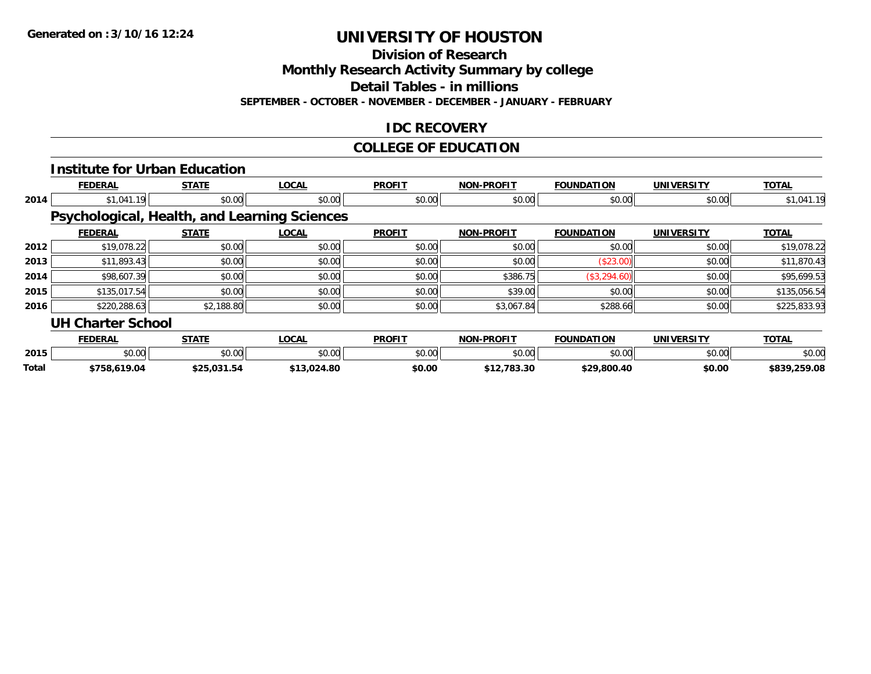**Division of Research**

**Monthly Research Activity Summary by college**

**Detail Tables - in millions**

**SEPTEMBER - OCTOBER - NOVEMBER - DECEMBER - JANUARY - FEBRUARY**

### **IDC RECOVERY**

#### **COLLEGE OF EDUCATION**

|       |                          | <b>Institute for Urban Education</b> |                                              |               |                   |                   |                   |              |
|-------|--------------------------|--------------------------------------|----------------------------------------------|---------------|-------------------|-------------------|-------------------|--------------|
|       | <b>FEDERAL</b>           | <b>STATE</b>                         | <b>LOCAL</b>                                 | <b>PROFIT</b> | <b>NON-PROFIT</b> | <b>FOUNDATION</b> | <b>UNIVERSITY</b> | <b>TOTAL</b> |
| 2014  | \$1,041.19               | \$0.00                               | \$0.00                                       | \$0.00        | \$0.00            | \$0.00            | \$0.00            | \$1,041.19   |
|       |                          |                                      | Psychological, Health, and Learning Sciences |               |                   |                   |                   |              |
|       | <b>FEDERAL</b>           | <b>STATE</b>                         | <b>LOCAL</b>                                 | <b>PROFIT</b> | <b>NON-PROFIT</b> | <b>FOUNDATION</b> | <b>UNIVERSITY</b> | <b>TOTAL</b> |
| 2012  | \$19,078.22              | \$0.00                               | \$0.00                                       | \$0.00        | \$0.00            | \$0.00            | \$0.00            | \$19,078.22  |
| 2013  | \$11,893.43              | \$0.00                               | \$0.00                                       | \$0.00        | \$0.00            | (\$23.00)         | \$0.00            | \$11,870.43  |
| 2014  | \$98,607.39              | \$0.00                               | \$0.00                                       | \$0.00        | \$386.75          | (\$3,294.60)      | \$0.00            | \$95,699.53  |
| 2015  | \$135,017.54             | \$0.00                               | \$0.00                                       | \$0.00        | \$39.00           | \$0.00            | \$0.00            | \$135,056.54 |
| 2016  | \$220,288.63             | \$2,188.80                           | \$0.00                                       | \$0.00        | \$3,067.84        | \$288.66          | \$0.00            | \$225,833.93 |
|       | <b>UH Charter School</b> |                                      |                                              |               |                   |                   |                   |              |
|       | <b>FEDERAL</b>           | <b>STATE</b>                         | <b>LOCAL</b>                                 | <b>PROFIT</b> | <b>NON-PROFIT</b> | <b>FOUNDATION</b> | <b>UNIVERSITY</b> | <b>TOTAL</b> |
| 2015  | \$0.00                   | \$0.00                               | \$0.00                                       | \$0.00        | \$0.00            | \$0.00            | \$0.00            | \$0.00       |
| Total | \$758,619.04             | \$25,031.54                          | \$13,024.80                                  | \$0.00        | \$12,783.30       | \$29,800.40       | \$0.00            | \$839,259.08 |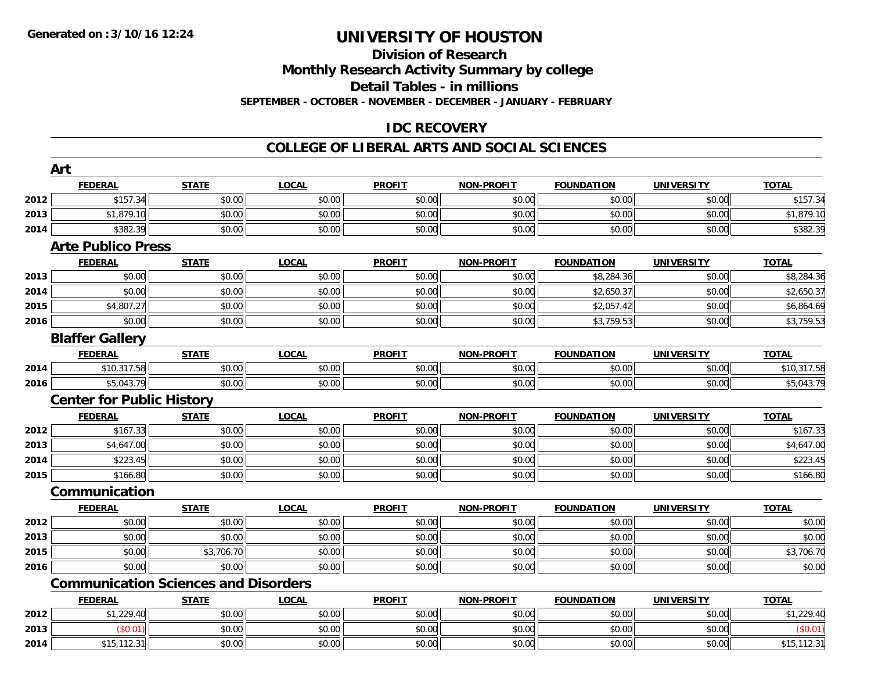### **Division of Research**

**Monthly Research Activity Summary by college**

**Detail Tables - in millions**

**SEPTEMBER - OCTOBER - NOVEMBER - DECEMBER - JANUARY - FEBRUARY**

### **IDC RECOVERY**

#### **COLLEGE OF LIBERAL ARTS AND SOCIAL SCIENCES**

|      | Art                              |                                             |              |               |                   |                   |                   |              |
|------|----------------------------------|---------------------------------------------|--------------|---------------|-------------------|-------------------|-------------------|--------------|
|      | <b>FEDERAL</b>                   | <b>STATE</b>                                | <b>LOCAL</b> | <b>PROFIT</b> | <b>NON-PROFIT</b> | <b>FOUNDATION</b> | <b>UNIVERSITY</b> | <b>TOTAL</b> |
| 2012 | \$157.34                         | \$0.00                                      | \$0.00       | \$0.00        | \$0.00            | \$0.00            | \$0.00            | \$157.34     |
| 2013 | \$1,879.10                       | \$0.00                                      | \$0.00       | \$0.00        | \$0.00            | \$0.00            | \$0.00            | \$1,879.10   |
| 2014 | \$382.39                         | \$0.00                                      | \$0.00       | \$0.00        | \$0.00            | \$0.00            | \$0.00            | \$382.39     |
|      | <b>Arte Publico Press</b>        |                                             |              |               |                   |                   |                   |              |
|      | <b>FEDERAL</b>                   | <b>STATE</b>                                | <b>LOCAL</b> | <b>PROFIT</b> | <b>NON-PROFIT</b> | <b>FOUNDATION</b> | <b>UNIVERSITY</b> | <b>TOTAL</b> |
| 2013 | \$0.00                           | \$0.00                                      | \$0.00       | \$0.00        | \$0.00            | \$8,284.36        | \$0.00            | \$8,284.36   |
| 2014 | \$0.00                           | \$0.00                                      | \$0.00       | \$0.00        | \$0.00            | \$2,650.37        | \$0.00            | \$2,650.37   |
| 2015 | \$4,807.27                       | \$0.00                                      | \$0.00       | \$0.00        | \$0.00            | \$2,057.42        | \$0.00            | \$6,864.69   |
| 2016 | \$0.00                           | \$0.00                                      | \$0.00       | \$0.00        | \$0.00            | \$3,759.53        | \$0.00            | \$3,759.53   |
|      | <b>Blaffer Gallery</b>           |                                             |              |               |                   |                   |                   |              |
|      | <b>FEDERAL</b>                   | <b>STATE</b>                                | <b>LOCAL</b> | <b>PROFIT</b> | <b>NON-PROFIT</b> | <b>FOUNDATION</b> | <b>UNIVERSITY</b> | <b>TOTAL</b> |
| 2014 | \$10,317.58                      | \$0.00                                      | \$0.00       | \$0.00        | \$0.00            | \$0.00            | \$0.00            | \$10,317.58  |
| 2016 | \$5,043.79                       | \$0.00                                      | \$0.00       | \$0.00        | \$0.00            | \$0.00            | \$0.00            | \$5,043.79   |
|      | <b>Center for Public History</b> |                                             |              |               |                   |                   |                   |              |
|      | <b>FEDERAL</b>                   | <b>STATE</b>                                | <b>LOCAL</b> | <b>PROFIT</b> | <b>NON-PROFIT</b> | <b>FOUNDATION</b> | <b>UNIVERSITY</b> | <b>TOTAL</b> |
| 2012 | \$167.33                         | \$0.00                                      | \$0.00       | \$0.00        | \$0.00            | \$0.00            | \$0.00            | \$167.33     |
| 2013 | \$4,647.00                       | \$0.00                                      | \$0.00       | \$0.00        | \$0.00            | \$0.00            | \$0.00            | \$4,647.00   |
| 2014 | \$223.45                         | \$0.00                                      | \$0.00       | \$0.00        | \$0.00            | \$0.00            | \$0.00            | \$223.45     |
| 2015 | \$166.80                         | \$0.00                                      | \$0.00       | \$0.00        | \$0.00            | \$0.00            | \$0.00            | \$166.80     |
|      | Communication                    |                                             |              |               |                   |                   |                   |              |
|      | <b>FEDERAL</b>                   | <b>STATE</b>                                | <b>LOCAL</b> | <b>PROFIT</b> | <b>NON-PROFIT</b> | <b>FOUNDATION</b> | <b>UNIVERSITY</b> | <b>TOTAL</b> |
| 2012 | \$0.00                           | \$0.00                                      | \$0.00       | \$0.00        | \$0.00            | \$0.00            | \$0.00            | \$0.00       |
| 2013 | \$0.00                           | \$0.00                                      | \$0.00       | \$0.00        | \$0.00            | \$0.00            | \$0.00            | \$0.00       |
| 2015 | \$0.00                           | \$3,706.70                                  | \$0.00       | \$0.00        | \$0.00            | \$0.00            | \$0.00            | \$3,706.70   |
| 2016 | \$0.00                           | \$0.00                                      | \$0.00       | \$0.00        | \$0.00            | \$0.00            | \$0.00            | \$0.00       |
|      |                                  | <b>Communication Sciences and Disorders</b> |              |               |                   |                   |                   |              |
|      | <b>FEDERAL</b>                   | <b>STATE</b>                                | <b>LOCAL</b> | <b>PROFIT</b> | <b>NON-PROFIT</b> | <b>FOUNDATION</b> | <b>UNIVERSITY</b> | <b>TOTAL</b> |
| 2012 | \$1,229.40                       | \$0.00                                      | \$0.00       | \$0.00        | \$0.00            | \$0.00            | \$0.00            | \$1,229.40   |
| 2013 | (\$0.01)                         | \$0.00                                      | \$0.00       | \$0.00        | \$0.00            | \$0.00            | \$0.00            | (\$0.01)     |
| 2014 | \$15, 112.31                     | \$0.00                                      | \$0.00       | \$0.00        | \$0.00            | \$0.00            | \$0.00            | \$15,112.31  |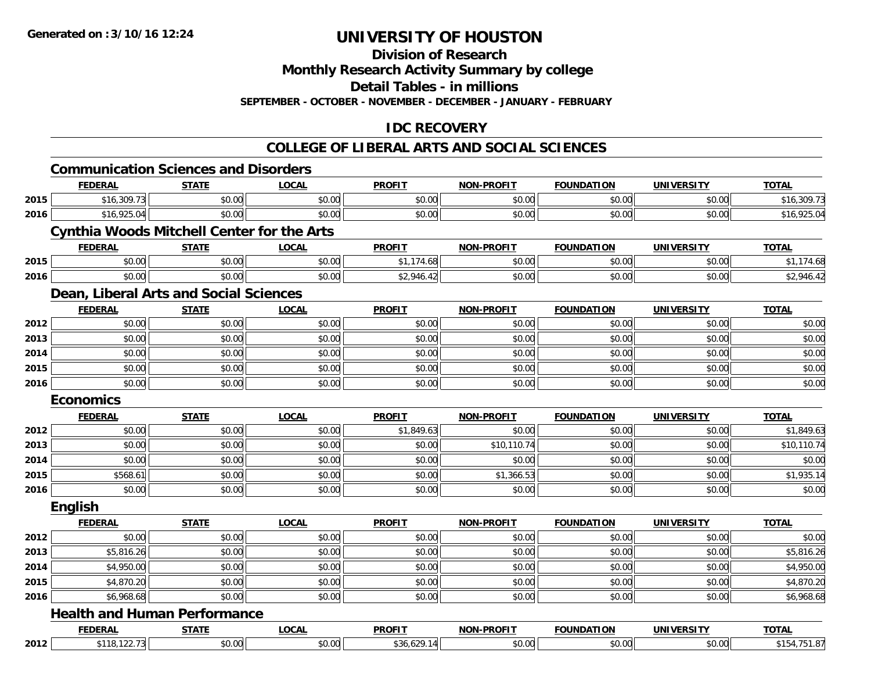**Division of Research**

**Monthly Research Activity Summary by college**

**Detail Tables - in millions**

**SEPTEMBER - OCTOBER - NOVEMBER - DECEMBER - JANUARY - FEBRUARY**

### **IDC RECOVERY**

#### **COLLEGE OF LIBERAL ARTS AND SOCIAL SCIENCES**

## **Communication Sciences and Disorders**

|      | <b>FEDERAL</b>                                    | <b>STATE</b> | <b>LOCAL</b> | <b>PROFIT</b> | <b>NON-PROFIT</b> | <b>FOUNDATION</b> | <b>UNIVERSITY</b> | <b>TOTAL</b> |
|------|---------------------------------------------------|--------------|--------------|---------------|-------------------|-------------------|-------------------|--------------|
| 2015 | \$16,309.73                                       | \$0.00       | \$0.00       | \$0.00        | \$0.00            | \$0.00            | \$0.00            | \$16,309.73  |
| 2016 | \$16,925.04                                       | \$0.00       | \$0.00       | \$0.00        | \$0.00            | \$0.00            | \$0.00            | \$16,925.04  |
|      | <b>Cynthia Woods Mitchell Center for the Arts</b> |              |              |               |                   |                   |                   |              |
|      | <b>FEDERAL</b>                                    | <b>STATE</b> | <b>LOCAL</b> | <b>PROFIT</b> | <b>NON-PROFIT</b> | <b>FOUNDATION</b> | <b>UNIVERSITY</b> | <b>TOTAL</b> |
| 2015 | \$0.00                                            | \$0.00       | \$0.00       | \$1,174.68    | \$0.00            | \$0.00            | \$0.00            | \$1,174.68   |
| 2016 | \$0.00                                            | \$0.00       | \$0.00       | \$2,946.42    | \$0.00            | \$0.00            | \$0.00            | \$2,946.42   |
|      | Dean, Liberal Arts and Social Sciences            |              |              |               |                   |                   |                   |              |
|      | <b>FEDERAL</b>                                    | <b>STATE</b> | <b>LOCAL</b> | <b>PROFIT</b> | <b>NON-PROFIT</b> | <b>FOUNDATION</b> | <b>UNIVERSITY</b> | <b>TOTAL</b> |
| 2012 | \$0.00                                            | \$0.00       | \$0.00       | \$0.00        | \$0.00            | \$0.00            | \$0.00            | \$0.00       |
| 2013 | \$0.00                                            | \$0.00       | \$0.00       | \$0.00        | \$0.00            | \$0.00            | \$0.00            | \$0.00       |
| 2014 | \$0.00                                            | \$0.00       | \$0.00       | \$0.00        | \$0.00            | \$0.00            | \$0.00            | \$0.00       |
| 2015 | \$0.00                                            | \$0.00       | \$0.00       | \$0.00        | \$0.00            | \$0.00            | \$0.00            | \$0.00       |
| 2016 | \$0.00                                            | \$0.00       | \$0.00       | \$0.00        | \$0.00            | \$0.00            | \$0.00            | \$0.00       |
|      | <b>Economics</b>                                  |              |              |               |                   |                   |                   |              |
|      | <b>FEDERAL</b>                                    | <b>STATE</b> | <b>LOCAL</b> | <b>PROFIT</b> | <b>NON-PROFIT</b> | <b>FOUNDATION</b> | <b>UNIVERSITY</b> | <b>TOTAL</b> |
| 2012 | \$0.00                                            | \$0.00       | \$0.00       | \$1,849.63    | \$0.00            | \$0.00            | \$0.00            | \$1,849.63   |
| 2013 | \$0.00                                            | \$0.00       | \$0.00       | \$0.00        | \$10,110.74       | \$0.00            | \$0.00            | \$10,110.74  |
| 2014 | \$0.00                                            | \$0.00       | \$0.00       | \$0.00        | \$0.00            | \$0.00            | \$0.00            | \$0.00       |
| 2015 | \$568.61                                          | \$0.00       | \$0.00       | \$0.00        | \$1,366.53        | \$0.00            | \$0.00            | \$1,935.14   |
| 2016 | \$0.00                                            | \$0.00       | \$0.00       | \$0.00        | \$0.00            | \$0.00            | \$0.00            | \$0.00       |
|      | <b>English</b>                                    |              |              |               |                   |                   |                   |              |
|      | <b>FEDERAL</b>                                    | <b>STATE</b> | LOCAL        | <b>PROFIT</b> | <b>NON-PROFIT</b> | <b>FOUNDATION</b> | <b>UNIVERSITY</b> | <b>TOTAL</b> |
| 2012 | \$0.00                                            | \$0.00       | \$0.00       | \$0.00        | \$0.00            | \$0.00            | \$0.00            | \$0.00       |
| 2013 | \$5,816.26                                        | \$0.00       | \$0.00       | \$0.00        | \$0.00            | \$0.00            | \$0.00            | \$5,816.26   |
| 2014 | \$4,950.00                                        | \$0.00       | \$0.00       | \$0.00        | \$0.00            | \$0.00            | \$0.00            | \$4,950.00   |
| 2015 | \$4,870.20                                        | \$0.00       | \$0.00       | \$0.00        | \$0.00            | \$0.00            | \$0.00            | \$4,870.20   |
| 2016 | \$6,968.68                                        | \$0.00       | \$0.00       | \$0.00        | \$0.00            | \$0.00            | \$0.00            | \$6,968.68   |
|      | <b>Health and Human Performance</b>               |              |              |               |                   |                   |                   |              |
|      | <b>FEDERAL</b>                                    | <b>STATE</b> | <b>LOCAL</b> | <b>PROFIT</b> | <b>NON-PROFIT</b> | <b>FOUNDATION</b> | <b>UNIVERSITY</b> | <b>TOTAL</b> |
| 2012 | \$118, 122.73                                     | \$0.00       | \$0.00       | \$36,629.14   | \$0.00            | \$0.00            | \$0.00            | \$154,751.87 |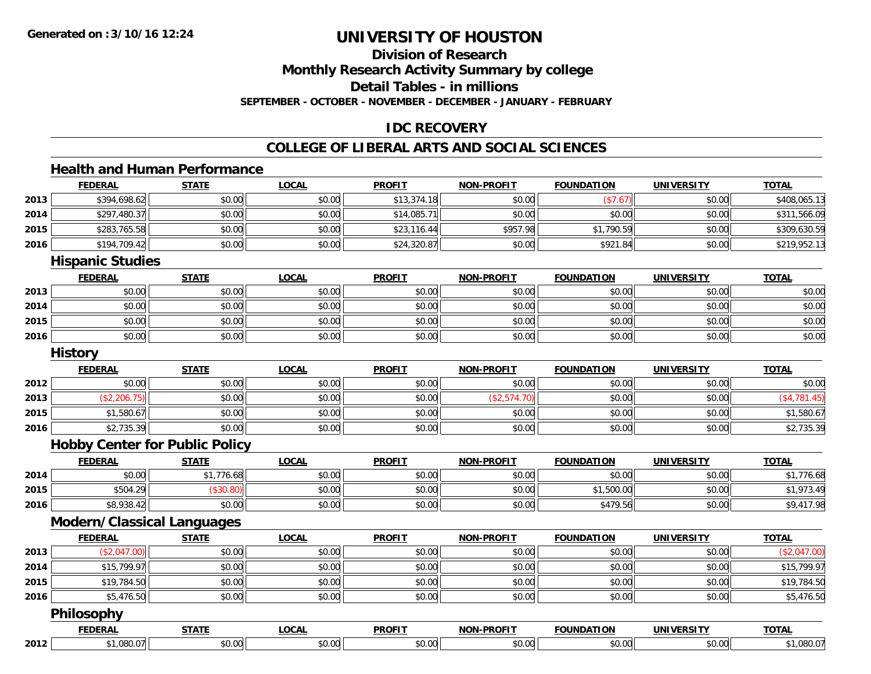**Division of Research**

**Monthly Research Activity Summary by college**

**Detail Tables - in millions**

**SEPTEMBER - OCTOBER - NOVEMBER - DECEMBER - JANUARY - FEBRUARY**

### **IDC RECOVERY**

#### **COLLEGE OF LIBERAL ARTS AND SOCIAL SCIENCES**

#### **Health and Human Performance**

|      | <b>FEDERAL</b>                        | <b>STATE</b> | <b>LOCAL</b> | <b>PROFIT</b> | <b>NON-PROFIT</b> | <b>FOUNDATION</b> | <b>UNIVERSITY</b> | <b>TOTAL</b>   |
|------|---------------------------------------|--------------|--------------|---------------|-------------------|-------------------|-------------------|----------------|
| 2013 | \$394,698.62                          | \$0.00       | \$0.00       | \$13,374.18   | \$0.00            | (\$7.67)          | \$0.00            | \$408,065.13   |
| 2014 | \$297,480.37                          | \$0.00       | \$0.00       | \$14,085.71   | \$0.00            | \$0.00            | \$0.00            | \$311,566.09   |
| 2015 | \$283,765.58                          | \$0.00       | \$0.00       | \$23,116.44   | \$957.98          | \$1,790.59        | \$0.00            | \$309,630.59   |
| 2016 | \$194,709.42                          | \$0.00       | \$0.00       | \$24,320.87   | \$0.00            | \$921.84          | \$0.00            | \$219,952.13   |
|      | <b>Hispanic Studies</b>               |              |              |               |                   |                   |                   |                |
|      | <b>FEDERAL</b>                        | <b>STATE</b> | <b>LOCAL</b> | <b>PROFIT</b> | <b>NON-PROFIT</b> | <b>FOUNDATION</b> | <b>UNIVERSITY</b> | <b>TOTAL</b>   |
| 2013 | \$0.00                                | \$0.00       | \$0.00       | \$0.00        | \$0.00            | \$0.00            | \$0.00            | \$0.00         |
| 2014 | \$0.00                                | \$0.00       | \$0.00       | \$0.00        | \$0.00            | \$0.00            | \$0.00            | \$0.00         |
| 2015 | \$0.00                                | \$0.00       | \$0.00       | \$0.00        | \$0.00            | \$0.00            | \$0.00            | \$0.00         |
| 2016 | \$0.00                                | \$0.00       | \$0.00       | \$0.00        | \$0.00            | \$0.00            | \$0.00            | \$0.00         |
|      | <b>History</b>                        |              |              |               |                   |                   |                   |                |
|      | <b>FEDERAL</b>                        | <b>STATE</b> | <b>LOCAL</b> | <b>PROFIT</b> | <b>NON-PROFIT</b> | <b>FOUNDATION</b> | <b>UNIVERSITY</b> | <b>TOTAL</b>   |
| 2012 | \$0.00                                | \$0.00       | \$0.00       | \$0.00        | \$0.00            | \$0.00            | \$0.00            | \$0.00         |
| 2013 | (\$2,206.75)                          | \$0.00       | \$0.00       | \$0.00        | (\$2,574.70)      | \$0.00            | \$0.00            | ( \$4, 781.45) |
| 2015 | \$1,580.67                            | \$0.00       | \$0.00       | \$0.00        | \$0.00            | \$0.00            | \$0.00            | \$1,580.67     |
| 2016 | \$2,735.39                            | \$0.00       | \$0.00       | \$0.00        | \$0.00            | \$0.00            | \$0.00            | \$2,735.39     |
|      | <b>Hobby Center for Public Policy</b> |              |              |               |                   |                   |                   |                |
|      | <b>FEDERAL</b>                        | <b>STATE</b> | <b>LOCAL</b> | <b>PROFIT</b> | <b>NON-PROFIT</b> | <b>FOUNDATION</b> | <b>UNIVERSITY</b> | <b>TOTAL</b>   |
| 2014 | \$0.00                                | \$1,776.68   | \$0.00       | \$0.00        | \$0.00            | \$0.00            | \$0.00            | \$1,776.68     |
| 2015 | \$504.29                              | (\$30.80)    | \$0.00       | \$0.00        | \$0.00            | \$1,500.00        | \$0.00            | \$1,973.49     |
| 2016 | \$8,938.42                            | \$0.00       | \$0.00       | \$0.00        | \$0.00            | \$479.56          | \$0.00            | \$9,417.98     |
|      | <b>Modern/Classical Languages</b>     |              |              |               |                   |                   |                   |                |
|      | <b>FEDERAL</b>                        | <b>STATE</b> | <b>LOCAL</b> | <b>PROFIT</b> | <b>NON-PROFIT</b> | <b>FOUNDATION</b> | <b>UNIVERSITY</b> | <b>TOTAL</b>   |
| 2013 | (\$2,047.00)                          | \$0.00       | \$0.00       | \$0.00        | \$0.00            | \$0.00            | \$0.00            | (\$2,047.00)   |
| 2014 | \$15,799.97                           | \$0.00       | \$0.00       | \$0.00        | \$0.00            | \$0.00            | \$0.00            | \$15,799.97    |
| 2015 | \$19,784.50                           | \$0.00       | \$0.00       | \$0.00        | \$0.00            | \$0.00            | \$0.00            | \$19,784.50    |
| 2016 | \$5,476.50                            | \$0.00       | \$0.00       | \$0.00        | \$0.00            | \$0.00            | \$0.00            | \$5,476.50     |
|      | <b>Philosophy</b>                     |              |              |               |                   |                   |                   |                |
|      | <b>FEDERAL</b>                        | <b>STATE</b> | <b>LOCAL</b> | <b>PROFIT</b> | <b>NON-PROFIT</b> | <b>FOUNDATION</b> | <b>UNIVERSITY</b> | <b>TOTAL</b>   |
| 2012 | \$1,080.07                            | \$0.00       | \$0.00       | \$0.00        | \$0.00            | \$0.00            | \$0.00            | \$1,080.07     |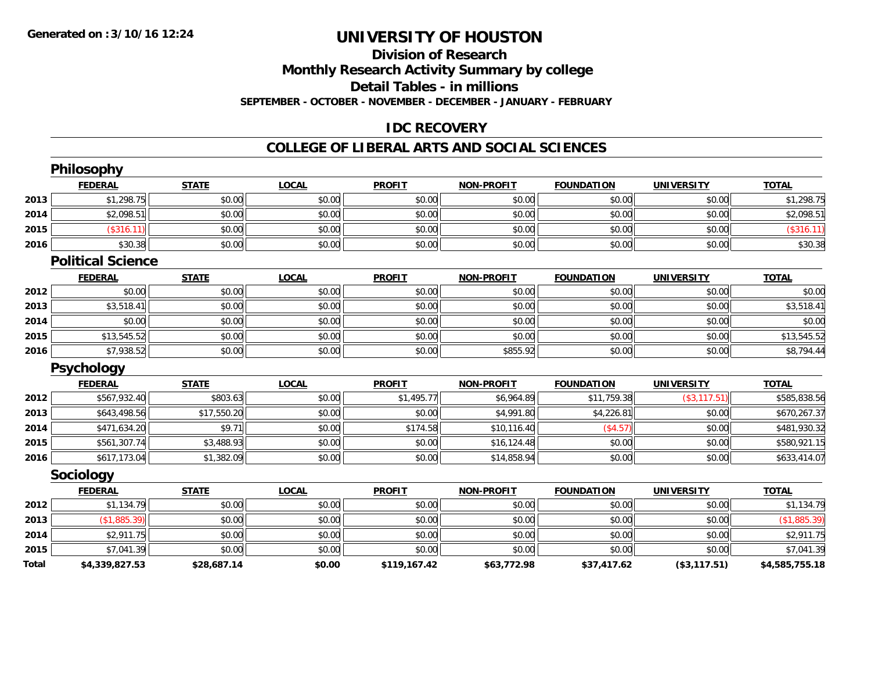### **Division of ResearchMonthly Research Activity Summary by college Detail Tables - in millions SEPTEMBER - OCTOBER - NOVEMBER - DECEMBER - JANUARY - FEBRUARY**

### **IDC RECOVERY**

## **COLLEGE OF LIBERAL ARTS AND SOCIAL SCIENCES**

|              | Philosophy               |              |              |               |                   |                   |                   |                |
|--------------|--------------------------|--------------|--------------|---------------|-------------------|-------------------|-------------------|----------------|
|              | <b>FEDERAL</b>           | <b>STATE</b> | <b>LOCAL</b> | <b>PROFIT</b> | <b>NON-PROFIT</b> | <b>FOUNDATION</b> | <b>UNIVERSITY</b> | <b>TOTAL</b>   |
| 2013         | \$1,298.75               | \$0.00       | \$0.00       | \$0.00        | \$0.00            | \$0.00            | \$0.00            | \$1,298.75     |
| 2014         | \$2,098.51               | \$0.00       | \$0.00       | \$0.00        | \$0.00            | \$0.00            | \$0.00            | \$2,098.51     |
| 2015         | (\$316.11)               | \$0.00       | \$0.00       | \$0.00        | \$0.00            | \$0.00            | \$0.00            | (\$316.11)     |
| 2016         | \$30.38                  | \$0.00       | \$0.00       | \$0.00        | \$0.00            | \$0.00            | \$0.00            | \$30.38        |
|              | <b>Political Science</b> |              |              |               |                   |                   |                   |                |
|              | <b>FEDERAL</b>           | <b>STATE</b> | <b>LOCAL</b> | <b>PROFIT</b> | <b>NON-PROFIT</b> | <b>FOUNDATION</b> | <b>UNIVERSITY</b> | <b>TOTAL</b>   |
| 2012         | \$0.00                   | \$0.00       | \$0.00       | \$0.00        | \$0.00            | \$0.00            | \$0.00            | \$0.00         |
| 2013         | \$3,518.41               | \$0.00       | \$0.00       | \$0.00        | \$0.00            | \$0.00            | \$0.00            | \$3,518.41     |
| 2014         | \$0.00                   | \$0.00       | \$0.00       | \$0.00        | \$0.00            | \$0.00            | \$0.00            | \$0.00         |
| 2015         | \$13,545.52              | \$0.00       | \$0.00       | \$0.00        | \$0.00            | \$0.00            | \$0.00            | \$13,545.52    |
| 2016         | \$7,938.52               | \$0.00       | \$0.00       | \$0.00        | \$855.92          | \$0.00            | \$0.00            | \$8,794.44     |
|              | <b>Psychology</b>        |              |              |               |                   |                   |                   |                |
|              | <b>FEDERAL</b>           | <b>STATE</b> | <b>LOCAL</b> | <b>PROFIT</b> | <b>NON-PROFIT</b> | <b>FOUNDATION</b> | <b>UNIVERSITY</b> | <b>TOTAL</b>   |
| 2012         | \$567,932.40             | \$803.63     | \$0.00       | \$1,495.77    | \$6,964.89        | \$11,759.38       | (\$3,117.51)      | \$585,838.56   |
| 2013         | \$643,498.56             | \$17,550.20  | \$0.00       | \$0.00        | \$4,991.80        | \$4,226.81        | \$0.00            | \$670,267.37   |
| 2014         | \$471,634.20             | \$9.71       | \$0.00       | \$174.58      | \$10,116.40       | (\$4.57)          | \$0.00            | \$481,930.32   |
| 2015         | \$561,307.74             | \$3,488.93   | \$0.00       | \$0.00        | \$16,124.48       | \$0.00            | \$0.00            | \$580,921.15   |
| 2016         | \$617,173.04             | \$1,382.09   | \$0.00       | \$0.00        | \$14,858.94       | \$0.00            | \$0.00            | \$633,414.07   |
|              | Sociology                |              |              |               |                   |                   |                   |                |
|              | <b>FEDERAL</b>           | <b>STATE</b> | <b>LOCAL</b> | <b>PROFIT</b> | <b>NON-PROFIT</b> | <b>FOUNDATION</b> | <b>UNIVERSITY</b> | <b>TOTAL</b>   |
| 2012         | \$1,134.79               | \$0.00       | \$0.00       | \$0.00        | \$0.00            | \$0.00            | \$0.00            | \$1,134.79     |
| 2013         | (\$1,885.39)             | \$0.00       | \$0.00       | \$0.00        | \$0.00            | \$0.00            | \$0.00            | (\$1,885.39)   |
| 2014         | \$2,911.75               | \$0.00       | \$0.00       | \$0.00        | \$0.00            | \$0.00            | \$0.00            | \$2,911.75     |
| 2015         | \$7,041.39               | \$0.00       | \$0.00       | \$0.00        | \$0.00            | \$0.00            | \$0.00            | \$7,041.39     |
| <b>Total</b> | \$4,339,827.53           | \$28,687.14  | \$0.00       | \$119,167.42  | \$63,772.98       | \$37,417.62       | (\$3,117.51)      | \$4,585,755.18 |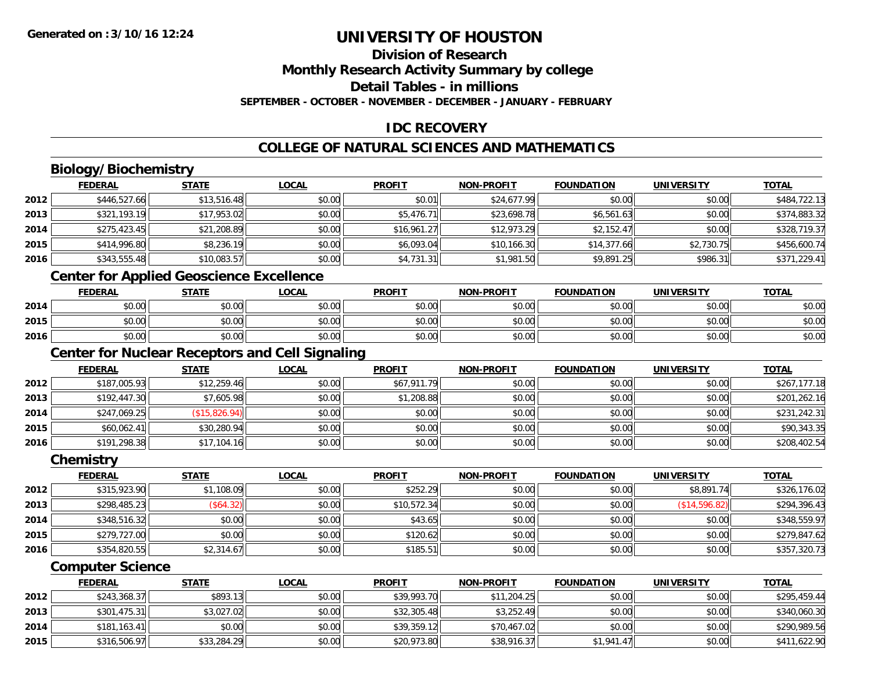### **Division of Research**

**Monthly Research Activity Summary by college**

**Detail Tables - in millions**

**SEPTEMBER - OCTOBER - NOVEMBER - DECEMBER - JANUARY - FEBRUARY**

### **IDC RECOVERY**

### **COLLEGE OF NATURAL SCIENCES AND MATHEMATICS**

### **Biology/Biochemistry**

| \$484,722.13 |
|--------------|
| \$374,883.32 |
| \$328,719.37 |
| \$456,600.74 |
| \$371,229.41 |
|              |

### **Center for Applied Geoscience Excellence**

|      | <b>FEDERAL</b>        | STATE  | <b>LOCAL</b>          | <b>PROFIT</b>  | <b>NON-PROFIT</b> | <b>FOUNDATION</b> | <b>UNIVERSITY</b> | <b>TOTAL</b> |
|------|-----------------------|--------|-----------------------|----------------|-------------------|-------------------|-------------------|--------------|
| 2014 | <b>CO OD</b><br>90.UU | \$0.00 | <b>AO OO</b><br>PO.OO | ≮∩ ∩∩<br>PO.OO | \$0.00            | \$0.00            | \$0.00            | \$0.00       |
| 2015 | ⊄n nn<br>PU.UU        | \$0.00 | ≮∩ ∩∩<br>PO.OO        | \$0.00         | \$0.00            | \$0.00            | \$0.00            | \$0.00       |
| 2016 | 40.00<br>\$U.UU       | \$0.00 | \$0.00                | \$0.00         | \$0.00            | \$0.00            | \$0.00            | \$0.00       |

## **Center for Nuclear Receptors and Cell Signaling**

|      | <b>FEDERAL</b> | <u>STATE</u>  | <u>LOCAL</u> | <b>PROFIT</b> | <b>NON-PROFIT</b> | <b>FOUNDATION</b> | <b>UNIVERSITY</b> | <b>TOTAL</b> |
|------|----------------|---------------|--------------|---------------|-------------------|-------------------|-------------------|--------------|
| 2012 | \$187,005.93   | \$12,259.46   | \$0.00       | \$67,911.79   | \$0.00            | \$0.00            | \$0.00            | \$267,177.18 |
| 2013 | \$192,447.30   | \$7,605.98    | \$0.00       | \$1,208.88    | \$0.00            | \$0.00            | \$0.00            | \$201,262.16 |
| 2014 | \$247,069.25   | (\$15,826.94) | \$0.00       | \$0.00        | \$0.00            | \$0.00            | \$0.00            | \$231,242.31 |
| 2015 | \$60,062.41    | \$30,280.94   | \$0.00       | \$0.00        | \$0.00            | \$0.00            | \$0.00            | \$90,343.35  |
| 2016 | \$191,298.38   | \$17,104.16   | \$0.00       | \$0.00        | \$0.00            | \$0.00            | \$0.00            | \$208,402.54 |

#### **Chemistry**

|      | <b>FEDERAL</b> | <b>STATE</b> | <u>LOCAL</u> | <b>PROFIT</b> | <b>NON-PROFIT</b> | <b>FOUNDATION</b> | <b>UNIVERSITY</b> | <b>TOTAL</b> |
|------|----------------|--------------|--------------|---------------|-------------------|-------------------|-------------------|--------------|
| 2012 | \$315,923.90   | \$1,108.09   | \$0.00       | \$252.29      | \$0.00            | \$0.00            | \$8,891.74        | \$326,176.02 |
| 2013 | \$298,485.23   | (\$64.32)    | \$0.00       | \$10,572.34   | \$0.00            | \$0.00            | (\$14,596.82)     | \$294,396.43 |
| 2014 | \$348,516.32   | \$0.00       | \$0.00       | \$43.65       | \$0.00            | \$0.00            | \$0.00            | \$348,559.97 |
| 2015 | \$279,727.00   | \$0.00       | \$0.00       | \$120.62      | \$0.00            | \$0.00            | \$0.00            | \$279,847.62 |
| 2016 | \$354,820.55   | \$2,314.67   | \$0.00       | \$185.51      | \$0.00            | \$0.00            | \$0.00            | \$357,320.73 |

#### **Computer Science**

|      | <b>FEDERAL</b> | <u>STATE</u> | <u>LOCAL</u> | <b>PROFIT</b> | <b>NON-PROFIT</b> | <b>FOUNDATION</b> | UNIVERSITY | <u>TOTAL</u> |
|------|----------------|--------------|--------------|---------------|-------------------|-------------------|------------|--------------|
| 2012 | \$243,368.37   | \$893.13     | \$0.00       | \$39,993.70   | \$11,204.25       | \$0.00            | \$0.00     | \$295,459.44 |
| 2013 | \$301.475.31   | \$3,027.02   | \$0.00       | \$32,305.48   | \$3,252.49        | \$0.00            | \$0.00     | \$340,060.30 |
| 2014 | \$181,163.41   | \$0.00       | \$0.00       | \$39,359.12   | \$70,467.02       | \$0.00            | \$0.00     | \$290,989.56 |
| 2015 | \$316,506.97   | \$33,284.29  | \$0.00       | \$20,973.80   | \$38,916.37       | \$1,941.47        | \$0.00     | \$411,622.90 |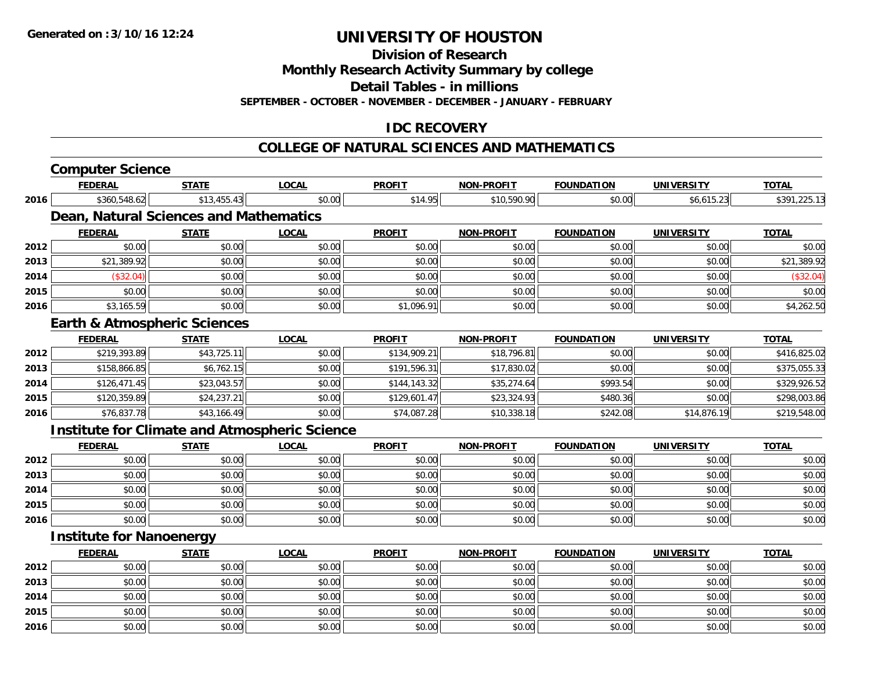**Division of Research**

**Monthly Research Activity Summary by college**

**Detail Tables - in millions**

**SEPTEMBER - OCTOBER - NOVEMBER - DECEMBER - JANUARY - FEBRUARY**

### **IDC RECOVERY**

#### **COLLEGE OF NATURAL SCIENCES AND MATHEMATICS**

|      | <b>Computer Science</b>                              |              |              |               |                   |                   |                   |              |
|------|------------------------------------------------------|--------------|--------------|---------------|-------------------|-------------------|-------------------|--------------|
|      | <b>FEDERAL</b>                                       | <b>STATE</b> | <b>LOCAL</b> | <b>PROFIT</b> | <b>NON-PROFIT</b> | <b>FOUNDATION</b> | <b>UNIVERSITY</b> | <b>TOTAL</b> |
| 2016 | \$360,548.62                                         | \$13,455.43  | \$0.00       | \$14.95       | \$10,590.90       | \$0.00            | \$6,615.23        | \$391,225.13 |
|      | Dean, Natural Sciences and Mathematics               |              |              |               |                   |                   |                   |              |
|      | <b>FEDERAL</b>                                       | <b>STATE</b> | <b>LOCAL</b> | <b>PROFIT</b> | <b>NON-PROFIT</b> | <b>FOUNDATION</b> | <b>UNIVERSITY</b> | <u>TOTAL</u> |
| 2012 | \$0.00                                               | \$0.00       | \$0.00       | \$0.00        | \$0.00            | \$0.00            | \$0.00            | \$0.00       |
| 2013 | \$21,389.92                                          | \$0.00       | \$0.00       | \$0.00        | \$0.00            | \$0.00            | \$0.00            | \$21,389.92  |
| 2014 | (\$32.04)                                            | \$0.00       | \$0.00       | \$0.00        | \$0.00            | \$0.00            | \$0.00            | (\$32.04)    |
| 2015 | \$0.00                                               | \$0.00       | \$0.00       | \$0.00        | \$0.00            | \$0.00            | \$0.00            | \$0.00       |
| 2016 | \$3,165.59                                           | \$0.00       | \$0.00       | \$1,096.91    | \$0.00            | \$0.00            | \$0.00            | \$4,262.50   |
|      | <b>Earth &amp; Atmospheric Sciences</b>              |              |              |               |                   |                   |                   |              |
|      | <b>FEDERAL</b>                                       | <b>STATE</b> | <b>LOCAL</b> | <b>PROFIT</b> | <b>NON-PROFIT</b> | <b>FOUNDATION</b> | <b>UNIVERSITY</b> | <b>TOTAL</b> |
| 2012 | \$219,393.89                                         | \$43,725.11  | \$0.00       | \$134,909.21  | \$18,796.81       | \$0.00            | \$0.00            | \$416,825.02 |
| 2013 | \$158,866.85                                         | \$6,762.15   | \$0.00       | \$191,596.31  | \$17,830.02       | \$0.00            | \$0.00            | \$375,055.33 |
| 2014 | \$126,471.45                                         | \$23,043.57  | \$0.00       | \$144,143.32  | \$35,274.64       | \$993.54          | \$0.00            | \$329,926.52 |
| 2015 | \$120,359.89                                         | \$24,237.21  | \$0.00       | \$129,601.47  | \$23,324.93       | \$480.36          | \$0.00            | \$298,003.86 |
| 2016 | \$76,837.78                                          | \$43,166.49  | \$0.00       | \$74,087.28   | \$10,338.18       | \$242.08          | \$14,876.19       | \$219,548.00 |
|      | <b>Institute for Climate and Atmospheric Science</b> |              |              |               |                   |                   |                   |              |
|      | <b>FEDERAL</b>                                       | <b>STATE</b> | <b>LOCAL</b> | <b>PROFIT</b> | <b>NON-PROFIT</b> | <b>FOUNDATION</b> | <b>UNIVERSITY</b> | <b>TOTAL</b> |
| 2012 | \$0.00                                               | \$0.00       | \$0.00       | \$0.00        | \$0.00            | \$0.00            | \$0.00            | \$0.00       |
| 2013 | \$0.00                                               | \$0.00       | \$0.00       | \$0.00        | \$0.00            | \$0.00            | \$0.00            | \$0.00       |
| 2014 | \$0.00                                               | \$0.00       | \$0.00       | \$0.00        | \$0.00            | \$0.00            | \$0.00            | \$0.00       |
| 2015 | \$0.00                                               | \$0.00       | \$0.00       | \$0.00        | \$0.00            | \$0.00            | \$0.00            | \$0.00       |
| 2016 | \$0.00                                               | \$0.00       | \$0.00       | \$0.00        | \$0.00            | \$0.00            | \$0.00            | \$0.00       |
|      | <b>Institute for Nanoenergy</b>                      |              |              |               |                   |                   |                   |              |
|      | <b>FEDERAL</b>                                       | <b>STATE</b> | <b>LOCAL</b> | <b>PROFIT</b> | <b>NON-PROFIT</b> | <b>FOUNDATION</b> | <b>UNIVERSITY</b> | <b>TOTAL</b> |
| 2012 | \$0.00                                               | \$0.00       | \$0.00       | \$0.00        | \$0.00            | \$0.00            | \$0.00            | \$0.00       |
| 2013 | \$0.00                                               | \$0.00       | \$0.00       | \$0.00        | \$0.00            | \$0.00            | \$0.00            | \$0.00       |
| 2014 | \$0.00                                               | \$0.00       | \$0.00       | \$0.00        | \$0.00            | \$0.00            | \$0.00            | \$0.00       |
| 2015 | \$0.00                                               | \$0.00       | \$0.00       | \$0.00        | \$0.00            | \$0.00            | \$0.00            | \$0.00       |
| 2016 | \$0.00                                               | \$0.00       | \$0.00       | \$0.00        | \$0.00            | \$0.00            | \$0.00            | \$0.00       |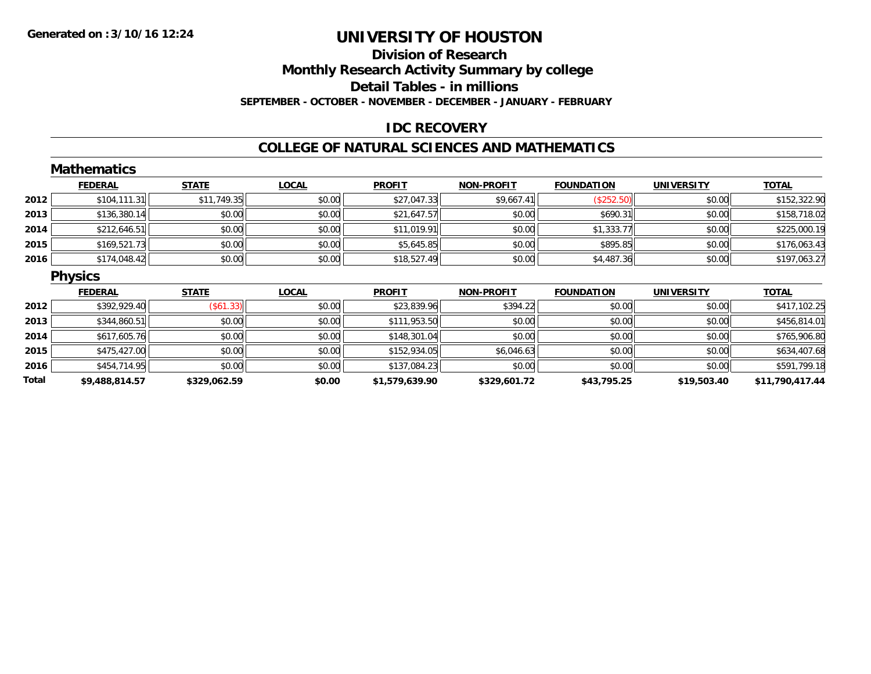### **Division of ResearchMonthly Research Activity Summary by college Detail Tables - in millions SEPTEMBER - OCTOBER - NOVEMBER - DECEMBER - JANUARY - FEBRUARY**

### **IDC RECOVERY**

#### **COLLEGE OF NATURAL SCIENCES AND MATHEMATICS**

|       | <b>Mathematics</b> |                  |              |                |                   |                   |                   |                 |
|-------|--------------------|------------------|--------------|----------------|-------------------|-------------------|-------------------|-----------------|
|       | <b>FEDERAL</b>     | <b>STATE</b>     | <b>LOCAL</b> | <b>PROFIT</b>  | <b>NON-PROFIT</b> | <b>FOUNDATION</b> | <b>UNIVERSITY</b> | <b>TOTAL</b>    |
| 2012  | \$104, 111.31      | \$11,749.35      | \$0.00       | \$27,047.33    | \$9,667.41        | (\$252.50)        | \$0.00            | \$152,322.90    |
| 2013  | \$136,380.14       | \$0.00           | \$0.00       | \$21,647.57    | \$0.00            | \$690.31          | \$0.00            | \$158,718.02    |
| 2014  | \$212,646.51       | \$0.00           | \$0.00       | \$11,019.91    | \$0.00            | \$1,333.77        | \$0.00            | \$225,000.19    |
| 2015  | \$169,521.73       | \$0.00           | \$0.00       | \$5,645.85     | \$0.00            | \$895.85          | \$0.00            | \$176,063.43    |
| 2016  | \$174,048.42       | \$0.00           | \$0.00       | \$18,527.49    | \$0.00            | \$4,487.36        | \$0.00            | \$197,063.27    |
|       | <b>Physics</b>     |                  |              |                |                   |                   |                   |                 |
|       | <b>FEDERAL</b>     | <b>STATE</b>     | <b>LOCAL</b> | <b>PROFIT</b>  | NON-PROFIT        | <b>FOUNDATION</b> | <b>UNIVERSITY</b> | <b>TOTAL</b>    |
| 2012  | \$392,929.40       | $($ \$61.33) $ $ | \$0.00       | \$23,839.96    | \$394.22          | \$0.00            | \$0.00            | \$417,102.25    |
| 2013  | \$344,860.51       | \$0.00           | \$0.00       | \$111,953.50   | \$0.00            | \$0.00            | \$0.00            | \$456,814.01    |
| 2014  | \$617,605.76       | \$0.00           | \$0.00       | \$148,301.04   | \$0.00            | \$0.00            | \$0.00            | \$765,906.80    |
| 2015  | \$475,427.00       | \$0.00           | \$0.00       | \$152,934.05   | \$6,046.63        | \$0.00            | \$0.00            | \$634,407.68    |
| 2016  | \$454,714.95       | \$0.00           | \$0.00       | \$137,084.23   | \$0.00            | \$0.00            | \$0.00            | \$591,799.18    |
| Total | \$9,488,814.57     | \$329,062.59     | \$0.00       | \$1,579,639.90 | \$329,601.72      | \$43,795.25       | \$19,503.40       | \$11,790,417.44 |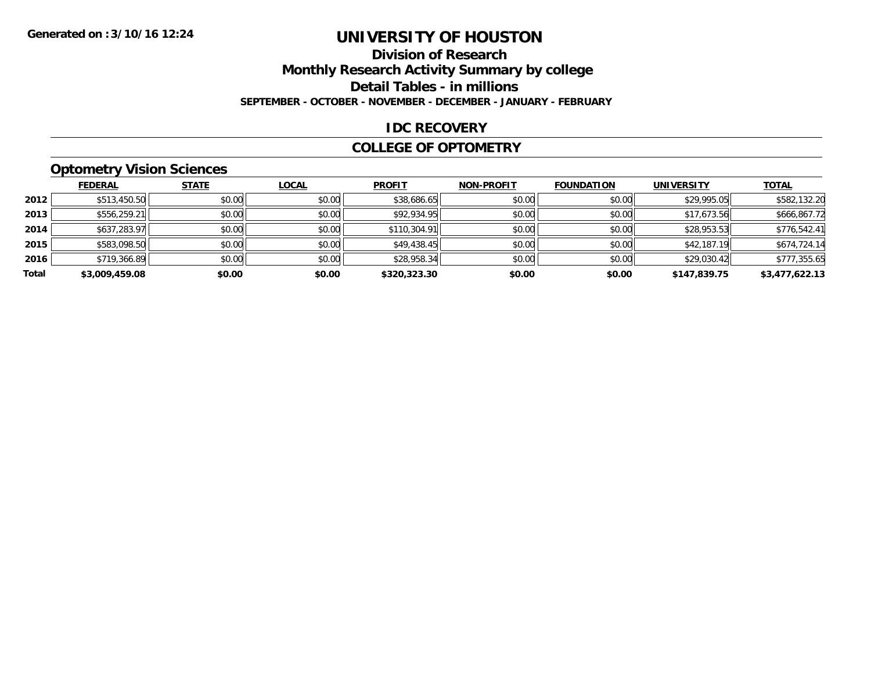# **Division of Research**

**Monthly Research Activity Summary by college**

**Detail Tables - in millions**

**SEPTEMBER - OCTOBER - NOVEMBER - DECEMBER - JANUARY - FEBRUARY**

#### **IDC RECOVERY**

#### **COLLEGE OF OPTOMETRY**

### **Optometry Vision Sciences**

|       | <b>FEDERAL</b> | <b>STATE</b> | <b>LOCAL</b> | <b>PROFIT</b> | <b>NON-PROFIT</b> | <b>FOUNDATION</b> | <b>UNIVERSITY</b> | <b>TOTAL</b>   |
|-------|----------------|--------------|--------------|---------------|-------------------|-------------------|-------------------|----------------|
| 2012  | \$513,450.50   | \$0.00       | \$0.00       | \$38,686.65   | \$0.00            | \$0.00            | \$29,995.05       | \$582,132.20   |
| 2013  | \$556,259.21   | \$0.00       | \$0.00       | \$92,934.95   | \$0.00            | \$0.00            | \$17,673.56       | \$666,867.72   |
| 2014  | \$637,283.97   | \$0.00       | \$0.00       | \$110,304.91  | \$0.00            | \$0.00            | \$28,953.53       | \$776,542.41   |
| 2015  | \$583,098.50   | \$0.00       | \$0.00       | \$49,438.45   | \$0.00            | \$0.00            | \$42,187.19       | \$674,724.14   |
| 2016  | \$719,366.89   | \$0.00       | \$0.00       | \$28,958.34   | \$0.00            | \$0.00            | \$29,030.42       | \$777,355.65   |
| Total | \$3,009,459.08 | \$0.00       | \$0.00       | \$320,323.30  | \$0.00            | \$0.00            | \$147,839.75      | \$3,477,622.13 |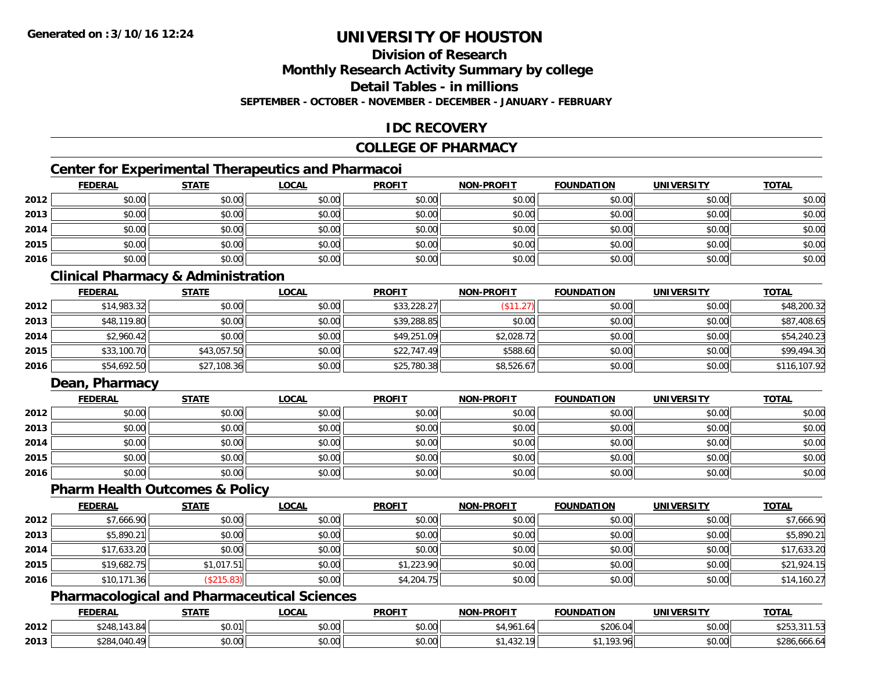### **Division of Research**

**Monthly Research Activity Summary by college**

**Detail Tables - in millions**

**SEPTEMBER - OCTOBER - NOVEMBER - DECEMBER - JANUARY - FEBRUARY**

### **IDC RECOVERY**

#### **COLLEGE OF PHARMACY**

### **Center for Experimental Therapeutics and Pharmacoi**

|      | <b>FEDERAL</b> | <b>STATE</b> | <b>LOCAL</b> | <b>PROFIT</b> | <b>NON-PROFIT</b> | <b>FOUNDATION</b> | <b>UNIVERSITY</b> | <b>TOTAL</b> |
|------|----------------|--------------|--------------|---------------|-------------------|-------------------|-------------------|--------------|
| 2012 | \$0.00         | \$0.00       | \$0.00       | \$0.00        | \$0.00            | \$0.00            | \$0.00            | \$0.00       |
| 2013 | \$0.00         | \$0.00       | \$0.00       | \$0.00        | \$0.00            | \$0.00            | \$0.00            | \$0.00       |
| 2014 | \$0.00         | \$0.00       | \$0.00       | \$0.00        | \$0.00            | \$0.00            | \$0.00            | \$0.00       |
| 2015 | \$0.00         | \$0.00       | \$0.00       | \$0.00        | \$0.00            | \$0.00            | \$0.00            | \$0.00       |
| 2016 | \$0.00         | \$0.00       | \$0.00       | \$0.00        | \$0.00            | \$0.00            | \$0.00            | \$0.00       |

### **Clinical Pharmacy & Administration**

|      | <b>FEDERAL</b> | <b>STATE</b> | <b>LOCAL</b> | <b>PROFIT</b> | <b>NON-PROFIT</b> | <b>FOUNDATION</b> | <b>UNIVERSITY</b> | <b>TOTAL</b> |
|------|----------------|--------------|--------------|---------------|-------------------|-------------------|-------------------|--------------|
| 2012 | \$14,983.32    | \$0.00       | \$0.00       | \$33,228.27   | $($ \$11.27)      | \$0.00            | \$0.00            | \$48,200.32  |
| 2013 | \$48,119.80    | \$0.00       | \$0.00       | \$39,288.85   | \$0.00            | \$0.00            | \$0.00            | \$87,408.65  |
| 2014 | \$2,960.42     | \$0.00       | \$0.00       | \$49,251.09   | \$2,028.72        | \$0.00            | \$0.00            | \$54,240.23  |
| 2015 | \$33,100.70    | \$43,057.50  | \$0.00       | \$22,747.49   | \$588.60          | \$0.00            | \$0.00            | \$99,494.30  |
| 2016 | \$54,692.50    | \$27,108.36  | \$0.00       | \$25,780.38   | \$8,526.67        | \$0.00            | \$0.00            | \$116,107.92 |

### **Dean, Pharmacy**

|      | <b>FEDERAL</b> | <b>STATE</b> | <u>LOCAL</u> | <b>PROFIT</b> | <b>NON-PROFIT</b> | <b>FOUNDATION</b> | <b>UNIVERSITY</b> | <b>TOTAL</b> |
|------|----------------|--------------|--------------|---------------|-------------------|-------------------|-------------------|--------------|
| 2012 | \$0.00         | \$0.00       | \$0.00       | \$0.00        | \$0.00            | \$0.00            | \$0.00            | \$0.00       |
| 2013 | \$0.00         | \$0.00       | \$0.00       | \$0.00        | \$0.00            | \$0.00            | \$0.00            | \$0.00       |
| 2014 | \$0.00         | \$0.00       | \$0.00       | \$0.00        | \$0.00            | \$0.00            | \$0.00            | \$0.00       |
| 2015 | \$0.00         | \$0.00       | \$0.00       | \$0.00        | \$0.00            | \$0.00            | \$0.00            | \$0.00       |
| 2016 | \$0.00         | \$0.00       | \$0.00       | \$0.00        | \$0.00            | \$0.00            | \$0.00            | \$0.00       |

#### **Pharm Health Outcomes & Policy**

|      | <b>FEDERAL</b> | <b>STATE</b> | <b>LOCAL</b> | <b>PROFIT</b> | <b>NON-PROFIT</b> | <b>FOUNDATION</b> | <b>UNIVERSITY</b> | <b>TOTAL</b> |
|------|----------------|--------------|--------------|---------------|-------------------|-------------------|-------------------|--------------|
| 2012 | \$7,666.90     | \$0.00       | \$0.00       | \$0.00        | \$0.00            | \$0.00            | \$0.00            | \$7,666.90   |
| 2013 | \$5,890.21     | \$0.00       | \$0.00       | \$0.00        | \$0.00            | \$0.00            | \$0.00            | \$5,890.21   |
| 2014 | \$17,633.20    | \$0.00       | \$0.00       | \$0.00        | \$0.00            | \$0.00            | \$0.00            | \$17,633.20  |
| 2015 | \$19,682.75    | \$1,017.51   | \$0.00       | \$1,223.90    | \$0.00            | \$0.00            | \$0.00            | \$21,924.15  |
| 2016 | \$10,171.36    | (\$215.83)   | \$0.00       | \$4,204.75    | \$0.00            | \$0.00            | \$0.00            | \$14,160.27  |

#### **Pharmacological and Pharmaceutical Sciences**

|      | <b>FEDERAL</b>                   | <b>STATE</b>                        | .OCAL                      | <b>PROFIT</b>  | MONLDDOEIT           | <b>FOUNDATION</b> | <b>UNIVERSITY</b>                                            | <b>TOTAL</b>           |
|------|----------------------------------|-------------------------------------|----------------------------|----------------|----------------------|-------------------|--------------------------------------------------------------|------------------------|
| 2012 | $\overline{a}$<br>\$248<br>13.O' | \$0.01                              | ሐሴ ሰሰ<br>JU.UU             | ልስ ስስ<br>JU.UU | $A$ $0.61$<br>. .64" | \$206.0           | $\mathfrak{g}$ $\mathfrak{g}$ $\mathfrak{g}$<br><b>JU.UU</b> | .<br><b>JLJJJJIJJJ</b> |
| 2013 | \$284.040                        | $\theta$ $\theta$ $\theta$<br>JU.UU | $\sim$<br>$\sim$<br>\$U.UU | 0000<br>PO.OO  | ⊤J∠.                 | 102               | \$0.00                                                       | \$286,666.64           |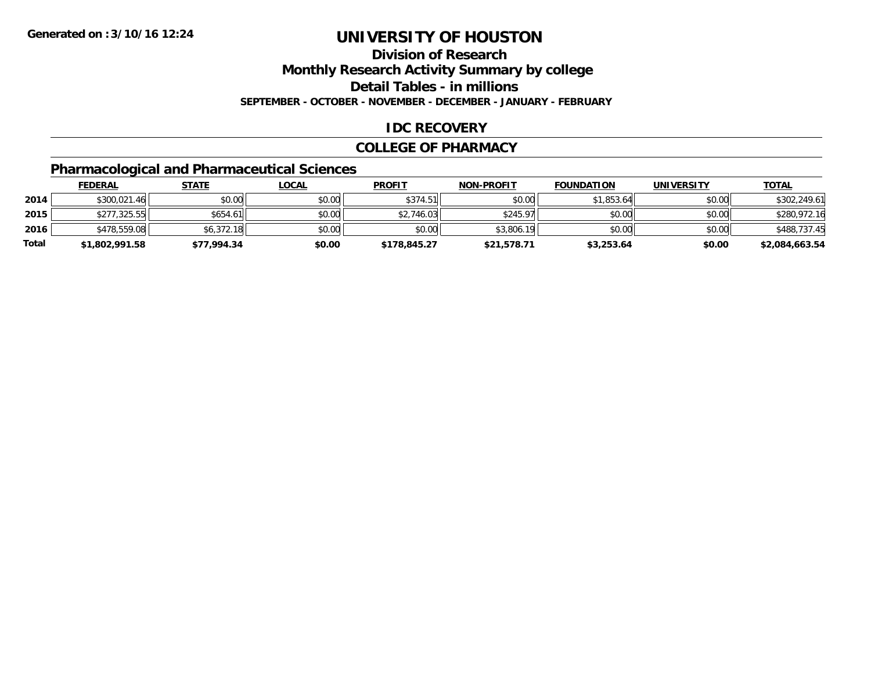## **Division of Research**

**Monthly Research Activity Summary by college**

**Detail Tables - in millions**

**SEPTEMBER - OCTOBER - NOVEMBER - DECEMBER - JANUARY - FEBRUARY**

#### **IDC RECOVERY**

#### **COLLEGE OF PHARMACY**

### **Pharmacological and Pharmaceutical Sciences**

|       | <b>FEDERAL</b> | <u>STATE</u> | <u>LOCAL</u> | <b>PROFIT</b> | <b>NON-PROFIT</b> | <b>FOUNDATION</b> | <b>UNIVERSITY</b> | <b>TOTAL</b>   |
|-------|----------------|--------------|--------------|---------------|-------------------|-------------------|-------------------|----------------|
| 2014  | \$300,021.46   | \$0.00       | \$0.00       | \$374.51      | \$0.00            | \$1,853.64        | \$0.00            | \$302,249.61   |
| 2015  | \$277.325.55   | \$654.61     | \$0.00       | \$2,746.03    | \$245.97          | \$0.00            | \$0.00            | \$280,972.16   |
| 2016  | \$478,559.08   | \$6.372.18   | \$0.00       | \$0.00        | \$3,806.19        | \$0.00            | \$0.00            | \$488,737.45   |
| Total | \$1,802,991.58 | \$77,994.34  | \$0.00       | \$178,845.27  | \$21,578.71       | \$3,253.64        | \$0.00            | \$2,084,663.54 |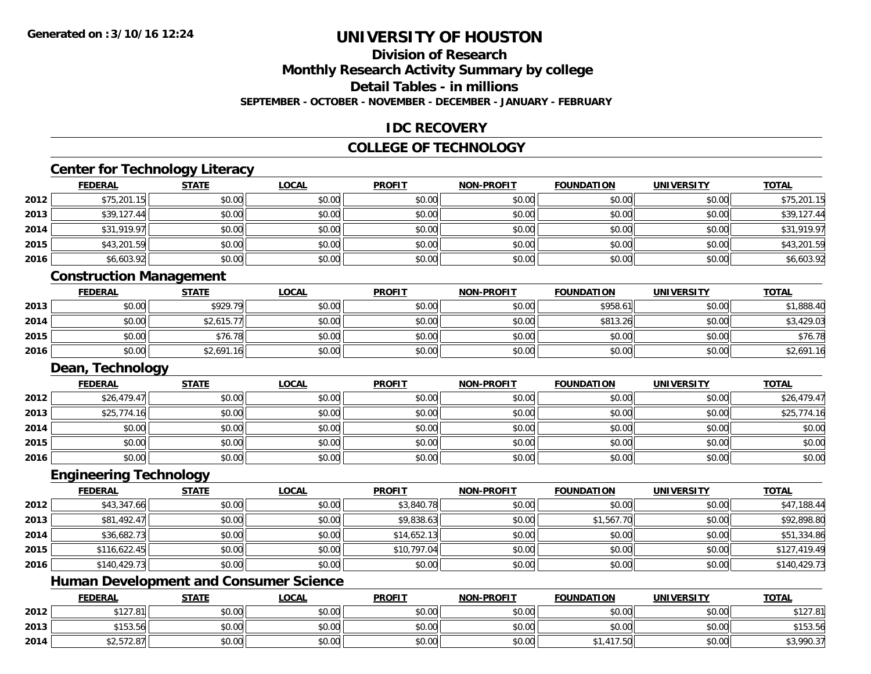## **Division of Research**

**Monthly Research Activity Summary by college**

**Detail Tables - in millions**

**SEPTEMBER - OCTOBER - NOVEMBER - DECEMBER - JANUARY - FEBRUARY**

### **IDC RECOVERY**

### **COLLEGE OF TECHNOLOGY**

# **Center for Technology Literacy**

|      | <b>FEDERAL</b>                 | <b>STATE</b> | <b>LOCAL</b> | <b>PROFIT</b> | <b>NON-PROFIT</b> | <b>FOUNDATION</b> | <b>UNIVERSITY</b> | <b>TOTAL</b> |
|------|--------------------------------|--------------|--------------|---------------|-------------------|-------------------|-------------------|--------------|
| 2012 | \$75,201.15                    | \$0.00       | \$0.00       | \$0.00        | \$0.00            | \$0.00            | \$0.00            | \$75,201.15  |
| 2013 | \$39,127.44                    | \$0.00       | \$0.00       | \$0.00        | \$0.00            | \$0.00            | \$0.00            | \$39,127.44  |
| 2014 | \$31,919.97                    | \$0.00       | \$0.00       | \$0.00        | \$0.00            | \$0.00            | \$0.00            | \$31,919.97  |
| 2015 | \$43,201.59                    | \$0.00       | \$0.00       | \$0.00        | \$0.00            | \$0.00            | \$0.00            | \$43,201.59  |
| 2016 | \$6,603.92                     | \$0.00       | \$0.00       | \$0.00        | \$0.00            | \$0.00            | \$0.00            | \$6,603.92   |
|      | <b>Construction Management</b> |              |              |               |                   |                   |                   |              |
|      |                                |              |              |               |                   |                   |                   |              |
|      | <b>FEDERAL</b>                 | <b>STATE</b> | <b>LOCAL</b> | <b>PROFIT</b> | <b>NON-PROFIT</b> | <b>FOUNDATION</b> | <b>UNIVERSITY</b> | <b>TOTAL</b> |
| 2013 | \$0.00                         | \$929.79     | \$0.00       | \$0.00        | \$0.00            | \$958.61          | \$0.00            | \$1,888.40   |
| 2014 | \$0.00                         | \$2,615.77   | \$0.00       | \$0.00        | \$0.00            | \$813.26          | \$0.00            | \$3,429.03   |
| 2015 | \$0.00                         | \$76.78      | \$0.00       | \$0.00        | \$0.00            | \$0.00            | \$0.00            | \$76.78      |
| 2016 | \$0.00                         | \$2,691.16   | \$0.00       | \$0.00        | \$0.00            | \$0.00            | \$0.00            | \$2,691.16   |

#### **FEDERAL STATE LOCAL PROFIT NON-PROFIT FOUNDATION UNIVERSITY TOTAL2012** \$26,479.47 \$0.00 \$0.00 \$0.00 \$0.00 \$0.00 \$0.00 \$26,479.47 **2013** \$25,774.16 \$0.00 \$0.00 \$0.00 \$0.00 \$0.00 \$0.00 \$25,774.16 **2014**4 \$0.00 \$0.00 \$0.00 \$0.00 \$0.00 \$0.00 \$0.00 \$0.00 \$0.00 \$0.00 \$0.00 \$0.00 \$0.00 \$0.00 \$0.00 \$0.00 \$0.00 \$0.00 **2015** \$0.00 \$0.00 \$0.00 \$0.00 \$0.00 \$0.00 \$0.00 \$0.00 **2016**6 \$0.00 \$0.00 \$0.00 \$0.00 \$0.00 \$0.00 \$0.00 \$0.00 \$0.00 \$0.00 \$0.00 \$0.00 \$0.00 \$0.00 \$0.00 \$0.00 \$0.00 \$0.00

### **Engineering Technology**

|      | <b>FEDERAL</b> | <b>STATE</b> | <u>LOCAL</u> | <b>PROFIT</b> | <b>NON-PROFIT</b> | <b>FOUNDATION</b> | <b>UNIVERSITY</b> | <b>TOTAL</b> |
|------|----------------|--------------|--------------|---------------|-------------------|-------------------|-------------------|--------------|
| 2012 | \$43,347.66    | \$0.00       | \$0.00       | \$3,840.78    | \$0.00            | \$0.00            | \$0.00            | \$47,188.44  |
| 2013 | \$81,492.47    | \$0.00       | \$0.00       | \$9,838.63    | \$0.00            | \$1,567.70        | \$0.00            | \$92,898.80  |
| 2014 | \$36,682.73    | \$0.00       | \$0.00       | \$14,652.13   | \$0.00            | \$0.00            | \$0.00            | \$51,334.86  |
| 2015 | \$116,622.45   | \$0.00       | \$0.00       | \$10,797.04   | \$0.00            | \$0.00            | \$0.00            | \$127,419.49 |
| 2016 | \$140,429.73   | \$0.00       | \$0.00       | \$0.00        | \$0.00            | \$0.00            | \$0.00            | \$140,429.73 |

### **Human Development and Consumer Science**

|      | <b>FEDERAL</b> | <b>STATE</b> | <u>_OCAL</u> | <b>PROFIT</b> | <b>NON-PROFIT</b> | <b>FOUNDATION</b> | <b>UNIVERSITY</b> | <b>TOTAL</b> |
|------|----------------|--------------|--------------|---------------|-------------------|-------------------|-------------------|--------------|
| 2012 | \$127.81       | \$0.00       | \$0.00       | \$0.00        | \$0.00            | \$0.00            | \$0.00            | \$127.81     |
| 2013 | \$153.56       | \$0.00       | \$0.00       | \$0.00        | \$0.00            | \$0.00            | \$0.00            | \$153.56     |
| 2014 | \$2.572.87     | \$0.00       | \$0.00       | \$0.00        | \$0.00            | 417.50            | \$0.00            | \$3,990.37   |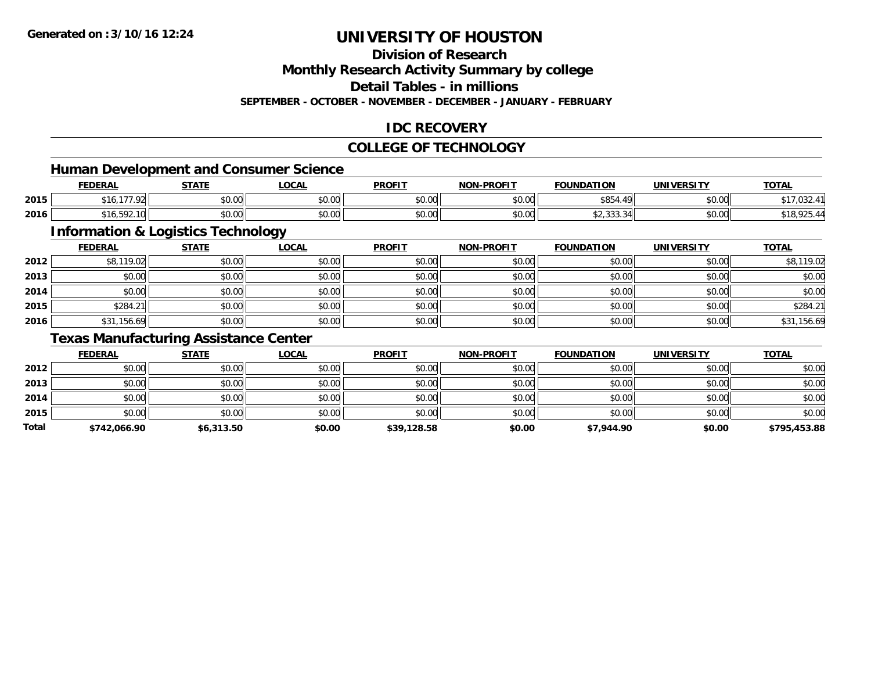### **Division of Research**

**Monthly Research Activity Summary by college**

**Detail Tables - in millions**

**SEPTEMBER - OCTOBER - NOVEMBER - DECEMBER - JANUARY - FEBRUARY**

### **IDC RECOVERY**

#### **COLLEGE OF TECHNOLOGY**

<u> 1980 - Johann Stoff, deutscher Stoff, der Stoff, der Stoff, der Stoff, der Stoff, der Stoff, der Stoff, der S</u>

### **Human Development and Consumer Science**

|      | <b>FEDERAL</b>              | <b>STATE</b><br>,,,,,, | <b>LOCAL</b>                               | <b>PROFIT</b> | <b>NON-PROFIT</b> | <b>FOUNDATION</b>                                   | <b>UNIVERSITY</b> | <u>TOTAL</u>                                    |
|------|-----------------------------|------------------------|--------------------------------------------|---------------|-------------------|-----------------------------------------------------|-------------------|-------------------------------------------------|
| 2015 | 27700<br>ж. н.<br>-16<br>72 | 0000<br>DU.UG          | $\theta$ $\theta$ $\theta$<br><b>JU.UU</b> | 0000<br>vv.vv | 0000<br>JU.UU     | \$854                                               | \$0.00            | , UJ 2.                                         |
| 2016 | 592.10<br>16.592.10         | \$0.00                 | $\theta$ $\theta$ $\theta$<br>JU.UU        | 0000<br>JU.UU | 0000<br>PO.OO     | $\uparrow$ $\uparrow$ $\uparrow$<br><b>JZ,JJJ,J</b> | \$0.00            | $\rightarrow$ 30.005 $\rightarrow$<br>410,920.7 |

### **Information & Logistics Technology**

|      | <b>FEDERAL</b> | <b>STATE</b> | <u>LOCAL</u> | <b>PROFIT</b> | <b>NON-PROFIT</b> | <b>FOUNDATION</b> | <b>UNIVERSITY</b> | <b>TOTAL</b> |
|------|----------------|--------------|--------------|---------------|-------------------|-------------------|-------------------|--------------|
| 2012 | \$8,119.02     | \$0.00       | \$0.00       | \$0.00        | \$0.00            | \$0.00            | \$0.00            | \$8,119.02   |
| 2013 | \$0.00         | \$0.00       | \$0.00       | \$0.00        | \$0.00            | \$0.00            | \$0.00            | \$0.00       |
| 2014 | \$0.00         | \$0.00       | \$0.00       | \$0.00        | \$0.00            | \$0.00            | \$0.00            | \$0.00       |
| 2015 | \$284.21       | \$0.00       | \$0.00       | \$0.00        | \$0.00            | \$0.00            | \$0.00            | \$284.21     |
| 2016 | \$31,156.69    | \$0.00       | \$0.00       | \$0.00        | \$0.00            | \$0.00            | \$0.00            | \$31,156.69  |

#### **Texas Manufacturing Assistance Center**

|       | <b>FEDERAL</b> | <u>STATE</u> | <b>LOCAL</b> | <b>PROFIT</b> | <b>NON-PROFIT</b> | <b>FOUNDATION</b> | <b>UNIVERSITY</b> | <b>TOTAL</b> |
|-------|----------------|--------------|--------------|---------------|-------------------|-------------------|-------------------|--------------|
| 2012  | \$0.00         | \$0.00       | \$0.00       | \$0.00        | \$0.00            | \$0.00            | \$0.00            | \$0.00       |
| 2013  | \$0.00         | \$0.00       | \$0.00       | \$0.00        | \$0.00            | \$0.00            | \$0.00            | \$0.00       |
| 2014  | \$0.00         | \$0.00       | \$0.00       | \$0.00        | \$0.00            | \$0.00            | \$0.00            | \$0.00       |
| 2015  | \$0.00         | \$0.00       | \$0.00       | \$0.00        | \$0.00            | \$0.00            | \$0.00            | \$0.00       |
| Total | \$742,066.90   | \$6,313.50   | \$0.00       | \$39,128.58   | \$0.00            | \$7,944.90        | \$0.00            | \$795,453.88 |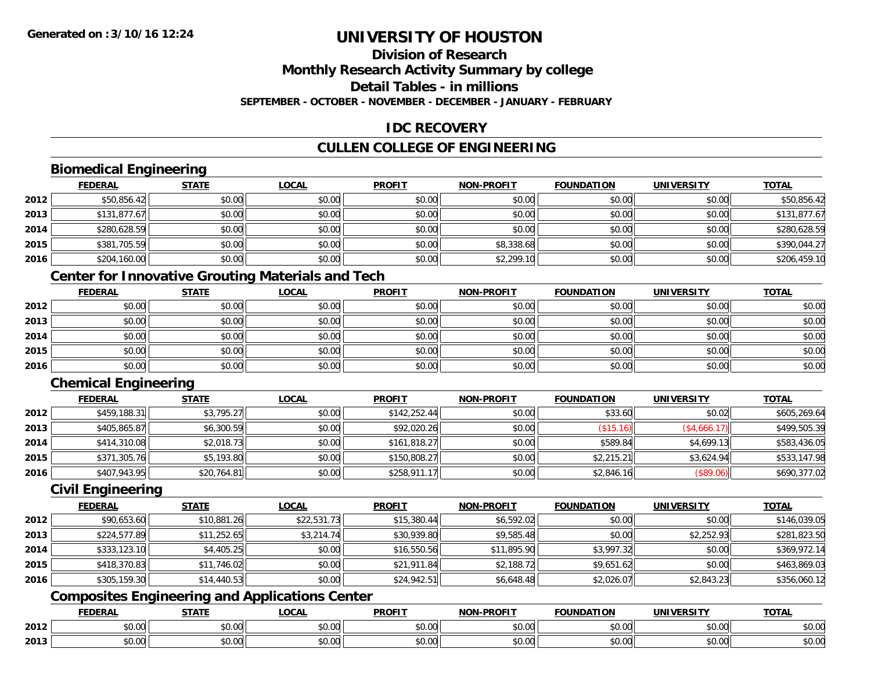## **Division of Research**

**Monthly Research Activity Summary by college**

**Detail Tables - in millions**

**SEPTEMBER - OCTOBER - NOVEMBER - DECEMBER - JANUARY - FEBRUARY**

### **IDC RECOVERY**

### **CULLEN COLLEGE OF ENGINEERING**

### **Biomedical Engineering**

|      | <b>FEDERAL</b> | <b>STATE</b> | <b>LOCAL</b> | <b>PROFIT</b> | <b>NON-PROFIT</b> | <b>FOUNDATION</b> | <b>UNIVERSITY</b> | <u>TOTAL</u> |
|------|----------------|--------------|--------------|---------------|-------------------|-------------------|-------------------|--------------|
| 2012 | \$50,856.42    | \$0.00       | \$0.00       | \$0.00        | \$0.00            | \$0.00            | \$0.00            | \$50,856.42  |
| 2013 | \$131,877.67   | \$0.00       | \$0.00       | \$0.00        | \$0.00            | \$0.00            | \$0.00            | \$131,877.67 |
| 2014 | \$280,628.59   | \$0.00       | \$0.00       | \$0.00        | \$0.00            | \$0.00            | \$0.00            | \$280,628.59 |
| 2015 | \$381,705.59   | \$0.00       | \$0.00       | \$0.00        | \$8,338.68        | \$0.00            | \$0.00            | \$390,044.27 |
| 2016 | \$204,160.00   | \$0.00       | \$0.00       | \$0.00        | \$2,299.10        | \$0.00            | \$0.00            | \$206,459.10 |

### **Center for Innovative Grouting Materials and Tech**

|      | <b>FEDERAL</b> | <b>STATE</b> | <u>LOCAL</u> | <b>PROFIT</b> | <b>NON-PROFIT</b> | <b>FOUNDATION</b> | <b>UNIVERSITY</b> | <b>TOTAL</b> |
|------|----------------|--------------|--------------|---------------|-------------------|-------------------|-------------------|--------------|
| 2012 | \$0.00         | \$0.00       | \$0.00       | \$0.00        | \$0.00            | \$0.00            | \$0.00            | \$0.00       |
| 2013 | \$0.00         | \$0.00       | \$0.00       | \$0.00        | \$0.00            | \$0.00            | \$0.00            | \$0.00       |
| 2014 | \$0.00         | \$0.00       | \$0.00       | \$0.00        | \$0.00            | \$0.00            | \$0.00            | \$0.00       |
| 2015 | \$0.00         | \$0.00       | \$0.00       | \$0.00        | \$0.00            | \$0.00            | \$0.00            | \$0.00       |
| 2016 | \$0.00         | \$0.00       | \$0.00       | \$0.00        | \$0.00            | \$0.00            | \$0.00            | \$0.00       |

### **Chemical Engineering**

|      | <b>FEDERAL</b> | <b>STATE</b> | <b>LOCAL</b> | <b>PROFIT</b> | <b>NON-PROFIT</b> | <b>FOUNDATION</b> | <b>UNIVERSITY</b> | <b>TOTAL</b> |
|------|----------------|--------------|--------------|---------------|-------------------|-------------------|-------------------|--------------|
| 2012 | \$459,188.31   | \$3,795.27   | \$0.00       | \$142,252.44  | \$0.00            | \$33.60           | \$0.02            | \$605,269.64 |
| 2013 | \$405,865.87   | \$6,300.59   | \$0.00       | \$92,020.26   | \$0.00            | (\$15.16)         | (\$4,666.17)      | \$499,505.39 |
| 2014 | \$414,310.08   | \$2,018.73   | \$0.00       | \$161,818.27  | \$0.00            | \$589.84          | \$4,699.13        | \$583,436.05 |
| 2015 | \$371,305.76   | \$5,193.80   | \$0.00       | \$150,808.27  | \$0.00            | \$2,215.21        | \$3,624.94        | \$533,147.98 |
| 2016 | \$407,943.95   | \$20,764.81  | \$0.00       | \$258,911.17  | \$0.00            | \$2,846.16        | (\$89.06)         | \$690,377.02 |

### **Civil Engineering**

|      | <b>FEDERAL</b> | <b>STATE</b> | <b>LOCAL</b> | <b>PROFIT</b> | <b>NON-PROFIT</b> | <b>FOUNDATION</b> | <b>UNIVERSITY</b> | <b>TOTAL</b> |
|------|----------------|--------------|--------------|---------------|-------------------|-------------------|-------------------|--------------|
| 2012 | \$90,653.60    | \$10,881.26  | \$22,531.73  | \$15,380.44   | \$6,592.02        | \$0.00            | \$0.00            | \$146,039.05 |
| 2013 | \$224,577.89   | \$11,252.65  | \$3,214.74   | \$30,939.80   | \$9,585.48        | \$0.00            | \$2,252.93        | \$281,823.50 |
| 2014 | \$333,123.10   | \$4,405.25   | \$0.00       | \$16,550.56   | \$11,895.90       | \$3,997.32        | \$0.00            | \$369,972.14 |
| 2015 | \$418,370.83   | \$11,746.02  | \$0.00       | \$21,911.84   | \$2,188.72        | \$9,651.62        | \$0.00            | \$463,869.03 |
| 2016 | \$305,159.30   | \$14,440.53  | \$0.00       | \$24,942.51   | \$6,648.48        | \$2,026.07        | \$2,843.23        | \$356,060.12 |

### **Composites Engineering and Applications Center**

|      | <b>DERAL</b>                    | <b>CTATI</b>  | $\bigcap$<br>.OCAI     | <b>PROFIT</b>         | <b>DDAEIT</b><br><b>NION</b> | .<br>ב נוחו<br>LION | - R.J.        | <b>TOTAL</b>   |
|------|---------------------------------|---------------|------------------------|-----------------------|------------------------------|---------------------|---------------|----------------|
| 2012 | $\sim$<br>$. \cup . \cup \cup$  | $\sim$<br>ט.ט | $\sim$ 00<br>pu.uu     | $\sim$ 00<br>ູ∞ບ.ບບ   | 0.00<br>PO.OO                | vv.vv               | 0.00<br>vv.vv | 0000<br>\$U.UU |
| 2013 | $\sim$ $\sim$<br>$\sim$<br>o.uu | しいい           | $\sim$ $\sim$<br>vu.uu | $\sim$ 00<br>ັ້ນບ.ບເ∞ | 0.00<br>PO.OO                | JU.UU               | 0.00<br>PO.OO | ስ ለሰ<br>JU.UU  |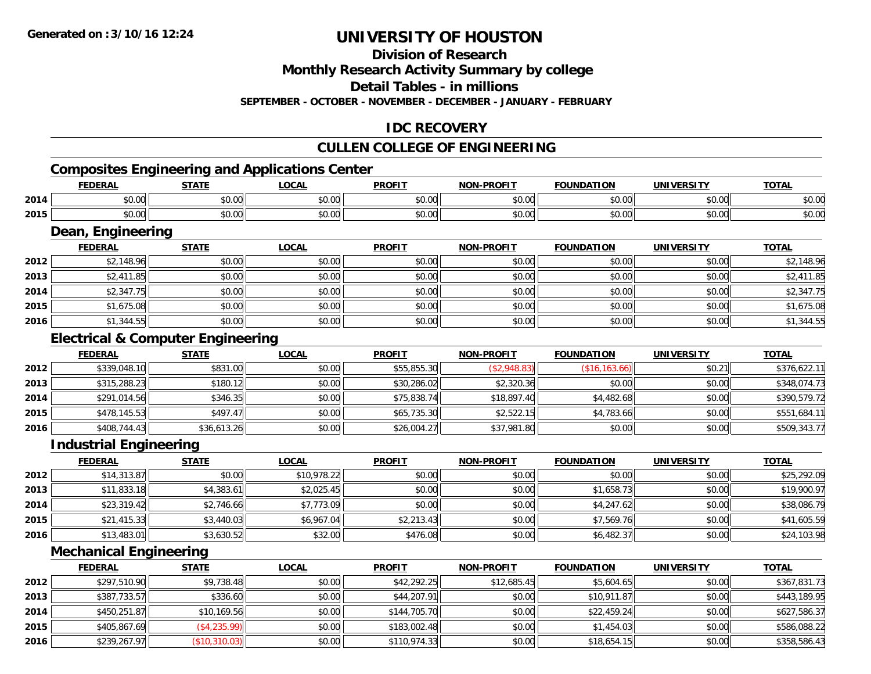### **Division of Research**

**Monthly Research Activity Summary by college**

**Detail Tables - in millions**

**SEPTEMBER - OCTOBER - NOVEMBER - DECEMBER - JANUARY - FEBRUARY**

### **IDC RECOVERY**

### **CULLEN COLLEGE OF ENGINEERING**

## **Composites Engineering and Applications Center**

|      | <b>DERAI</b> | <b>CTATE</b>       | <b>OCAL</b>   | <b>PROFIT</b> | -PROFIT<br>א∩מ | <b>NDATION</b>         | <b>IINIVEDSITV</b> | <b>TOTAL</b>           |
|------|--------------|--------------------|---------------|---------------|----------------|------------------------|--------------------|------------------------|
| 2014 | \$0.00       | ቀስ ሰስ<br>טט.טע     | 0000<br>vu.vu | 0000<br>JU.UL | ቀስ ስስ<br>pu.uu | $\sim$ $\sim$<br>JU.UU | nn nnl<br>vu.vu    | $\sim$ $\sim$<br>ง∪.∪บ |
| 2015 | \$0.00       | $\sim$ 00<br>טט.טע | 0000<br>PO.OO | 0000<br>JU.UU | 0000<br>JU.UU  | $\sim$ 00<br>JU.UU     | $\sim$ 00<br>vu.vu | $\sim$ $\sim$<br>ง∪.∪บ |

### **Dean, Engineering**

|      | Dean, Engineering |              |              |               |                   |                   |                   |              |  |  |  |
|------|-------------------|--------------|--------------|---------------|-------------------|-------------------|-------------------|--------------|--|--|--|
|      | <b>FEDERAL</b>    | <b>STATE</b> | <b>LOCAL</b> | <b>PROFIT</b> | <b>NON-PROFIT</b> | <b>FOUNDATION</b> | <b>UNIVERSITY</b> | <b>TOTAL</b> |  |  |  |
| 2012 | \$2,148.96        | \$0.00       | \$0.00       | \$0.00        | \$0.00            | \$0.00            | \$0.00            | \$2,148.96   |  |  |  |
| 2013 | \$2,411.85        | \$0.00       | \$0.00       | \$0.00        | \$0.00            | \$0.00            | \$0.00            | \$2,411.85   |  |  |  |
| 2014 | \$2,347.75        | \$0.00       | \$0.00       | \$0.00        | \$0.00            | \$0.00            | \$0.00            | \$2,347.75   |  |  |  |
| 2015 | \$1,675.08        | \$0.00       | \$0.00       | \$0.00        | \$0.00            | \$0.00            | \$0.00            | \$1,675.08   |  |  |  |
| 2016 | \$1,344.55        | \$0.00       | \$0.00       | \$0.00        | \$0.00            | \$0.00            | \$0.00            | \$1,344.55   |  |  |  |

### **Electrical & Computer Engineering**

|      | <b>FEDERAL</b> | <b>STATE</b> | <b>LOCAL</b> | <b>PROFIT</b> | <b>NON-PROFIT</b> | <b>FOUNDATION</b> | UNIVERSITY | <b>TOTAL</b> |
|------|----------------|--------------|--------------|---------------|-------------------|-------------------|------------|--------------|
| 2012 | \$339,048.10   | \$831.00     | \$0.00       | \$55,855.30   | (S2,948.83)       | (\$16, 163.66)    | \$0.21     | \$376,622.11 |
| 2013 | \$315,288.23   | \$180.12     | \$0.00       | \$30,286.02   | \$2,320.36        | \$0.00            | \$0.00     | \$348,074.73 |
| 2014 | \$291,014.56   | \$346.35     | \$0.00       | \$75,838.74   | \$18,897.40       | \$4,482.68        | \$0.00     | \$390,579.72 |
| 2015 | \$478,145.53   | \$497.47     | \$0.00       | \$65,735.30   | \$2,522.15        | \$4,783.66        | \$0.00     | \$551,684.11 |
| 2016 | \$408,744.43   | \$36,613.26  | \$0.00       | \$26,004.27   | \$37,981.80       | \$0.00            | \$0.00     | \$509,343.77 |

#### **Industrial Engineering**

|      | <b>FEDERAL</b> | <b>STATE</b> | <u>LOCAL</u> | <b>PROFIT</b> | <b>NON-PROFIT</b> | <b>FOUNDATION</b> | <b>UNIVERSITY</b> | <b>TOTAL</b> |
|------|----------------|--------------|--------------|---------------|-------------------|-------------------|-------------------|--------------|
| 2012 | \$14,313.87    | \$0.00       | \$10,978.22  | \$0.00        | \$0.00            | \$0.00            | \$0.00            | \$25,292.09  |
| 2013 | \$11,833.18    | \$4,383.61   | \$2,025.45   | \$0.00        | \$0.00            | \$1,658.73        | \$0.00            | \$19,900.97  |
| 2014 | \$23,319.42    | \$2,746.66   | \$7,773.09   | \$0.00        | \$0.00            | \$4,247.62        | \$0.00            | \$38,086.79  |
| 2015 | \$21,415.33    | \$3,440.03   | \$6,967.04   | \$2,213.43    | \$0.00            | \$7,569.76        | \$0.00            | \$41,605.59  |
| 2016 | \$13,483.01    | \$3,630.52   | \$32.00      | \$476.08      | \$0.00            | \$6,482.37        | \$0.00            | \$24,103.98  |

### **Mechanical Engineering**

|      | <b>FEDERAL</b> | <u>STATE</u>  | <b>LOCAL</b> | <b>PROFIT</b> | <b>NON-PROFIT</b> | <b>FOUNDATION</b> | <b>UNIVERSITY</b> | <u>TOTAL</u> |
|------|----------------|---------------|--------------|---------------|-------------------|-------------------|-------------------|--------------|
| 2012 | \$297,510.90   | \$9,738.48    | \$0.00       | \$42,292.25   | \$12,685.45       | \$5,604.65        | \$0.00            | \$367,831.73 |
| 2013 | \$387,733.57   | \$336.60      | \$0.00       | \$44,207.91   | \$0.00            | \$10,911.87       | \$0.00            | \$443,189.95 |
| 2014 | \$450,251.87   | \$10,169.56   | \$0.00       | \$144,705.70  | \$0.00            | \$22,459.24       | \$0.00            | \$627,586.37 |
| 2015 | \$405,867.69   | (\$4,235.99)  | \$0.00       | \$183,002.48  | \$0.00            | \$1,454.03        | \$0.00            | \$586,088.22 |
| 2016 | \$239,267.97   | (\$10,310.03) | \$0.00       | \$110,974.33  | \$0.00            | \$18,654.15       | \$0.00            | \$358,586.43 |

<u> 1989 - Johann Stoff, amerikansk politiker (d. 1989)</u>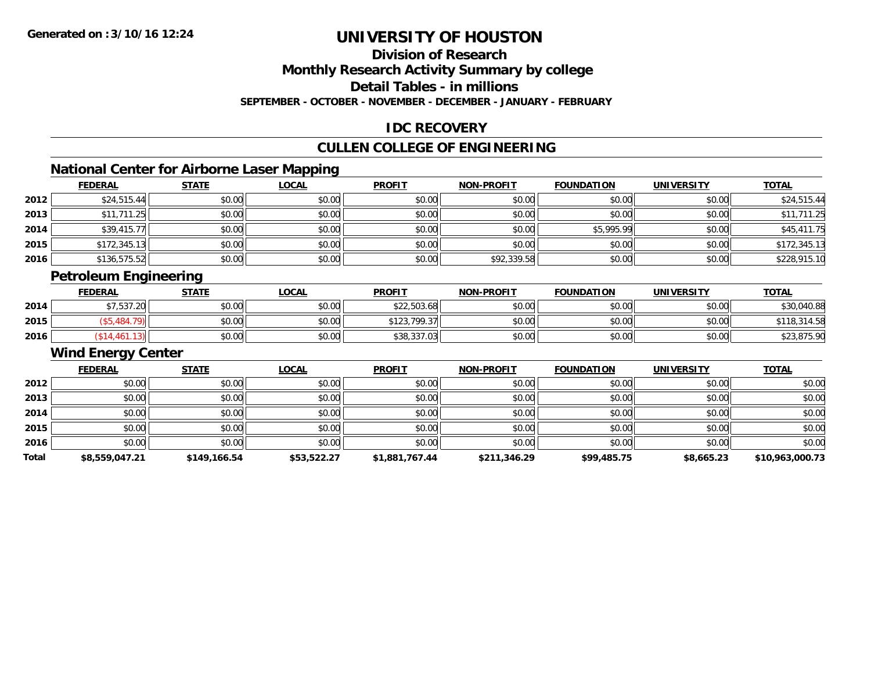### **Division of Research**

**Monthly Research Activity Summary by college**

**Detail Tables - in millions**

**SEPTEMBER - OCTOBER - NOVEMBER - DECEMBER - JANUARY - FEBRUARY**

### **IDC RECOVERY**

### **CULLEN COLLEGE OF ENGINEERING**

### **National Center for Airborne Laser Mapping**

|      | <b>FEDERAL</b> | <b>STATE</b> | <b>LOCAL</b> | <b>PROFIT</b> | <b>NON-PROFIT</b> | <b>FOUNDATION</b> | <b>UNIVERSITY</b> | <b>TOTAL</b> |
|------|----------------|--------------|--------------|---------------|-------------------|-------------------|-------------------|--------------|
| 2012 | \$24,515.44    | \$0.00       | \$0.00       | \$0.00        | \$0.00            | \$0.00            | \$0.00            | \$24,515.44  |
| 2013 | \$11,711.25    | \$0.00       | \$0.00       | \$0.00        | \$0.00            | \$0.00            | \$0.00            | \$11,711.25  |
| 2014 | \$39,415.77    | \$0.00       | \$0.00       | \$0.00        | \$0.00            | \$5,995.99        | \$0.00            | \$45,411.75  |
| 2015 | \$172,345.13   | \$0.00       | \$0.00       | \$0.00        | \$0.00            | \$0.00            | \$0.00            | \$172,345.13 |
| 2016 | \$136,575.52   | \$0.00       | \$0.00       | \$0.00        | \$92,339.58       | \$0.00            | \$0.00            | \$228,915.10 |

### **Petroleum Engineering**

|      | <b>FEDERAL</b>       | <b>STATE</b>   | LOCAL                                          | <b>PROFIT</b> | <b>NON-PROFIT</b> | <b>FOUNDATION</b> | UNIVERSITY | <b>TOTAL</b> |
|------|----------------------|----------------|------------------------------------------------|---------------|-------------------|-------------------|------------|--------------|
| 2014 | 0.707<br>$\sim$<br>. | ≮∩ ∩∩<br>PU.UU | $\mathfrak{c} \cap \mathfrak{c} \cap$<br>JU.UU | \$22,503.68   | \$0.00            | \$0.00            | \$0.00     | \$30,040.88  |
| 2015 |                      | ደስ ሰስ<br>DU.UU | \$0.00                                         | \$123.799.37  | \$0.00            | \$0.00            | \$0.00     | 86.314 ل     |
| 2016 |                      | \$0.00         | \$0.00                                         | \$38,337.03   | \$0.00            | \$0.00            | \$0.00     | \$23,875.90  |

#### **Wind Energy Center**

|       | <b>FEDERAL</b> | <b>STATE</b> | <b>LOCAL</b> | <b>PROFIT</b>  | <b>NON-PROFIT</b> | <b>FOUNDATION</b> | <b>UNIVERSITY</b> | <b>TOTAL</b>    |
|-------|----------------|--------------|--------------|----------------|-------------------|-------------------|-------------------|-----------------|
| 2012  | \$0.00         | \$0.00       | \$0.00       | \$0.00         | \$0.00            | \$0.00            | \$0.00            | \$0.00          |
| 2013  | \$0.00         | \$0.00       | \$0.00       | \$0.00         | \$0.00            | \$0.00            | \$0.00            | \$0.00          |
| 2014  | \$0.00         | \$0.00       | \$0.00       | \$0.00         | \$0.00            | \$0.00            | \$0.00            | \$0.00          |
| 2015  | \$0.00         | \$0.00       | \$0.00       | \$0.00         | \$0.00            | \$0.00            | \$0.00            | \$0.00          |
| 2016  | \$0.00         | \$0.00       | \$0.00       | \$0.00         | \$0.00            | \$0.00            | \$0.00            | \$0.00          |
| Total | \$8,559,047.21 | \$149,166.54 | \$53,522.27  | \$1,881,767.44 | \$211,346.29      | \$99,485.75       | \$8,665.23        | \$10,963,000.73 |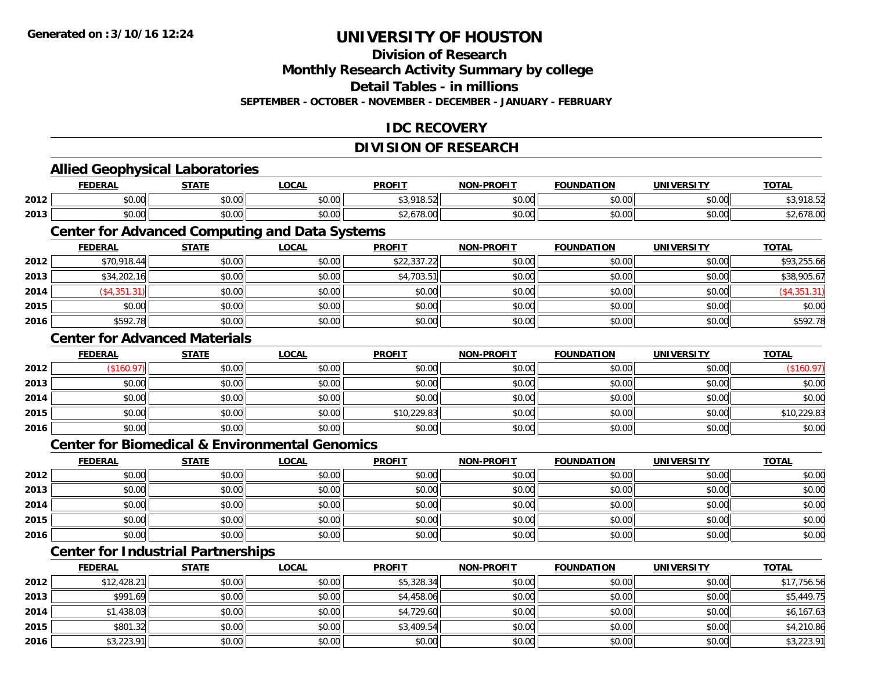**2014**

**2015**

**2016**

# **UNIVERSITY OF HOUSTON**

## **Division of Research**

**Monthly Research Activity Summary by college**

**Detail Tables - in millions**

**SEPTEMBER - OCTOBER - NOVEMBER - DECEMBER - JANUARY - FEBRUARY**

### **IDC RECOVERY**

### **DIVISION OF RESEARCH**

|      |                | <b>Allied Geophysical Laboratories</b>    |                                                           |               |                   |                   |                   |              |
|------|----------------|-------------------------------------------|-----------------------------------------------------------|---------------|-------------------|-------------------|-------------------|--------------|
|      | <b>FEDERAL</b> | <b>STATE</b>                              | <b>LOCAL</b>                                              | <b>PROFIT</b> | <b>NON-PROFIT</b> | <b>FOUNDATION</b> | <b>UNIVERSITY</b> | <b>TOTAL</b> |
| 2012 | \$0.00         | \$0.00                                    | \$0.00                                                    | \$3,918.52    | \$0.00            | \$0.00            | \$0.00            | \$3,918.52   |
| 2013 | \$0.00         | \$0.00                                    | \$0.00                                                    | \$2,678.00    | \$0.00            | \$0.00            | \$0.00            | \$2,678.00   |
|      |                |                                           | <b>Center for Advanced Computing and Data Systems</b>     |               |                   |                   |                   |              |
|      | <b>FEDERAL</b> | <b>STATE</b>                              | <b>LOCAL</b>                                              | <b>PROFIT</b> | <b>NON-PROFIT</b> | <b>FOUNDATION</b> | <b>UNIVERSITY</b> | <b>TOTAL</b> |
| 2012 | \$70,918.44    | \$0.00                                    | \$0.00                                                    | \$22,337.22   | \$0.00            | \$0.00            | \$0.00            | \$93,255.66  |
| 2013 | \$34,202.16    | \$0.00                                    | \$0.00                                                    | \$4,703.51    | \$0.00            | \$0.00            | \$0.00            | \$38,905.67  |
| 2014 | (\$4,351.31)   | \$0.00                                    | \$0.00                                                    | \$0.00        | \$0.00            | \$0.00            | \$0.00            | (\$4,351.31) |
| 2015 | \$0.00         | \$0.00                                    | \$0.00                                                    | \$0.00        | \$0.00            | \$0.00            | \$0.00            | \$0.00       |
| 2016 | \$592.78       | \$0.00                                    | \$0.00                                                    | \$0.00        | \$0.00            | \$0.00            | \$0.00            | \$592.78     |
|      |                | <b>Center for Advanced Materials</b>      |                                                           |               |                   |                   | <b>TOTAL</b>      |              |
|      | <b>FEDERAL</b> | <b>STATE</b>                              | <b>LOCAL</b>                                              | <b>PROFIT</b> | <b>NON-PROFIT</b> | <b>FOUNDATION</b> | <b>UNIVERSITY</b> |              |
| 2012 | (\$160.97)     | \$0.00                                    | \$0.00                                                    | \$0.00        | \$0.00            | \$0.00            | \$0.00            | (\$160.97)   |
| 2013 | \$0.00         | \$0.00                                    | \$0.00                                                    | \$0.00        | \$0.00            | \$0.00            | \$0.00            | \$0.00       |
| 2014 | \$0.00         | \$0.00                                    | \$0.00                                                    | \$0.00        | \$0.00            | \$0.00            | \$0.00            | \$0.00       |
| 2015 | \$0.00         | \$0.00                                    | \$0.00                                                    | \$10,229.83   | \$0.00            | \$0.00            | \$0.00            | \$10,229.83  |
| 2016 | \$0.00         | \$0.00                                    | \$0.00                                                    | \$0.00        | \$0.00            | \$0.00            | \$0.00            | \$0.00       |
|      |                |                                           | <b>Center for Biomedical &amp; Environmental Genomics</b> |               |                   |                   |                   |              |
|      | <b>FEDERAL</b> | <b>STATE</b>                              | <b>LOCAL</b>                                              | <b>PROFIT</b> | <b>NON-PROFIT</b> | <b>FOUNDATION</b> | <b>UNIVERSITY</b> | <b>TOTAL</b> |
| 2012 | \$0.00         | \$0.00                                    | \$0.00                                                    | \$0.00        | \$0.00            | \$0.00            | \$0.00            | \$0.00       |
| 2013 | \$0.00         | \$0.00                                    | \$0.00                                                    | \$0.00        | \$0.00            | \$0.00            | \$0.00            | \$0.00       |
| 2014 | \$0.00         | \$0.00                                    | \$0.00                                                    | \$0.00        | \$0.00            | \$0.00            | \$0.00            | \$0.00       |
| 2015 | \$0.00         | \$0.00                                    | \$0.00                                                    | \$0.00        | \$0.00            | \$0.00            | \$0.00            | \$0.00       |
| 2016 | \$0.00         | \$0.00                                    | \$0.00                                                    | \$0.00        | \$0.00            | \$0.00            | \$0.00            | \$0.00       |
|      |                | <b>Center for Industrial Partnerships</b> |                                                           |               |                   |                   |                   |              |
|      | <b>FEDERAL</b> | <b>STATE</b>                              | <b>LOCAL</b>                                              | <b>PROFIT</b> | NON-PROFIT        | <b>FOUNDATION</b> | <b>UNIVERSITY</b> | <b>TOTAL</b> |
| 2012 | \$12,428.21    | \$0.00                                    | \$0.00                                                    | \$5,328.34    | \$0.00            | \$0.00            | \$0.00            | \$17,756.56  |
| 2013 | \$991.69       | \$0.00                                    | \$0.00                                                    | \$4,458.06    | \$0.00            | \$0.00            | \$0.00            | \$5,449.75   |

\$1,438.03 \$0.00 \$0.00 \$4,729.60 \$0.00 \$0.00 \$0.00 \$6,167.63

5 | \$801.32|| \$0.00|| \$0.00|| \$0.00|| \$3,409.54|| \$0.00|| \$0.00|| \$0.00|| \$0.00|| \$4,210.86

6 \$3,223.91 \$0.00 \$0.00 \$0.00 \$0.00 \$0.00 \$0.00 \$0.00 \$0.00 \$0.00 \$0.00 \$0.00 \$3,223.91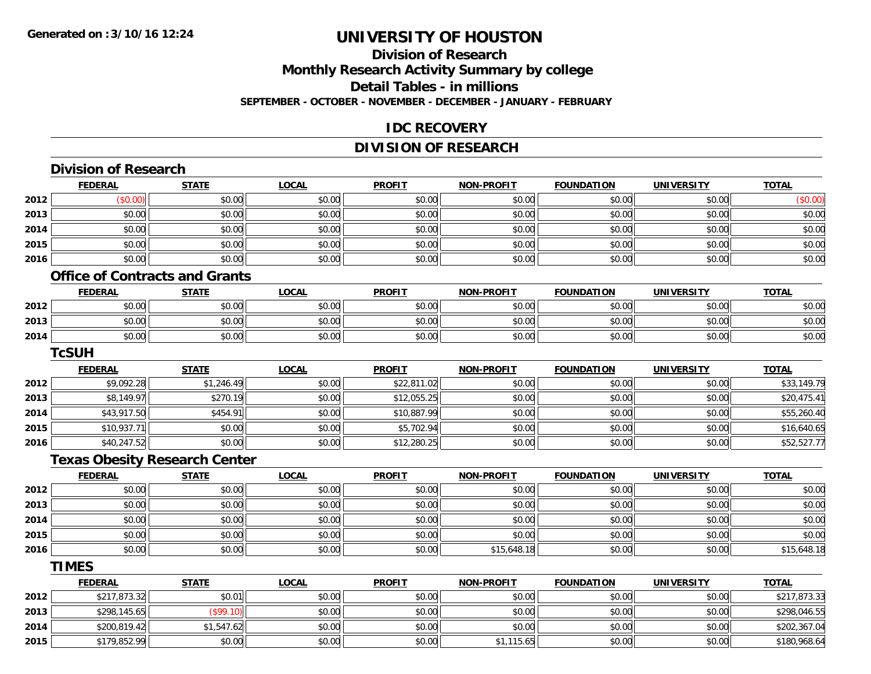**2015**

## **UNIVERSITY OF HOUSTON**

### **Division of ResearchMonthly Research Activity Summary by college Detail Tables - in millions SEPTEMBER - OCTOBER - NOVEMBER - DECEMBER - JANUARY - FEBRUARY**

#### **IDC RECOVERY**

### **DIVISION OF RESEARCH**

|      | <b>Division of Research</b>           |              |              |               |                   |                   |                   |              |
|------|---------------------------------------|--------------|--------------|---------------|-------------------|-------------------|-------------------|--------------|
|      | <b>FEDERAL</b>                        | <b>STATE</b> | <b>LOCAL</b> | <b>PROFIT</b> | NON-PROFIT        | <b>FOUNDATION</b> | <b>UNIVERSITY</b> | <b>TOTAL</b> |
| 2012 | (\$0.00)                              | \$0.00       | \$0.00       | \$0.00        | \$0.00            | \$0.00            | \$0.00            | (\$0.00)     |
| 2013 | \$0.00                                | \$0.00       | \$0.00       | \$0.00        | \$0.00            | \$0.00            | \$0.00            | \$0.00       |
| 2014 | \$0.00                                | \$0.00       | \$0.00       | \$0.00        | \$0.00            | \$0.00            | \$0.00            | \$0.00       |
| 2015 | \$0.00                                | \$0.00       | \$0.00       | \$0.00        | \$0.00            | \$0.00            | \$0.00            | \$0.00       |
| 2016 | \$0.00                                | \$0.00       | \$0.00       | \$0.00        | \$0.00            | \$0.00            | \$0.00            | \$0.00       |
|      | <b>Office of Contracts and Grants</b> |              |              |               |                   |                   |                   |              |
|      | <b>FEDERAL</b>                        | <b>STATE</b> | <b>LOCAL</b> | <b>PROFIT</b> | NON-PROFIT        | <b>FOUNDATION</b> | <b>UNIVERSITY</b> | <b>TOTAL</b> |
| 2012 | \$0.00                                | \$0.00       | \$0.00       | \$0.00        | \$0.00            | \$0.00            | \$0.00            | \$0.00       |
| 2013 | \$0.00                                | \$0.00       | \$0.00       | \$0.00        | \$0.00            | \$0.00            | \$0.00            | \$0.00       |
| 2014 | \$0.00                                | \$0.00       | \$0.00       | \$0.00        | \$0.00            | \$0.00            | \$0.00            | \$0.00       |
|      | <b>TcSUH</b>                          |              |              |               |                   |                   |                   |              |
|      | <b>FEDERAL</b>                        | <b>STATE</b> | <b>LOCAL</b> | <b>PROFIT</b> | NON-PROFIT        | <b>FOUNDATION</b> | <b>UNIVERSITY</b> | <b>TOTAL</b> |
| 2012 | \$9,092.28                            | \$1,246.49   | \$0.00       | \$22,811.02   | \$0.00            | \$0.00            | \$0.00            | \$33,149.79  |
| 2013 | \$8,149.97                            | \$270.19     | \$0.00       | \$12,055.25   | \$0.00            | \$0.00            | \$0.00            | \$20,475.41  |
| 2014 | \$43,917.50                           | \$454.91     | \$0.00       | \$10,887.99   | \$0.00            | \$0.00            | \$0.00            | \$55,260.40  |
| 2015 | \$10,937.71                           | \$0.00       | \$0.00       | \$5,702.94    | \$0.00            | \$0.00            | \$0.00            | \$16,640.65  |
| 2016 | \$40,247.52                           | \$0.00       | \$0.00       | \$12,280.25   | \$0.00            | \$0.00            | \$0.00            | \$52,527.77  |
|      | <b>Texas Obesity Research Center</b>  |              |              |               |                   |                   |                   |              |
|      | <b>FEDERAL</b>                        | <b>STATE</b> | <b>LOCAL</b> | <b>PROFIT</b> | <b>NON-PROFIT</b> | <b>FOUNDATION</b> | <b>UNIVERSITY</b> | <b>TOTAL</b> |
| 2012 | \$0.00                                | \$0.00       | \$0.00       | \$0.00        | \$0.00            | \$0.00            | \$0.00            | \$0.00       |
| 2013 | \$0.00                                | \$0.00       | \$0.00       | \$0.00        | \$0.00            | \$0.00            | \$0.00            | \$0.00       |
| 2014 | \$0.00                                | \$0.00       | \$0.00       | \$0.00        | \$0.00            | \$0.00            | \$0.00            | \$0.00       |
| 2015 | \$0.00                                | \$0.00       | \$0.00       | \$0.00        | \$0.00            | \$0.00            | \$0.00            | \$0.00       |
| 2016 | \$0.00                                | \$0.00       | \$0.00       | \$0.00        | \$15,648.18       | \$0.00            | \$0.00            | \$15,648.18  |
|      | <b>TIMES</b>                          |              |              |               |                   |                   |                   |              |
|      | <b>FEDERAL</b>                        | <b>STATE</b> | <b>LOCAL</b> | <b>PROFIT</b> | <b>NON-PROFIT</b> | <b>FOUNDATION</b> | <b>UNIVERSITY</b> | <b>TOTAL</b> |
| 2012 | \$217,873.32                          | \$0.01       | \$0.00       | \$0.00        | \$0.00            | \$0.00            | \$0.00            | \$217,873.33 |
| 2013 | \$298,145.65                          | (\$99.10)    | \$0.00       | \$0.00        | \$0.00            | \$0.00            | \$0.00            | \$298,046.55 |
| 2014 | \$200,819.42                          | \$1,547.62   | \$0.00       | \$0.00        | \$0.00            | \$0.00            | \$0.00            | \$202,367.04 |
|      |                                       |              |              |               |                   |                   |                   |              |

5 \$179,852.99 \$0.00 \$0.00 \$0.00 \$0.00 \$0.00 \$0.00 \$0.00 \$1,115.65 \$1,115.65 \$0.00 \$0.00 \$180,968.64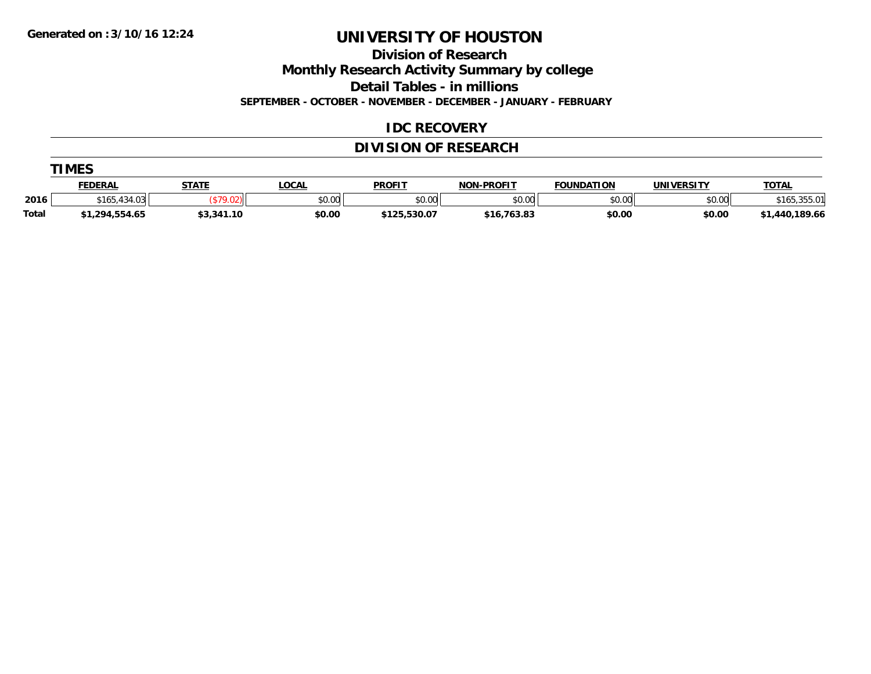**Division of Research**

**Monthly Research Activity Summary by college**

**Detail Tables - in millions**

**SEPTEMBER - OCTOBER - NOVEMBER - DECEMBER - JANUARY - FEBRUARY**

#### **IDC RECOVERY**

### **DIVISION OF RESEARCH**

|              | <b>TIMES</b>   |              |        |               |                   |                   |            |                   |  |  |  |  |
|--------------|----------------|--------------|--------|---------------|-------------------|-------------------|------------|-------------------|--|--|--|--|
|              | <b>FEDERAL</b> | <b>STATE</b> | LOCAL  | <b>PROFIT</b> | <b>NON-PROFIT</b> | <b>FOUNDATION</b> | UNIVERSITY | <b>TOTAL</b>      |  |  |  |  |
| 2016         | \$165,434.03   |              | \$0.00 | \$0.00        | \$0.00            | \$0.00            | \$0.00     | ,355.01<br>\$165, |  |  |  |  |
| <b>Total</b> | \$1,294,554.65 | \$3,341.10   | \$0.00 | \$125,530.07  | \$16,763.83       | \$0.00            | \$0.00     | \$1,440,189.66    |  |  |  |  |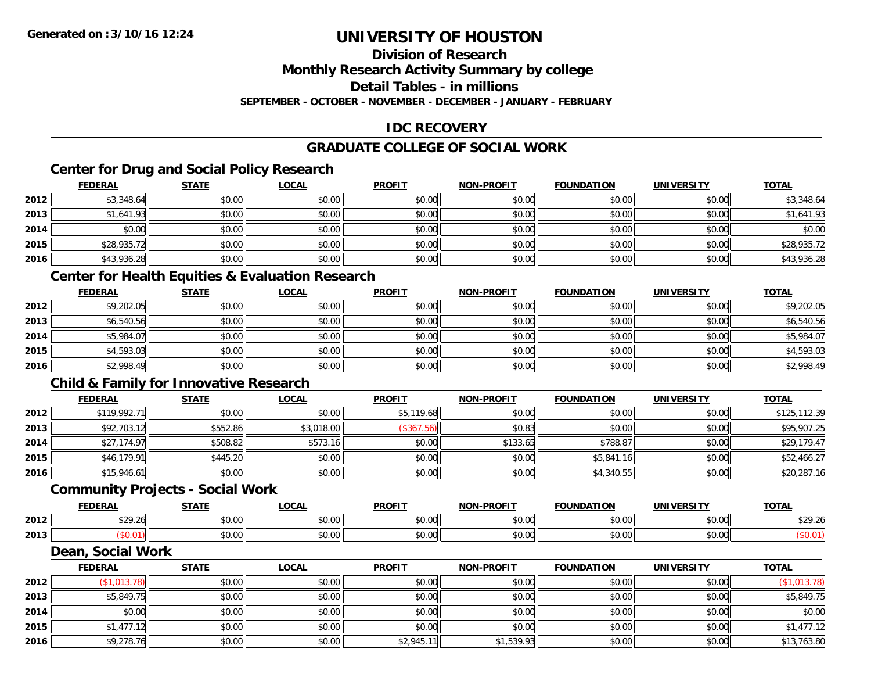### **Division of Research**

**Monthly Research Activity Summary by college**

**Detail Tables - in millions**

**SEPTEMBER - OCTOBER - NOVEMBER - DECEMBER - JANUARY - FEBRUARY**

### **IDC RECOVERY**

### **GRADUATE COLLEGE OF SOCIAL WORK**

### **Center for Drug and Social Policy Research**

|      | <b>FEDERAL</b> | <b>STATE</b> | <u>LOCAL</u> | <b>PROFIT</b> | <b>NON-PROFIT</b> | <b>FOUNDATION</b> | <b>UNIVERSITY</b> | <b>TOTAL</b> |
|------|----------------|--------------|--------------|---------------|-------------------|-------------------|-------------------|--------------|
| 2012 | \$3,348.64     | \$0.00       | \$0.00       | \$0.00        | \$0.00            | \$0.00            | \$0.00            | \$3,348.64   |
| 2013 | \$1,641.93     | \$0.00       | \$0.00       | \$0.00        | \$0.00            | \$0.00            | \$0.00            | \$1,641.93   |
| 2014 | \$0.00         | \$0.00       | \$0.00       | \$0.00        | \$0.00            | \$0.00            | \$0.00            | \$0.00       |
| 2015 | \$28,935.72    | \$0.00       | \$0.00       | \$0.00        | \$0.00            | \$0.00            | \$0.00            | \$28,935.72  |
| 2016 | \$43,936.28    | \$0.00       | \$0.00       | \$0.00        | \$0.00            | \$0.00            | \$0.00            | \$43,936.28  |

### **Center for Health Equities & Evaluation Research**

|      | <u>FEDERAL</u> | <b>STATE</b> | <b>LOCAL</b> | <b>PROFIT</b> | <b>NON-PROFIT</b> | <b>FOUNDATION</b> | <b>UNIVERSITY</b> | <b>TOTAL</b> |
|------|----------------|--------------|--------------|---------------|-------------------|-------------------|-------------------|--------------|
| 2012 | \$9,202.05     | \$0.00       | \$0.00       | \$0.00        | \$0.00            | \$0.00            | \$0.00            | \$9,202.05   |
| 2013 | \$6,540.56     | \$0.00       | \$0.00       | \$0.00        | \$0.00            | \$0.00            | \$0.00            | \$6,540.56   |
| 2014 | \$5,984.07     | \$0.00       | \$0.00       | \$0.00        | \$0.00            | \$0.00            | \$0.00            | \$5,984.07   |
| 2015 | \$4,593.03     | \$0.00       | \$0.00       | \$0.00        | \$0.00            | \$0.00            | \$0.00            | \$4,593.03   |
| 2016 | \$2,998.49     | \$0.00       | \$0.00       | \$0.00        | \$0.00            | \$0.00            | \$0.00            | \$2,998.49   |

### **Child & Family for Innovative Research**

|      | <b>FEDERAL</b> | <b>STATE</b> | <u>LOCAL</u> | <b>PROFIT</b> | <b>NON-PROFIT</b> | <b>FOUNDATION</b> | <b>UNIVERSITY</b> | <b>TOTAL</b> |
|------|----------------|--------------|--------------|---------------|-------------------|-------------------|-------------------|--------------|
| 2012 | \$119,992.71   | \$0.00       | \$0.00       | \$5,119.68    | \$0.00            | \$0.00            | \$0.00            | \$125,112.39 |
| 2013 | \$92,703.12    | \$552.86     | \$3,018.00   | (\$367.56)    | \$0.83            | \$0.00            | \$0.00            | \$95,907.25  |
| 2014 | \$27,174.97    | \$508.82     | \$573.16     | \$0.00        | \$133.65          | \$788.87          | \$0.00            | \$29,179.47  |
| 2015 | \$46,179.91    | \$445.20     | \$0.00       | \$0.00        | \$0.00            | \$5,841.16        | \$0.00            | \$52,466.27  |
| 2016 | \$15,946.61    | \$0.00       | \$0.00       | \$0.00        | \$0.00            | \$4,340.55        | \$0.00            | \$20,287.16  |

#### **Community Projects - Social Work**

|      | <b>FEDERAL</b>             | 27.77          | <b>OCAL</b>   | <b>PROFIT</b>         | <b>NON-PROFIT</b> | <b>FOUNDATION</b>       | UNIVERSITY                      | <b>TOTAL</b>       |
|------|----------------------------|----------------|---------------|-----------------------|-------------------|-------------------------|---------------------------------|--------------------|
| 2012 | <b>¢ገ</b> ດ ገሬ<br>JZ 7. ZU | ሶስ ሰሰ<br>JU.UU | 0.00<br>JU.UU | JU.UU                 | 0000<br>vv.vv     | 0000<br>$-0.00$         | $n \cap \Omega$<br><b>JU.UU</b> | $\cdots$<br>927.ZU |
| 2013 |                            | ሶስ ሰሰ<br>JU.UU | 0.00<br>JU.UU | $\sim$ $\sim$<br>vv.v | 0000<br>JU.UU     | $n \cap \neg$<br>⊸J.UU⊩ | \$0.00                          |                    |

#### **Dean, Social Work**

|      | <b>FEDERAL</b> | <b>STATE</b> | <u>LOCAL</u> | <b>PROFIT</b> | <b>NON-PROFIT</b> | <b>FOUNDATION</b> | <b>UNIVERSITY</b> | <b>TOTAL</b> |
|------|----------------|--------------|--------------|---------------|-------------------|-------------------|-------------------|--------------|
| 2012 | (\$1,013.78)   | \$0.00       | \$0.00       | \$0.00        | \$0.00            | \$0.00            | \$0.00            | \$1,013.78   |
| 2013 | \$5,849.75     | \$0.00       | \$0.00       | \$0.00        | \$0.00            | \$0.00            | \$0.00            | \$5,849.75   |
| 2014 | \$0.00         | \$0.00       | \$0.00       | \$0.00        | \$0.00            | \$0.00            | \$0.00            | \$0.00       |
| 2015 | \$1,477.12     | \$0.00       | \$0.00       | \$0.00        | \$0.00            | \$0.00            | \$0.00            | \$1,477.12   |
| 2016 | \$9,278.76     | \$0.00       | \$0.00       | \$2,945.11    | \$1,539.93        | \$0.00            | \$0.00            | \$13,763.80  |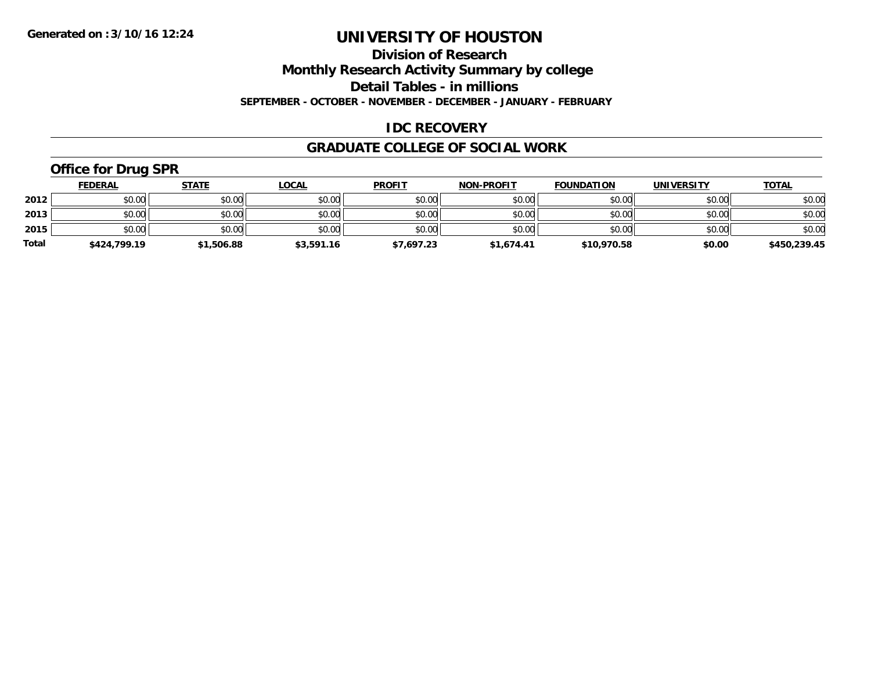**Division of Research**

**Monthly Research Activity Summary by college**

**Detail Tables - in millions**

**SEPTEMBER - OCTOBER - NOVEMBER - DECEMBER - JANUARY - FEBRUARY**

### **IDC RECOVERY**

#### **GRADUATE COLLEGE OF SOCIAL WORK**

### **Office for Drug SPR**

|              | <b>FEDERAL</b> | <u>STATE</u> | <u>LOCAL</u> | <b>PROFIT</b> | <b>NON-PROFIT</b> | <b>FOUNDATION</b> | <b>UNIVERSITY</b> | <b>TOTAL</b> |
|--------------|----------------|--------------|--------------|---------------|-------------------|-------------------|-------------------|--------------|
| 2012         | \$0.00         | \$0.00       | \$0.00       | \$0.00        | \$0.00            | \$0.00            | \$0.00            | \$0.00       |
| 2013         | \$0.00         | \$0.00       | \$0.00       | \$0.00        | \$0.00            | \$0.00            | \$0.00            | \$0.00       |
| 2015         | \$0.00         | \$0.00       | \$0.00       | \$0.00        | \$0.00            | \$0.00            | \$0.00            | \$0.00       |
| <b>Total</b> | \$424,799.19   | \$1,506.88   | \$3,591.16   | \$7,697.23    | \$1,674.41        | \$10,970.58       | \$0.00            | \$450,239.45 |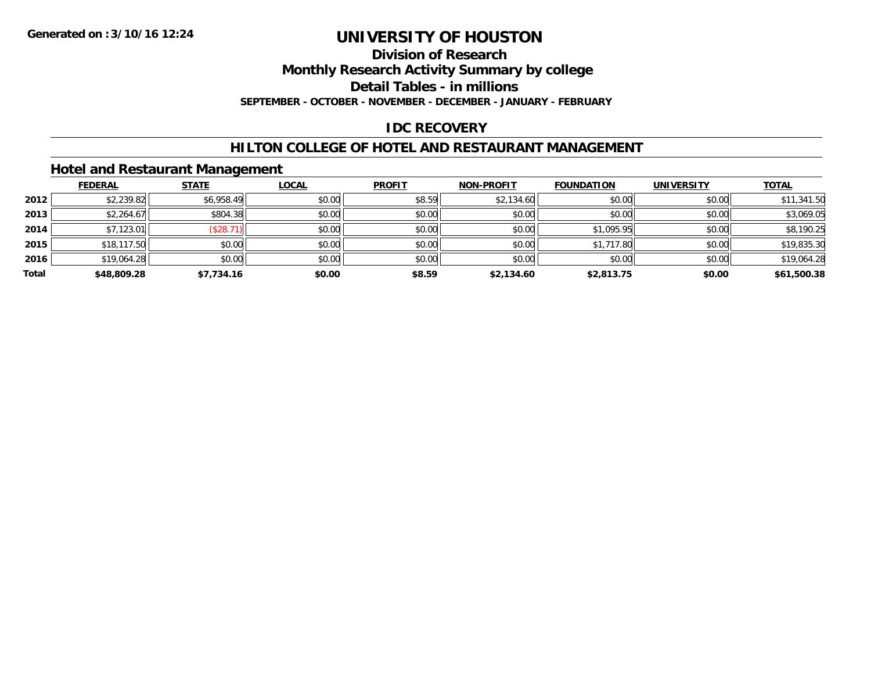#### **Division of Research**

**Monthly Research Activity Summary by college**

**Detail Tables - in millions**

**SEPTEMBER - OCTOBER - NOVEMBER - DECEMBER - JANUARY - FEBRUARY**

### **IDC RECOVERY**

#### **HILTON COLLEGE OF HOTEL AND RESTAURANT MANAGEMENT**

### **Hotel and Restaurant Management**

|       | <b>FEDERAL</b> | <b>STATE</b> | <u>LOCAL</u> | <b>PROFIT</b> | <b>NON-PROFIT</b> | <b>FOUNDATION</b> | <b>UNIVERSITY</b> | <b>TOTAL</b> |
|-------|----------------|--------------|--------------|---------------|-------------------|-------------------|-------------------|--------------|
| 2012  | \$2,239.82     | \$6,958.49   | \$0.00       | \$8.59        | \$2,134.60        | \$0.00            | \$0.00            | \$11,341.50  |
| 2013  | \$2,264.67     | \$804.38     | \$0.00       | \$0.00        | \$0.00            | \$0.00            | \$0.00            | \$3,069.05   |
| 2014  | \$7,123.01     | (\$28.7)     | \$0.00       | \$0.00        | \$0.00            | \$1,095.95        | \$0.00            | \$8,190.25   |
| 2015  | \$18,117.50    | \$0.00       | \$0.00       | \$0.00        | \$0.00            | \$1,717.80        | \$0.00            | \$19,835.30  |
| 2016  | \$19,064.28    | \$0.00       | \$0.00       | \$0.00        | \$0.00            | \$0.00            | \$0.00            | \$19,064.28  |
| Total | \$48,809.28    | \$7.734.16   | \$0.00       | \$8.59        | \$2,134.60        | \$2,813.75        | \$0.00            | \$61,500.38  |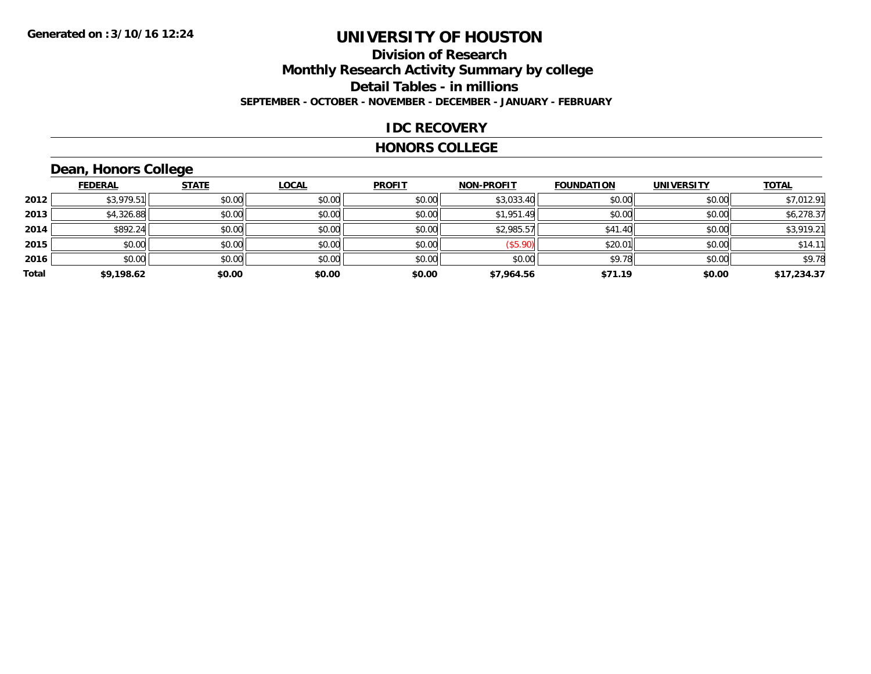#### **Division of Research Monthly Research Activity Summary by college Detail Tables - in millions SEPTEMBER - OCTOBER - NOVEMBER - DECEMBER - JANUARY - FEBRUARY**

#### **IDC RECOVERY**

#### **HONORS COLLEGE**

## **Dean, Honors College**

|       |                | $\sim$       |              |               |                   |                   |                   |              |
|-------|----------------|--------------|--------------|---------------|-------------------|-------------------|-------------------|--------------|
|       | <b>FEDERAL</b> | <b>STATE</b> | <b>LOCAL</b> | <b>PROFIT</b> | <b>NON-PROFIT</b> | <b>FOUNDATION</b> | <b>UNIVERSITY</b> | <b>TOTAL</b> |
| 2012  | \$3,979.51     | \$0.00       | \$0.00       | \$0.00        | \$3,033.40        | \$0.00            | \$0.00            | \$7,012.91   |
| 2013  | \$4,326.88     | \$0.00       | \$0.00       | \$0.00        | \$1,951.49        | \$0.00            | \$0.00            | \$6,278.37   |
| 2014  | \$892.24       | \$0.00       | \$0.00       | \$0.00        | \$2,985.57        | \$41.40           | \$0.00            | \$3,919.21   |
| 2015  | \$0.00         | \$0.00       | \$0.00       | \$0.00        | (\$5.90)          | \$20.01           | \$0.00            | \$14.11      |
| 2016  | \$0.00         | \$0.00       | \$0.00       | \$0.00        | \$0.00            | \$9.78            | \$0.00            | \$9.78       |
| Total | \$9,198.62     | \$0.00       | \$0.00       | \$0.00        | \$7,964.56        | \$71.19           | \$0.00            | \$17,234.37  |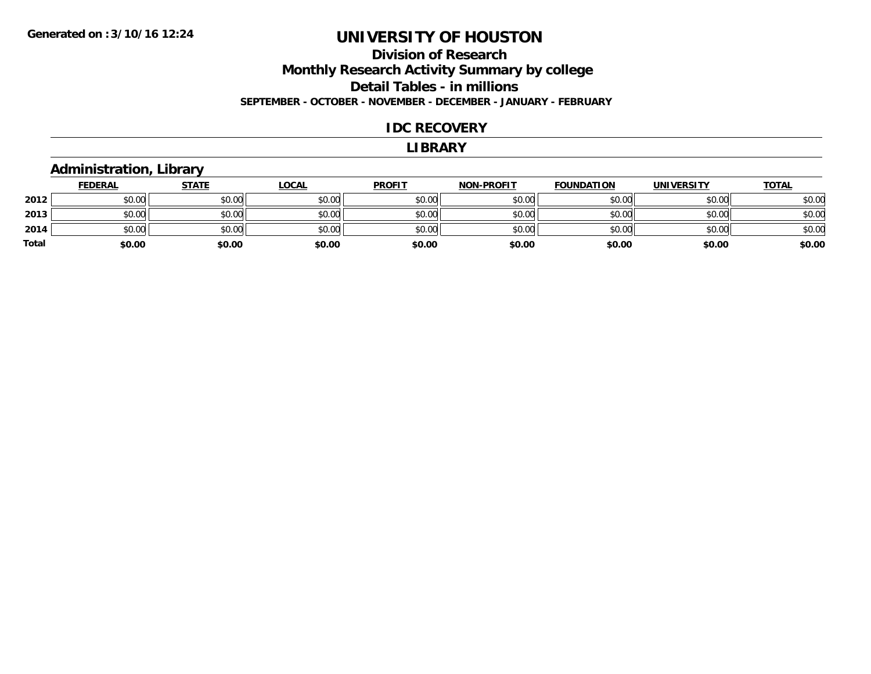#### **Division of Research Monthly Research Activity Summary by college Detail Tables - in millions SEPTEMBER - OCTOBER - NOVEMBER - DECEMBER - JANUARY - FEBRUARY**

#### **IDC RECOVERY**

#### **LIBRARY**

### **Administration, Library**

|       | <b>FEDERAL</b> | <b>STATE</b> | <b>LOCAL</b> | <b>PROFIT</b> | <b>NON-PROFIT</b> | <b>FOUNDATION</b> | <b>UNIVERSITY</b> | <b>TOTAL</b> |
|-------|----------------|--------------|--------------|---------------|-------------------|-------------------|-------------------|--------------|
| 2012  | \$0.00         | \$0.00       | \$0.00       | \$0.00        | \$0.00            | \$0.00            | \$0.00            | \$0.00       |
| 2013  | \$0.00         | \$0.00       | \$0.00       | \$0.00        | \$0.00            | \$0.00            | \$0.00            | \$0.00       |
| 2014  | \$0.00         | \$0.00       | \$0.00       | \$0.00        | \$0.00            | \$0.00            | \$0.00            | \$0.00       |
| Total | \$0.00         | \$0.00       | \$0.00       | \$0.00        | \$0.00            | \$0.00            | \$0.00            | \$0.00       |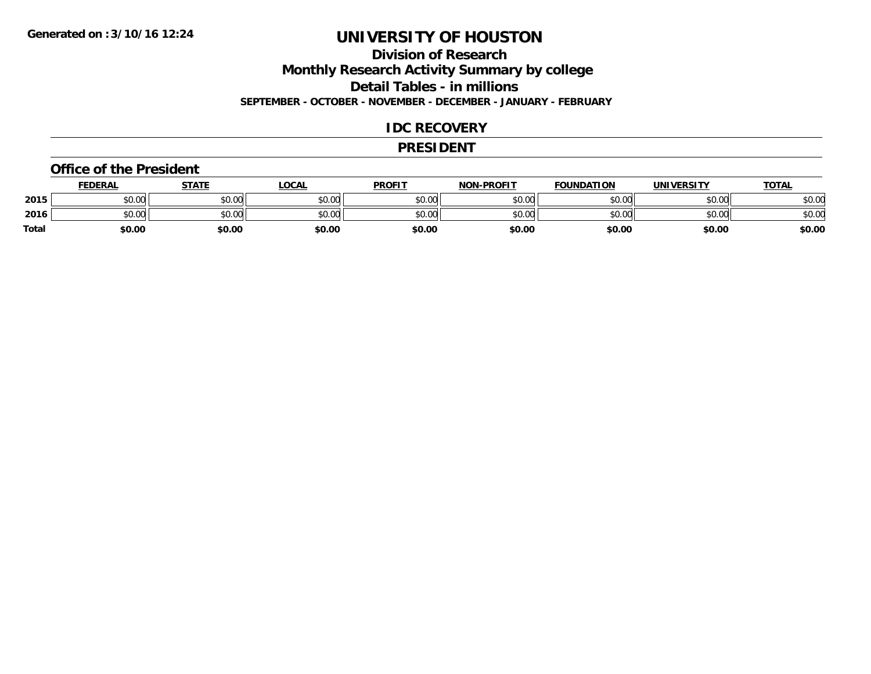### **Division of Research**

**Monthly Research Activity Summary by college**

**Detail Tables - in millions**

**SEPTEMBER - OCTOBER - NOVEMBER - DECEMBER - JANUARY - FEBRUARY**

#### **IDC RECOVERY**

#### **PRESIDENT**

#### **Office of the President**

|              | <b>FEDERAL</b> | STATE  | LOCAL  | <b>PROFIT</b> | <b>NON-PROFIT</b> | <b>FOUNDATION</b> | <b>UNIVERSITY</b> | <b>TOTAL</b> |
|--------------|----------------|--------|--------|---------------|-------------------|-------------------|-------------------|--------------|
| 2015         | \$0.00         | \$0.00 | \$0.00 | \$0.00        | \$0.00            | \$0.00            | \$0.00            | \$0.00       |
| 2016         | \$0.00         | \$0.00 | \$0.00 | \$0.00        | \$0.00            | \$0.00            | \$0.00            | \$0.00       |
| <b>Total</b> | \$0.00         | \$0.00 | \$0.00 | \$0.00        | \$0.00            | \$0.00            | \$0.00            | \$0.00       |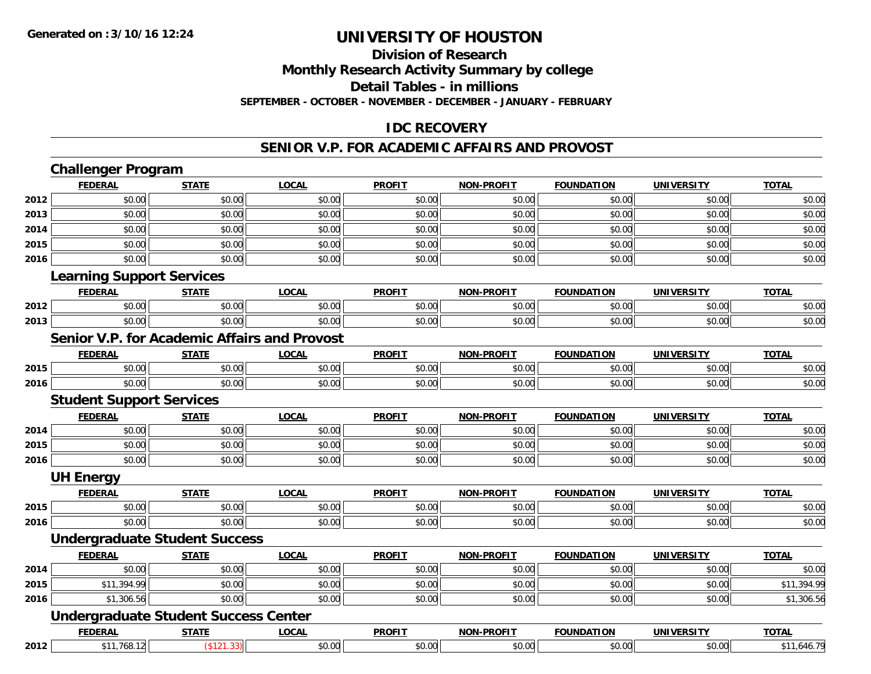#### **Division of Research**

**Monthly Research Activity Summary by college**

**Detail Tables - in millions**

**SEPTEMBER - OCTOBER - NOVEMBER - DECEMBER - JANUARY - FEBRUARY**

#### **IDC RECOVERY**

#### **SENIOR V.P. FOR ACADEMIC AFFAIRS AND PROVOST**

|      | <b>Challenger Program</b>                           |              |              |               |                   |                   |                   |              |
|------|-----------------------------------------------------|--------------|--------------|---------------|-------------------|-------------------|-------------------|--------------|
|      | <b>FEDERAL</b>                                      | <b>STATE</b> | <b>LOCAL</b> | <b>PROFIT</b> | <b>NON-PROFIT</b> | <b>FOUNDATION</b> | <b>UNIVERSITY</b> | <b>TOTAL</b> |
| 2012 | \$0.00                                              | \$0.00       | \$0.00       | \$0.00        | \$0.00            | \$0.00            | \$0.00            | \$0.00       |
| 2013 | \$0.00                                              | \$0.00       | \$0.00       | \$0.00        | \$0.00            | \$0.00            | \$0.00            | \$0.00       |
| 2014 | \$0.00                                              | \$0.00       | \$0.00       | \$0.00        | \$0.00            | \$0.00            | \$0.00            | \$0.00       |
| 2015 | \$0.00                                              | \$0.00       | \$0.00       | \$0.00        | \$0.00            | \$0.00            | \$0.00            | \$0.00       |
| 2016 | \$0.00                                              | \$0.00       | \$0.00       | \$0.00        | \$0.00            | \$0.00            | \$0.00            | \$0.00       |
|      | <b>Learning Support Services</b>                    |              |              |               |                   |                   |                   |              |
|      | <b>FEDERAL</b>                                      | <b>STATE</b> | <b>LOCAL</b> | <b>PROFIT</b> | <b>NON-PROFIT</b> | <b>FOUNDATION</b> | <b>UNIVERSITY</b> | <b>TOTAL</b> |
| 2012 | \$0.00                                              | \$0.00       | \$0.00       | \$0.00        | \$0.00            | \$0.00            | \$0.00            | \$0.00       |
| 2013 | \$0.00                                              | \$0.00       | \$0.00       | \$0.00        | \$0.00            | \$0.00            | \$0.00            | \$0.00       |
|      | <b>Senior V.P. for Academic Affairs and Provost</b> |              |              |               |                   |                   |                   |              |
|      | <b>FEDERAL</b>                                      | <b>STATE</b> | <b>LOCAL</b> | <b>PROFIT</b> | <b>NON-PROFIT</b> | <b>FOUNDATION</b> | <b>UNIVERSITY</b> | <b>TOTAL</b> |
| 2015 | \$0.00                                              | \$0.00       | \$0.00       | \$0.00        | \$0.00            | \$0.00            | \$0.00            | \$0.00       |
| 2016 | \$0.00                                              | \$0.00       | \$0.00       | \$0.00        | \$0.00            | \$0.00            | \$0.00            | \$0.00       |
|      | <b>Student Support Services</b>                     |              |              |               |                   |                   |                   |              |
|      | <b>FEDERAL</b>                                      | <b>STATE</b> | <b>LOCAL</b> | <b>PROFIT</b> | <b>NON-PROFIT</b> | <b>FOUNDATION</b> | <b>UNIVERSITY</b> | <b>TOTAL</b> |
| 2014 | \$0.00                                              | \$0.00       | \$0.00       | \$0.00        | \$0.00            | \$0.00            | \$0.00            | \$0.00       |
| 2015 | \$0.00                                              | \$0.00       | \$0.00       | \$0.00        | \$0.00            | \$0.00            | \$0.00            | \$0.00       |
| 2016 | \$0.00                                              | \$0.00       | \$0.00       | \$0.00        | \$0.00            | \$0.00            | \$0.00            | \$0.00       |
|      | <b>UH Energy</b>                                    |              |              |               |                   |                   |                   |              |
|      | <b>FEDERAL</b>                                      | <b>STATE</b> | <b>LOCAL</b> | <b>PROFIT</b> | <b>NON-PROFIT</b> | <b>FOUNDATION</b> | <b>UNIVERSITY</b> | <b>TOTAL</b> |
| 2015 | \$0.00                                              | \$0.00       | \$0.00       | \$0.00        | \$0.00            | \$0.00            | \$0.00            | \$0.00       |
| 2016 | \$0.00                                              | \$0.00       | \$0.00       | \$0.00        | \$0.00            | \$0.00            | \$0.00            | \$0.00       |
|      | <b>Undergraduate Student Success</b>                |              |              |               |                   |                   |                   |              |
|      | <b>FEDERAL</b>                                      | <b>STATE</b> | <b>LOCAL</b> | <b>PROFIT</b> | <b>NON-PROFIT</b> | <b>FOUNDATION</b> | <b>UNIVERSITY</b> | <b>TOTAL</b> |
| 2014 | \$0.00                                              | \$0.00       | \$0.00       | \$0.00        | \$0.00            | \$0.00            | \$0.00            | \$0.00       |
| 2015 | \$11,394.99                                         | \$0.00       | \$0.00       | \$0.00        | \$0.00            | \$0.00            | \$0.00            | \$11,394.99  |
| 2016 | \$1,306.56                                          | \$0.00       | \$0.00       | \$0.00        | \$0.00            | \$0.00            | \$0.00            | \$1,306.56   |
|      | <b>Undergraduate Student Success Center</b>         |              |              |               |                   |                   |                   |              |
|      | <b>FEDERAL</b>                                      | <b>STATE</b> | <b>LOCAL</b> | <b>PROFIT</b> | <b>NON-PROFIT</b> | <b>FOUNDATION</b> | <b>UNIVERSITY</b> | <b>TOTAL</b> |
| 2012 | \$11,768.12                                         | (\$121.33)   | \$0.00       | \$0.00        | \$0.00            | \$0.00            | \$0.00            | \$11,646.79  |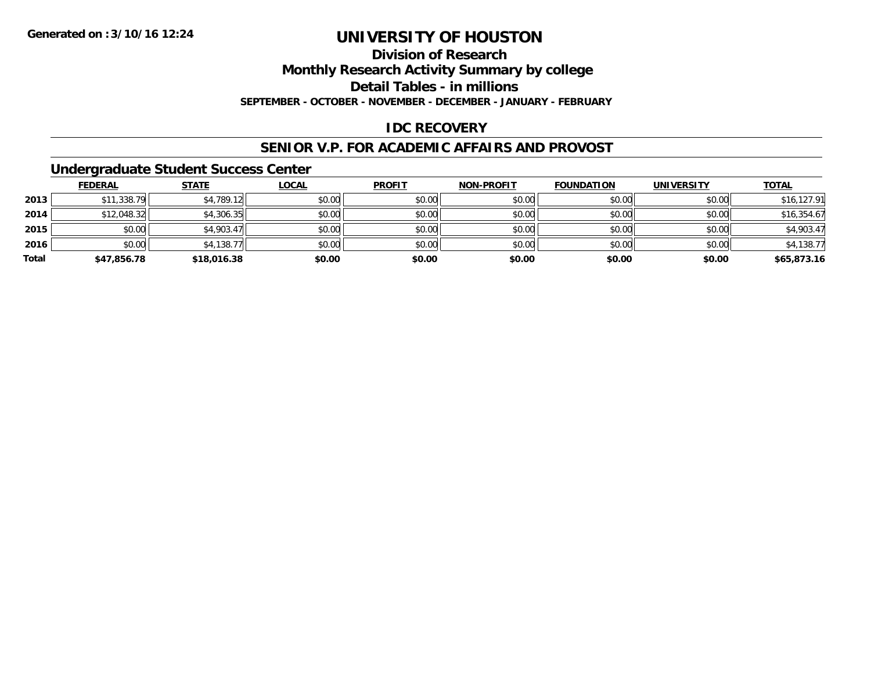### **Division of Research**

**Monthly Research Activity Summary by college**

**Detail Tables - in millions**

**SEPTEMBER - OCTOBER - NOVEMBER - DECEMBER - JANUARY - FEBRUARY**

### **IDC RECOVERY**

#### **SENIOR V.P. FOR ACADEMIC AFFAIRS AND PROVOST**

#### **Undergraduate Student Success Center**

|       | <b>FEDERAL</b> | <u>STATE</u> | <b>LOCAL</b> | <b>PROFIT</b> | <b>NON-PROFIT</b> | <b>FOUNDATION</b> | <b>UNIVERSITY</b> | <b>TOTAL</b> |
|-------|----------------|--------------|--------------|---------------|-------------------|-------------------|-------------------|--------------|
| 2013  | \$11,338.79    | \$4,789.12   | \$0.00       | \$0.00        | \$0.00            | \$0.00            | \$0.00            | \$16,127.91  |
| 2014  | \$12,048.32    | \$4,306.35   | \$0.00       | \$0.00        | \$0.00            | \$0.00            | \$0.00            | \$16,354.67  |
| 2015  | \$0.00         | \$4,903.47   | \$0.00       | \$0.00        | \$0.00            | \$0.00            | \$0.00            | \$4,903.47   |
| 2016  | \$0.00         | \$4,138.77   | \$0.00       | \$0.00        | \$0.00            | \$0.00            | \$0.00            | \$4,138.77   |
| Total | \$47,856.78    | \$18,016.38  | \$0.00       | \$0.00        | \$0.00            | \$0.00            | \$0.00            | \$65,873.16  |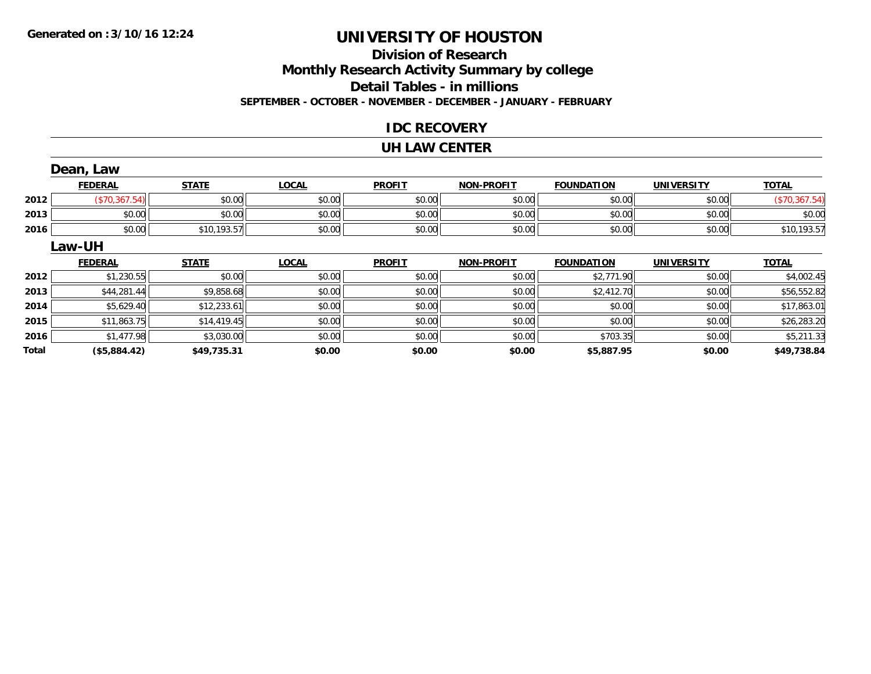### **Division of ResearchMonthly Research Activity Summary by college Detail Tables - in millions SEPTEMBER - OCTOBER - NOVEMBER - DECEMBER - JANUARY - FEBRUARY**

### **IDC RECOVERY**

#### **UH LAW CENTER**

|       | Dean, Law      |              |              |               |                   |                   |                   |               |
|-------|----------------|--------------|--------------|---------------|-------------------|-------------------|-------------------|---------------|
|       | <b>FEDERAL</b> | <b>STATE</b> | <b>LOCAL</b> | <b>PROFIT</b> | <b>NON-PROFIT</b> | <b>FOUNDATION</b> | <b>UNIVERSITY</b> | <b>TOTAL</b>  |
| 2012  | (\$70,367.54)  | \$0.00       | \$0.00       | \$0.00        | \$0.00            | \$0.00            | \$0.00            | (\$70,367.54) |
| 2013  | \$0.00         | \$0.00       | \$0.00       | \$0.00        | \$0.00            | \$0.00            | \$0.00            | \$0.00        |
| 2016  | \$0.00         | \$10,193.57  | \$0.00       | \$0.00        | \$0.00            | \$0.00            | \$0.00            | \$10,193.57   |
|       | Law-UH         |              |              |               |                   |                   |                   |               |
|       | <b>FEDERAL</b> | <b>STATE</b> | <b>LOCAL</b> | <b>PROFIT</b> | <b>NON-PROFIT</b> | <b>FOUNDATION</b> | <b>UNIVERSITY</b> | <b>TOTAL</b>  |
| 2012  | \$1,230.55     | \$0.00       | \$0.00       | \$0.00        | \$0.00            | \$2,771.90        | \$0.00            | \$4,002.45    |
| 2013  | \$44,281.44    | \$9,858.68   | \$0.00       | \$0.00        | \$0.00            | \$2,412.70        | \$0.00            | \$56,552.82   |
| 2014  | \$5,629.40     | \$12,233.61  | \$0.00       | \$0.00        | \$0.00            | \$0.00            | \$0.00            | \$17,863.01   |
| 2015  | \$11,863.75    | \$14,419.45  | \$0.00       | \$0.00        | \$0.00            | \$0.00            | \$0.00            | \$26,283.20   |
| 2016  | \$1.477.98     | \$3,030.00   | \$0.00       | \$0.00        | \$0.00            | \$703.35          | \$0.00            | \$5,211.33    |
| Total | (\$5,884.42)   | \$49,735.31  | \$0.00       | \$0.00        | \$0.00            | \$5,887.95        | \$0.00            | \$49,738.84   |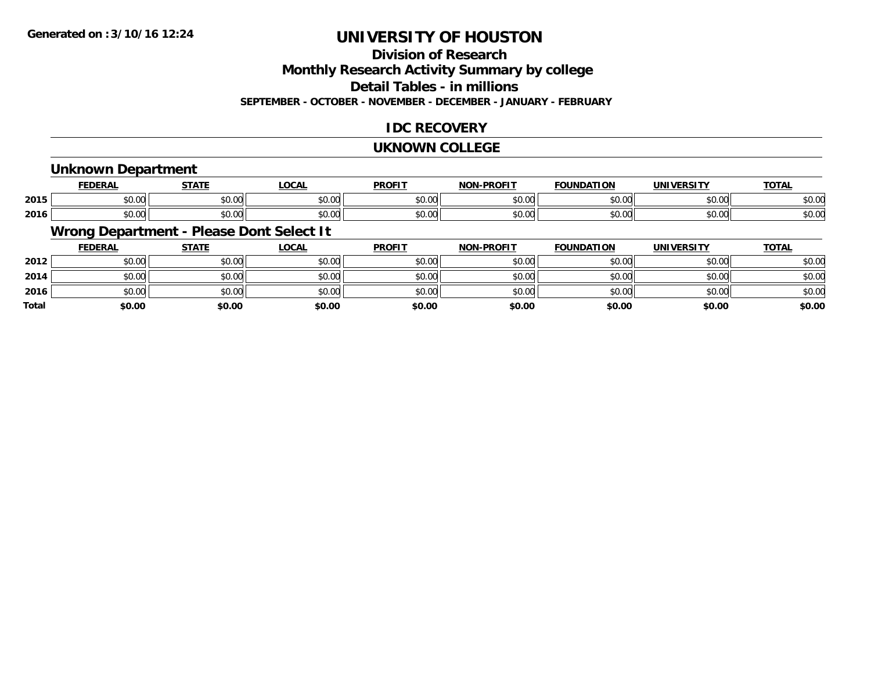## **Division of Research**

**Monthly Research Activity Summary by college**

**Detail Tables - in millions**

**SEPTEMBER - OCTOBER - NOVEMBER - DECEMBER - JANUARY - FEBRUARY**

### **IDC RECOVERY**

#### **UKNOWN COLLEGE**

### **Unknown Department**

|      | cr.       | <b>CTATE</b>  | <b>_OCAL</b>                                | <b>PROFIT</b>  | <b>DRAFIT</b><br><b>NICK</b> | וסו<br>IDA | IINIVE    | $T^{\prime}$<br>101r |
|------|-----------|---------------|---------------------------------------------|----------------|------------------------------|------------|-----------|----------------------|
| 2015 | $\sim$ 00 | $\sim$ $\sim$ | $\sim$ $\sim$                               | 0000           | 0000                         | $\sim$ 00  | 0.000     | $\sim$ $\sim$        |
|      | JU.UU     | וטט.טע        | JU.UU                                       | JU.UU          | טט.טע                        | JU.UU      | JU.UU     | 50.UC                |
| 2016 | $\sim$ 00 | $\sim$ 00     | $\uparrow$ $\uparrow$ $\uparrow$ $\uparrow$ | 0 <sup>n</sup> | $\sim$ $\sim$                | $\sim$ 00  | $\sim$ 00 | $\sim$ $\sim$        |
|      | JU.UU     | JU.UU         | JU.UU                                       | JU.UU          | JU.UU                        | JU.UU      | JU.UU     | งบ.บเ                |

### **Wrong Department - Please Dont Select It**

|              | <b>FEDERAL</b> | <b>STATE</b> | <u>LOCAL</u> | <b>PROFIT</b> | <b>NON-PROFIT</b> | <b>FOUNDATION</b> | <b>UNIVERSITY</b> | <b>TOTAL</b> |
|--------------|----------------|--------------|--------------|---------------|-------------------|-------------------|-------------------|--------------|
| 2012         | \$0.00         | \$0.00       | \$0.00       | \$0.00        | \$0.00            | \$0.00            | \$0.00            | \$0.00       |
| 2014         | \$0.00         | \$0.00       | \$0.00       | \$0.00        | \$0.00            | \$0.00            | \$0.00            | \$0.00       |
| 2016         | \$0.00         | \$0.00       | \$0.00       | \$0.00        | \$0.00            | \$0.00            | \$0.00            | \$0.00       |
| <b>Total</b> | \$0.00         | \$0.00       | \$0.00       | \$0.00        | \$0.00            | \$0.00            | \$0.00            | \$0.00       |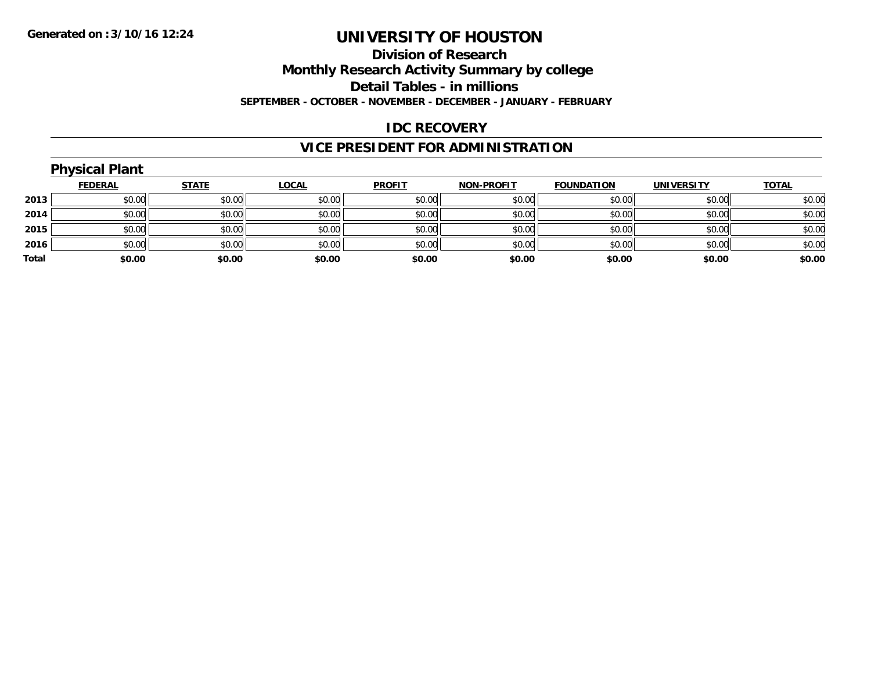#### **Division of Research**

**Monthly Research Activity Summary by college**

**Detail Tables - in millions**

**SEPTEMBER - OCTOBER - NOVEMBER - DECEMBER - JANUARY - FEBRUARY**

#### **IDC RECOVERY**

## **VICE PRESIDENT FOR ADMINISTRATION**

|       | <b>Physical Plant</b> |              |              |               |                   |                   |                   |              |
|-------|-----------------------|--------------|--------------|---------------|-------------------|-------------------|-------------------|--------------|
|       | <b>FEDERAL</b>        | <b>STATE</b> | <u>LOCAL</u> | <b>PROFIT</b> | <b>NON-PROFIT</b> | <b>FOUNDATION</b> | <b>UNIVERSITY</b> | <b>TOTAL</b> |
| 2013  | \$0.00                | \$0.00       | \$0.00       | \$0.00        | \$0.00            | \$0.00            | \$0.00            | \$0.00       |
| 2014  | \$0.00                | \$0.00       | \$0.00       | \$0.00        | \$0.00            | \$0.00            | \$0.00            | \$0.00       |
| 2015  | \$0.00                | \$0.00       | \$0.00       | \$0.00        | \$0.00            | \$0.00            | \$0.00            | \$0.00       |
| 2016  | \$0.00                | \$0.00       | \$0.00       | \$0.00        | \$0.00            | \$0.00            | \$0.00            | \$0.00       |
| Total | \$0.00                | \$0.00       | \$0.00       | \$0.00        | \$0.00            | \$0.00            | \$0.00            | \$0.00       |
|       |                       |              |              |               |                   |                   |                   |              |

## **Physical Plant**